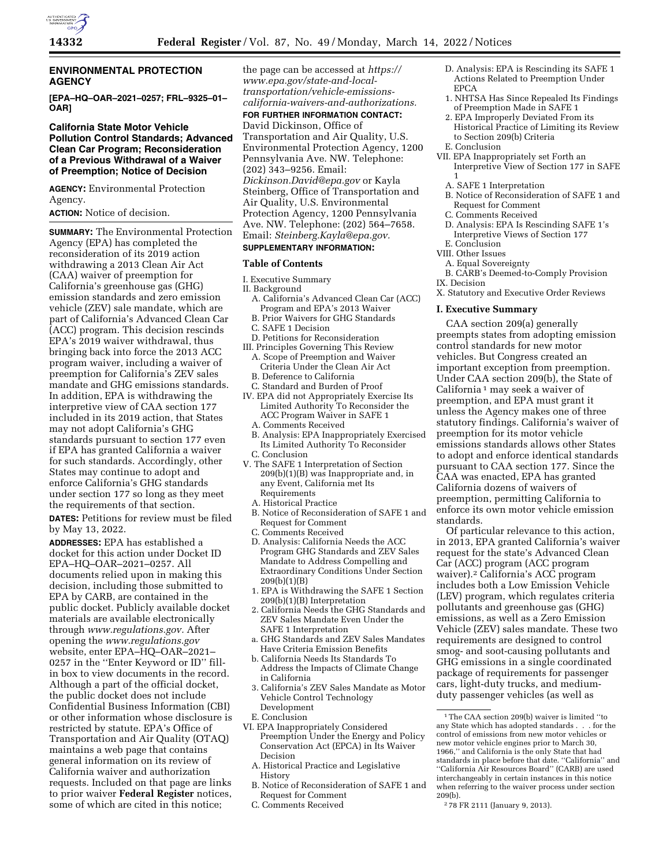

## **ENVIRONMENTAL PROTECTION AGENCY**

**[EPA–HQ–OAR–2021–0257; FRL–9325–01– OAR]** 

### **California State Motor Vehicle Pollution Control Standards; Advanced Clean Car Program; Reconsideration of a Previous Withdrawal of a Waiver of Preemption; Notice of Decision**

**AGENCY:** Environmental Protection Agency.

**ACTION:** Notice of decision.

**SUMMARY:** The Environmental Protection Agency (EPA) has completed the reconsideration of its 2019 action withdrawing a 2013 Clean Air Act (CAA) waiver of preemption for California's greenhouse gas (GHG) emission standards and zero emission vehicle (ZEV) sale mandate, which are part of California's Advanced Clean Car (ACC) program. This decision rescinds EPA's 2019 waiver withdrawal, thus bringing back into force the 2013 ACC program waiver, including a waiver of preemption for California's ZEV sales mandate and GHG emissions standards. In addition, EPA is withdrawing the interpretive view of CAA section 177 included in its 2019 action, that States may not adopt California's GHG standards pursuant to section 177 even if EPA has granted California a waiver for such standards. Accordingly, other States may continue to adopt and enforce California's GHG standards under section 177 so long as they meet the requirements of that section.

**DATES:** Petitions for review must be filed by May 13, 2022.

**ADDRESSES:** EPA has established a docket for this action under Docket ID EPA–HQ–OAR–2021–0257. All documents relied upon in making this decision, including those submitted to EPA by CARB, are contained in the public docket. Publicly available docket materials are available electronically through *[www.regulations.gov.](http://www.regulations.gov)* After opening the *[www.regulations.gov](http://www.regulations.gov)*  website, enter EPA–HQ–OAR–2021– 0257 in the ''Enter Keyword or ID'' fillin box to view documents in the record. Although a part of the official docket, the public docket does not include Confidential Business Information (CBI) or other information whose disclosure is restricted by statute. EPA's Office of Transportation and Air Quality (OTAQ) maintains a web page that contains general information on its review of California waiver and authorization requests. Included on that page are links to prior waiver **Federal Register** notices, some of which are cited in this notice;

the page can be accessed at *[https://](https://www.epa.gov/state-and-local-transportation/vehicle-emissions-california-waivers-and-authorizations) [www.epa.gov/state-and-local](https://www.epa.gov/state-and-local-transportation/vehicle-emissions-california-waivers-and-authorizations)[transportation/vehicle-emissions](https://www.epa.gov/state-and-local-transportation/vehicle-emissions-california-waivers-and-authorizations)[california-waivers-and-authorizations.](https://www.epa.gov/state-and-local-transportation/vehicle-emissions-california-waivers-and-authorizations)* 

**FOR FURTHER INFORMATION CONTACT:**  David Dickinson, Office of Transportation and Air Quality, U.S. Environmental Protection Agency, 1200 Pennsylvania Ave. NW. Telephone: (202) 343–9256. Email: *[Dickinson.David@epa.gov](mailto:Dickinson.David@epa.gov)* or Kayla Steinberg, Office of Transportation and Air Quality, U.S. Environmental Protection Agency, 1200 Pennsylvania Ave. NW. Telephone: (202) 564–7658. Email: *[Steinberg.Kayla@epa.gov.](mailto:Steinberg.Kayla@epa.gov)* 

### **SUPPLEMENTARY INFORMATION:**

### **Table of Contents**

- I. Executive Summary
- II. Background
	- A. California's Advanced Clean Car (ACC) Program and EPA's 2013 Waiver
	- B. Prior Waivers for GHG Standards
	- C. SAFE 1 Decision
	- D. Petitions for Reconsideration
- III. Principles Governing This Review A. Scope of Preemption and Waiver Criteria Under the Clean Air Act
- B. Deference to California
- C. Standard and Burden of Proof
- IV. EPA did not Appropriately Exercise Its Limited Authority To Reconsider the ACC Program Waiver in SAFE 1 A. Comments Received
	-
	- B. Analysis: EPA Inappropriately Exercised Its Limited Authority To Reconsider C. Conclusion
- V. The SAFE 1 Interpretation of Section 209(b)(1)(B) was Inappropriate and, in any Event, California met Its Requirements
	- A. Historical Practice
	- B. Notice of Reconsideration of SAFE 1 and Request for Comment
	- C. Comments Received D. Analysis: California Needs the ACC Program GHG Standards and ZEV Sales Mandate to Address Compelling and Extraordinary Conditions Under Section 209(b)(1)(B)
	- 1. EPA is Withdrawing the SAFE 1 Section 209(b)(1)(B) Interpretation
	- 2. California Needs the GHG Standards and ZEV Sales Mandate Even Under the SAFE 1 Interpretation
	- a. GHG Standards and ZEV Sales Mandates Have Criteria Emission Benefits
	- b. California Needs Its Standards To Address the Impacts of Climate Change in California
	- 3. California's ZEV Sales Mandate as Motor Vehicle Control Technology Development
	- E. Conclusion
- VI. EPA Inappropriately Considered Preemption Under the Energy and Policy Conservation Act (EPCA) in Its Waiver Decision
	- A. Historical Practice and Legislative History
	- B. Notice of Reconsideration of SAFE 1 and Request for Comment
	- C. Comments Received
- D. Analysis: EPA is Rescinding its SAFE 1 Actions Related to Preemption Under EPCA
- 1. NHTSA Has Since Repealed Its Findings of Preemption Made in SAFE 1
- 2. EPA Improperly Deviated From its Historical Practice of Limiting its Review to Section 209(b) Criteria
- E. Conclusion
- VII. EPA Inappropriately set Forth an Interpretive View of Section 177 in SAFE 1
	- A. SAFE 1 Interpretation
	- B. Notice of Reconsideration of SAFE 1 and Request for Comment
	- C. Comments Received
	- D. Analysis: EPA Is Rescinding SAFE 1's Interpretive Views of Section 177
- E. Conclusion
- VIII. Other Issues
- A. Equal Sovereignty
- B. CARB's Deemed-to-Comply Provision IX. Decision

X. Statutory and Executive Order Reviews

#### **I. Executive Summary**

CAA section 209(a) generally preempts states from adopting emission control standards for new motor vehicles. But Congress created an important exception from preemption. Under CAA section 209(b), the State of California 1 may seek a waiver of preemption, and EPA must grant it unless the Agency makes one of three statutory findings. California's waiver of preemption for its motor vehicle emissions standards allows other States to adopt and enforce identical standards pursuant to CAA section 177. Since the CAA was enacted, EPA has granted California dozens of waivers of preemption, permitting California to enforce its own motor vehicle emission standards.

Of particular relevance to this action, in 2013, EPA granted California's waiver request for the state's Advanced Clean Car (ACC) program (ACC program waiver).2 California's ACC program includes both a Low Emission Vehicle (LEV) program, which regulates criteria pollutants and greenhouse gas (GHG) emissions, as well as a Zero Emission Vehicle (ZEV) sales mandate. These two requirements are designed to control smog- and soot-causing pollutants and GHG emissions in a single coordinated package of requirements for passenger cars, light-duty trucks, and mediumduty passenger vehicles (as well as

<sup>1</sup>The CAA section 209(b) waiver is limited ''to any State which has adopted standards . . . for the control of emissions from new motor vehicles or new motor vehicle engines prior to March 30, 1966,'' and California is the only State that had standards in place before that date. ''California'' and ''California Air Resources Board'' (CARB) are used interchangeably in certain instances in this notice when referring to the waiver process under section 209(b).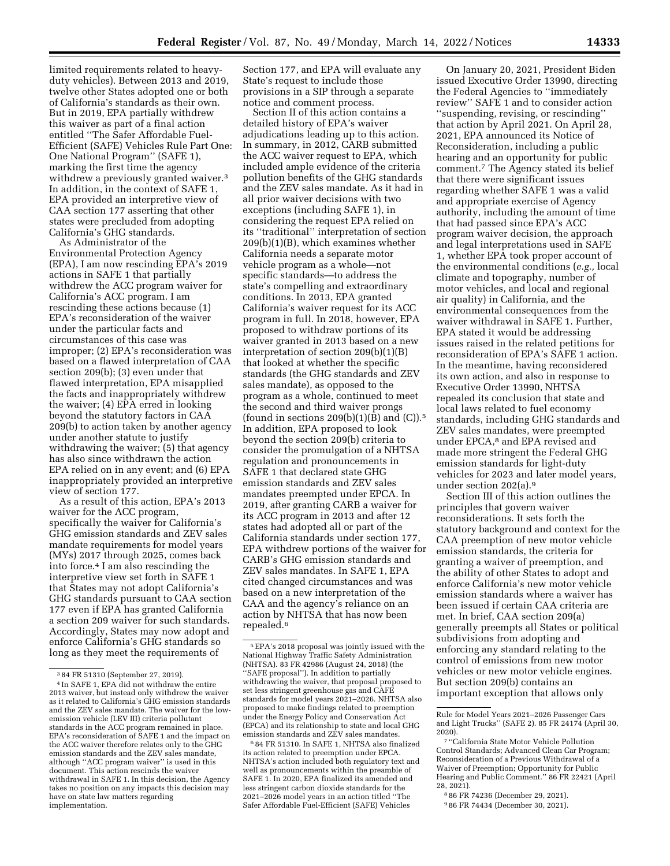limited requirements related to heavyduty vehicles). Between 2013 and 2019, twelve other States adopted one or both of California's standards as their own. But in 2019, EPA partially withdrew this waiver as part of a final action entitled ''The Safer Affordable Fuel-Efficient (SAFE) Vehicles Rule Part One: One National Program'' (SAFE 1), marking the first time the agency withdrew a previously granted waiver.<sup>3</sup> In addition, in the context of SAFE 1, EPA provided an interpretive view of CAA section 177 asserting that other states were precluded from adopting California's GHG standards.

As Administrator of the Environmental Protection Agency (EPA), I am now rescinding EPA's 2019 actions in SAFE 1 that partially withdrew the ACC program waiver for California's ACC program. I am rescinding these actions because (1) EPA's reconsideration of the waiver under the particular facts and circumstances of this case was improper; (2) EPA's reconsideration was based on a flawed interpretation of CAA section 209(b); (3) even under that flawed interpretation, EPA misapplied the facts and inappropriately withdrew the waiver; (4) EPA erred in looking beyond the statutory factors in CAA 209(b) to action taken by another agency under another statute to justify withdrawing the waiver; (5) that agency has also since withdrawn the action EPA relied on in any event; and (6) EPA inappropriately provided an interpretive view of section 177.

As a result of this action, EPA's 2013 waiver for the ACC program, specifically the waiver for California's GHG emission standards and ZEV sales mandate requirements for model years (MYs) 2017 through 2025, comes back into force.4 I am also rescinding the interpretive view set forth in SAFE 1 that States may not adopt California's GHG standards pursuant to CAA section 177 even if EPA has granted California a section 209 waiver for such standards. Accordingly, States may now adopt and enforce California's GHG standards so long as they meet the requirements of

Section 177, and EPA will evaluate any State's request to include those provisions in a SIP through a separate notice and comment process.

Section II of this action contains a detailed history of EPA's waiver adjudications leading up to this action. In summary, in 2012, CARB submitted the ACC waiver request to EPA, which included ample evidence of the criteria pollution benefits of the GHG standards and the ZEV sales mandate. As it had in all prior waiver decisions with two exceptions (including SAFE 1), in considering the request EPA relied on its ''traditional'' interpretation of section 209(b)(1)(B), which examines whether California needs a separate motor vehicle program as a whole—not specific standards—to address the state's compelling and extraordinary conditions. In 2013, EPA granted California's waiver request for its ACC program in full. In 2018, however, EPA proposed to withdraw portions of its waiver granted in 2013 based on a new interpretation of section 209(b)(1)(B) that looked at whether the specific standards (the GHG standards and ZEV sales mandate), as opposed to the program as a whole, continued to meet the second and third waiver prongs (found in sections  $209(b)(1)(B)$  and  $(C)$ ).<sup>5</sup> In addition, EPA proposed to look beyond the section 209(b) criteria to consider the promulgation of a NHTSA regulation and pronouncements in SAFE 1 that declared state GHG emission standards and ZEV sales mandates preempted under EPCA. In 2019, after granting CARB a waiver for its ACC program in 2013 and after 12 states had adopted all or part of the California standards under section 177, EPA withdrew portions of the waiver for CARB's GHG emission standards and ZEV sales mandates. In SAFE 1, EPA cited changed circumstances and was based on a new interpretation of the CAA and the agency's reliance on an action by NHTSA that has now been repealed.6

6 84 FR 51310. In SAFE 1, NHTSA also finalized its action related to preemption under EPCA. NHTSA's action included both regulatory text and well as pronouncements within the preamble of SAFE 1. In 2020, EPA finalized its amended and less stringent carbon dioxide standards for the 2021–2026 model years in an action titled ''The Safer Affordable Fuel-Efficient (SAFE) Vehicles

On January 20, 2021, President Biden issued Executive Order 13990, directing the Federal Agencies to ''immediately review'' SAFE 1 and to consider action ''suspending, revising, or rescinding'' that action by April 2021. On April 28, 2021, EPA announced its Notice of Reconsideration, including a public hearing and an opportunity for public comment.7 The Agency stated its belief that there were significant issues regarding whether SAFE 1 was a valid and appropriate exercise of Agency authority, including the amount of time that had passed since EPA's ACC program waiver decision, the approach and legal interpretations used in SAFE 1, whether EPA took proper account of the environmental conditions (*e.g.,* local climate and topography, number of motor vehicles, and local and regional air quality) in California, and the environmental consequences from the waiver withdrawal in SAFE 1. Further, EPA stated it would be addressing issues raised in the related petitions for reconsideration of EPA's SAFE 1 action. In the meantime, having reconsidered its own action, and also in response to Executive Order 13990, NHTSA repealed its conclusion that state and local laws related to fuel economy standards, including GHG standards and ZEV sales mandates, were preempted under EPCA,8 and EPA revised and made more stringent the Federal GHG emission standards for light-duty vehicles for 2023 and later model years, under section 202(a).9

Section III of this action outlines the principles that govern waiver reconsiderations. It sets forth the statutory background and context for the CAA preemption of new motor vehicle emission standards, the criteria for granting a waiver of preemption, and the ability of other States to adopt and enforce California's new motor vehicle emission standards where a waiver has been issued if certain CAA criteria are met. In brief, CAA section 209(a) generally preempts all States or political subdivisions from adopting and enforcing any standard relating to the control of emissions from new motor vehicles or new motor vehicle engines. But section 209(b) contains an important exception that allows only

<sup>3</sup> 84 FR 51310 (September 27, 2019).

<sup>4</sup> In SAFE 1, EPA did not withdraw the entire 2013 waiver, but instead only withdrew the waiver as it related to California's GHG emission standards and the ZEV sales mandate. The waiver for the lowemission vehicle (LEV III) criteria pollutant standards in the ACC program remained in place. EPA's reconsideration of SAFE 1 and the impact on the ACC waiver therefore relates only to the GHG emission standards and the ZEV sales mandate, although ''ACC program waiver'' is used in this document. This action rescinds the waiver withdrawal in SAFE 1. In this decision, the Agency takes no position on any impacts this decision may have on state law matters regarding implementation.

<sup>5</sup>EPA's 2018 proposal was jointly issued with the National Highway Traffic Safety Administration (NHTSA). 83 FR 42986 (August 24, 2018) (the ''SAFE proposal''). In addition to partially withdrawing the waiver, that proposal proposed to set less stringent greenhouse gas and CAFE standards for model years 2021–2026. NHTSA also proposed to make findings related to preemption under the Energy Policy and Conservation Act (EPCA) and its relationship to state and local GHG emission standards and ZEV sales mandates.

Rule for Model Years 2021–2026 Passenger Cars and Light Trucks'' (SAFE 2). 85 FR 24174 (April 30, 2020).

<sup>7</sup> ''California State Motor Vehicle Pollution Control Standards; Advanced Clean Car Program; Reconsideration of a Previous Withdrawal of a Waiver of Preemption; Opportunity for Public Hearing and Public Comment.'' 86 FR 22421 (April 28, 2021).

<sup>8</sup> 86 FR 74236 (December 29, 2021).

<sup>9</sup> 86 FR 74434 (December 30, 2021).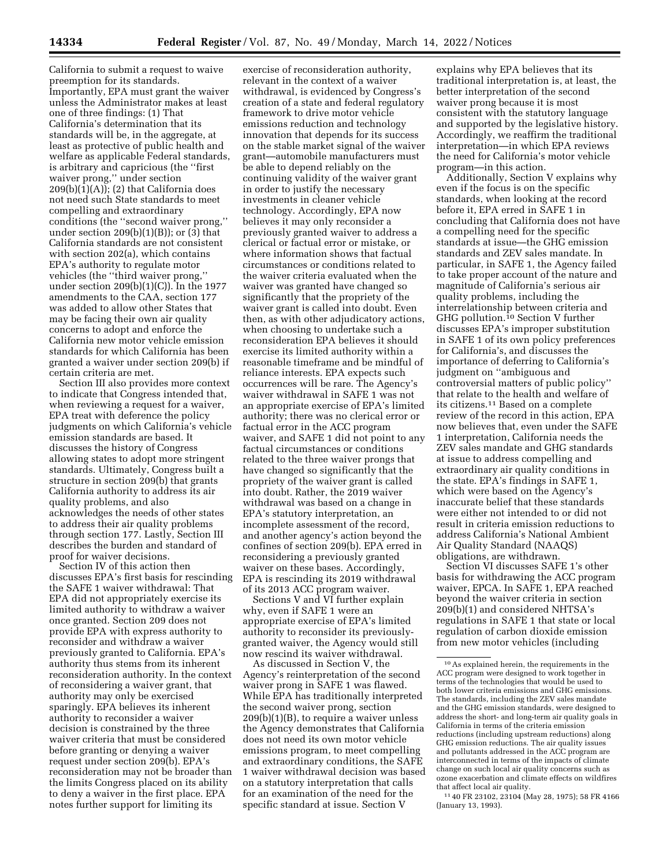California to submit a request to waive preemption for its standards. Importantly, EPA must grant the waiver unless the Administrator makes at least one of three findings: (1) That California's determination that its standards will be, in the aggregate, at least as protective of public health and welfare as applicable Federal standards, is arbitrary and capricious (the ''first waiver prong,'' under section  $209(b)(1)(A)$ ; (2) that California does not need such State standards to meet compelling and extraordinary conditions (the ''second waiver prong,'' under section  $209(b)(1)(B)$ ; or  $(3)$  that California standards are not consistent with section 202(a), which contains EPA's authority to regulate motor vehicles (the ''third waiver prong,'' under section 209(b)(1)(C)). In the 1977 amendments to the CAA, section 177 was added to allow other States that may be facing their own air quality concerns to adopt and enforce the California new motor vehicle emission standards for which California has been granted a waiver under section 209(b) if certain criteria are met.

Section III also provides more context to indicate that Congress intended that, when reviewing a request for a waiver, EPA treat with deference the policy judgments on which California's vehicle emission standards are based. It discusses the history of Congress allowing states to adopt more stringent standards. Ultimately, Congress built a structure in section 209(b) that grants California authority to address its air quality problems, and also acknowledges the needs of other states to address their air quality problems through section 177. Lastly, Section III describes the burden and standard of proof for waiver decisions.

Section IV of this action then discusses EPA's first basis for rescinding the SAFE 1 waiver withdrawal: That EPA did not appropriately exercise its limited authority to withdraw a waiver once granted. Section 209 does not provide EPA with express authority to reconsider and withdraw a waiver previously granted to California. EPA's authority thus stems from its inherent reconsideration authority. In the context of reconsidering a waiver grant, that authority may only be exercised sparingly. EPA believes its inherent authority to reconsider a waiver decision is constrained by the three waiver criteria that must be considered before granting or denying a waiver request under section 209(b). EPA's reconsideration may not be broader than the limits Congress placed on its ability to deny a waiver in the first place. EPA notes further support for limiting its

exercise of reconsideration authority, relevant in the context of a waiver withdrawal, is evidenced by Congress's creation of a state and federal regulatory framework to drive motor vehicle emissions reduction and technology innovation that depends for its success on the stable market signal of the waiver grant—automobile manufacturers must be able to depend reliably on the continuing validity of the waiver grant in order to justify the necessary investments in cleaner vehicle technology. Accordingly, EPA now believes it may only reconsider a previously granted waiver to address a clerical or factual error or mistake, or where information shows that factual circumstances or conditions related to the waiver criteria evaluated when the waiver was granted have changed so significantly that the propriety of the waiver grant is called into doubt. Even then, as with other adjudicatory actions, when choosing to undertake such a reconsideration EPA believes it should exercise its limited authority within a reasonable timeframe and be mindful of reliance interests. EPA expects such occurrences will be rare. The Agency's waiver withdrawal in SAFE 1 was not an appropriate exercise of EPA's limited authority; there was no clerical error or factual error in the ACC program waiver, and SAFE 1 did not point to any factual circumstances or conditions related to the three waiver prongs that have changed so significantly that the propriety of the waiver grant is called into doubt. Rather, the 2019 waiver withdrawal was based on a change in EPA's statutory interpretation, an incomplete assessment of the record, and another agency's action beyond the confines of section 209(b). EPA erred in reconsidering a previously granted waiver on these bases. Accordingly, EPA is rescinding its 2019 withdrawal of its 2013 ACC program waiver.

Sections V and VI further explain why, even if SAFE 1 were an appropriate exercise of EPA's limited authority to reconsider its previouslygranted waiver, the Agency would still now rescind its waiver withdrawal.

As discussed in Section V, the Agency's reinterpretation of the second waiver prong in SAFE 1 was flawed. While EPA has traditionally interpreted the second waiver prong, section 209(b)(1)(B), to require a waiver unless the Agency demonstrates that California does not need its own motor vehicle emissions program, to meet compelling and extraordinary conditions, the SAFE 1 waiver withdrawal decision was based on a statutory interpretation that calls for an examination of the need for the specific standard at issue. Section V

explains why EPA believes that its traditional interpretation is, at least, the better interpretation of the second waiver prong because it is most consistent with the statutory language and supported by the legislative history. Accordingly, we reaffirm the traditional interpretation—in which EPA reviews the need for California's motor vehicle program—in this action.

Additionally, Section V explains why even if the focus is on the specific standards, when looking at the record before it, EPA erred in SAFE 1 in concluding that California does not have a compelling need for the specific standards at issue—the GHG emission standards and ZEV sales mandate. In particular, in SAFE 1, the Agency failed to take proper account of the nature and magnitude of California's serious air quality problems, including the interrelationship between criteria and GHG pollution.10 Section V further discusses EPA's improper substitution in SAFE 1 of its own policy preferences for California's, and discusses the importance of deferring to California's judgment on ''ambiguous and controversial matters of public policy'' that relate to the health and welfare of its citizens.11 Based on a complete review of the record in this action, EPA now believes that, even under the SAFE 1 interpretation, California needs the ZEV sales mandate and GHG standards at issue to address compelling and extraordinary air quality conditions in the state. EPA's findings in SAFE 1, which were based on the Agency's inaccurate belief that these standards were either not intended to or did not result in criteria emission reductions to address California's National Ambient Air Quality Standard (NAAQS) obligations, are withdrawn.

Section VI discusses SAFE 1's other basis for withdrawing the ACC program waiver, EPCA. In SAFE 1, EPA reached beyond the waiver criteria in section 209(b)(1) and considered NHTSA's regulations in SAFE 1 that state or local regulation of carbon dioxide emission from new motor vehicles (including

11 40 FR 23102, 23104 (May 28, 1975); 58 FR 4166 (January 13, 1993).

<sup>10</sup>As explained herein, the requirements in the ACC program were designed to work together in terms of the technologies that would be used to both lower criteria emissions and GHG emissions. The standards, including the ZEV sales mandate and the GHG emission standards, were designed to address the short- and long-term air quality goals in California in terms of the criteria emission reductions (including upstream reductions) along GHG emission reductions. The air quality issues and pollutants addressed in the ACC program are interconnected in terms of the impacts of climate change on such local air quality concerns such as ozone exacerbation and climate effects on wildfires that affect local air quality.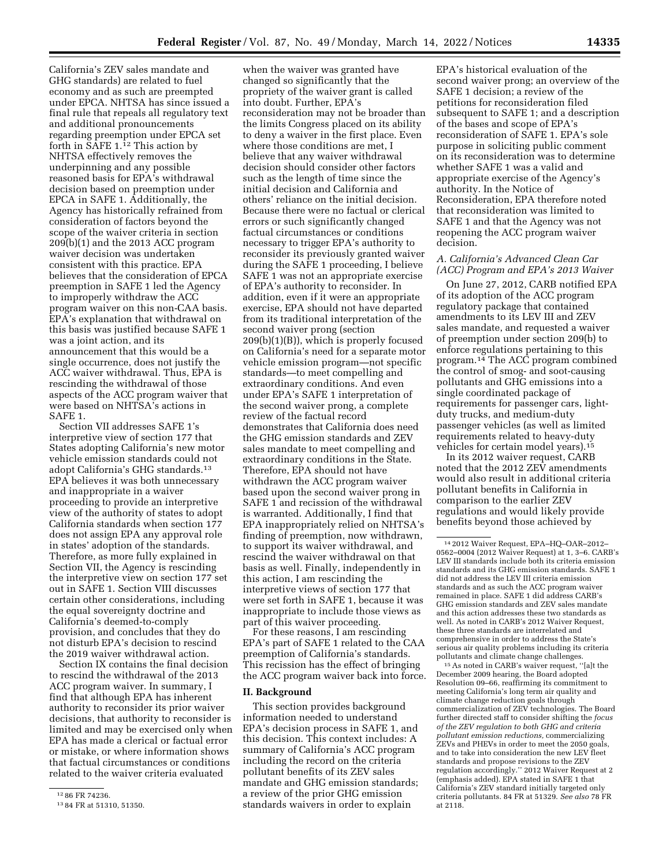California's ZEV sales mandate and GHG standards) are related to fuel economy and as such are preempted under EPCA. NHTSA has since issued a final rule that repeals all regulatory text and additional pronouncements regarding preemption under EPCA set forth in SAFE 1.12 This action by NHTSA effectively removes the underpinning and any possible reasoned basis for EPA's withdrawal decision based on preemption under EPCA in SAFE 1. Additionally, the Agency has historically refrained from consideration of factors beyond the scope of the waiver criteria in section 209(b)(1) and the 2013 ACC program waiver decision was undertaken consistent with this practice. EPA believes that the consideration of EPCA preemption in SAFE 1 led the Agency to improperly withdraw the ACC program waiver on this non-CAA basis. EPA's explanation that withdrawal on this basis was justified because SAFE 1 was a joint action, and its announcement that this would be a single occurrence, does not justify the ACC waiver withdrawal. Thus, EPA is rescinding the withdrawal of those aspects of the ACC program waiver that were based on NHTSA's actions in SAFE 1.

Section VII addresses SAFE 1's interpretive view of section 177 that States adopting California's new motor vehicle emission standards could not adopt California's GHG standards.13 EPA believes it was both unnecessary and inappropriate in a waiver proceeding to provide an interpretive view of the authority of states to adopt California standards when section 177 does not assign EPA any approval role in states' adoption of the standards. Therefore, as more fully explained in Section VII, the Agency is rescinding the interpretive view on section 177 set out in SAFE 1. Section VIII discusses certain other considerations, including the equal sovereignty doctrine and California's deemed-to-comply provision, and concludes that they do not disturb EPA's decision to rescind the 2019 waiver withdrawal action.

Section IX contains the final decision to rescind the withdrawal of the 2013 ACC program waiver. In summary, I find that although EPA has inherent authority to reconsider its prior waiver decisions, that authority to reconsider is limited and may be exercised only when EPA has made a clerical or factual error or mistake, or where information shows that factual circumstances or conditions related to the waiver criteria evaluated

when the waiver was granted have changed so significantly that the propriety of the waiver grant is called into doubt. Further, EPA's reconsideration may not be broader than the limits Congress placed on its ability to deny a waiver in the first place. Even where those conditions are met, I believe that any waiver withdrawal decision should consider other factors such as the length of time since the initial decision and California and others' reliance on the initial decision. Because there were no factual or clerical errors or such significantly changed factual circumstances or conditions necessary to trigger EPA's authority to reconsider its previously granted waiver during the SAFE 1 proceeding, I believe SAFE 1 was not an appropriate exercise of EPA's authority to reconsider. In addition, even if it were an appropriate exercise, EPA should not have departed from its traditional interpretation of the second waiver prong (section 209(b)(1)(B)), which is properly focused on California's need for a separate motor vehicle emission program—not specific standards—to meet compelling and extraordinary conditions. And even under EPA's SAFE 1 interpretation of the second waiver prong, a complete review of the factual record demonstrates that California does need the GHG emission standards and ZEV sales mandate to meet compelling and extraordinary conditions in the State. Therefore, EPA should not have withdrawn the ACC program waiver based upon the second waiver prong in SAFE 1 and recission of the withdrawal is warranted. Additionally, I find that EPA inappropriately relied on NHTSA's finding of preemption, now withdrawn, to support its waiver withdrawal, and rescind the waiver withdrawal on that basis as well. Finally, independently in this action, I am rescinding the interpretive views of section 177 that were set forth in SAFE 1, because it was inappropriate to include those views as part of this waiver proceeding.

For these reasons, I am rescinding EPA's part of SAFE 1 related to the CAA preemption of California's standards. This recission has the effect of bringing the ACC program waiver back into force.

#### **II. Background**

This section provides background information needed to understand EPA's decision process in SAFE 1, and this decision. This context includes: A summary of California's ACC program including the record on the criteria pollutant benefits of its ZEV sales mandate and GHG emission standards; a review of the prior GHG emission standards waivers in order to explain

EPA's historical evaluation of the second waiver prong; an overview of the SAFE 1 decision; a review of the petitions for reconsideration filed subsequent to SAFE 1; and a description of the bases and scope of EPA's reconsideration of SAFE 1. EPA's sole purpose in soliciting public comment on its reconsideration was to determine whether SAFE 1 was a valid and appropriate exercise of the Agency's authority. In the Notice of Reconsideration, EPA therefore noted that reconsideration was limited to SAFE 1 and that the Agency was not reopening the ACC program waiver decision.

### *A. California's Advanced Clean Car (ACC) Program and EPA's 2013 Waiver*

On June 27, 2012, CARB notified EPA of its adoption of the ACC program regulatory package that contained amendments to its LEV III and ZEV sales mandate, and requested a waiver of preemption under section 209(b) to enforce regulations pertaining to this program.14 The ACC program combined the control of smog- and soot-causing pollutants and GHG emissions into a single coordinated package of requirements for passenger cars, lightduty trucks, and medium-duty passenger vehicles (as well as limited requirements related to heavy-duty vehicles for certain model years).15

In its 2012 waiver request, CARB noted that the 2012 ZEV amendments would also result in additional criteria pollutant benefits in California in comparison to the earlier ZEV regulations and would likely provide benefits beyond those achieved by

15As noted in CARB's waiver request, ''[a]t the December 2009 hearing, the Board adopted Resolution 09–66, reaffirming its commitment to meeting California's long term air quality and climate change reduction goals through commercialization of ZEV technologies. The Board further directed staff to consider shifting the *focus of the ZEV regulation to both GHG and criteria pollutant emission reductions,* commercializing ZEVs and PHEVs in order to meet the 2050 goals, and to take into consideration the new LEV fleet standards and propose revisions to the ZEV regulation accordingly.'' 2012 Waiver Request at 2 (emphasis added). EPA stated in SAFE 1 that California's ZEV standard initially targeted only criteria pollutants. 84 FR at 51329. *See also* 78 FR at 2118.

<sup>12</sup> 86 FR 74236.

<sup>13</sup> 84 FR at 51310, 51350.

<sup>14</sup> 2012 Waiver Request, EPA–HQ–OAR–2012– 0562–0004 (2012 Waiver Request) at 1, 3–6. CARB's LEV III standards include both its criteria emission standards and its GHG emission standards. SAFE 1 did not address the LEV III criteria emission standards and as such the ACC program waiver remained in place. SAFE 1 did address CARB's GHG emission standards and ZEV sales mandate and this action addresses these two standards as well. As noted in CARB's 2012 Waiver Request, these three standards are interrelated and comprehensive in order to address the State's serious air quality problems including its criteria pollutants and climate change challenges.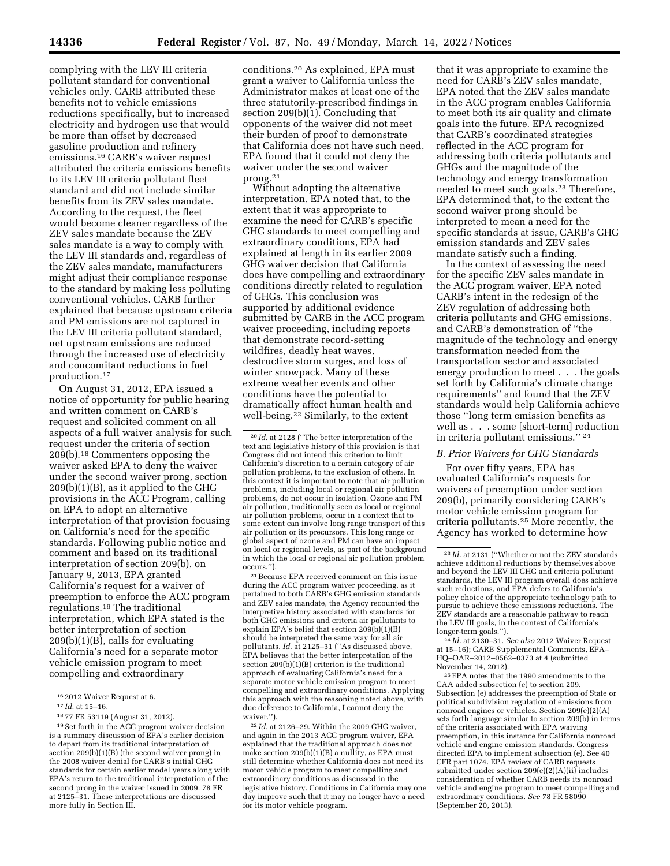complying with the LEV III criteria pollutant standard for conventional vehicles only. CARB attributed these benefits not to vehicle emissions reductions specifically, but to increased electricity and hydrogen use that would be more than offset by decreased gasoline production and refinery emissions.16 CARB's waiver request attributed the criteria emissions benefits to its LEV III criteria pollutant fleet standard and did not include similar benefits from its ZEV sales mandate. According to the request, the fleet would become cleaner regardless of the ZEV sales mandate because the ZEV sales mandate is a way to comply with the LEV III standards and, regardless of the ZEV sales mandate, manufacturers might adjust their compliance response to the standard by making less polluting conventional vehicles. CARB further explained that because upstream criteria and PM emissions are not captured in the LEV III criteria pollutant standard, net upstream emissions are reduced through the increased use of electricity and concomitant reductions in fuel production.17

On August 31, 2012, EPA issued a notice of opportunity for public hearing and written comment on CARB's request and solicited comment on all aspects of a full waiver analysis for such request under the criteria of section 209(b).18 Commenters opposing the waiver asked EPA to deny the waiver under the second waiver prong, section  $209(b)(1)(B)$ , as it applied to the GHG provisions in the ACC Program, calling on EPA to adopt an alternative interpretation of that provision focusing on California's need for the specific standards. Following public notice and comment and based on its traditional interpretation of section 209(b), on January 9, 2013, EPA granted California's request for a waiver of preemption to enforce the ACC program regulations.19 The traditional interpretation, which EPA stated is the better interpretation of section 209(b)(1)(B), calls for evaluating California's need for a separate motor vehicle emission program to meet compelling and extraordinary

conditions.20 As explained, EPA must grant a waiver to California unless the Administrator makes at least one of the three statutorily-prescribed findings in section  $209(b)(1)$ . Concluding that opponents of the waiver did not meet their burden of proof to demonstrate that California does not have such need, EPA found that it could not deny the waiver under the second waiver prong.21

Without adopting the alternative interpretation, EPA noted that, to the extent that it was appropriate to examine the need for CARB's specific GHG standards to meet compelling and extraordinary conditions, EPA had explained at length in its earlier 2009 GHG waiver decision that California does have compelling and extraordinary conditions directly related to regulation of GHGs. This conclusion was supported by additional evidence submitted by CARB in the ACC program waiver proceeding, including reports that demonstrate record-setting wildfires, deadly heat waves destructive storm surges, and loss of winter snowpack. Many of these extreme weather events and other conditions have the potential to dramatically affect human health and well-being.<sup>22</sup> Similarly, to the extent

21Because EPA received comment on this issue during the ACC program waiver proceeding, as it pertained to both CARB's GHG emission standards and ZEV sales mandate, the Agency recounted the interpretive history associated with standards for both GHG emissions and criteria air pollutants to explain EPA's belief that section 209(b)(1)(B) should be interpreted the same way for all air pollutants. *Id.* at 2125–31 (''As discussed above, EPA believes that the better interpretation of the section 209(b)(1)(B) criterion is the traditional approach of evaluating California's need for a separate motor vehicle emission program to meet compelling and extraordinary conditions. Applying this approach with the reasoning noted above, with due deference to California, I cannot deny the waiver.'').

22 *Id.* at 2126–29. Within the 2009 GHG waiver, and again in the 2013 ACC program waiver, EPA explained that the traditional approach does not make section 209(b)(1)(B) a nullity, as EPA must still determine whether California does not need its motor vehicle program to meet compelling and extraordinary conditions as discussed in the legislative history. Conditions in California may one day improve such that it may no longer have a need for its motor vehicle program.

that it was appropriate to examine the need for CARB's ZEV sales mandate, EPA noted that the ZEV sales mandate in the ACC program enables California to meet both its air quality and climate goals into the future. EPA recognized that CARB's coordinated strategies reflected in the ACC program for addressing both criteria pollutants and GHGs and the magnitude of the technology and energy transformation needed to meet such goals.23 Therefore, EPA determined that, to the extent the second waiver prong should be interpreted to mean a need for the specific standards at issue, CARB's GHG emission standards and ZEV sales mandate satisfy such a finding.

In the context of assessing the need for the specific ZEV sales mandate in the ACC program waiver, EPA noted CARB's intent in the redesign of the ZEV regulation of addressing both criteria pollutants and GHG emissions, and CARB's demonstration of ''the magnitude of the technology and energy transformation needed from the transportation sector and associated energy production to meet . . . the goals set forth by California's climate change requirements'' and found that the ZEV standards would help California achieve those ''long term emission benefits as well as . . . some [short-term] reduction in criteria pollutant emissions.'' 24

#### *B. Prior Waivers for GHG Standards*

For over fifty years, EPA has evaluated California's requests for waivers of preemption under section 209(b), primarily considering CARB's motor vehicle emission program for criteria pollutants.25 More recently, the Agency has worked to determine how

24 *Id.* at 2130–31. *See also* 2012 Waiver Request at 15–16); CARB Supplemental Comments, EPA– HQ–OAR–2012–0562–0373 at 4 (submitted

 $\rm ^{25}EPA$  notes that the 1990 amendments to the CAA added subsection (e) to section 209. Subsection (e) addresses the preemption of State or political subdivision regulation of emissions from nonroad engines or vehicles. Section 209(e)(2)(A) sets forth language similar to section 209(b) in terms of the criteria associated with EPA waiving preemption, in this instance for California nonroad vehicle and engine emission standards. Congress directed EPA to implement subsection (e). See 40 CFR part 1074. EPA review of CARB requests submitted under section 209(e)(2)(A)(ii) includes consideration of whether CARB needs its nonroad vehicle and engine program to meet compelling and extraordinary conditions. *See* 78 FR 58090 (September 20, 2013).

<sup>16</sup> 2012 Waiver Request at 6.

<sup>17</sup> *Id.* at 15–16.

<sup>18</sup> 77 FR 53119 (August 31, 2012).

<sup>19</sup>Set forth in the ACC program waiver decision is a summary discussion of EPA's earlier decision to depart from its traditional interpretation of section 209(b)(1)(B) (the second waiver prong) in the 2008 waiver denial for CARB's initial GHG standards for certain earlier model years along with EPA's return to the traditional interpretation of the second prong in the waiver issued in 2009. 78 FR at 2125–31. These interpretations are discussed more fully in Section III.

<sup>20</sup> *Id.* at 2128 (''The better interpretation of the text and legislative history of this provision is that Congress did not intend this criterion to limit California's discretion to a certain category of air pollution problems, to the exclusion of others. In this context it is important to note that air pollution problems, including local or regional air pollution problems, do not occur in isolation. Ozone and PM air pollution, traditionally seen as local or regional air pollution problems, occur in a context that to some extent can involve long range transport of this air pollution or its precursors. This long range or global aspect of ozone and PM can have an impact on local or regional levels, as part of the background in which the local or regional air pollution problem occurs.'').

<sup>23</sup> *Id.* at 2131 (''Whether or not the ZEV standards achieve additional reductions by themselves above and beyond the LEV III GHG and criteria pollutant standards, the LEV III program overall does achieve such reductions, and EPA defers to California's policy choice of the appropriate technology path to pursue to achieve these emissions reductions. The ZEV standards are a reasonable pathway to reach the LEV III goals, in the context of California's longer-term goals.'').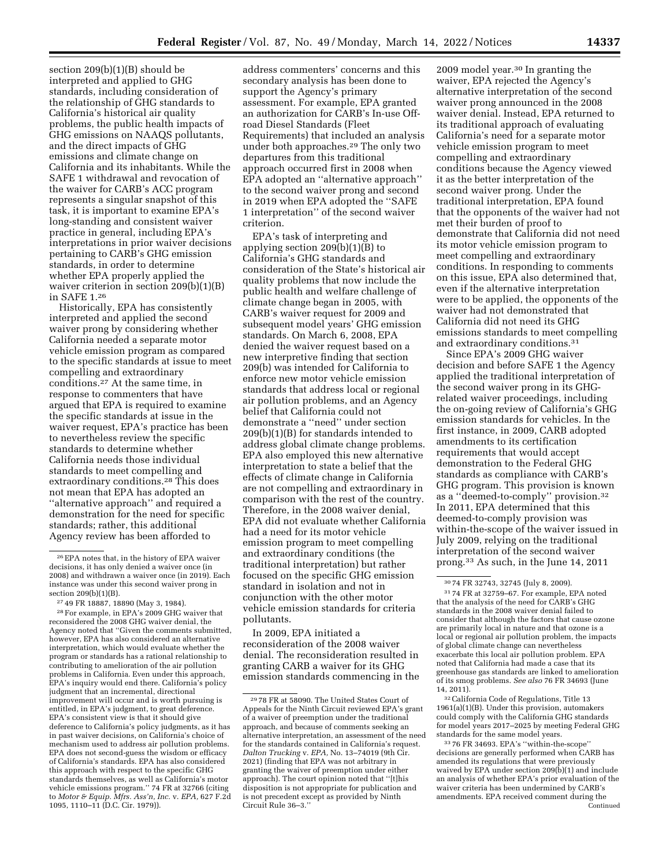section 209(b)(1)(B) should be interpreted and applied to GHG standards, including consideration of the relationship of GHG standards to California's historical air quality problems, the public health impacts of GHG emissions on NAAQS pollutants, and the direct impacts of GHG emissions and climate change on California and its inhabitants. While the SAFE 1 withdrawal and revocation of the waiver for CARB's ACC program represents a singular snapshot of this task, it is important to examine EPA's long-standing and consistent waiver practice in general, including EPA's interpretations in prior waiver decisions pertaining to CARB's GHG emission standards, in order to determine whether EPA properly applied the waiver criterion in section 209(b)(1)(B) in SAFE 1.26

Historically, EPA has consistently interpreted and applied the second waiver prong by considering whether California needed a separate motor vehicle emission program as compared to the specific standards at issue to meet compelling and extraordinary conditions.27 At the same time, in response to commenters that have argued that EPA is required to examine the specific standards at issue in the waiver request, EPA's practice has been to nevertheless review the specific standards to determine whether California needs those individual standards to meet compelling and extraordinary conditions.<sup>28</sup> This does not mean that EPA has adopted an ''alternative approach'' and required a demonstration for the need for specific standards; rather, this additional Agency review has been afforded to

address commenters' concerns and this secondary analysis has been done to support the Agency's primary assessment. For example, EPA granted an authorization for CARB's In-use Offroad Diesel Standards (Fleet Requirements) that included an analysis under both approaches.29 The only two departures from this traditional approach occurred first in 2008 when EPA adopted an ''alternative approach'' to the second waiver prong and second in 2019 when EPA adopted the ''SAFE 1 interpretation'' of the second waiver criterion.

EPA's task of interpreting and applying section 209(b)(1)(B) to California's GHG standards and consideration of the State's historical air quality problems that now include the public health and welfare challenge of climate change began in 2005, with CARB's waiver request for 2009 and subsequent model years' GHG emission standards. On March 6, 2008, EPA denied the waiver request based on a new interpretive finding that section 209(b) was intended for California to enforce new motor vehicle emission standards that address local or regional air pollution problems, and an Agency belief that California could not demonstrate a ''need'' under section 209(b)(1)(B) for standards intended to address global climate change problems. EPA also employed this new alternative interpretation to state a belief that the effects of climate change in California are not compelling and extraordinary in comparison with the rest of the country. Therefore, in the 2008 waiver denial, EPA did not evaluate whether California had a need for its motor vehicle emission program to meet compelling and extraordinary conditions (the traditional interpretation) but rather focused on the specific GHG emission standard in isolation and not in conjunction with the other motor vehicle emission standards for criteria pollutants.

In 2009, EPA initiated a reconsideration of the 2008 waiver denial. The reconsideration resulted in granting CARB a waiver for its GHG emission standards commencing in the

2009 model year.30 In granting the waiver, EPA rejected the Agency's alternative interpretation of the second waiver prong announced in the 2008 waiver denial. Instead, EPA returned to its traditional approach of evaluating California's need for a separate motor vehicle emission program to meet compelling and extraordinary conditions because the Agency viewed it as the better interpretation of the second waiver prong. Under the traditional interpretation, EPA found that the opponents of the waiver had not met their burden of proof to demonstrate that California did not need its motor vehicle emission program to meet compelling and extraordinary conditions. In responding to comments on this issue, EPA also determined that, even if the alternative interpretation were to be applied, the opponents of the waiver had not demonstrated that California did not need its GHG emissions standards to meet compelling and extraordinary conditions.31

Since EPA's 2009 GHG waiver decision and before SAFE 1 the Agency applied the traditional interpretation of the second waiver prong in its GHGrelated waiver proceedings, including the on-going review of California's GHG emission standards for vehicles. In the first instance, in 2009, CARB adopted amendments to its certification requirements that would accept demonstration to the Federal GHG standards as compliance with CARB's GHG program. This provision is known as a ''deemed-to-comply'' provision.32 In 2011, EPA determined that this deemed-to-comply provision was within-the-scope of the waiver issued in July 2009, relying on the traditional interpretation of the second waiver prong.33 As such, in the June 14, 2011

32California Code of Regulations, Title 13 1961(a)(1)(B). Under this provision, automakers could comply with the California GHG standards for model years 2017–2025 by meeting Federal GHG standards for the same model years.

<sup>26</sup>EPA notes that, in the history of EPA waiver decisions, it has only denied a waiver once (in 2008) and withdrawn a waiver once (in 2019). Each instance was under this second waiver prong in section 209(b)(1)(B).

<sup>27</sup> 49 FR 18887, 18890 (May 3, 1984).

<sup>28</sup>For example, in EPA's 2009 GHG waiver that reconsidered the 2008 GHG waiver denial, the Agency noted that ''Given the comments submitted, however, EPA has also considered an alternative interpretation, which would evaluate whether the program or standards has a rational relationship to contributing to amelioration of the air pollution problems in California. Even under this approach, EPA's inquiry would end there. California's policy judgment that an incremental, directional improvement will occur and is worth pursuing is entitled, in EPA's judgment, to great deference. EPA's consistent view is that it should give deference to California's policy judgments, as it has in past waiver decisions, on California's choice of mechanism used to address air pollution problems. EPA does not second-guess the wisdom or efficacy of California's standards. EPA has also considered this approach with respect to the specific GHG standards themselves, as well as California's motor vehicle emissions program.'' 74 FR at 32766 (citing to *Motor & Equip. Mfrs. Ass'n, Inc.* v. *EPA,* 627 F.2d 1095, 1110–11 (D.C. Cir. 1979)).

<sup>29</sup> 78 FR at 58090. The United States Court of Appeals for the Ninth Circuit reviewed EPA's grant of a waiver of preemption under the traditional approach, and because of comments seeking an alternative interpretation, an assessment of the need for the standards contained in California's request. *Dalton Trucking* v. *EPA,* No. 13–74019 (9th Cir. 2021) (finding that EPA was not arbitrary in granting the waiver of preemption under either approach). The court opinion noted that ''[t]his disposition is not appropriate for publication and is not precedent except as provided by Ninth Circuit Rule 36–3.''

<sup>30</sup> 74 FR 32743, 32745 (July 8, 2009). 31 74 FR at 32759–67. For example, EPA noted that the analysis of the need for CARB's GHG standards in the 2008 waiver denial failed to consider that although the factors that cause ozone are primarily local in nature and that ozone is a local or regional air pollution problem, the impacts of global climate change can nevertheless exacerbate this local air pollution problem. EPA noted that California had made a case that its greenhouse gas standards are linked to amelioration of its smog problems. *See also* 76 FR 34693 (June 14, 2011).

<sup>33</sup> 76 FR 34693. EPA's ''within-the-scope'' decisions are generally performed when CARB has amended its regulations that were previously waived by EPA under section 209(b)(1) and include an analysis of whether EPA's prior evaluation of the waiver criteria has been undermined by CARB's amendments. EPA received comment during the Continued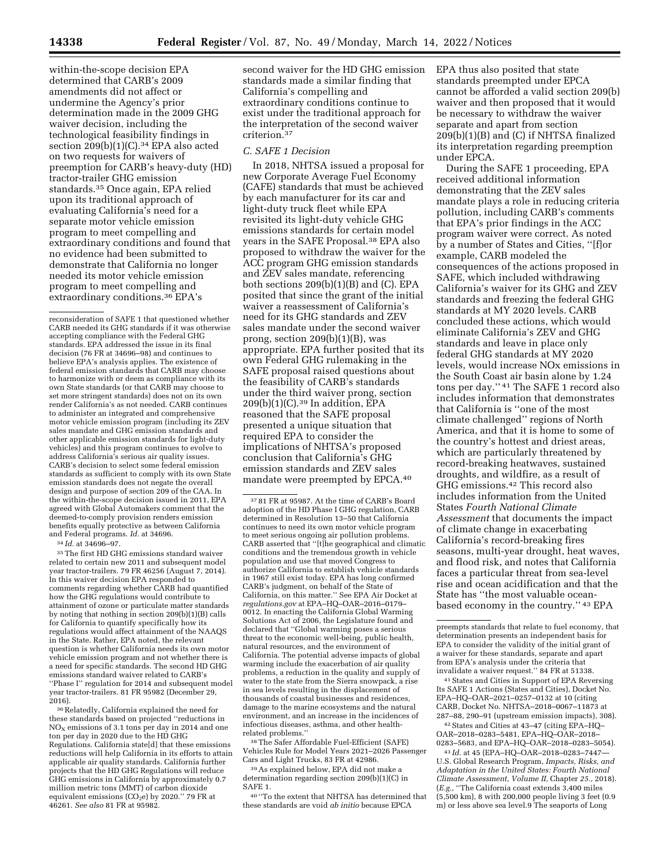within-the-scope decision EPA determined that CARB's 2009 amendments did not affect or undermine the Agency's prior determination made in the 2009 GHG waiver decision, including the technological feasibility findings in section 209(b)(1)(C).34 EPA also acted on two requests for waivers of preemption for CARB's heavy-duty (HD) tractor-trailer GHG emission standards.35 Once again, EPA relied upon its traditional approach of evaluating California's need for a separate motor vehicle emission program to meet compelling and extraordinary conditions and found that no evidence had been submitted to demonstrate that California no longer needed its motor vehicle emission program to meet compelling and extraordinary conditions.36 EPA's

reconsideration of SAFE 1 that questioned whether CARB needed its GHG standards if it was otherwise accepting compliance with the Federal GHG standards. EPA addressed the issue in its final decision (76 FR at 34696–98) and continues to believe EPA's analysis applies. The existence of federal emission standards that CARB may choose to harmonize with or deem as compliance with its own State standards (or that CARB may choose to set more stringent standards) does not on its own render California's as not needed. CARB continues to administer an integrated and comprehensive motor vehicle emission program (including its ZEV sales mandate and GHG emission standards and other applicable emission standards for light-duty vehicles) and this program continues to evolve to address California's serious air quality issues. CARB's decision to select some federal emission standards as sufficient to comply with its own State emission standards does not negate the overall design and purpose of section 209 of the CAA. In the within-the-scope decision issued in 2011, EPA agreed with Global Automakers comment that the deemed-to-comply provision renders emission benefits equally protective as between California and Federal programs. *Id.* at 34696.

34 *Id.* at 34696–97.

35The first HD GHG emissions standard waiver related to certain new 2011 and subsequent model year tractor-trailers. 79 FR 46256 (August 7, 2014). In this waiver decision EPA responded to comments regarding whether CARB had quantified how the GHG regulations would contribute to attainment of ozone or particulate matter standards by noting that nothing in section 209(b)(1)(B) calls for California to quantify specifically how its regulations would affect attainment of the NAAQS in the State. Rather, EPA noted, the relevant question is whether California needs its own motor vehicle emission program and not whether there is a need for specific standards. The second HD GHG emissions standard waiver related to CARB's ''Phase I'' regulation for 2014 and subsequent model year tractor-trailers. 81 FR 95982 (December 29, 2016).

<sup>36</sup> Relatedly, California explained the need for these standards based on projected ''reductions in  $NO<sub>x</sub>$  emissions of 3.1 tons per day in 2014 and one ton per day in 2020 due to the HD GHG Regulations. California state[d] that these emissions reductions will help California in its efforts to attain applicable air quality standards. California further projects that the HD GHG Regulations will reduce GHG emissions in California by approximately 0.7 million metric tons (MMT) of carbon dioxide equivalent emissions (CO<sub>2</sub>e) by 2020." 79 FR at 46261. *See also* 81 FR at 95982.

second waiver for the HD GHG emission standards made a similar finding that California's compelling and extraordinary conditions continue to exist under the traditional approach for the interpretation of the second waiver criterion.37

## *C. SAFE 1 Decision*

In 2018, NHTSA issued a proposal for new Corporate Average Fuel Economy (CAFE) standards that must be achieved by each manufacturer for its car and light-duty truck fleet while EPA revisited its light-duty vehicle GHG emissions standards for certain model years in the SAFE Proposal.38 EPA also proposed to withdraw the waiver for the ACC program GHG emission standards and ZEV sales mandate, referencing both sections 209(b)(1)(B) and (C). EPA posited that since the grant of the initial waiver a reassessment of California's need for its GHG standards and ZEV sales mandate under the second waiver prong, section 209(b)(1)(B), was appropriate. EPA further posited that its own Federal GHG rulemaking in the SAFE proposal raised questions about the feasibility of CARB's standards under the third waiver prong, section  $209(b)(1)(C).^{39}$  In addition, EPA reasoned that the SAFE proposal presented a unique situation that required EPA to consider the implications of NHTSA's proposed conclusion that California's GHG emission standards and ZEV sales mandate were preempted by EPCA.40

37 81 FR at 95987. At the time of CARB's Board adoption of the HD Phase I GHG regulation, CARB determined in Resolution 13–50 that California continues to need its own motor vehicle program to meet serious ongoing air pollution problems. CARB asserted that ''[t]he geographical and climatic conditions and the tremendous growth in vehicle population and use that moved Congress to authorize California to establish vehicle standards in 1967 still exist today. EPA has long confirmed CARB's judgment, on behalf of the State of California, on this matter.'' See EPA Air Docket at *regulations.gov* at EPA–HQ–OAR–2016–0179– 0012. In enacting the California Global Warming Solutions Act of 2006, the Legislature found and declared that ''Global warming poses a serious threat to the economic well-being, public health, natural resources, and the environment of California. The potential adverse impacts of global warming include the exacerbation of air quality problems, a reduction in the quality and supply of water to the state from the Sierra snowpack, a rise in sea levels resulting in the displacement of thousands of coastal businesses and residences, damage to the marine ecosystems and the natural environment, and an increase in the incidences of infectious diseases, asthma, and other healthrelated problems.''

38The Safer Affordable Fuel-Efficient (SAFE) Vehicles Rule for Model Years 2021–2026 Passenger Cars and Light Trucks, 83 FR at 42986.

39As explained below, EPA did not make a determination regarding section 209(b)(1)(C) in SAFE 1.

40 ''To the extent that NHTSA has determined that these standards are void *ab initio* because EPCA

EPA thus also posited that state standards preempted under EPCA cannot be afforded a valid section 209(b) waiver and then proposed that it would be necessary to withdraw the waiver separate and apart from section 209(b)(1)(B) and (C) if NHTSA finalized its interpretation regarding preemption under EPCA.

During the SAFE 1 proceeding, EPA received additional information demonstrating that the ZEV sales mandate plays a role in reducing criteria pollution, including CARB's comments that EPA's prior findings in the ACC program waiver were correct. As noted by a number of States and Cities, ''[f]or example, CARB modeled the consequences of the actions proposed in SAFE, which included withdrawing California's waiver for its GHG and ZEV standards and freezing the federal GHG standards at MY 2020 levels. CARB concluded these actions, which would eliminate California's ZEV and GHG standards and leave in place only federal GHG standards at MY 2020 levels, would increase NOx emissions in the South Coast air basin alone by 1.24 tons per day.'' 41 The SAFE 1 record also includes information that demonstrates that California is ''one of the most climate challenged'' regions of North America, and that it is home to some of the country's hottest and driest areas, which are particularly threatened by record-breaking heatwaves, sustained droughts, and wildfire, as a result of GHG emissions.42 This record also includes information from the United States *Fourth National Climate Assessment* that documents the impact of climate change in exacerbating California's record-breaking fires seasons, multi-year drought, heat waves, and flood risk, and notes that California faces a particular threat from sea-level rise and ocean acidification and that the State has ''the most valuable oceanbased economy in the country.'' 43 EPA

41States and Cities in Support of EPA Reversing Its SAFE 1 Actions (States and Cities), Docket No. EPA–HQ–OAR–2021–0257–0132 at 10 (citing CARB, Docket No. NHTSA–2018–0067–11873 at 287–88, 290–91 (upstream emission impacts), 308).

42States and Cities at 43–47 (citing EPA–HQ– OAR–2018–0283–5481, EPA–HQ–OAR–2018– 0283–5683, and EPA–HQ–OAR–2018–0283–5054).

43 *Id.* at 45 (EPA–HQ–OAR–2018–0283–7447— U.S. Global Research Program, *Impacts, Risks, and Adaptation in the United States: Fourth National Climate Assessment, Volume II,* Chapter *25.,* 2018). (*E.g.,* ''The California coast extends 3,400 miles (5,500 km), 8 with 200,000 people living 3 feet (0.9 m) or less above sea level.9 The seaports of Long

preempts standards that relate to fuel economy, that determination presents an independent basis for EPA to consider the validity of the initial grant of a waiver for these standards, separate and apart from EPA's analysis under the criteria that invalidate a waiver request.'' 84 FR at 51338.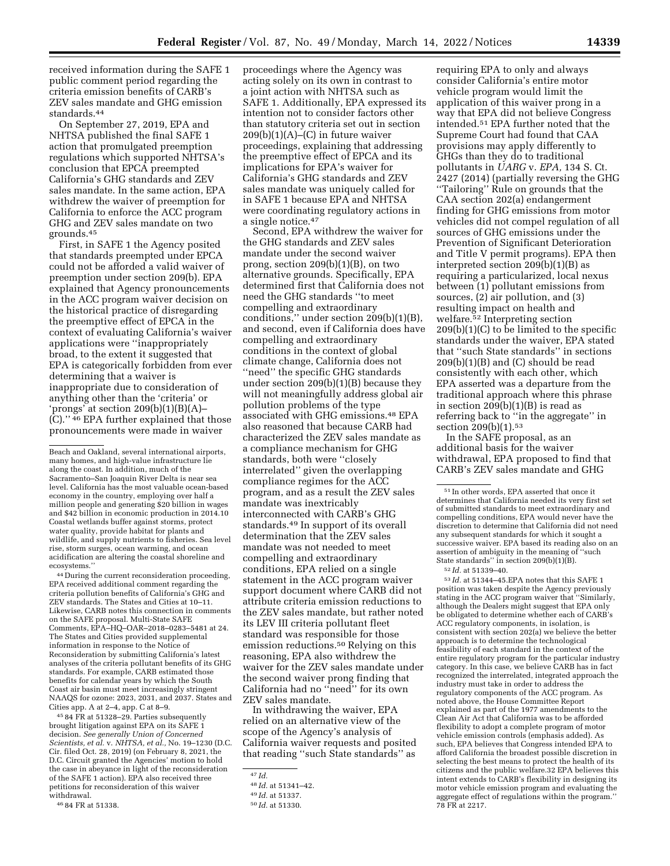received information during the SAFE 1 public comment period regarding the criteria emission benefits of CARB's ZEV sales mandate and GHG emission standards.44

On September 27, 2019, EPA and NHTSA published the final SAFE 1 action that promulgated preemption regulations which supported NHTSA's conclusion that EPCA preempted California's GHG standards and ZEV sales mandate. In the same action, EPA withdrew the waiver of preemption for California to enforce the ACC program GHG and ZEV sales mandate on two grounds.45

First, in SAFE 1 the Agency posited that standards preempted under EPCA could not be afforded a valid waiver of preemption under section 209(b). EPA explained that Agency pronouncements in the ACC program waiver decision on the historical practice of disregarding the preemptive effect of EPCA in the context of evaluating California's waiver applications were ''inappropriately broad, to the extent it suggested that EPA is categorically forbidden from ever determining that a waiver is inappropriate due to consideration of anything other than the 'criteria' or 'prongs' at section 209(b)(1)(B)(A)– (C).'' 46 EPA further explained that those pronouncements were made in waiver

44 During the current reconsideration proceeding, EPA received additional comment regarding the criteria pollution benefits of California's GHG and ZEV standards. The States and Cities at 10–11. Likewise, CARB notes this connection in comments on the SAFE proposal. Multi-State SAFE Comments, EPA–HQ–OAR–2018–0283–5481 at 24. The States and Cities provided supplemental information in response to the Notice of Reconsideration by submitting California's latest analyses of the criteria pollutant benefits of its GHG standards. For example, CARB estimated those benefits for calendar years by which the South Coast air basin must meet increasingly stringent NAAQS for ozone: 2023, 2031, and 2037. States and Cities app. A at 2–4, app. C at 8–9.

45 84 FR at 51328–29. Parties subsequently brought litigation against EPA on its SAFE 1 decision. *See generally Union of Concerned Scientists, et al.* v. *NHTSA, et al.,* No. 19–1230 (D.C. Cir. filed Oct. 28, 2019) (on February 8, 2021, the D.C. Circuit granted the Agencies' motion to hold the case in abeyance in light of the reconsideration of the SAFE 1 action). EPA also received three petitions for reconsideration of this waiver withdrawal.

proceedings where the Agency was acting solely on its own in contrast to a joint action with NHTSA such as SAFE 1. Additionally, EPA expressed its intention not to consider factors other than statutory criteria set out in section 209(b)(1)(A)–(C) in future waiver proceedings, explaining that addressing the preemptive effect of EPCA and its implications for EPA's waiver for California's GHG standards and ZEV sales mandate was uniquely called for in SAFE 1 because EPA and NHTSA were coordinating regulatory actions in a single notice.47

Second, EPA withdrew the waiver for the GHG standards and ZEV sales mandate under the second waiver prong, section 209(b)(1)(B), on two alternative grounds. Specifically, EPA determined first that California does not need the GHG standards ''to meet compelling and extraordinary conditions,'' under section 209(b)(1)(B), and second, even if California does have compelling and extraordinary conditions in the context of global climate change, California does not ''need'' the specific GHG standards under section 209(b)(1)(B) because they will not meaningfully address global air pollution problems of the type associated with GHG emissions.48 EPA also reasoned that because CARB had characterized the ZEV sales mandate as a compliance mechanism for GHG standards, both were ''closely interrelated'' given the overlapping compliance regimes for the ACC program, and as a result the ZEV sales mandate was inextricably interconnected with CARB's GHG standards.49 In support of its overall determination that the ZEV sales mandate was not needed to meet compelling and extraordinary conditions, EPA relied on a single statement in the ACC program waiver support document where CARB did not attribute criteria emission reductions to the ZEV sales mandate, but rather noted its LEV III criteria pollutant fleet standard was responsible for those emission reductions.50 Relying on this reasoning, EPA also withdrew the waiver for the ZEV sales mandate under the second waiver prong finding that California had no ''need'' for its own ZEV sales mandate.

In withdrawing the waiver, EPA relied on an alternative view of the scope of the Agency's analysis of California waiver requests and posited that reading ''such State standards'' as

requiring EPA to only and always consider California's entire motor vehicle program would limit the application of this waiver prong in a way that EPA did not believe Congress intended.51 EPA further noted that the Supreme Court had found that CAA provisions may apply differently to GHGs than they do to traditional pollutants in *UARG* v. *EPA,* 134 S. Ct. 2427 (2014) (partially reversing the GHG ''Tailoring'' Rule on grounds that the CAA section 202(a) endangerment finding for GHG emissions from motor vehicles did not compel regulation of all sources of GHG emissions under the Prevention of Significant Deterioration and Title V permit programs). EPA then interpreted section 209(b)(1)(B) as requiring a particularized, local nexus between (1) pollutant emissions from sources, (2) air pollution, and (3) resulting impact on health and welfare.52 Interpreting section  $209(b)(1)(C)$  to be limited to the specific standards under the waiver, EPA stated that ''such State standards'' in sections 209(b)(1)(B) and (C) should be read consistently with each other, which EPA asserted was a departure from the traditional approach where this phrase in section 209(b)(1)(B) is read as referring back to ''in the aggregate'' in section 209(b)(1).<sup>53</sup>

In the SAFE proposal, as an additional basis for the waiver withdrawal, EPA proposed to find that CARB's ZEV sales mandate and GHG

 $^{53}\,Id.$  at 51344–45.EPA notes that this SAFE 1 position was taken despite the Agency previously stating in the ACC program waiver that ''Similarly, although the Dealers might suggest that EPA only be obligated to determine whether each of CARB's ACC regulatory components, in isolation, is consistent with section 202(a) we believe the better approach is to determine the technological feasibility of each standard in the context of the entire regulatory program for the particular industry category. In this case, we believe CARB has in fact recognized the interrelated, integrated approach the industry must take in order to address the regulatory components of the ACC program. As noted above, the House Committee Report explained as part of the 1977 amendments to the Clean Air Act that California was to be afforded flexibility to adopt a complete program of motor vehicle emission controls (emphasis added). As such, EPA believes that Congress intended EPA to afford California the broadest possible discretion in selecting the best means to protect the health of its citizens and the public welfare.32 EPA believes this intent extends to CARB's flexibility in designing its motor vehicle emission program and evaluating the aggregate effect of regulations within the program.'' 78 FR at 2217.

Beach and Oakland, several international airports, many homes, and high-value infrastructure lie along the coast. In addition, much of the Sacramento–San Joaquin River Delta is near sea level. California has the most valuable ocean-based economy in the country, employing over half a million people and generating \$20 billion in wages and \$42 billion in economic production in 2014.10 Coastal wetlands buffer against storms, protect water quality, provide habitat for plants and wildlife, and supply nutrients to fisheries. Sea level rise, storm surges, ocean warming, and ocean acidification are altering the coastal shoreline and ecosystems.''

<sup>46</sup> 84 FR at 51338.

<sup>47</sup> *Id.* 

<sup>48</sup> *Id.* at 51341–42.

<sup>49</sup> *Id.* at 51337.

<sup>50</sup> *Id.* at 51330.

<sup>51</sup> In other words, EPA asserted that once it determines that California needed its very first set of submitted standards to meet extraordinary and compelling conditions, EPA would never have the discretion to determine that California did not need any subsequent standards for which it sought a successive waiver. EPA based its reading also on an assertion of ambiguity in the meaning of ''such State standards'' in section 209(b)(1)(B).

<sup>52</sup> *Id.* at 51339–40.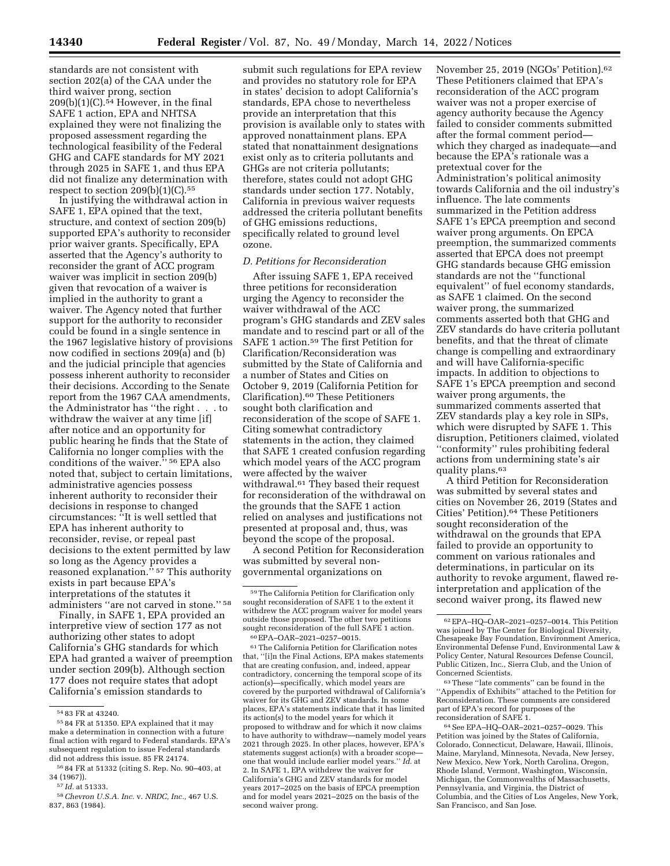standards are not consistent with section 202(a) of the CAA under the third waiver prong, section  $209(b)(1)(C).$ <sup>54</sup> However, in the final SAFE 1 action, EPA and NHTSA explained they were not finalizing the proposed assessment regarding the technological feasibility of the Federal GHG and CAFE standards for MY 2021 through 2025 in SAFE 1, and thus EPA did not finalize any determination with respect to section  $209(b)(1)(C).$ <sup>55</sup>

In justifying the withdrawal action in SAFE 1, EPA opined that the text, structure, and context of section 209(b) supported EPA's authority to reconsider prior waiver grants. Specifically, EPA asserted that the Agency's authority to reconsider the grant of ACC program waiver was implicit in section 209(b) given that revocation of a waiver is implied in the authority to grant a waiver. The Agency noted that further support for the authority to reconsider could be found in a single sentence in the 1967 legislative history of provisions now codified in sections 209(a) and (b) and the judicial principle that agencies possess inherent authority to reconsider their decisions. According to the Senate report from the 1967 CAA amendments, the Administrator has ''the right . . . to withdraw the waiver at any time [if] after notice and an opportunity for public hearing he finds that the State of California no longer complies with the conditions of the waiver.'' 56 EPA also noted that, subject to certain limitations, administrative agencies possess inherent authority to reconsider their decisions in response to changed circumstances: ''It is well settled that EPA has inherent authority to reconsider, revise, or repeal past decisions to the extent permitted by law so long as the Agency provides a reasoned explanation."<sup>57</sup> This authority exists in part because EPA's interpretations of the statutes it administers ''are not carved in stone.'' 58

Finally, in SAFE 1, EPA provided an interpretive view of section 177 as not authorizing other states to adopt California's GHG standards for which EPA had granted a waiver of preemption under section 209(b). Although section 177 does not require states that adopt California's emission standards to

submit such regulations for EPA review and provides no statutory role for EPA in states' decision to adopt California's standards, EPA chose to nevertheless provide an interpretation that this provision is available only to states with approved nonattainment plans. EPA stated that nonattainment designations exist only as to criteria pollutants and GHGs are not criteria pollutants; therefore, states could not adopt GHG standards under section 177. Notably, California in previous waiver requests addressed the criteria pollutant benefits of GHG emissions reductions, specifically related to ground level ozone.

#### *D. Petitions for Reconsideration*

After issuing SAFE 1, EPA received three petitions for reconsideration urging the Agency to reconsider the waiver withdrawal of the ACC program's GHG standards and ZEV sales mandate and to rescind part or all of the SAFE 1 action.59 The first Petition for Clarification/Reconsideration was submitted by the State of California and a number of States and Cities on October 9, 2019 (California Petition for Clarification).60 These Petitioners sought both clarification and reconsideration of the scope of SAFE 1. Citing somewhat contradictory statements in the action, they claimed that SAFE 1 created confusion regarding which model years of the ACC program were affected by the waiver withdrawal.61 They based their request for reconsideration of the withdrawal on the grounds that the SAFE 1 action relied on analyses and justifications not presented at proposal and, thus, was beyond the scope of the proposal.

A second Petition for Reconsideration was submitted by several nongovernmental organizations on

61The California Petition for Clarification notes that, ''[i]n the Final Actions, EPA makes statements that are creating confusion, and, indeed, appear contradictory, concerning the temporal scope of its action(s)—specifically, which model years are covered by the purported withdrawal of California's waiver for its GHG and ZEV standards. In some places, EPA's statements indicate that it has limited its action(s) to the model years for which it proposed to withdraw and for which it now claims to have authority to withdraw—namely model years 2021 through 2025. In other places, however, EPA's statements suggest action(s) with a broader scope one that would include earlier model years.'' *Id.* at 2. In SAFE 1, EPA withdrew the waiver for California's GHG and ZEV standards for model years 2017–2025 on the basis of EPCA preemption and for model years 2021–2025 on the basis of the second waiver prong.

November 25, 2019 (NGOs' Petition).62 These Petitioners claimed that EPA's reconsideration of the ACC program waiver was not a proper exercise of agency authority because the Agency failed to consider comments submitted after the formal comment period which they charged as inadequate—and because the EPA's rationale was a pretextual cover for the Administration's political animosity towards California and the oil industry's influence. The late comments summarized in the Petition address SAFE 1's EPCA preemption and second waiver prong arguments. On EPCA preemption, the summarized comments asserted that EPCA does not preempt GHG standards because GHG emission standards are not the ''functional equivalent'' of fuel economy standards, as SAFE 1 claimed. On the second waiver prong, the summarized comments asserted both that GHG and ZEV standards do have criteria pollutant benefits, and that the threat of climate change is compelling and extraordinary and will have California-specific impacts. In addition to objections to SAFE 1's EPCA preemption and second waiver prong arguments, the summarized comments asserted that ZEV standards play a key role in SIPs, which were disrupted by SAFE 1. This disruption, Petitioners claimed, violated ''conformity'' rules prohibiting federal actions from undermining state's air quality plans.63

A third Petition for Reconsideration was submitted by several states and cities on November 26, 2019 (States and Cities' Petition).64 These Petitioners sought reconsideration of the withdrawal on the grounds that EPA failed to provide an opportunity to comment on various rationales and determinations, in particular on its authority to revoke argument, flawed reinterpretation and application of the second waiver prong, its flawed new

63These ''late comments'' can be found in the ''Appendix of Exhibits'' attached to the Petition for Reconsideration. These comments are considered part of EPA's record for purposes of the reconsideration of SAFE 1.

64See EPA–HQ–OAR–2021–0257–0029. This Petition was joined by the States of California, Colorado, Connecticut, Delaware, Hawaii, Illinois, Maine, Maryland, Minnesota, Nevada, New Jersey, New Mexico, New York, North Carolina, Oregon, Rhode Island, Vermont, Washington, Wisconsin, Michigan, the Commonwealths of Massachusetts, Pennsylvania, and Virginia, the District of Columbia, and the Cities of Los Angeles, New York, San Francisco, and San Jose.

<sup>54</sup> 83 FR at 43240.

<sup>55</sup> 84 FR at 51350. EPA explained that it may make a determination in connection with a future final action with regard to Federal standards. EPA's subsequent regulation to issue Federal standards did not address this issue. 85 FR 24174.

<sup>56</sup> 84 FR at 51332 (citing S. Rep. No. 90–403, at 34 (1967)).

<sup>57</sup> *Id.* at 51333.

<sup>58</sup>*Chevron U.S.A. Inc.* v. *NRDC, Inc.,* 467 U.S. 837, 863 (1984).

<sup>59</sup>The California Petition for Clarification only sought reconsideration of SAFE 1 to the extent it withdrew the ACC program waiver for model years outside those proposed. The other two petitions sought reconsideration of the full SAFE 1 action. 60EPA–OAR–2021–0257–0015.

<sup>62</sup>EPA–HQ–OAR–2021–0257–0014. This Petition was joined by The Center for Biological Diversity, Chesapeake Bay Foundation, Environment America, Environmental Defense Fund, Environmental Law & Policy Center, Natural Resources Defense Council, Public Citizen, Inc., Sierra Club, and the Union of Concerned Scientists.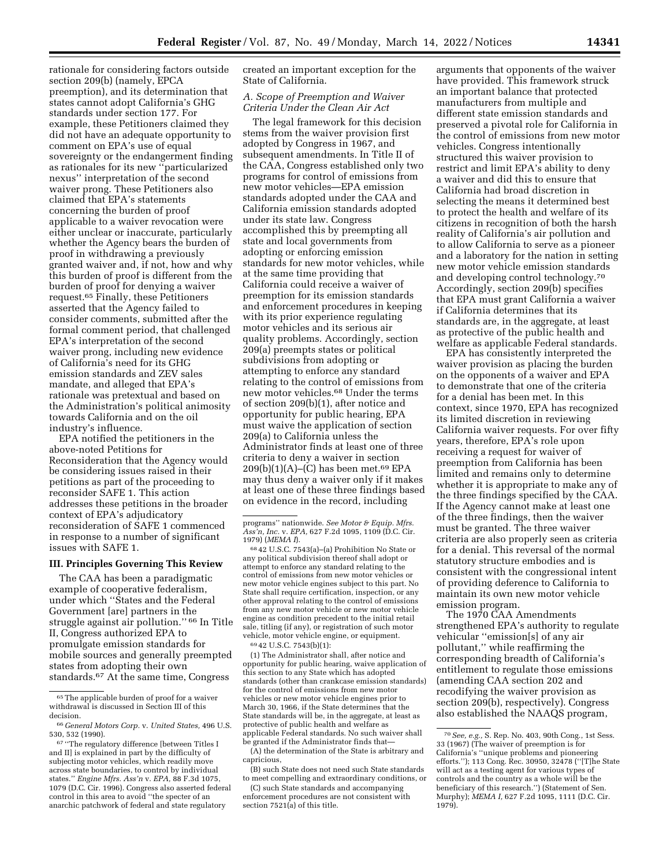rationale for considering factors outside section 209(b) (namely, EPCA preemption), and its determination that states cannot adopt California's GHG standards under section 177. For example, these Petitioners claimed they did not have an adequate opportunity to comment on EPA's use of equal sovereignty or the endangerment finding as rationales for its new ''particularized nexus'' interpretation of the second waiver prong. These Petitioners also claimed that EPA's statements concerning the burden of proof applicable to a waiver revocation were either unclear or inaccurate, particularly whether the Agency bears the burden of proof in withdrawing a previously granted waiver and, if not, how and why this burden of proof is different from the burden of proof for denying a waiver request.65 Finally, these Petitioners asserted that the Agency failed to consider comments, submitted after the formal comment period, that challenged EPA's interpretation of the second waiver prong, including new evidence of California's need for its GHG emission standards and ZEV sales mandate, and alleged that EPA's rationale was pretextual and based on the Administration's political animosity towards California and on the oil industry's influence.

EPA notified the petitioners in the above-noted Petitions for Reconsideration that the Agency would be considering issues raised in their petitions as part of the proceeding to reconsider SAFE 1. This action addresses these petitions in the broader context of EPA's adjudicatory reconsideration of SAFE 1 commenced in response to a number of significant issues with SAFE 1.

### **III. Principles Governing This Review**

The CAA has been a paradigmatic example of cooperative federalism, under which ''States and the Federal Government [are] partners in the struggle against air pollution.'' 66 In Title II, Congress authorized EPA to promulgate emission standards for mobile sources and generally preempted states from adopting their own standards.67 At the same time, Congress

created an important exception for the State of California.

### *A. Scope of Preemption and Waiver Criteria Under the Clean Air Act*

The legal framework for this decision stems from the waiver provision first adopted by Congress in 1967, and subsequent amendments. In Title II of the CAA, Congress established only two programs for control of emissions from new motor vehicles—EPA emission standards adopted under the CAA and California emission standards adopted under its state law. Congress accomplished this by preempting all state and local governments from adopting or enforcing emission standards for new motor vehicles, while at the same time providing that California could receive a waiver of preemption for its emission standards and enforcement procedures in keeping with its prior experience regulating motor vehicles and its serious air quality problems. Accordingly, section 209(a) preempts states or political subdivisions from adopting or attempting to enforce any standard relating to the control of emissions from new motor vehicles.68 Under the terms of section 209(b)(1), after notice and opportunity for public hearing, EPA must waive the application of section 209(a) to California unless the Administrator finds at least one of three criteria to deny a waiver in section  $209(b)(1)(A)$ –(C) has been met.<sup>69</sup> EPA may thus deny a waiver only if it makes at least one of these three findings based on evidence in the record, including

69 42 U.S.C. 7543(b)(1):

(1) The Administrator shall, after notice and opportunity for public hearing, waive application of this section to any State which has adopted standards (other than crankcase emission standards) for the control of emissions from new motor vehicles or new motor vehicle engines prior to March 30, 1966, if the State determines that the State standards will be, in the aggregate, at least as protective of public health and welfare as applicable Federal standards. No such waiver shall be granted if the Administrator finds that—

(A) the determination of the State is arbitrary and capricious,

(B) such State does not need such State standards to meet compelling and extraordinary conditions, or

(C) such State standards and accompanying enforcement procedures are not consistent with section 7521(a) of this title.

arguments that opponents of the waiver have provided. This framework struck an important balance that protected manufacturers from multiple and different state emission standards and preserved a pivotal role for California in the control of emissions from new motor vehicles. Congress intentionally structured this waiver provision to restrict and limit EPA's ability to deny a waiver and did this to ensure that California had broad discretion in selecting the means it determined best to protect the health and welfare of its citizens in recognition of both the harsh reality of California's air pollution and to allow California to serve as a pioneer and a laboratory for the nation in setting new motor vehicle emission standards and developing control technology.70 Accordingly, section 209(b) specifies that EPA must grant California a waiver if California determines that its standards are, in the aggregate, at least as protective of the public health and welfare as applicable Federal standards.

EPA has consistently interpreted the waiver provision as placing the burden on the opponents of a waiver and EPA to demonstrate that one of the criteria for a denial has been met. In this context, since 1970, EPA has recognized its limited discretion in reviewing California waiver requests. For over fifty years, therefore, EPA's role upon receiving a request for waiver of preemption from California has been limited and remains only to determine whether it is appropriate to make any of the three findings specified by the CAA. If the Agency cannot make at least one of the three findings, then the waiver must be granted. The three waiver criteria are also properly seen as criteria for a denial. This reversal of the normal statutory structure embodies and is consistent with the congressional intent of providing deference to California to maintain its own new motor vehicle emission program.

The 1970 CAA Amendments strengthened EPA's authority to regulate vehicular ''emission[s] of any air pollutant,'' while reaffirming the corresponding breadth of California's entitlement to regulate those emissions (amending CAA section 202 and recodifying the waiver provision as section 209(b), respectively). Congress also established the NAAQS program,

<sup>65</sup>The applicable burden of proof for a waiver withdrawal is discussed in Section III of this decision.

<sup>66</sup> *General Motors Corp.* v. *United States,* 496 U.S. 530, 532 (1990).

<sup>67</sup> ''The regulatory difference [between Titles I and II] is explained in part by the difficulty of subjecting motor vehicles, which readily move across state boundaries, to control by individual states.'' *Engine Mfrs. Ass'n* v. *EPA,* 88 F.3d 1075, 1079 (D.C. Cir. 1996). Congress also asserted federal control in this area to avoid ''the specter of an anarchic patchwork of federal and state regulatory

programs'' nationwide. *See Motor & Equip. Mfrs. Ass'n, Inc.* v. *EPA,* 627 F.2d 1095, 1109 (D.C. Cir.

<sup>&</sup>lt;sup>68</sup>42 U.S.C. 7543(a)–(a) Prohibition No State or any political subdivision thereof shall adopt or attempt to enforce any standard relating to the control of emissions from new motor vehicles or new motor vehicle engines subject to this part. No State shall require certification, inspection, or any other approval relating to the control of emissions from any new motor vehicle or new motor vehicle engine as condition precedent to the initial retail sale, titling (if any), or registration of such motor vehicle, motor vehicle engine, or equipment.

<sup>70</sup>*See, e.g.,* S. Rep. No. 403, 90th Cong., 1st Sess. 33 (1967) (The waiver of preemption is for California's ''unique problems and pioneering efforts.''); 113 Cong. Rec. 30950, 32478 (''[T]he State will act as a testing agent for various types of controls and the country as a whole will be the beneficiary of this research.'') (Statement of Sen. Murphy); *MEMA I,* 627 F.2d 1095, 1111 (D.C. Cir. 1979).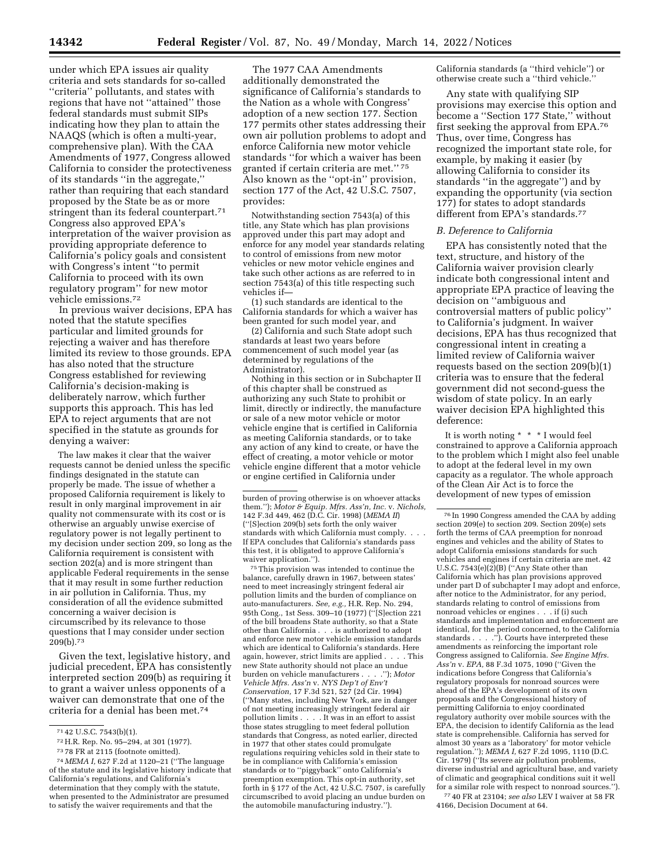under which EPA issues air quality criteria and sets standards for so-called ''criteria'' pollutants, and states with regions that have not ''attained'' those federal standards must submit SIPs indicating how they plan to attain the NAAQS (which is often a multi-year, comprehensive plan). With the CAA Amendments of 1977, Congress allowed California to consider the protectiveness of its standards ''in the aggregate,'' rather than requiring that each standard proposed by the State be as or more stringent than its federal counterpart.71 Congress also approved EPA's interpretation of the waiver provision as providing appropriate deference to California's policy goals and consistent with Congress's intent ''to permit California to proceed with its own regulatory program'' for new motor vehicle emissions.72

In previous waiver decisions, EPA has noted that the statute specifies particular and limited grounds for rejecting a waiver and has therefore limited its review to those grounds. EPA has also noted that the structure Congress established for reviewing California's decision-making is deliberately narrow, which further supports this approach. This has led EPA to reject arguments that are not specified in the statute as grounds for denying a waiver:

The law makes it clear that the waiver requests cannot be denied unless the specific findings designated in the statute can properly be made. The issue of whether a proposed California requirement is likely to result in only marginal improvement in air quality not commensurate with its cost or is otherwise an arguably unwise exercise of regulatory power is not legally pertinent to my decision under section 209, so long as the California requirement is consistent with section 202(a) and is more stringent than applicable Federal requirements in the sense that it may result in some further reduction in air pollution in California. Thus, my consideration of all the evidence submitted concerning a waiver decision is circumscribed by its relevance to those questions that I may consider under section 209(b).73

Given the text, legislative history, and judicial precedent, EPA has consistently interpreted section 209(b) as requiring it to grant a waiver unless opponents of a waiver can demonstrate that one of the criteria for a denial has been met.74

The 1977 CAA Amendments additionally demonstrated the significance of California's standards to the Nation as a whole with Congress' adoption of a new section 177. Section 177 permits other states addressing their own air pollution problems to adopt and enforce California new motor vehicle standards ''for which a waiver has been granted if certain criteria are met.'' 75 Also known as the ''opt-in'' provision, section 177 of the Act, 42 U.S.C. 7507, provides:

Notwithstanding section 7543(a) of this title, any State which has plan provisions approved under this part may adopt and enforce for any model year standards relating to control of emissions from new motor vehicles or new motor vehicle engines and take such other actions as are referred to in section 7543(a) of this title respecting such vehicles if—

(1) such standards are identical to the California standards for which a waiver has been granted for such model year, and

(2) California and such State adopt such standards at least two years before commencement of such model year (as determined by regulations of the Administrator).

Nothing in this section or in Subchapter II of this chapter shall be construed as authorizing any such State to prohibit or limit, directly or indirectly, the manufacture or sale of a new motor vehicle or motor vehicle engine that is certified in California as meeting California standards, or to take any action of any kind to create, or have the effect of creating, a motor vehicle or motor vehicle engine different that a motor vehicle or engine certified in California under

75This provision was intended to continue the balance, carefully drawn in 1967, between states' need to meet increasingly stringent federal air pollution limits and the burden of compliance on auto-manufacturers. *See, e.g.,* H.R. Rep. No. 294, 95th Cong., 1st Sess. 309–10 (1977) (''[S]ection 221 of the bill broadens State authority, so that a State other than California . . . is authorized to adopt and enforce new motor vehicle emission standards which are identical to California's standards. Here again, however, strict limits are applied . . . . This new State authority should not place an undue burden on vehicle manufacturers . . . .''); *Motor Vehicle Mfrs. Ass'n* v. *NYS Dep't of Env't Conservation,* 17 F.3d 521, 527 (2d Cir. 1994) (''Many states, including New York, are in danger of not meeting increasingly stringent federal air pollution limits . . . . It was in an effort to assist those states struggling to meet federal pollution standards that Congress, as noted earlier, directed in 1977 that other states could promulgate regulations requiring vehicles sold in their state to be in compliance with California's emission standards or to ''piggyback'' onto California's preemption exemption. This opt-in authority, set forth in § 177 of the Act, 42 U.S.C. 7507, is carefully circumscribed to avoid placing an undue burden on the automobile manufacturing industry.'').

California standards (a ''third vehicle'') or otherwise create such a ''third vehicle.''

Any state with qualifying SIP provisions may exercise this option and become a ''Section 177 State,'' without first seeking the approval from EPA.76 Thus, over time, Congress has recognized the important state role, for example, by making it easier (by allowing California to consider its standards ''in the aggregate'') and by expanding the opportunity (via section 177) for states to adopt standards different from EPA's standards.<sup>77</sup>

#### *B. Deference to California*

EPA has consistently noted that the text, structure, and history of the California waiver provision clearly indicate both congressional intent and appropriate EPA practice of leaving the decision on ''ambiguous and controversial matters of public policy'' to California's judgment. In waiver decisions, EPA has thus recognized that congressional intent in creating a limited review of California waiver requests based on the section 209(b)(1) criteria was to ensure that the federal government did not second-guess the wisdom of state policy. In an early waiver decision EPA highlighted this deference:

It is worth noting \* \* \* I would feel constrained to approve a California approach to the problem which I might also feel unable to adopt at the federal level in my own capacity as a regulator. The whole approach of the Clean Air Act is to force the development of new types of emission

76 In 1990 Congress amended the CAA by adding section 209(e) to section 209. Section 209(e) sets forth the terms of CAA preemption for nonroad engines and vehicles and the ability of States to adopt California emissions standards for such vehicles and engines if certain criteria are met. 42 U.S.C.  $7543(e)(2)(B)$  ("Any State other than California which has plan provisions approved under part D of subchapter I may adopt and enforce, after notice to the Administrator, for any period, standards relating to control of emissions from nonroad vehicles or engines . . . if (i) such standards and implementation and enforcement are identical, for the period concerned, to the California standards . . . .''). Courts have interpreted these amendments as reinforcing the important role Congress assigned to California. *See Engine Mfrs. Ass'n* v. *EPA,* 88 F.3d 1075, 1090 (''Given the indications before Congress that California's regulatory proposals for nonroad sources were ahead of the EPA's development of its own proposals and the Congressional history of permitting California to enjoy coordinated regulatory authority over mobile sources with the EPA, the decision to identify California as the lead state is comprehensible. California has served for almost 30 years as a 'laboratory' for motor vehicle regulation.''); *MEMA I,* 627 F.2d 1095, 1110 (D.C. Cir. 1979) (''Its severe air pollution problems, diverse industrial and agricultural base, and variety of climatic and geographical conditions suit it well for a similar role with respect to nonroad sources.'').

77 40 FR at 23104; *see also* LEV I waiver at 58 FR 4166, Decision Document at 64.

<sup>71</sup> 42 U.S.C. 7543(b)(1).

<sup>72</sup>H.R. Rep. No. 95–294, at 301 (1977).

<sup>73</sup> 78 FR at 2115 (footnote omitted).

<sup>74</sup> *MEMA I,* 627 F.2d at 1120–21 (''The language of the statute and its legislative history indicate that California's regulations, and California's determination that they comply with the statute, when presented to the Administrator are presumed to satisfy the waiver requirements and that the

burden of proving otherwise is on whoever attacks them.''); *Motor & Equip. Mfrs. Ass'n, Inc.* v. *Nichols,*  142 F.3d 449, 462 (D.C. Cir. 1998) (*MEMA II*) (''[S]ection 209(b) sets forth the only waiver standards with which California must comply. . . . If EPA concludes that California's standards pass this test, it is obligated to approve California's waiver application.'').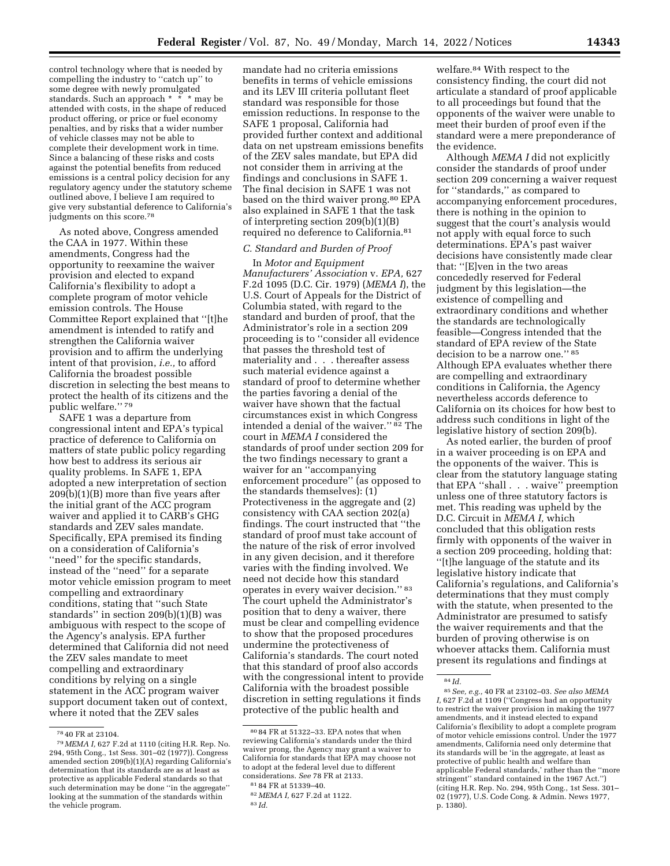control technology where that is needed by compelling the industry to ''catch up'' to some degree with newly promulgated standards. Such an approach \* \* \* may be attended with costs, in the shape of reduced product offering, or price or fuel economy penalties, and by risks that a wider number of vehicle classes may not be able to complete their development work in time. Since a balancing of these risks and costs against the potential benefits from reduced emissions is a central policy decision for any regulatory agency under the statutory scheme outlined above, I believe I am required to give very substantial deference to California's judgments on this score.78

As noted above, Congress amended the CAA in 1977. Within these amendments, Congress had the opportunity to reexamine the waiver provision and elected to expand California's flexibility to adopt a complete program of motor vehicle emission controls. The House Committee Report explained that ''[t]he amendment is intended to ratify and strengthen the California waiver provision and to affirm the underlying intent of that provision, *i.e.,* to afford California the broadest possible discretion in selecting the best means to protect the health of its citizens and the public welfare.'' 79

SAFE 1 was a departure from congressional intent and EPA's typical practice of deference to California on matters of state public policy regarding how best to address its serious air quality problems. In SAFE 1, EPA adopted a new interpretation of section 209(b)(1)(B) more than five years after the initial grant of the ACC program waiver and applied it to CARB's GHG standards and ZEV sales mandate. Specifically, EPA premised its finding on a consideration of California's ''need'' for the specific standards, instead of the ''need'' for a separate motor vehicle emission program to meet compelling and extraordinary conditions, stating that ''such State standards'' in section 209(b)(1)(B) was ambiguous with respect to the scope of the Agency's analysis. EPA further determined that California did not need the ZEV sales mandate to meet compelling and extraordinary conditions by relying on a single statement in the ACC program waiver support document taken out of context, where it noted that the ZEV sales

mandate had no criteria emissions benefits in terms of vehicle emissions and its LEV III criteria pollutant fleet standard was responsible for those emission reductions. In response to the SAFE 1 proposal, California had provided further context and additional data on net upstream emissions benefits of the ZEV sales mandate, but EPA did not consider them in arriving at the findings and conclusions in SAFE 1. The final decision in SAFE 1 was not based on the third waiver prong.80 EPA also explained in SAFE 1 that the task of interpreting section 209(b)(1)(B) required no deference to California.81

#### *C. Standard and Burden of Proof*

In *Motor and Equipment Manufacturers' Association* v. *EPA,* 627 F.2d 1095 (D.C. Cir. 1979) (*MEMA I*), the U.S. Court of Appeals for the District of Columbia stated, with regard to the standard and burden of proof, that the Administrator's role in a section 209 proceeding is to ''consider all evidence that passes the threshold test of materiality and . . . thereafter assess such material evidence against a standard of proof to determine whether the parties favoring a denial of the waiver have shown that the factual circumstances exist in which Congress intended a denial of the waiver." 82 The court in *MEMA I* considered the standards of proof under section 209 for the two findings necessary to grant a waiver for an ''accompanying enforcement procedure'' (as opposed to the standards themselves): (1) Protectiveness in the aggregate and (2) consistency with CAA section 202(a) findings. The court instructed that ''the standard of proof must take account of the nature of the risk of error involved in any given decision, and it therefore varies with the finding involved. We need not decide how this standard operates in every waiver decision.'' 83 The court upheld the Administrator's position that to deny a waiver, there must be clear and compelling evidence to show that the proposed procedures undermine the protectiveness of California's standards. The court noted that this standard of proof also accords with the congressional intent to provide California with the broadest possible discretion in setting regulations it finds protective of the public health and

welfare.84 With respect to the consistency finding, the court did not articulate a standard of proof applicable to all proceedings but found that the opponents of the waiver were unable to meet their burden of proof even if the standard were a mere preponderance of the evidence.

Although *MEMA I* did not explicitly consider the standards of proof under section 209 concerning a waiver request for ''standards,'' as compared to accompanying enforcement procedures, there is nothing in the opinion to suggest that the court's analysis would not apply with equal force to such determinations. EPA's past waiver decisions have consistently made clear that: ''[E]ven in the two areas concededly reserved for Federal judgment by this legislation—the existence of compelling and extraordinary conditions and whether the standards are technologically feasible—Congress intended that the standard of EPA review of the State decision to be a narrow one.'' 85 Although EPA evaluates whether there are compelling and extraordinary conditions in California, the Agency nevertheless accords deference to California on its choices for how best to address such conditions in light of the legislative history of section 209(b).

As noted earlier, the burden of proof in a waiver proceeding is on EPA and the opponents of the waiver. This is clear from the statutory language stating that EPA ''shall . . . waive'' preemption unless one of three statutory factors is met. This reading was upheld by the D.C. Circuit in *MEMA I,* which concluded that this obligation rests firmly with opponents of the waiver in a section 209 proceeding, holding that: ''[t]he language of the statute and its legislative history indicate that California's regulations, and California's determinations that they must comply with the statute, when presented to the Administrator are presumed to satisfy the waiver requirements and that the burden of proving otherwise is on whoever attacks them. California must present its regulations and findings at

<sup>78</sup> 40 FR at 23104.

<sup>79</sup> *MEMA I,* 627 F.2d at 1110 (citing H.R. Rep. No. 294, 95th Cong., 1st Sess. 301–02 (1977)). Congress amended section 209(b)(1)(A) regarding California's determination that its standards are as at least as protective as applicable Federal standards so that such determination may be done ''in the aggregate'' looking at the summation of the standards within the vehicle program.

 $^{\rm 80}$  84 FR at 51322–33. EPA notes that when reviewing California's standards under the third waiver prong, the Agency may grant a waiver to California for standards that EPA may choose not to adopt at the federal level due to different considerations. *See* 78 FR at 2133.

<sup>81</sup> 84 FR at 51339–40.

<sup>82</sup> *MEMA I,* 627 F.2d at 1122.

<sup>83</sup> *Id.* 

<sup>84</sup> *Id.* 

<sup>85</sup>*See, e.g.,* 40 FR at 23102–03. *See also MEMA I,* 627 F.2d at 1109 (''Congress had an opportunity to restrict the waiver provision in making the 1977 amendments, and it instead elected to expand California's flexibility to adopt a complete program of motor vehicle emissions control. Under the 1977 amendments, California need only determine that its standards will be 'in the aggregate, at least as protective of public health and welfare than applicable Federal standards,' rather than the ''more stringent'' standard contained in the 1967 Act.'') (citing H.R. Rep. No. 294, 95th Cong., 1st Sess. 301– 02 (1977), U.S. Code Cong. & Admin. News 1977, p. 1380).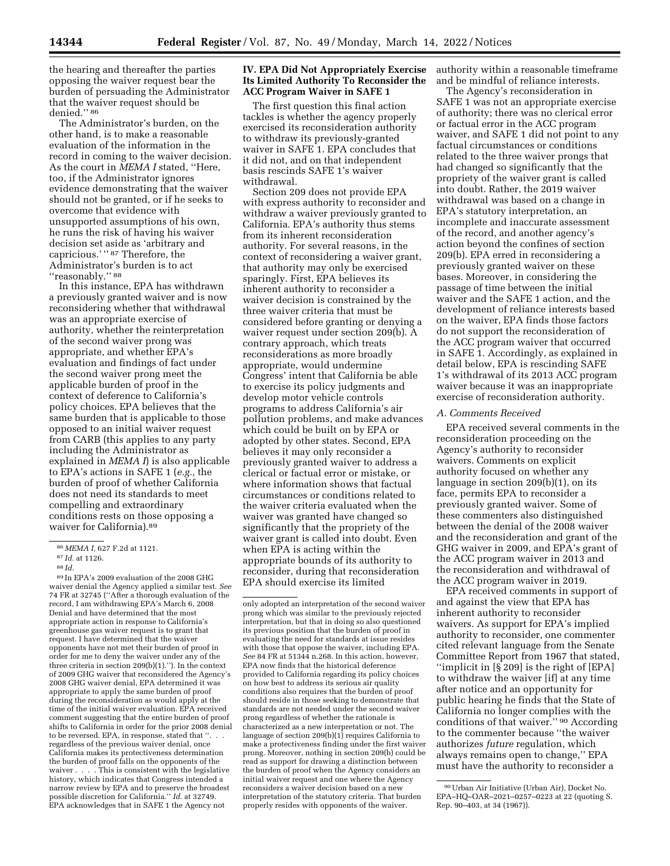the hearing and thereafter the parties opposing the waiver request bear the burden of persuading the Administrator that the waiver request should be denied.'' 86

The Administrator's burden, on the other hand, is to make a reasonable evaluation of the information in the record in coming to the waiver decision. As the court in *MEMA I* stated, ''Here, too, if the Administrator ignores evidence demonstrating that the waiver should not be granted, or if he seeks to overcome that evidence with unsupported assumptions of his own, he runs the risk of having his waiver decision set aside as 'arbitrary and capricious.'" 87 Therefore, the Administrator's burden is to act "reasonably."<sup>88</sup>

In this instance, EPA has withdrawn a previously granted waiver and is now reconsidering whether that withdrawal was an appropriate exercise of authority, whether the reinterpretation of the second waiver prong was appropriate, and whether EPA's evaluation and findings of fact under the second waiver prong meet the applicable burden of proof in the context of deference to California's policy choices. EPA believes that the same burden that is applicable to those opposed to an initial waiver request from CARB (this applies to any party including the Administrator as explained in *MEMA I*) is also applicable to EPA's actions in SAFE 1 (*e.g.,* the burden of proof of whether California does not need its standards to meet compelling and extraordinary conditions rests on those opposing a waiver for California).89

89 In EPA's 2009 evaluation of the 2008 GHG waiver denial the Agency applied a similar test. *See*  74 FR at 32745 (''After a thorough evaluation of the record, I am withdrawing EPA's March 6, 2008 Denial and have determined that the most appropriate action in response to California's greenhouse gas waiver request is to grant that request. I have determined that the waiver opponents have not met their burden of proof in order for me to deny the waiver under any of the three criteria in section 209(b)(1).''). In the context of 2009 GHG waiver that reconsidered the Agency's 2008 GHG waiver denial, EPA determined it was appropriate to apply the same burden of proof during the reconsideration as would apply at the time of the initial waiver evaluation. EPA received comment suggesting that the entire burden of proof shifts to California in order for the prior 2008 denial to be reversed. EPA, in response, stated that ''. . . regardless of the previous waiver denial, once California makes its protectiveness determination the burden of proof falls on the opponents of the waiver . . . . This is consistent with the legislative history, which indicates that Congress intended a narrow review by EPA and to preserve the broadest possible discretion for California.'' *Id.* at 32749. EPA acknowledges that in SAFE 1 the Agency not

### **IV. EPA Did Not Appropriately Exercise Its Limited Authority To Reconsider the ACC Program Waiver in SAFE 1**

The first question this final action tackles is whether the agency properly exercised its reconsideration authority to withdraw its previously-granted waiver in SAFE 1. EPA concludes that it did not, and on that independent basis rescinds SAFE 1's waiver withdrawal.

Section 209 does not provide EPA with express authority to reconsider and withdraw a waiver previously granted to California. EPA's authority thus stems from its inherent reconsideration authority. For several reasons, in the context of reconsidering a waiver grant, that authority may only be exercised sparingly. First, EPA believes its inherent authority to reconsider a waiver decision is constrained by the three waiver criteria that must be considered before granting or denying a waiver request under section 209(b). A contrary approach, which treats reconsiderations as more broadly appropriate, would undermine Congress' intent that California be able to exercise its policy judgments and develop motor vehicle controls programs to address California's air pollution problems, and make advances which could be built on by EPA or adopted by other states. Second, EPA believes it may only reconsider a previously granted waiver to address a clerical or factual error or mistake, or where information shows that factual circumstances or conditions related to the waiver criteria evaluated when the waiver was granted have changed so significantly that the propriety of the waiver grant is called into doubt. Even when EPA is acting within the appropriate bounds of its authority to reconsider, during that reconsideration EPA should exercise its limited

authority within a reasonable timeframe and be mindful of reliance interests.

The Agency's reconsideration in SAFE 1 was not an appropriate exercise of authority; there was no clerical error or factual error in the ACC program waiver, and SAFE 1 did not point to any factual circumstances or conditions related to the three waiver prongs that had changed so significantly that the propriety of the waiver grant is called into doubt. Rather, the 2019 waiver withdrawal was based on a change in EPA's statutory interpretation, an incomplete and inaccurate assessment of the record, and another agency's action beyond the confines of section 209(b). EPA erred in reconsidering a previously granted waiver on these bases. Moreover, in considering the passage of time between the initial waiver and the SAFE 1 action, and the development of reliance interests based on the waiver, EPA finds those factors do not support the reconsideration of the ACC program waiver that occurred in SAFE 1. Accordingly, as explained in detail below, EPA is rescinding SAFE 1's withdrawal of its 2013 ACC program waiver because it was an inappropriate exercise of reconsideration authority.

## *A. Comments Received*

EPA received several comments in the reconsideration proceeding on the Agency's authority to reconsider waivers. Comments on explicit authority focused on whether any language in section 209(b)(1), on its face, permits EPA to reconsider a previously granted waiver. Some of these commenters also distinguished between the denial of the 2008 waiver and the reconsideration and grant of the GHG waiver in 2009, and EPA's grant of the ACC program waiver in 2013 and the reconsideration and withdrawal of the ACC program waiver in 2019.

EPA received comments in support of and against the view that EPA has inherent authority to reconsider waivers. As support for EPA's implied authority to reconsider, one commenter cited relevant language from the Senate Committee Report from 1967 that stated, ''implicit in [§ 209] is the right of [EPA] to withdraw the waiver [if] at any time after notice and an opportunity for public hearing he finds that the State of California no longer complies with the conditions of that waiver.'' 90 According to the commenter because ''the waiver authorizes *future* regulation, which always remains open to change,'' EPA must have the authority to reconsider a

<sup>86</sup> *MEMA I,* 627 F.2d at 1121.

<sup>87</sup> *Id.* at 1126.

<sup>88</sup> *Id.* 

only adopted an interpretation of the second waiver prong which was similar to the previously rejected interpretation, but that in doing so also questioned its previous position that the burden of proof in evaluating the need for standards at issue resides with those that oppose the waiver, including EPA. *See* 84 FR at 51344 n.268. In this action, however, EPA now finds that the historical deference provided to California regarding its policy choices on how best to address its serious air quality conditions also requires that the burden of proof should reside in those seeking to demonstrate that standards are not needed under the second waiver prong regardless of whether the rationale is characterized as a new interpretation or not. The language of section 209(b)(1) requires California to make a protectiveness finding under the first waiver prong. Moreover, nothing in section 209(b) could be read as support for drawing a distinction between the burden of proof when the Agency considers an initial waiver request and one where the Agency reconsiders a waiver decision based on a new interpretation of the statutory criteria. That burden properly resides with opponents of the waiver.

<sup>90</sup>Urban Air Initiative (Urban Air), Docket No. EPA–HQ–OAR–2021–0257–0223 at 22 (quoting S. Rep. 90–403, at 34 (1967)).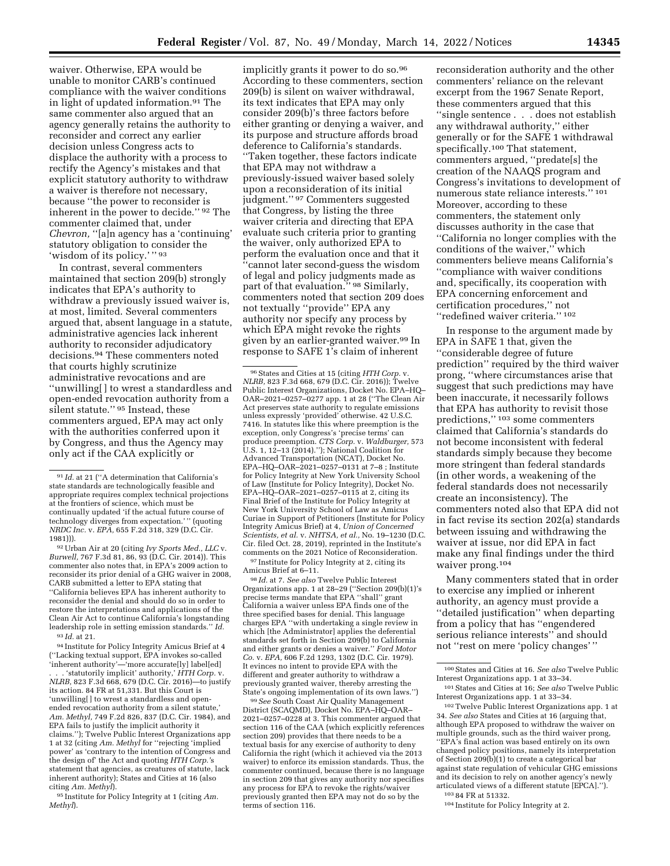waiver. Otherwise, EPA would be unable to monitor CARB's continued compliance with the waiver conditions in light of updated information.91 The same commenter also argued that an agency generally retains the authority to reconsider and correct any earlier decision unless Congress acts to displace the authority with a process to rectify the Agency's mistakes and that explicit statutory authority to withdraw a waiver is therefore not necessary, because ''the power to reconsider is inherent in the power to decide.'' 92 The commenter claimed that, under *Chevron,* "[a]n agency has a 'continuing' statutory obligation to consider the 'wisdom of its policy.' '' 93

In contrast, several commenters maintained that section 209(b) strongly indicates that EPA's authority to withdraw a previously issued waiver is, at most, limited. Several commenters argued that, absent language in a statute, administrative agencies lack inherent authority to reconsider adjudicatory decisions.94 These commenters noted that courts highly scrutinize administrative revocations and are ''unwilling[ ] to wrest a standardless and open-ended revocation authority from a silent statute.'' 95 Instead, these commenters argued, EPA may act only with the authorities conferred upon it by Congress, and thus the Agency may only act if the CAA explicitly or

92Urban Air at 20 (citing *Ivy Sports Med., LLC* v. *Burwell,* 767 F.3d 81, 86, 93 (D.C. Cir. 2014)). This commenter also notes that, in EPA's 2009 action to reconsider its prior denial of a GHG waiver in 2008, CARB submitted a letter to EPA stating that ''California believes EPA has inherent authority to reconsider the denial and should do so in order to restore the interpretations and applications of the Clean Air Act to continue California's longstanding leadership role in setting emission standards.'' *Id.*  93 *Id.* at 21.

94 Institute for Policy Integrity Amicus Brief at 4 (''Lacking textual support, EPA invokes so-called 'inherent authority'—'more accurate[ly] label[ed] . . . 'statutorily implicit' authority,' *HTH Corp.* v. *NLRB,* 823 F.3d 668, 679 (D.C. Cir. 2016)—to justify its action. 84 FR at 51,331. But this Court is 'unwilling[ ] to wrest a standardless and openended revocation authority from a silent statute, *Am. Methyl,* 749 F.2d 826, 837 (D.C. Cir. 1984), and EPA fails to justify the implicit authority it claims.''); Twelve Public Interest Organizations app 1 at 32 (citing *Am. Methyl* for ''rejecting 'implied power' as 'contrary to the intention of Congress and the design of' the Act and quoting *HTH Corp.'*s statement that agencies, as creatures of statute, lack inherent authority); States and Cities at 16 (also citing *Am. Methyl*).

95 Institute for Policy Integrity at 1 (citing *Am. Methyl*).

implicitly grants it power to do so.<sup>96</sup> According to these commenters, section 209(b) is silent on waiver withdrawal, its text indicates that EPA may only consider 209(b)'s three factors before either granting or denying a waiver, and its purpose and structure affords broad deference to California's standards. ''Taken together, these factors indicate that EPA may not withdraw a previously-issued waiver based solely upon a reconsideration of its initial judgment.'' 97 Commenters suggested that Congress, by listing the three waiver criteria and directing that EPA evaluate such criteria prior to granting the waiver, only authorized EPA to perform the evaluation once and that it 'cannot later second-guess the wisdom of legal and policy judgments made as part of that evaluation." <sup>98</sup> Similarly, commenters noted that section 209 does not textually ''provide'' EPA any authority nor specify any process by which EPA might revoke the rights given by an earlier-granted waiver.99 In response to SAFE 1's claim of inherent

<sup>98</sup> Id. at 7. See also Twelve Public Interest Organizations app. 1 at 28–29 (''Section 209(b)(1)'s precise terms mandate that EPA ''shall'' grant California a waiver unless EPA finds one of the three specified bases for denial. This language charges EPA ''with undertaking a single review in which [the Administrator] applies the deferential standards set forth in Section 209(b) to California and either grants or denies a waiver.'' *Ford Motor Co.* v. *EPA,* 606 F.2d 1293, 1302 (D.C. Cir. 1979). It evinces no intent to provide EPA with the different and greater authority to withdraw a previously granted waiver, thereby arresting the State's ongoing implementation of its own laws.'')

99*See* South Coast Air Quality Management District (SCAQMD), Docket No. EPA–HQ–OAR– 2021–0257–0228 at 3. This commenter argued that section 116 of the CAA (which explicitly references section 209) provides that there needs to be a textual basis for any exercise of authority to deny California the right (which it achieved via the 2013 waiver) to enforce its emission standards. Thus, the commenter continued, because there is no language in section 209 that gives any authority nor specifies any process for EPA to revoke the rights/waiver previously granted then EPA may not do so by the terms of section 116.

reconsideration authority and the other commenters' reliance on the relevant excerpt from the 1967 Senate Report, these commenters argued that this ''single sentence . . . does not establish any withdrawal authority,'' either generally or for the SAFE 1 withdrawal specifically.100 That statement, commenters argued, ''predate[s] the creation of the NAAQS program and Congress's invitations to development of numerous state reliance interests.'' 101 Moreover, according to these commenters, the statement only discusses authority in the case that ''California no longer complies with the conditions of the waiver,'' which commenters believe means California's ''compliance with waiver conditions and, specifically, its cooperation with EPA concerning enforcement and certification procedures,'' not ''redefined waiver criteria.'' 102

In response to the argument made by EPA in SAFE 1 that, given the ''considerable degree of future prediction'' required by the third waiver prong, ''where circumstances arise that suggest that such predictions may have been inaccurate, it necessarily follows that EPA has authority to revisit those predictions,'' 103 some commenters claimed that California's standards do not become inconsistent with federal standards simply because they become more stringent than federal standards (in other words, a weakening of the federal standards does not necessarily create an inconsistency). The commenters noted also that EPA did not in fact revise its section 202(a) standards between issuing and withdrawing the waiver at issue, nor did EPA in fact make any final findings under the third waiver prong.104

Many commenters stated that in order to exercise any implied or inherent authority, an agency must provide a ''detailed justification'' when departing from a policy that has ''engendered serious reliance interests'' and should not ''rest on mere 'policy changes' ''

102Twelve Public Interest Organizations app. 1 at 34. *See also* States and Cities at 16 (arguing that, although EPA proposed to withdraw the waiver on multiple grounds, such as the third waiver prong, ''EPA's final action was based entirely on its own changed policy positions, namely its interpretation of Section 209(b)(1) to create a categorical bar against state regulation of vehicular GHG emissions and its decision to rely on another agency's newly articulated views of a different statute [EPCA].'').

103 84 FR at 51332.

104 Institute for Policy Integrity at 2.

 $^{91}\,Id.$  at 21 (''A determination that California's state standards are technologically feasible and appropriate requires complex technical projections at the frontiers of science, which must be continually updated 'if the actual future course of technology diverges from expectation.' '' (quoting *NRDC Inc.* v. *EPA,* 655 F.2d 318, 329 (D.C. Cir. 1981))).

<sup>96</sup>States and Cities at 15 (citing *HTH Corp.* v. *NLRB,* 823 F.3d 668, 679 (D.C. Cir. 2016)); Twelve Public Interest Organizations, Docket No. EPA–HQ– OAR–2021–0257–0277 app. 1 at 28 (''The Clean Air Act preserves state authority to regulate emissions unless expressly 'provided' otherwise. 42 U.S.C. 7416. In statutes like this where preemption is the exception, only Congress's 'precise terms' can produce preemption. *CTS Corp.* v. *Waldburger,* 573 U.S. 1, 12–13 (2014).''); National Coalition for Advanced Transportation (NCAT), Docket No. EPA–HQ–OAR–2021–0257–0131 at 7–8 ; Institute for Policy Integrity at New York University School of Law (Institute for Policy Integrity), Docket No. EPA–HQ–OAR–2021–0257–0115 at 2, citing its Final Brief of the Institute for Policy Integrity at New York University School of Law as Amicus Curiae in Support of Petitioners (Institute for Policy Integrity Amicus Brief) at 4, *Union of Concerned Scientists, et al.* v. *NHTSA, et al.,* No. 19–1230 (D.C. Cir. filed Oct. 28, 2019), reprinted in the Institute's comments on the 2021 Notice of Reconsideration.  $^{97}$  Institute for Policy Integrity at 2, citing its Amicus Brief at 6–11.

<sup>100</sup>States and Cities at 16. *See also* Twelve Public Interest Organizations app. 1 at 33–34.

<sup>101</sup>States and Cities at 16; *See also* Twelve Public Interest Organizations app. 1 at 33–34.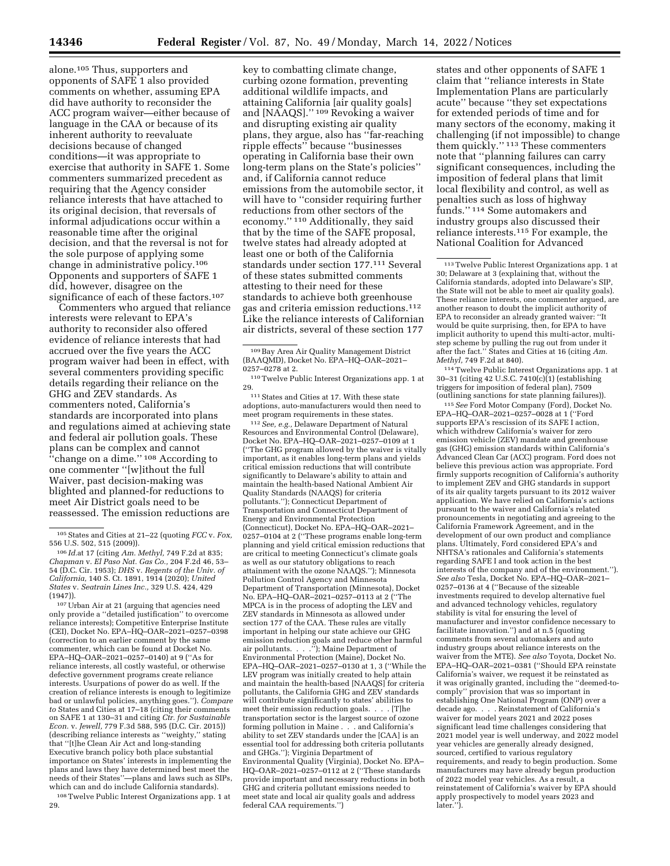alone.105 Thus, supporters and opponents of SAFE 1 also provided comments on whether, assuming EPA did have authority to reconsider the ACC program waiver—either because of language in the CAA or because of its inherent authority to reevaluate decisions because of changed conditions—it was appropriate to exercise that authority in SAFE 1. Some commenters summarized precedent as requiring that the Agency consider reliance interests that have attached to its original decision, that reversals of informal adjudications occur within a reasonable time after the original decision, and that the reversal is not for the sole purpose of applying some change in administrative policy.106 Opponents and supporters of SAFE 1 did, however, disagree on the significance of each of these factors.<sup>107</sup>

Commenters who argued that reliance interests were relevant to EPA's authority to reconsider also offered evidence of reliance interests that had accrued over the five years the ACC program waiver had been in effect, with several commenters providing specific details regarding their reliance on the GHG and ZEV standards. As commenters noted, California's standards are incorporated into plans and regulations aimed at achieving state and federal air pollution goals. These plans can be complex and cannot ''change on a dime.'' 108 According to one commenter ''[w]ithout the full Waiver, past decision-making was blighted and planned-for reductions to meet Air District goals need to be reassessed. The emission reductions are

107Urban Air at 21 (arguing that agencies need only provide a ''detailed justification'' to overcome reliance interests); Competitive Enterprise Institute (CEI), Docket No. EPA–HQ–OAR–2021–0257–0398 (correction to an earlier comment by the same commenter, which can be found at Docket No. EPA–HQ–OAR–2021–0257–0140) at 9 (''As for reliance interests, all costly wasteful, or otherwise defective government programs create reliance interests. Usurpations of power do as well. If the creation of reliance interests is enough to legitimize bad or unlawful policies, anything goes.''). *Compare to* States and Cities at 17–18 (citing their comments on SAFE 1 at 130–31 and citing *Ctr. for Sustainable Econ.* v. *Jewell,* 779 F.3d 588, 595 (D.C. Cir. 2015)) (describing reliance interests as ''weighty,'' stating that ''[t]he Clean Air Act and long-standing Executive branch policy both place substantial importance on States' interests in implementing the plans and laws they have determined best meet the needs of their States''—plans and laws such as SIPs, which can and do include California standards).

108Twelve Public Interest Organizations app. 1 at 29.

key to combatting climate change, curbing ozone formation, preventing additional wildlife impacts, and attaining California [air quality goals] and [NAAQS].'' 109 Revoking a waiver and disrupting existing air quality plans, they argue, also has ''far-reaching ripple effects'' because ''businesses operating in California base their own long-term plans on the State's policies'' and, if California cannot reduce emissions from the automobile sector, it will have to ''consider requiring further reductions from other sectors of the economy.'' 110 Additionally, they said that by the time of the SAFE proposal, twelve states had already adopted at least one or both of the California standards under section 177.111 Several of these states submitted comments attesting to their need for these standards to achieve both greenhouse gas and criteria emission reductions.112 Like the reliance interests of Californian air districts, several of these section 177

111 States and Cities at 17. With these state adoptions, auto-manufacturers would then need to meet program requirements in these states.

112*See, e.g.,* Delaware Department of Natural Resources and Environmental Control (Delaware), Docket No. EPA–HQ–OAR–2021–0257–0109 at 1 (''The GHG program allowed by the waiver is vitally important, as it enables long-term plans and yields critical emission reductions that will contribute significantly to Delaware's ability to attain and maintain the health-based National Ambient Air Quality Standards (NAAQS) for criteria pollutants.''); Connecticut Department of Transportation and Connecticut Department of Energy and Environmental Protection (Connecticut), Docket No. EPA–HQ–OAR–2021– 0257–0104 at 2 (''These programs enable long-term planning and yield critical emission reductions that are critical to meeting Connecticut's climate goals as well as our statutory obligations to reach attainment with the ozone NAAQS.''); Minnesota Pollution Control Agency and Minnesota Department of Transportation (Minnesota), Docket No. EPA–HQ–OAR–2021–0257–0113 at 2 (''The MPCA is in the process of adopting the LEV and ZEV standards in Minnesota as allowed under section 177 of the CAA. These rules are vitally important in helping our state achieve our GHG emission reduction goals and reduce other harmful air pollutants. . . .''); Maine Department of Environmental Protection (Maine), Docket No. EPA–HQ–OAR–2021–0257–0130 at 1, 3 (''While the LEV program was initially created to help attain and maintain the health-based [NAAQS] for criteria pollutants, the California GHG and ZEV standards will contribute significantly to states' abilities to meet their emission reduction goals. . . . [T]he transportation sector is the largest source of ozone forming pollution in Maine . . . and California's ability to set ZEV standards under the [CAA] is an essential tool for addressing both criteria pollutants and GHGs.''); Virginia Department of Environmental Quality (Virginia), Docket No. EPA– HQ–OAR–2021–0257–0112 at 2 (''These standards provide important and necessary reductions in both GHG and criteria pollutant emissions needed to meet state and local air quality goals and address federal CAA requirements.'')

states and other opponents of SAFE 1 claim that ''reliance interests in State Implementation Plans are particularly acute'' because ''they set expectations for extended periods of time and for many sectors of the economy, making it challenging (if not impossible) to change them quickly.'' 113 These commenters note that ''planning failures can carry significant consequences, including the imposition of federal plans that limit local flexibility and control, as well as penalties such as loss of highway funds.'' 114 Some automakers and industry groups also discussed their reliance interests.115 For example, the National Coalition for Advanced

114Twelve Public Interest Organizations app. 1 at 30–31 (citing 42 U.S.C. 7410(c)(1) (establishing triggers for imposition of federal plan), 7509 (outlining sanctions for state planning failures)).

115*See* Ford Motor Company (Ford), Docket No. EPA–HQ–OAR–2021–0257–0028 at 1 (''Ford supports EPA's rescission of its SAFE I action, which withdrew California's waiver for zero emission vehicle (ZEV) mandate and greenhouse gas (GHG) emission standards within California's Advanced Clean Car (ACC) program. Ford does not believe this previous action was appropriate. Ford firmly supports recognition of California's authority to implement ZEV and GHG standards in support of its air quality targets pursuant to its 2012 waiver application. We have relied on California's actions pursuant to the waiver and California's related pronouncements in negotiating and agreeing to the California Framework Agreement, and in the development of our own product and compliance plans. Ultimately, Ford considered EPA's and NHTSA's rationales and California's statements regarding SAFE I and took action in the best interests of the company and of the environment.''). *See also* Tesla, Docket No. EPA–HQ–OAR–2021– 0257–0136 at 4 (''Because of the sizeable investments required to develop alternative fuel and advanced technology vehicles, regulatory stability is vital for ensuring the level of manufacturer and investor confidence necessary to facilitate innovation.'') and at n.5 (quoting comments from several automakers and auto industry groups about reliance interests on the waiver from the MTE). *See also* Toyota, Docket No. EPA–HQ–OAR–2021–0381 (''Should EPA reinstate California's waiver, we request it be reinstated as it was originally granted, including the ''deemed-tocomply'' provision that was so important in establishing One National Program (ONP) over a decade ago. . . . Reinstatement of California's waiver for model years 2021 and 2022 poses significant lead time challenges considering that 2021 model year is well underway, and 2022 model year vehicles are generally already designed, sourced, certified to various regulatory requirements, and ready to begin production. Some manufacturers may have already begun production of 2022 model year vehicles. As a result, a reinstatement of California's waiver by EPA should apply prospectively to model years 2023 and later.'').

<sup>105</sup>States and Cities at 21–22 (quoting *FCC* v. *Fox,* 

<sup>556</sup> U.S. 502, 515 (2009)). 106 *Id.*at 17 (citing *Am. Methyl,* 749 F.2d at 835; *Chapman* v. *El Paso Nat. Gas Co.,* 204 F.2d 46, 53– 54 (D.C. Cir. 1953); *DHS* v. *Regents of the Univ. of California,* 140 S. Ct. 1891, 1914 (2020); *United States* v. *Seatrain Lines Inc.,* 329 U.S. 424, 429 (1947)).

<sup>109</sup>Bay Area Air Quality Management District (BAAQMD), Docket No. EPA–HQ–OAR–2021– 0257–0278 at 2.

<sup>110</sup>Twelve Public Interest Organizations app. 1 at 29.

<sup>113</sup>Twelve Public Interest Organizations app. 1 at 30; Delaware at 3 (explaining that, without the California standards, adopted into Delaware's SIP, the State will not be able to meet air quality goals). These reliance interests, one commenter argued, are another reason to doubt the implicit authority of EPA to reconsider an already granted waiver: ''It would be quite surprising, then, for EPA to have implicit authority to upend this multi-actor, multistep scheme by pulling the rug out from under it after the fact.'' States and Cities at 16 (citing *Am. Methyl,* 749 F.2d at 840).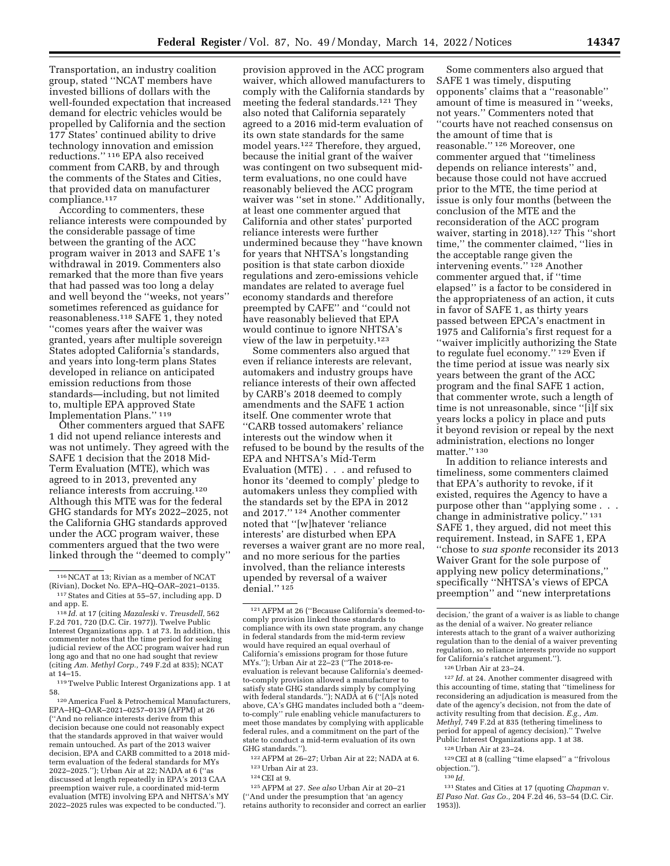Transportation, an industry coalition group, stated ''NCAT members have invested billions of dollars with the well-founded expectation that increased demand for electric vehicles would be propelled by California and the section 177 States' continued ability to drive technology innovation and emission reductions.'' 116 EPA also received comment from CARB, by and through the comments of the States and Cities, that provided data on manufacturer compliance.117

According to commenters, these reliance interests were compounded by the considerable passage of time between the granting of the ACC program waiver in 2013 and SAFE 1's withdrawal in 2019. Commenters also remarked that the more than five years that had passed was too long a delay and well beyond the ''weeks, not years'' sometimes referenced as guidance for reasonableness.<sup>118</sup> SAFE 1, they noted ''comes years after the waiver was granted, years after multiple sovereign States adopted California's standards, and years into long-term plans States developed in reliance on anticipated emission reductions from those standards—including, but not limited to, multiple EPA approved State Implementation Plans.'' 119

Other commenters argued that SAFE 1 did not upend reliance interests and was not untimely. They agreed with the SAFE 1 decision that the 2018 Mid-Term Evaluation (MTE), which was agreed to in 2013, prevented any reliance interests from accruing.120 Although this MTE was for the federal GHG standards for MYs 2022–2025, not the California GHG standards approved under the ACC program waiver, these commenters argued that the two were linked through the ''deemed to comply''

120America Fuel & Petrochemical Manufacturers, EPA–HQ–OAR–2021–0257–0139 (AFPM) at 26 (''And no reliance interests derive from this decision because one could not reasonably expect that the standards approved in that waiver would remain untouched. As part of the 2013 waiver decision, EPA and CARB committed to a 2018 midterm evaluation of the federal standards for MYs 2022–2025.''); Urban Air at 22; NADA at 6 (''as discussed at length repeatedly in EPA's 2013 CAA preemption waiver rule, a coordinated mid-term evaluation (MTE) involving EPA and NHTSA's MY 2022–2025 rules was expected to be conducted.'').

provision approved in the ACC program waiver, which allowed manufacturers to comply with the California standards by meeting the federal standards.121 They also noted that California separately agreed to a 2016 mid-term evaluation of its own state standards for the same model years.122 Therefore, they argued, because the initial grant of the waiver was contingent on two subsequent midterm evaluations, no one could have reasonably believed the ACC program waiver was "set in stone." Additionally, at least one commenter argued that California and other states' purported reliance interests were further undermined because they ''have known for years that NHTSA's longstanding position is that state carbon dioxide regulations and zero-emissions vehicle mandates are related to average fuel economy standards and therefore preempted by CAFE'' and ''could not have reasonably believed that EPA would continue to ignore NHTSA's view of the law in perpetuity.123

Some commenters also argued that even if reliance interests are relevant, automakers and industry groups have reliance interests of their own affected by CARB's 2018 deemed to comply amendments and the SAFE 1 action itself. One commenter wrote that ''CARB tossed automakers' reliance interests out the window when it refused to be bound by the results of the EPA and NHTSA's Mid-Term Evaluation (MTE) . . . and refused to honor its 'deemed to comply' pledge to automakers unless they complied with the standards set by the EPA in 2012 and 2017.'' 124 Another commenter noted that ''[w]hatever 'reliance interests' are disturbed when EPA reverses a waiver grant are no more real, and no more serious for the parties involved, than the reliance interests upended by reversal of a waiver denial."<sup>125</sup>

122AFPM at 26–27; Urban Air at 22; NADA at 6. 123Urban Air at 23.

125AFPM at 27. *See also* Urban Air at 20–21

(''And under the presumption that 'an agency retains authority to reconsider and correct an earlier

Some commenters also argued that SAFE 1 was timely, disputing opponents' claims that a ''reasonable'' amount of time is measured in ''weeks, not years.'' Commenters noted that ''courts have not reached consensus on the amount of time that is reasonable.'' 126 Moreover, one commenter argued that ''timeliness depends on reliance interests'' and, because those could not have accrued prior to the MTE, the time period at issue is only four months (between the conclusion of the MTE and the reconsideration of the ACC program waiver, starting in 2018).127 This ''short time,'' the commenter claimed, ''lies in the acceptable range given the intervening events.'' 128 Another commenter argued that, if ''time elapsed'' is a factor to be considered in the appropriateness of an action, it cuts in favor of SAFE 1, as thirty years passed between EPCA's enactment in 1975 and California's first request for a ''waiver implicitly authorizing the State to regulate fuel economy.'' 129 Even if the time period at issue was nearly six years between the grant of the ACC program and the final SAFE 1 action, that commenter wrote, such a length of time is not unreasonable, since ''[i]f six years locks a policy in place and puts it beyond revision or repeal by the next administration, elections no longer matter." 130

In addition to reliance interests and timeliness, some commenters claimed that EPA's authority to revoke, if it existed, requires the Agency to have a purpose other than ''applying some . . . change in administrative policy.'' 131 SAFE 1, they argued, did not meet this requirement. Instead, in SAFE 1, EPA ''chose to *sua sponte* reconsider its 2013 Waiver Grant for the sole purpose of applying new policy determinations,'' specifically ''NHTSA's views of EPCA preemption'' and ''new interpretations

127 *Id.* at 24. Another commenter disagreed with this accounting of time, stating that ''timeliness for reconsidering an adjudication is measured from the date of the agency's decision, not from the date of activity resulting from that decision. *E.g., Am. Methyl,* 749 F.2d at 835 (tethering timeliness to period for appeal of agency decision).'' Twelve Public Interest Organizations app. 1 at 38.

129CEI at 8 (calling ''time elapsed'' a ''frivolous objection.'').

131States and Cities at 17 (quoting *Chapman* v. *El Paso Nat. Gas Co.,* 204 F.2d 46, 53–54 (D.C. Cir. 1953)).

<sup>&</sup>lt;sup>116</sup> NCAT at 13; Rivian as a member of NCAT<br>(Rivian), Docket No. EPA–HQ–OAR–2021–0135.  $117$  States and Cities at 55–57, including app. D

and app. E.<br><sup>118</sup> *Id.* at 17 (citing *Mazaleski v. Treusdell,* 562<br>F.2d 701, 720 (D.C. Cir. 1977)). Twelve Public Interest Organizations app. 1 at 73. In addition, this commenter notes that the time period for seeking judicial review of the ACC program waiver had run long ago and that no one had sought that review (citing *Am. Methyl Corp.,* 749 F.2d at 835); NCAT at 14–15.

<sup>119</sup>Twelve Public Interest Organizations app. 1 at 58.

<sup>121</sup>AFPM at 26 (''Because California's deemed-tocomply provision linked those standards to compliance with its own state program, any change in federal standards from the mid-term review would have required an equal overhaul of California's emissions program for those future MYs.''); Urban Air at 22–23 (''The 2018-reevaluation is relevant because California's deemedto-comply provision allowed a manufacturer to satisfy state GHG standards simply by complying with federal standards.''); NADA at 6 (''[A]s noted above, CA's GHG mandates included both a ''deemto-comply'' rule enabling vehicle manufacturers to meet those mandates by complying with applicable federal rules, and a commitment on the part of the state to conduct a mid-term evaluation of its own GHG standards.'').

<sup>124</sup>CEI at 9.

decision,' the grant of a waiver is as liable to change as the denial of a waiver. No greater reliance interests attach to the grant of a waiver authorizing regulation than to the denial of a waiver preventing regulation, so reliance interests provide no support for California's ratchet argument.'').

<sup>126</sup>Urban Air at 23–24.

<sup>128</sup>Urban Air at 23–24.

<sup>130</sup> *Id.*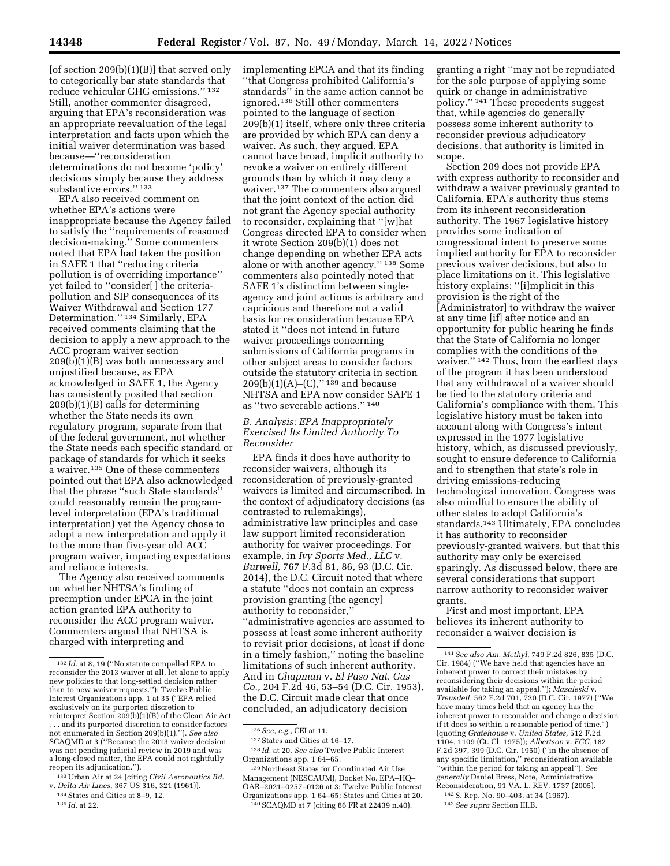$[of section 209(b)(1)(B)]$  that served only to categorically bar state standards that reduce vehicular GHG emissions.'' 132 Still, another commenter disagreed, arguing that EPA's reconsideration was an appropriate reevaluation of the legal interpretation and facts upon which the initial waiver determination was based because—''reconsideration determinations do not become 'policy' decisions simply because they address substantive errors." 133

EPA also received comment on whether EPA's actions were inappropriate because the Agency failed to satisfy the ''requirements of reasoned decision-making.'' Some commenters noted that EPA had taken the position in SAFE 1 that ''reducing criteria pollution is of overriding importance'' yet failed to ''consider[ ] the criteriapollution and SIP consequences of its Waiver Withdrawal and Section 177 Determination.'' 134 Similarly, EPA received comments claiming that the decision to apply a new approach to the ACC program waiver section 209(b)(1)(B) was both unnecessary and unjustified because, as EPA acknowledged in SAFE 1, the Agency has consistently posited that section 209(b)(1)(B) calls for determining whether the State needs its own regulatory program, separate from that of the federal government, not whether the State needs each specific standard or package of standards for which it seeks a waiver.135 One of these commenters pointed out that EPA also acknowledged that the phrase ''such State standards'' could reasonably remain the programlevel interpretation (EPA's traditional interpretation) yet the Agency chose to adopt a new interpretation and apply it to the more than five-year old ACC program waiver, impacting expectations and reliance interests.

The Agency also received comments on whether NHTSA's finding of preemption under EPCA in the joint action granted EPA authority to reconsider the ACC program waiver. Commenters argued that NHTSA is charged with interpreting and

implementing EPCA and that its finding ''that Congress prohibited California's standards'' in the same action cannot be ignored.136 Still other commenters pointed to the language of section 209(b)(1) itself, where only three criteria are provided by which EPA can deny a waiver. As such, they argued, EPA cannot have broad, implicit authority to revoke a waiver on entirely different grounds than by which it may deny a waiver.137 The commenters also argued that the joint context of the action did not grant the Agency special authority to reconsider, explaining that ''[w]hat Congress directed EPA to consider when it wrote Section 209(b)(1) does not change depending on whether EPA acts alone or with another agency.'' 138 Some commenters also pointedly noted that SAFE 1's distinction between singleagency and joint actions is arbitrary and capricious and therefore not a valid basis for reconsideration because EPA stated it ''does not intend in future waiver proceedings concerning submissions of California programs in other subject areas to consider factors outside the statutory criteria in section  $209(b)(1)(A)$ –(C),"<sup>139</sup> and because NHTSA and EPA now consider SAFE 1 as ''two severable actions.'' 140

### *B. Analysis: EPA Inappropriately Exercised Its Limited Authority To Reconsider*

EPA finds it does have authority to reconsider waivers, although its reconsideration of previously-granted waivers is limited and circumscribed. In the context of adjudicatory decisions (as contrasted to rulemakings), administrative law principles and case law support limited reconsideration authority for waiver proceedings. For example, in *Ivy Sports Med., LLC* v. *Burwell,* 767 F.3d 81, 86, 93 (D.C. Cir. 2014), the D.C. Circuit noted that where a statute ''does not contain an express provision granting [the agency] authority to reconsider,'' ''administrative agencies are assumed to possess at least some inherent authority to revisit prior decisions, at least if done in a timely fashion,'' noting the baseline limitations of such inherent authority. And in *Chapman* v. *El Paso Nat. Gas Co.,* 204 F.2d 46, 53–54 (D.C. Cir. 1953), the D.C. Circuit made clear that once concluded, an adjudicatory decision

granting a right ''may not be repudiated for the sole purpose of applying some quirk or change in administrative policy.'' 141 These precedents suggest that, while agencies do generally possess some inherent authority to reconsider previous adjudicatory decisions, that authority is limited in scope.

Section 209 does not provide EPA with express authority to reconsider and withdraw a waiver previously granted to California. EPA's authority thus stems from its inherent reconsideration authority. The 1967 legislative history provides some indication of congressional intent to preserve some implied authority for EPA to reconsider previous waiver decisions, but also to place limitations on it. This legislative history explains: "[i]mplicit in this provision is the right of the [Administrator] to withdraw the waiver at any time [if] after notice and an opportunity for public hearing he finds that the State of California no longer complies with the conditions of the waiver.'' 142 Thus, from the earliest days of the program it has been understood that any withdrawal of a waiver should be tied to the statutory criteria and California's compliance with them. This legislative history must be taken into account along with Congress's intent expressed in the 1977 legislative history, which, as discussed previously, sought to ensure deference to California and to strengthen that state's role in driving emissions-reducing technological innovation. Congress was also mindful to ensure the ability of other states to adopt California's standards.143 Ultimately, EPA concludes it has authority to reconsider previously-granted waivers, but that this authority may only be exercised sparingly. As discussed below, there are several considerations that support narrow authority to reconsider waiver grants.

First and most important, EPA believes its inherent authority to reconsider a waiver decision is

<sup>132</sup> *Id.* at 8, 19 (''No statute compelled EPA to reconsider the 2013 waiver at all, let alone to apply new policies to that long-settled decision rather than to new waiver requests.''); Twelve Public Interest Organizations app. 1 at 35 (''EPA relied exclusively on its purported discretion to reinterpret Section 209(b)(1)(B) of the Clean Air Act . *. .* and its purported discretion to consider factors not enumerated in Section 209(b)(1).''). *See also*  SCAQMD at 3 (''Because the 2013 waiver decision was not pending judicial review in 2019 and was a long-closed matter, the EPA could not rightfully reopen its adjudication.'').

<sup>133</sup>Urban Air at 24 (citing *Civil Aeronautics Bd.*  v. *Delta Air Lines,* 367 US 316, 321 (1961)). 134States and Cities at 8–9, 12.

<sup>135</sup> *Id.* at 22.

<sup>136</sup>*See, e.g.,* CEI at 11.

<sup>137</sup>States and Cities at 16–17.

<sup>138</sup> *Id.* at 20. *See also* Twelve Public Interest Organizations app. 1 64–65.

<sup>139</sup>Northeast States for Coordinated Air Use Management (NESCAUM), Docket No. EPA–HQ– OAR–2021–0257–0126 at 3; Twelve Public Interest Organizations app. 1 64–65; States and Cities at 20. 140SCAQMD at 7 (citing 86 FR at 22439 n.40).

<sup>141</sup>*See also Am. Methyl,* 749 F.2d 826, 835 (D.C. Cir. 1984) (''We have held that agencies have an inherent power to correct their mistakes by reconsidering their decisions within the period available for taking an appeal.''); *Mazaleski* v. *Treusdell,* 562 F.2d 701, 720 (D.C. Cir. 1977) (''We have many times held that an agency has the inherent power to reconsider and change a decision if it does so within a reasonable period of time.'') (quoting *Gratehouse* v. *United States,* 512 F.2d 1104, 1109 (Ct. Cl. 1975)); *Albertson* v. *FCC,* 182 F.2d 397, 399 (D.C. Cir. 1950) (''in the absence of any specific limitation,'' reconsideration available ''within the period for taking an appeal''). *See generally* Daniel Bress, Note, Administrative Reconsideration, 91 VA. L. REV. 1737 (2005).

<sup>142</sup>S. Rep. No. 90–403, at 34 (1967).

<sup>143</sup>*See supra* Section III.B.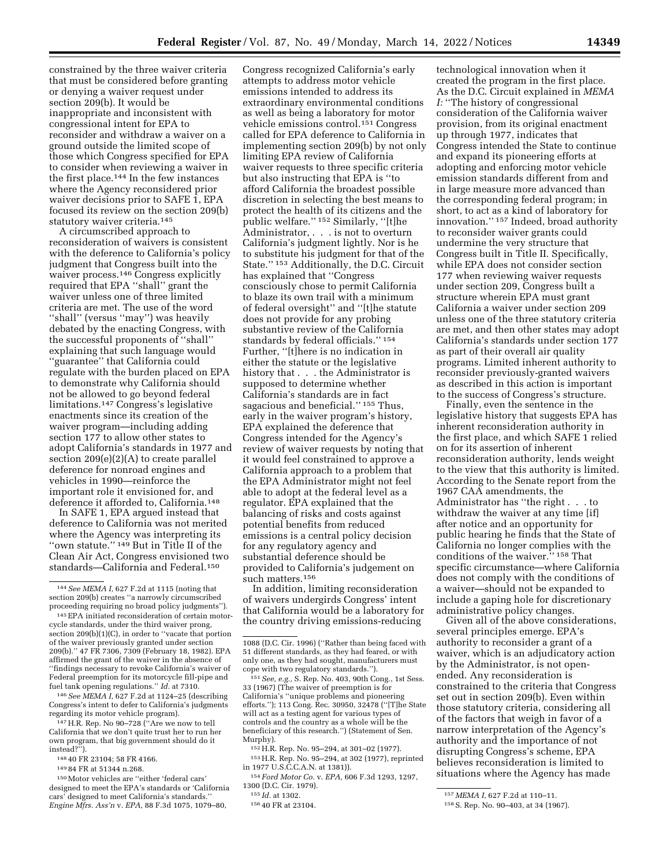constrained by the three waiver criteria that must be considered before granting or denying a waiver request under section 209(b). It would be inappropriate and inconsistent with congressional intent for EPA to reconsider and withdraw a waiver on a ground outside the limited scope of those which Congress specified for EPA to consider when reviewing a waiver in the first place.144 In the few instances where the Agency reconsidered prior waiver decisions prior to SAFE 1, EPA focused its review on the section 209(b) statutory waiver criteria.<sup>145</sup>

A circumscribed approach to reconsideration of waivers is consistent with the deference to California's policy judgment that Congress built into the waiver process.146 Congress explicitly required that EPA ''shall'' grant the waiver unless one of three limited criteria are met. The use of the word "shall" (versus "may") was heavily debated by the enacting Congress, with the successful proponents of ''shall'' explaining that such language would ''guarantee'' that California could regulate with the burden placed on EPA to demonstrate why California should not be allowed to go beyond federal limitations.147 Congress's legislative enactments since its creation of the waiver program—including adding section 177 to allow other states to adopt California's standards in 1977 and section 209(e)(2)(A) to create parallel deference for nonroad engines and vehicles in 1990—reinforce the important role it envisioned for, and deference it afforded to, California.148

In SAFE 1, EPA argued instead that deference to California was not merited where the Agency was interpreting its ''own statute.'' 149 But in Title II of the Clean Air Act, Congress envisioned two standards—California and Federal.150

146*See MEMA I,* 627 F.2d at 1124–25 (describing Congress's intent to defer to California's judgments regarding its motor vehicle program).

147H.R. Rep. No 90–728 (''Are we now to tell California that we don't quite trust her to run her own program, that big government should do it instead?'

148 40 FR 23104; 58 FR 4166.

149 84 FR at 51344 n.268.

150Motor vehicles are ''either 'federal cars' designed to meet the EPA's standards or 'California cars' designed to meet California's standards.'' *Engine Mfrs. Ass'n* v. *EPA,* 88 F.3d 1075, 1079–80,

Congress recognized California's early attempts to address motor vehicle emissions intended to address its extraordinary environmental conditions as well as being a laboratory for motor vehicle emissions control.151 Congress called for EPA deference to California in implementing section 209(b) by not only limiting EPA review of California waiver requests to three specific criteria but also instructing that EPA is ''to afford California the broadest possible discretion in selecting the best means to protect the health of its citizens and the public welfare.'' 152 Similarly, ''[t]he Administrator, . . . is not to overturn California's judgment lightly. Nor is he to substitute his judgment for that of the State.'' 153 Additionally, the D.C. Circuit has explained that ''Congress consciously chose to permit California to blaze its own trail with a minimum of federal oversight'' and ''[t]he statute does not provide for any probing substantive review of the California standards by federal officials.'' 154 Further, ''[t]here is no indication in either the statute or the legislative history that . . . the Administrator is supposed to determine whether California's standards are in fact sagacious and beneficial.'' 155 Thus, early in the waiver program's history, EPA explained the deference that Congress intended for the Agency's review of waiver requests by noting that it would feel constrained to approve a California approach to a problem that the EPA Administrator might not feel able to adopt at the federal level as a regulator. EPA explained that the balancing of risks and costs against potential benefits from reduced emissions is a central policy decision for any regulatory agency and substantial deference should be provided to California's judgement on such matters.156

In addition, limiting reconsideration of waivers undergirds Congress' intent that California would be a laboratory for the country driving emissions-reducing

151*See, e.g.,* S. Rep. No. 403, 90th Cong., 1st Sess. 33 (1967) (The waiver of preemption is for California's ''unique problems and pioneering efforts.''); 113 Cong. Rec. 30950, 32478 (''[T]he State will act as a testing agent for various types of controls and the country as a whole will be the beneficiary of this research.'') (Statement of Sen. Murphy).

152H.R. Rep. No. 95–294, at 301–02 (1977). 153H.R. Rep. No. 95–294, at 302 (1977), reprinted

in 1977 U.S.C.C.A.N. at 1381)). 154 *Ford Motor Co.* v. *EPA,* 606 F.3d 1293, 1297,

1300 (D.C. Cir. 1979).

technological innovation when it created the program in the first place. As the D.C. Circuit explained in *MEMA I:* ''The history of congressional consideration of the California waiver provision, from its original enactment up through 1977, indicates that Congress intended the State to continue and expand its pioneering efforts at adopting and enforcing motor vehicle emission standards different from and in large measure more advanced than the corresponding federal program; in short, to act as a kind of laboratory for innovation.'' 157 Indeed, broad authority to reconsider waiver grants could undermine the very structure that Congress built in Title II. Specifically, while EPA does not consider section 177 when reviewing waiver requests under section 209, Congress built a structure wherein EPA must grant California a waiver under section 209 unless one of the three statutory criteria are met, and then other states may adopt California's standards under section 177 as part of their overall air quality programs. Limited inherent authority to reconsider previously-granted waivers as described in this action is important to the success of Congress's structure.

Finally, even the sentence in the legislative history that suggests EPA has inherent reconsideration authority in the first place, and which SAFE 1 relied on for its assertion of inherent reconsideration authority, lends weight to the view that this authority is limited. According to the Senate report from the 1967 CAA amendments, the Administrator has ''the right . . . to withdraw the waiver at any time [if] after notice and an opportunity for public hearing he finds that the State of California no longer complies with the conditions of the waiver.'' 158 That specific circumstance—where California does not comply with the conditions of a waiver—should not be expanded to include a gaping hole for discretionary administrative policy changes.

Given all of the above considerations, several principles emerge. EPA's authority to reconsider a grant of a waiver, which is an adjudicatory action by the Administrator, is not openended. Any reconsideration is constrained to the criteria that Congress set out in section 209(b). Even within those statutory criteria, considering all of the factors that weigh in favor of a narrow interpretation of the Agency's authority and the importance of not disrupting Congress's scheme, EPA believes reconsideration is limited to situations where the Agency has made

<sup>144</sup>*See MEMA I,* 627 F.2d at 1115 (noting that section 209(b) creates ''a narrowly circumscribed proceeding requiring no broad policy judgments'').

<sup>145</sup>EPA initiated reconsideration of certain motorcycle standards, under the third waiver prong, section 209(b)(1)(C), in order to ''vacate that portion of the waiver previously granted under section 209(b).'' 47 FR 7306, 7309 (February 18, 1982). EPA affirmed the grant of the waiver in the absence of ''findings necessary to revoke California's waiver of Federal preemption for its motorcycle fill-pipe and fuel tank opening regulations.'' *Id.* at 7310.

<sup>1088 (</sup>D.C. Cir. 1996) (''Rather than being faced with 51 different standards, as they had feared, or with only one, as they had sought, manufacturers must cope with two regulatory standards.'').

<sup>155</sup> *Id.* at 1302.

<sup>156</sup> 40 FR at 23104.

<sup>157</sup> *MEMA I,* 627 F.2d at 110–11.

<sup>158</sup>S. Rep. No. 90–403, at 34 (1967).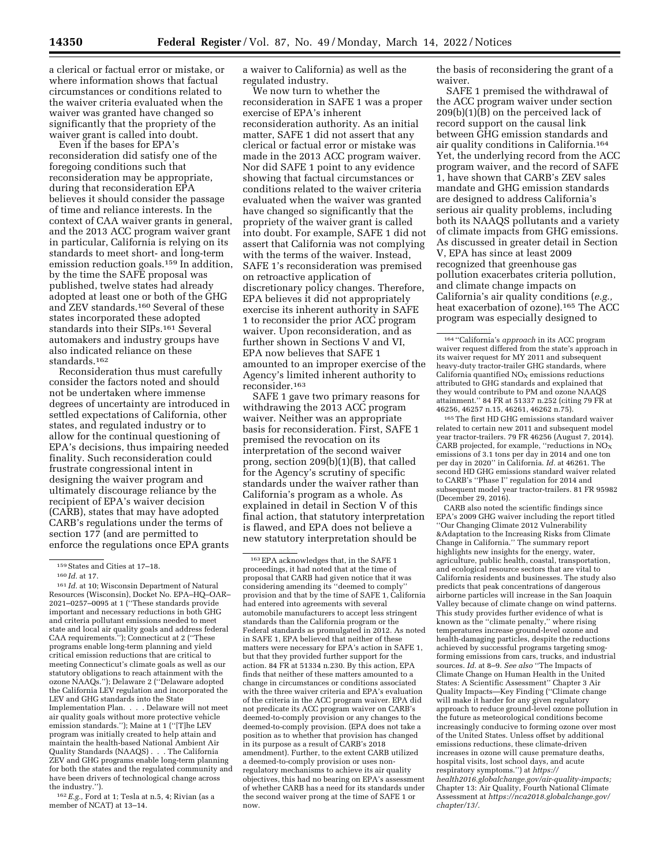a clerical or factual error or mistake, or where information shows that factual circumstances or conditions related to the waiver criteria evaluated when the waiver was granted have changed so significantly that the propriety of the waiver grant is called into doubt.

Even if the bases for EPA's reconsideration did satisfy one of the foregoing conditions such that reconsideration may be appropriate, during that reconsideration EPA believes it should consider the passage of time and reliance interests. In the context of CAA waiver grants in general, and the 2013 ACC program waiver grant in particular, California is relying on its standards to meet short- and long-term emission reduction goals.159 In addition, by the time the SAFE proposal was published, twelve states had already adopted at least one or both of the GHG and ZEV standards.160 Several of these states incorporated these adopted standards into their SIPs.161 Several automakers and industry groups have also indicated reliance on these standards.162

Reconsideration thus must carefully consider the factors noted and should not be undertaken where immense degrees of uncertainty are introduced in settled expectations of California, other states, and regulated industry or to allow for the continual questioning of EPA's decisions, thus impairing needed finality. Such reconsideration could frustrate congressional intent in designing the waiver program and ultimately discourage reliance by the recipient of EPA's waiver decision (CARB), states that may have adopted CARB's regulations under the terms of section 177 (and are permitted to enforce the regulations once EPA grants

162*E.g.,* Ford at 1; Tesla at n.5, 4; Rivian (as a member of NCAT) at 13–14.

a waiver to California) as well as the regulated industry.

We now turn to whether the reconsideration in SAFE 1 was a proper exercise of EPA's inherent reconsideration authority. As an initial matter, SAFE 1 did not assert that any clerical or factual error or mistake was made in the 2013 ACC program waiver. Nor did SAFE 1 point to any evidence showing that factual circumstances or conditions related to the waiver criteria evaluated when the waiver was granted have changed so significantly that the propriety of the waiver grant is called into doubt. For example, SAFE 1 did not assert that California was not complying with the terms of the waiver. Instead, SAFE 1's reconsideration was premised on retroactive application of discretionary policy changes. Therefore, EPA believes it did not appropriately exercise its inherent authority in SAFE 1 to reconsider the prior ACC program waiver. Upon reconsideration, and as further shown in Sections V and VI, EPA now believes that SAFE 1 amounted to an improper exercise of the Agency's limited inherent authority to reconsider.163

SAFE 1 gave two primary reasons for withdrawing the 2013 ACC program waiver. Neither was an appropriate basis for reconsideration. First, SAFE 1 premised the revocation on its interpretation of the second waiver prong, section 209(b)(1)(B), that called for the Agency's scrutiny of specific standards under the waiver rather than California's program as a whole. As explained in detail in Section V of this final action, that statutory interpretation is flawed, and EPA does not believe a new statutory interpretation should be

the basis of reconsidering the grant of a waiver.

SAFE 1 premised the withdrawal of the ACC program waiver under section 209(b)(1)(B) on the perceived lack of record support on the causal link between GHG emission standards and air quality conditions in California.164 Yet, the underlying record from the ACC program waiver, and the record of SAFE 1, have shown that CARB's ZEV sales mandate and GHG emission standards are designed to address California's serious air quality problems, including both its NAAQS pollutants and a variety of climate impacts from GHG emissions. As discussed in greater detail in Section V, EPA has since at least 2009 recognized that greenhouse gas pollution exacerbates criteria pollution, and climate change impacts on California's air quality conditions (*e.g.,*  heat exacerbation of ozone).165 The ACC program was especially designed to

165The first HD GHG emissions standard waiver related to certain new 2011 and subsequent model year tractor-trailers. 79 FR 46256 (August 7, 2014). CARB projected, for example, ''reductions in NO<sub>x</sub><br>emissions of 3.1 tons per day in 2014 and one ton per day in 2020'' in California. *Id.* at 46261. The second HD GHG emissions standard waiver related to CARB's ''Phase I'' regulation for 2014 and subsequent model year tractor-trailers. 81 FR 95982 (December 29, 2016).

CARB also noted the scientific findings since EPA's 2009 GHG waiver including the report titled ''Our Changing Climate 2012 Vulnerability &Adaptation to the Increasing Risks from Climate Change in California.'' The summary report highlights new insights for the energy, water, agriculture, public health, coastal, transportation, and ecological resource sectors that are vital to California residents and businesses. The study also predicts that peak concentrations of dangerous airborne particles will increase in the San Joaquin Valley because of climate change on wind patterns. This study provides further evidence of what is known as the ''climate penalty,'' where rising temperatures increase ground-level ozone and health-damaging particles, despite the reductions achieved by successful programs targeting smogforming emissions from cars, trucks, and industrial sources. *Id.* at 8–9. *See also* ''The Impacts of Climate Change on Human Health in the United States: A Scientific Assessment'' Chapter 3 Air Quality Impacts—Key Finding (''Climate change will make it harder for any given regulatory approach to reduce ground-level ozone pollution in the future as meteorological conditions become increasingly conducive to forming ozone over most of the United States. Unless offset by additional emissions reductions, these climate-driven increases in ozone will cause premature deaths, hospital visits, lost school days, and acute respiratory symptoms.'') at *[https://](https://health2016.globalchange.gov/air-quality-impacts) [health2016.globalchange.gov/air-quality-impacts;](https://health2016.globalchange.gov/air-quality-impacts)*  Chapter 13: Air Quality, Fourth National Climate Assessment at *[https://nca2018.globalchange.gov/](https://nca2018.globalchange.gov/chapter/13/)  [chapter/13/.](https://nca2018.globalchange.gov/chapter/13/)* 

<sup>159</sup>States and Cities at 17–18.

<sup>160</sup> *Id.* at 17.

<sup>161</sup> *Id.* at 10; Wisconsin Department of Natural Resources (Wisconsin), Docket No. EPA–HQ–OAR– 2021–0257–0095 at 1 (''These standards provide important and necessary reductions in both GHG and criteria pollutant emissions needed to meet state and local air quality goals and address federal CAA requirements.''); Connecticut at 2 (''These programs enable long-term planning and yield critical emission reductions that are critical to meeting Connecticut's climate goals as well as our statutory obligations to reach attainment with the ozone NAAQs.''); Delaware 2 (''Delaware adopted the California LEV regulation and incorporated the LEV and GHG standards into the State Implementation Plan. . . . Delaware will not meet air quality goals without more protective vehicle emission standards.''); Maine at 1 (''[T]he LEV program was initially created to help attain and maintain the health-based National Ambient Air Quality Standards (NAAQS) . . . The California ZEV and GHG programs enable long-term planning for both the states and the regulated community and have been drivers of technological change across the industry.'').

<sup>163</sup>EPA acknowledges that, in the SAFE 1 proceedings, it had noted that at the time of proposal that CARB had given notice that it was considering amending its ''deemed to comply'' provision and that by the time of SAFE 1, California had entered into agreements with several automobile manufacturers to accept less stringent standards than the California program or the Federal standards as promulgated in 2012. As noted in SAFE 1, EPA believed that neither of these matters were necessary for EPA's action in SAFE 1, but that they provided further support for the action. 84 FR at 51334 n.230. By this action, EPA finds that neither of these matters amounted to a change in circumstances or conditions associated with the three waiver criteria and EPA's evaluation of the criteria in the ACC program waiver. EPA did not predicate its ACC program waiver on CARB's deemed-to-comply provision or any changes to the deemed-to-comply provision. (EPA does not take a position as to whether that provision has changed in its purpose as a result of CARB's 2018 amendment). Further, to the extent CARB utilized a deemed-to-comply provision or uses nonregulatory mechanisms to achieve its air quality objectives, this had no bearing on EPA's assessment of whether CARB has a need for its standards under the second waiver prong at the time of SAFE 1 or now.

<sup>164</sup> ''California's *approach* in its ACC program waiver request differed from the state's approach in its waiver request for MY 2011 and subsequent heavy-duty tractor-trailer GHG standards, where California quantified  $NO<sub>x</sub>$  emissions reductions attributed to GHG standards and explained that they would contribute to PM and ozone NAAQS attainment.'' 84 FR at 51337 n.252 (citing 79 FR at 46256, 46257 n.15, 46261, 46262 n.75).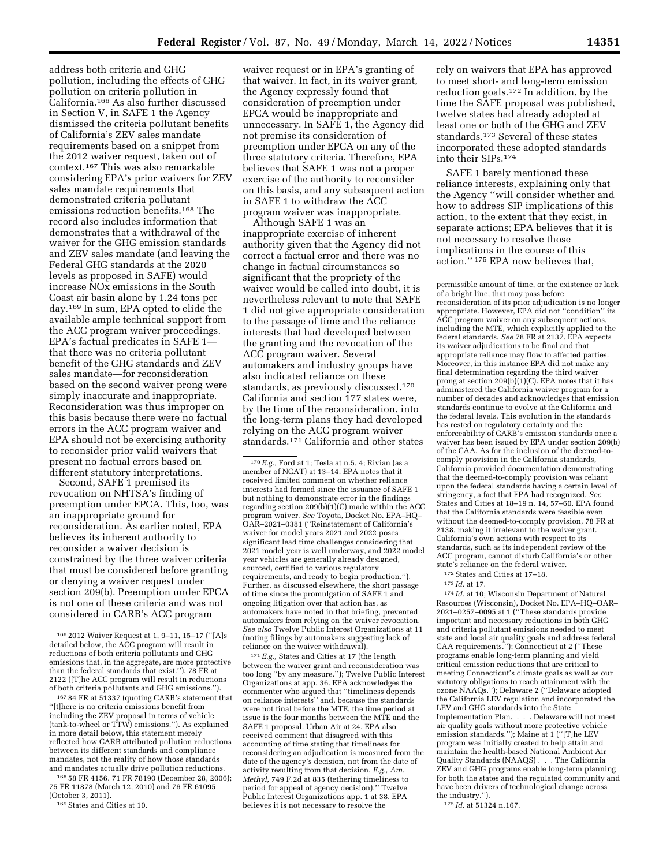address both criteria and GHG pollution, including the effects of GHG pollution on criteria pollution in California.166 As also further discussed in Section V, in SAFE 1 the Agency dismissed the criteria pollutant benefits of California's ZEV sales mandate requirements based on a snippet from the 2012 waiver request, taken out of context.167 This was also remarkable considering EPA's prior waivers for ZEV sales mandate requirements that demonstrated criteria pollutant emissions reduction benefits.168 The record also includes information that demonstrates that a withdrawal of the waiver for the GHG emission standards and ZEV sales mandate (and leaving the Federal GHG standards at the 2020 levels as proposed in SAFE) would increase NOx emissions in the South Coast air basin alone by 1.24 tons per day.169 In sum, EPA opted to elide the available ample technical support from the ACC program waiver proceedings. EPA's factual predicates in SAFE 1 that there was no criteria pollutant benefit of the GHG standards and ZEV sales mandate—for reconsideration based on the second waiver prong were simply inaccurate and inappropriate. Reconsideration was thus improper on this basis because there were no factual errors in the ACC program waiver and EPA should not be exercising authority to reconsider prior valid waivers that present no factual errors based on different statutory interpretations.

Second, SAFE 1 premised its revocation on NHTSA's finding of preemption under EPCA. This, too, was an inappropriate ground for reconsideration. As earlier noted, EPA believes its inherent authority to reconsider a waiver decision is constrained by the three waiver criteria that must be considered before granting or denying a waiver request under section 209(b). Preemption under EPCA is not one of these criteria and was not considered in CARB's ACC program

167 84 FR at 51337 (quoting CARB's statement that ''[t]here is no criteria emissions benefit from including the ZEV proposal in terms of vehicle (tank-to-wheel or TTW) emissions.''). As explained in more detail below, this statement merely reflected how CARB attributed pollution reductions between its different standards and compliance mandates, not the reality of how those standards and mandates actually drive pollution reductions.

168 58 FR 4156. 71 FR 78190 (December 28, 2006); 75 FR 11878 (March 12, 2010) and 76 FR 61095 (October 3, 2011).

169States and Cities at 10.

waiver request or in EPA's granting of that waiver. In fact, in its waiver grant, the Agency expressly found that consideration of preemption under EPCA would be inappropriate and unnecessary. In SAFE 1, the Agency did not premise its consideration of preemption under EPCA on any of the three statutory criteria. Therefore, EPA believes that SAFE 1 was not a proper exercise of the authority to reconsider on this basis, and any subsequent action in SAFE 1 to withdraw the ACC program waiver was inappropriate.

Although SAFE 1 was an inappropriate exercise of inherent authority given that the Agency did not correct a factual error and there was no change in factual circumstances so significant that the propriety of the waiver would be called into doubt, it is nevertheless relevant to note that SAFE 1 did not give appropriate consideration to the passage of time and the reliance interests that had developed between the granting and the revocation of the ACC program waiver. Several automakers and industry groups have also indicated reliance on these standards, as previously discussed.170 California and section 177 states were, by the time of the reconsideration, into the long-term plans they had developed relying on the ACC program waiver standards.171 California and other states

170*E.g.,* Ford at 1; Tesla at n.5, 4; Rivian (as a member of NCAT) at 13–14. EPA notes that it received limited comment on whether reliance interests had formed since the issuance of SAFE 1 but nothing to demonstrate error in the findings regarding section 209(b)(1)(C) made within the ACC program waiver. *See* Toyota, Docket No. EPA–HQ– OAR–2021–0381 (''Reinstatement of California's waiver for model years 2021 and 2022 poses significant lead time challenges considering that 2021 model year is well underway, and 2022 model year vehicles are generally already designed, sourced, certified to various regulatory requirements, and ready to begin production.''). Further, as discussed elsewhere, the short passage of time since the promulgation of SAFE 1 and ongoing litigation over that action has, as automakers have noted in that briefing, prevented automakers from relying on the waiver revocation. *See also* Twelve Public Interest Organizations at 11 (noting filings by automakers suggesting lack of reliance on the waiver withdrawal).

 $^{\rm 171}E.g.,$  States and Cities at 17 (the length between the waiver grant and reconsideration was too long ''by any measure.''); Twelve Public Interest Organizations at app. 36. EPA acknowledges the commenter who argued that ''timeliness depends on reliance interests'' and, because the standards were not final before the MTE, the time period at issue is the four months between the MTE and the SAFE 1 proposal. Urban Air at 24. EPA also received comment that disagreed with this accounting of time stating that timeliness for reconsidering an adjudication is measured from the date of the agency's decision, not from the date of activity resulting from that decision. *E.g., Am. Methyl,* 749 F.2d at 835 (tethering timeliness to period for appeal of agency decision).'' Twelve Public Interest Organizations app. 1 at 38. EPA believes it is not necessary to resolve the

rely on waivers that EPA has approved to meet short- and long-term emission reduction goals.172 In addition, by the time the SAFE proposal was published, twelve states had already adopted at least one or both of the GHG and ZEV standards.173 Several of these states incorporated these adopted standards into their SIPs.174

SAFE 1 barely mentioned these reliance interests, explaining only that the Agency ''will consider whether and how to address SIP implications of this action, to the extent that they exist, in separate actions; EPA believes that it is not necessary to resolve those implications in the course of this action.'' 175 EPA now believes that,

permissible amount of time, or the existence or lack of a bright line, that may pass before reconsideration of its prior adjudication is no longer appropriate. However, EPA did not ''condition'' its ACC program waiver on any subsequent actions, including the MTE, which explicitly applied to the federal standards. *See* 78 FR at 2137. EPA expects its waiver adjudications to be final and that appropriate reliance may flow to affected parties. Moreover, in this instance EPA did not make any final determination regarding the third waiver prong at section  $209(b)(1)(C)$ . EPA notes that it has administered the California waiver program for a number of decades and acknowledges that emission standards continue to evolve at the California and the federal levels. This evolution in the standards has rested on regulatory certainty and the enforceability of CARB's emission standards once a waiver has been issued by EPA under section 209(b) of the CAA. As for the inclusion of the deemed-tocomply provision in the California standards, California provided documentation demonstrating that the deemed-to-comply provision was reliant upon the federal standards having a certain level of stringency, a fact that EPA had recognized. *See*  States and Cities at 18–19 n. 14, 57–60. EPA found that the California standards were feasible even without the deemed-to-comply provision, 78 FR at 2138, making it irrelevant to the waiver grant. California's own actions with respect to its standards, such as its independent review of the ACC program, cannot disturb California's or other state's reliance on the federal waiver.

172States and Cities at 17–18.

174 *Id.* at 10; Wisconsin Department of Natural Resources (Wisconsin), Docket No. EPA–HQ–OAR– 2021–0257–0095 at 1 (''These standards provide important and necessary reductions in both GHG and criteria pollutant emissions needed to meet state and local air quality goals and address federal CAA requirements.''); Connecticut at 2 (''These programs enable long-term planning and yield critical emission reductions that are critical to meeting Connecticut's climate goals as well as our statutory obligations to reach attainment with the ozone NAAQs.''); Delaware 2 (''Delaware adopted the California LEV regulation and incorporated the LEV and GHG standards into the State Implementation Plan. . . . Delaware will not meet air quality goals without more protective vehicle emission standards.''); Maine at 1 (''[T]he LEV program was initially created to help attain and maintain the health-based National Ambient Air Quality Standards (NAAQS) . . . The California ZEV and GHG programs enable long-term planning for both the states and the regulated community and have been drivers of technological change across the industry.'').

175 *Id.* at 51324 n.167.

<sup>166</sup> 2012 Waiver Request at 1, 9–11, 15–17 (''[A]s detailed below, the ACC program will result in reductions of both criteria pollutants and GHG emissions that, in the aggregate, are more protective than the federal standards that exist.''). 78 FR at 2122 ([T]he ACC program will result in reductions of both criteria pollutants and GHG emissions.'').

<sup>173</sup> *Id.* at 17.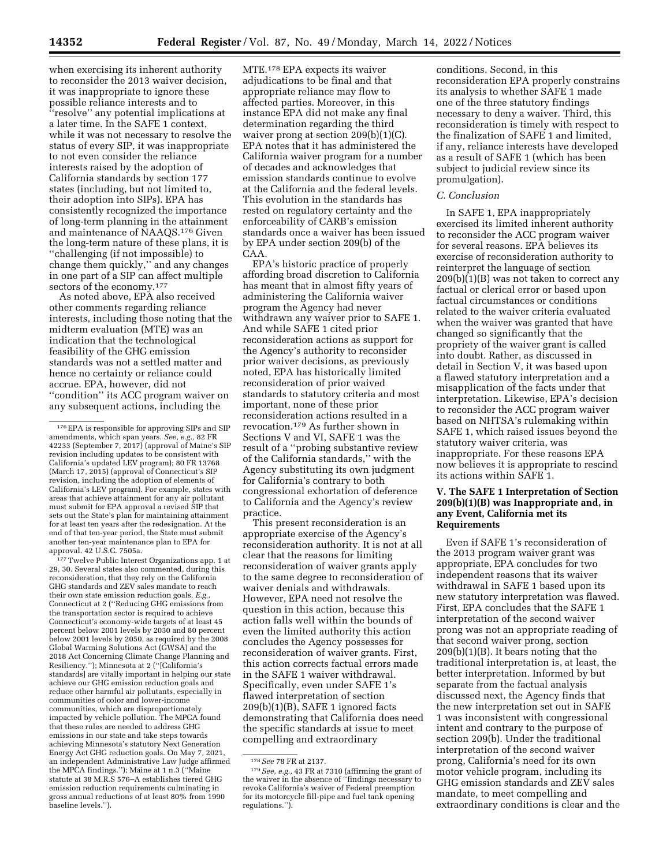when exercising its inherent authority to reconsider the 2013 waiver decision, it was inappropriate to ignore these possible reliance interests and to ''resolve'' any potential implications at a later time. In the SAFE 1 context, while it was not necessary to resolve the status of every SIP, it was inappropriate to not even consider the reliance interests raised by the adoption of California standards by section 177 states (including, but not limited to, their adoption into SIPs). EPA has consistently recognized the importance of long-term planning in the attainment and maintenance of NAAQS.176 Given the long-term nature of these plans, it is ''challenging (if not impossible) to change them quickly,'' and any changes in one part of a SIP can affect multiple sectors of the economy.177

As noted above, EPA also received other comments regarding reliance interests, including those noting that the midterm evaluation (MTE) was an indication that the technological feasibility of the GHG emission standards was not a settled matter and hence no certainty or reliance could accrue. EPA, however, did not ''condition'' its ACC program waiver on any subsequent actions, including the

177 Twelve Public Interest Organizations app. 1 at 29, 30. Several states also commented, during this reconsideration, that they rely on the California GHG standards and ZEV sales mandate to reach their own state emission reduction goals. *E.g.,*  Connecticut at 2 (''Reducing GHG emissions from the transportation sector is required to achieve Connecticut's economy-wide targets of at least 45 percent below 2001 levels by 2030 and 80 percent below 2001 levels by 2050, as required by the 2008 Global Warming Solutions Act (GWSA) and the 2018 Act Concerning Climate Change Planning and Resiliency.''); Minnesota at 2 (''[California's standards] are vitally important in helping our state achieve our GHG emission reduction goals and reduce other harmful air pollutants, especially in communities of color and lower-income communities, which are disproportionately impacted by vehicle pollution. The MPCA found that these rules are needed to address GHG emissions in our state and take steps towards achieving Minnesota's statutory Next Generation Energy Act GHG reduction goals. On May 7, 2021, an independent Administrative Law Judge affirmed the MPCA findings.''); Maine at 1 n.3 (''Maine statute at 38 M.R.S 576–A establishes tiered GHG emission reduction requirements culminating in gross annual reductions of at least 80% from 1990 baseline levels.'').

MTE.178 EPA expects its waiver adjudications to be final and that appropriate reliance may flow to affected parties. Moreover, in this instance EPA did not make any final determination regarding the third waiver prong at section 209(b)(1)(C). EPA notes that it has administered the California waiver program for a number of decades and acknowledges that emission standards continue to evolve at the California and the federal levels. This evolution in the standards has rested on regulatory certainty and the enforceability of CARB's emission standards once a waiver has been issued by EPA under section 209(b) of the CAA.

EPA's historic practice of properly affording broad discretion to California has meant that in almost fifty years of administering the California waiver program the Agency had never withdrawn any waiver prior to SAFE 1. And while SAFE 1 cited prior reconsideration actions as support for the Agency's authority to reconsider prior waiver decisions, as previously noted, EPA has historically limited reconsideration of prior waived standards to statutory criteria and most important, none of these prior reconsideration actions resulted in a revocation.179 As further shown in Sections V and VI, SAFE 1 was the result of a ''probing substantive review of the California standards,'' with the Agency substituting its own judgment for California's contrary to both congressional exhortation of deference to California and the Agency's review practice.

This present reconsideration is an appropriate exercise of the Agency's reconsideration authority. It is not at all clear that the reasons for limiting reconsideration of waiver grants apply to the same degree to reconsideration of waiver denials and withdrawals. However, EPA need not resolve the question in this action, because this action falls well within the bounds of even the limited authority this action concludes the Agency possesses for reconsideration of waiver grants. First, this action corrects factual errors made in the SAFE 1 waiver withdrawal. Specifically, even under SAFE 1's flawed interpretation of section 209(b)(1)(B), SAFE 1 ignored facts demonstrating that California does need the specific standards at issue to meet compelling and extraordinary

conditions. Second, in this reconsideration EPA properly constrains its analysis to whether SAFE 1 made one of the three statutory findings necessary to deny a waiver. Third, this reconsideration is timely with respect to the finalization of SAFE 1 and limited, if any, reliance interests have developed as a result of SAFE 1 (which has been subject to judicial review since its promulgation).

#### *C. Conclusion*

In SAFE 1, EPA inappropriately exercised its limited inherent authority to reconsider the ACC program waiver for several reasons. EPA believes its exercise of reconsideration authority to reinterpret the language of section 209(b)(1)(B) was not taken to correct any factual or clerical error or based upon factual circumstances or conditions related to the waiver criteria evaluated when the waiver was granted that have changed so significantly that the propriety of the waiver grant is called into doubt. Rather, as discussed in detail in Section V, it was based upon a flawed statutory interpretation and a misapplication of the facts under that interpretation. Likewise, EPA's decision to reconsider the ACC program waiver based on NHTSA's rulemaking within SAFE 1, which raised issues beyond the statutory waiver criteria, was inappropriate. For these reasons EPA now believes it is appropriate to rescind its actions within SAFE 1.

### **V. The SAFE 1 Interpretation of Section 209(b)(1)(B) was Inappropriate and, in any Event, California met its Requirements**

Even if SAFE 1's reconsideration of the 2013 program waiver grant was appropriate, EPA concludes for two independent reasons that its waiver withdrawal in SAFE 1 based upon its new statutory interpretation was flawed. First, EPA concludes that the SAFE 1 interpretation of the second waiver prong was not an appropriate reading of that second waiver prong, section 209(b)(1)(B). It bears noting that the traditional interpretation is, at least, the better interpretation. Informed by but separate from the factual analysis discussed next, the Agency finds that the new interpretation set out in SAFE 1 was inconsistent with congressional intent and contrary to the purpose of section 209(b). Under the traditional interpretation of the second waiver prong, California's need for its own motor vehicle program, including its GHG emission standards and ZEV sales mandate, to meet compelling and extraordinary conditions is clear and the

<sup>176</sup>EPA is responsible for approving SIPs and SIP amendments, which span years. *See, e.g.,* 82 FR 42233 (September 7, 2017) (approval of Maine's SIP revision including updates to be consistent with California's updated LEV program); 80 FR 13768 (March 17, 2015) (approval of Connecticut's SIP revision, including the adoption of elements of California's LEV program). For example, states with areas that achieve attainment for any air pollutant must submit for EPA approval a revised SIP that sets out the State's plan for maintaining attainment for at least ten years after the redesignation. At the end of that ten-year period, the State must submit another ten-year maintenance plan to EPA for approval. 42 U.S.C. 7505a.

<sup>178</sup>*See* 78 FR at 2137. 179*See, e.g.,* 43 FR at 7310 (affirming the grant of the waiver in the absence of ''findings necessary to revoke California's waiver of Federal preemption for its motorcycle fill-pipe and fuel tank opening regulations.'').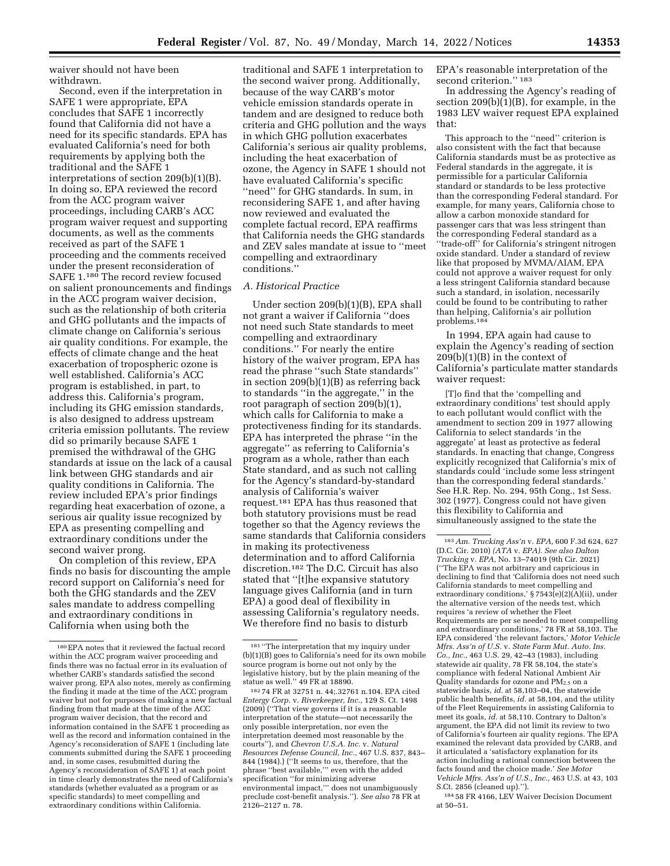waiver should not have been withdrawn.

Second, even if the interpretation in SAFE 1 were appropriate, EPA concludes that SAFE 1 incorrectly found that California did not have a need for its specific standards. EPA has evaluated California's need for both requirements by applying both the traditional and the SAFE 1 interpretations of section 209(b)(1)(B). In doing so, EPA reviewed the record from the ACC program waiver proceedings, including CARB's ACC program waiver request and supporting documents, as well as the comments received as part of the SAFE 1 proceeding and the comments received under the present reconsideration of SAFE 1.180 The record review focused on salient pronouncements and findings in the ACC program waiver decision, such as the relationship of both criteria and GHG pollutants and the impacts of climate change on California's serious air quality conditions. For example, the effects of climate change and the heat exacerbation of tropospheric ozone is well established. California's ACC program is established, in part, to address this. California's program, including its GHG emission standards, is also designed to address upstream criteria emission pollutants. The review did so primarily because SAFE 1 premised the withdrawal of the GHG standards at issue on the lack of a causal link between GHG standards and air quality conditions in California. The review included EPA's prior findings regarding heat exacerbation of ozone, a serious air quality issue recognized by EPA as presenting compelling and extraordinary conditions under the second waiver prong.

On completion of this review, EPA finds no basis for discounting the ample record support on California's need for both the GHG standards and the ZEV sales mandate to address compelling and extraordinary conditions in California when using both the

traditional and SAFE 1 interpretation to the second waiver prong. Additionally, because of the way CARB's motor vehicle emission standards operate in tandem and are designed to reduce both criteria and GHG pollution and the ways in which GHG pollution exacerbates California's serious air quality problems, including the heat exacerbation of ozone, the Agency in SAFE 1 should not have evaluated California's specific ''need'' for GHG standards. In sum, in reconsidering SAFE 1, and after having now reviewed and evaluated the complete factual record, EPA reaffirms that California needs the GHG standards and ZEV sales mandate at issue to ''meet compelling and extraordinary conditions.''

#### *A. Historical Practice*

Under section 209(b)(1)(B), EPA shall not grant a waiver if California ''does not need such State standards to meet compelling and extraordinary conditions.'' For nearly the entire history of the waiver program, EPA has read the phrase ''such State standards'' in section 209(b)(1)(B) as referring back to standards ''in the aggregate,'' in the root paragraph of section 209(b)(1), which calls for California to make a protectiveness finding for its standards. EPA has interpreted the phrase ''in the aggregate'' as referring to California's program as a whole, rather than each State standard, and as such not calling for the Agency's standard-by-standard analysis of California's waiver request.181 EPA has thus reasoned that both statutory provisions must be read together so that the Agency reviews the same standards that California considers in making its protectiveness determination and to afford California discretion.182 The D.C. Circuit has also stated that ''[t]he expansive statutory language gives California (and in turn EPA) a good deal of flexibility in assessing California's regulatory needs. We therefore find no basis to disturb

182 74 FR at 32751 n. 44;.32761 n.104. EPA cited *Entergy Corp.* v. *Riverkeeper, Inc.,* 129 S. Ct. 1498 (2009) (''That view governs if it is a reasonable interpretation of the statute—not necessarily the only possible interpretation, nor even the interpretation deemed most reasonable by the courts''), and *Chevron U.S.A. Inc.* v. *Natural Resources Defense Council, Inc.,* 467 U.S. 837, 843– 844 (1984).) (''It seems to us, therefore, that the phrase ''best available,''' even with the added specification ''for minimizing adverse environmental impact,''' does not unambiguously preclude cost-benefit analysis.''). *See also* 78 FR at 2126–2127 n. 78.

EPA's reasonable interpretation of the second criterion."<sup>183</sup>

In addressing the Agency's reading of section 209(b)(1)(B), for example, in the 1983 LEV waiver request EPA explained that:

This approach to the ''need'' criterion is also consistent with the fact that because California standards must be as protective as Federal standards in the aggregate, it is permissible for a particular California standard or standards to be less protective than the corresponding Federal standard. For example, for many years, California chose to allow a carbon monoxide standard for passenger cars that was less stringent than the corresponding Federal standard as a ''trade-off'' for California's stringent nitrogen oxide standard. Under a standard of review like that proposed by MVMA/AIAM, EPA could not approve a waiver request for only a less stringent California standard because such a standard, in isolation, necessarily could be found to be contributing to rather than helping, California's air pollution problems.184

In 1994, EPA again had cause to explain the Agency's reading of section  $209(b)(1)(B)$  in the context of California's particulate matter standards waiver request:

[T]o find that the 'compelling and extraordinary conditions' test should apply to each pollutant would conflict with the amendment to section 209 in 1977 allowing California to select standards 'in the aggregate' at least as protective as federal standards. In enacting that change, Congress explicitly recognized that California's mix of standards could 'include some less stringent than the corresponding federal standards.' See H.R. Rep. No. 294, 95th Cong., 1st Sess. 302 (1977). Congress could not have given this flexibility to California and simultaneously assigned to the state the

184 58 FR 4166, LEV Waiver Decision Document at 50–51.

<sup>180</sup>EPA notes that it reviewed the factual record within the ACC program waiver proceeding and finds there was no factual error in its evaluation of whether CARB's standards satisfied the second waiver prong. EPA also notes, merely as confirming the finding it made at the time of the ACC program waiver but not for purposes of making a new factual finding from that made at the time of the ACC program waiver decision, that the record and information contained in the SAFE 1 proceeding as well as the record and information contained in the Agency's reconsideration of SAFE 1 (including late comments submitted during the SAFE 1 proceeding and, in some cases, resubmitted during the Agency's reconsideration of SAFE 1) at each point in time clearly demonstrates the need of California's standards (whether evaluated as a program or as specific standards) to meet compelling and extraordinary conditions within California.

<sup>181</sup> ''The interpretation that my inquiry under (b)(1)(B) goes to California's need for its own mobile source program is borne out not only by the legislative history, but by the plain meaning of the statue as well.'' 49 FR at 18890.

<sup>183</sup>*Am. Trucking Ass'n* v. *EPA,* 600 F.3d 624, 627 (D.C. Cir. 2010) *(ATA* v. *EPA). See also Dalton Trucking* v. *EPA,* No. 13–74019 (9th Cir. 2021) (''The EPA was not arbitrary and capricious in declining to find that 'California does not need such California standards to meet compelling and extraordinary conditions,' § 7543(e)(2)(A)(ii), under the alternative version of the needs test, which requires 'a review of whether the Fleet Requirements are per se needed to meet compelling and extraordinary conditions,' 78 FR at 58,103. The EPA considered 'the relevant factors,' *Motor Vehicle Mfrs. Ass'n of U.S.* v. *State Farm Mut. Auto. Ins. Co., Inc.,* 463 U.S. 29, 42–43 (1983), including statewide air quality, 78 FR 58,104, the state's compliance with federal National Ambient Air Quality standards for ozone and  $PM<sub>2.5</sub>$  on a statewide basis, *id.* at 58,103–04, the statewide public health benefits, *id.* at 58,104, and the utility of the Fleet Requirements in assisting California to meet its goals, *id.* at 58,110. Contrary to Dalton's argument, the EPA did not limit its review to two of California's fourteen air quality regions. The EPA examined the relevant data provided by CARB, and it articulated a 'satisfactory explanation for its action including a rational connection between the facts found and the choice made.' *See Motor Vehicle Mfrs. Ass'n of U.S., Inc.,* 463 U.S. at 43, 103 S.Ct. 2856 (cleaned up).'').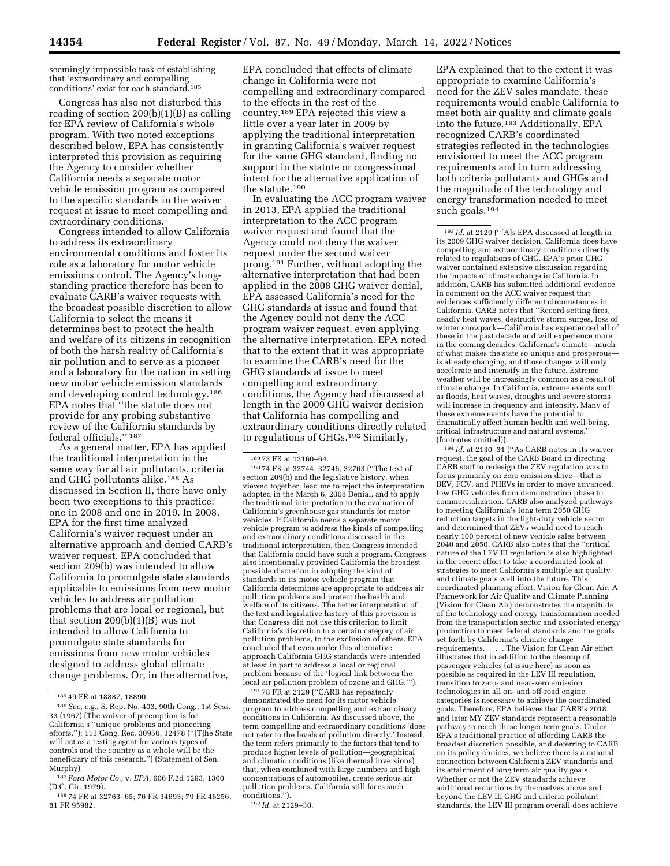seemingly impossible task of establishing that 'extraordinary and compelling conditions' exist for each standard.<sup>185</sup>

Congress has also not disturbed this reading of section 209(b)(1)(B) as calling for EPA review of California's whole program. With two noted exceptions described below, EPA has consistently interpreted this provision as requiring the Agency to consider whether California needs a separate motor vehicle emission program as compared to the specific standards in the waiver request at issue to meet compelling and extraordinary conditions.

Congress intended to allow California to address its extraordinary environmental conditions and foster its role as a laboratory for motor vehicle emissions control. The Agency's longstanding practice therefore has been to evaluate CARB's waiver requests with the broadest possible discretion to allow California to select the means it determines best to protect the health and welfare of its citizens in recognition of both the harsh reality of California's air pollution and to serve as a pioneer and a laboratory for the nation in setting new motor vehicle emission standards and developing control technology.186 EPA notes that ''the statute does not provide for any probing substantive review of the California standards by federal officials.'' 187

As a general matter, EPA has applied the traditional interpretation in the same way for all air pollutants, criteria and GHG pollutants alike.188 As discussed in Section II, there have only been two exceptions to this practice: one in 2008 and one in 2019. In 2008, EPA for the first time analyzed California's waiver request under an alternative approach and denied CARB's waiver request. EPA concluded that section 209(b) was intended to allow California to promulgate state standards applicable to emissions from new motor vehicles to address air pollution problems that are local or regional, but that section  $209(b)(1)(B)$  was not intended to allow California to promulgate state standards for emissions from new motor vehicles designed to address global climate change problems. Or, in the alternative,

EPA concluded that effects of climate change in California were not compelling and extraordinary compared to the effects in the rest of the country.189 EPA rejected this view a little over a year later in 2009 by applying the traditional interpretation in granting California's waiver request for the same GHG standard, finding no support in the statute or congressional intent for the alternative application of the statute.  $\rm ^{190}$ 

In evaluating the ACC program waiver in 2013, EPA applied the traditional interpretation to the ACC program waiver request and found that the Agency could not deny the waiver request under the second waiver prong.191 Further, without adopting the alternative interpretation that had been applied in the 2008 GHG waiver denial, EPA assessed California's need for the GHG standards at issue and found that the Agency could not deny the ACC program waiver request, even applying the alternative interpretation. EPA noted that to the extent that it was appropriate to examine the CARB's need for the GHG standards at issue to meet compelling and extraordinary conditions, the Agency had discussed at length in the 2009 GHG waiver decision that California has compelling and extraordinary conditions directly related to regulations of GHGs.192 Similarly,

<sup>189</sup> 73 FR at 12160–64. 190 74 FR at 32744, 32746, 32763 (''The text of section 209(b) and the legislative history, when viewed together, lead me to reject the interpretation adopted in the March 6, 2008 Denial, and to apply the traditional interpretation to the evaluation of California's greenhouse gas standards for motor vehicles. If California needs a separate motor vehicle program to address the kinds of compelling and extraordinary conditions discussed in the traditional interpretation, then Congress intended that California could have such a program. Congress also intentionally provided California the broadest possible discretion in adopting the kind of standards in its motor vehicle program that California determines are appropriate to address air pollution problems and protect the health and welfare of its citizens. The better interpretation of the text and legislative history of this provision is that Congress did not use this criterion to limit California's discretion to a certain category of air pollution problems, to the exclusion of others. EPA concluded that even under this alternative approach California GHG standards were intended at least in part to address a local or regional problem because of the 'logical link between the local air pollution problem of ozone and GHG.''').

191 78 FR at 2129 (''CARB has repeatedly demonstrated the need for its motor vehicle program to address compelling and extraordinary conditions in California. As discussed above, the term compelling and extraordinary conditions 'does not refer to the levels of pollution directly.' Instead, the term refers primarily to the factors that tend to produce higher levels of pollution—geographical and climatic conditions (like thermal inversions) that, when combined with large numbers and high concentrations of automobiles, create serious air pollution problems. California still faces such conditions.'').

192 *Id.* at 2129–30.

EPA explained that to the extent it was appropriate to examine California's need for the ZEV sales mandate, these requirements would enable California to meet both air quality and climate goals into the future.193 Additionally, EPA recognized CARB's coordinated strategies reflected in the technologies envisioned to meet the ACC program requirements and in turn addressing both criteria pollutants and GHGs and the magnitude of the technology and energy transformation needed to meet such goals.194

 $^{\rm 193}$   $\it Id.$  at 2129 (''[A]s EPA discussed at length in its 2009 GHG waiver decision, California does have compelling and extraordinary conditions directly related to regulations of GHG. EPA's prior GHG waiver contained extensive discussion regarding the impacts of climate change in California. In addition, CARB has submitted additional evidence in comment on the ACC waiver request that evidences sufficiently different circumstances in California. CARB notes that ''Record-setting fires, deadly heat waves, destructive storm surges, loss of winter snowpack—California has experienced all of these in the past decade and will experience more in the coming decades. California's climate—much of what makes the state so unique and prosperous is already changing, and those changes will only accelerate and intensify in the future. Extreme weather will be increasingly common as a result of climate change. In California, extreme events such as floods, heat waves, droughts and severe storms will increase in frequency and intensity. Many of these extreme events have the potential to dramatically affect human health and well-being, critical infrastructure and natural systems.'' (footnotes omitted)).

194 *Id.* at 2130–31 (''As CARB notes in its waiver request, the goal of the CARB Board in directing CARB staff to redesign the ZEV regulation was to focus primarily on zero emission drive—that is BEV, FCV, and PHEVs in order to move advanced, low GHG vehicles from demonstration phase to commercialization. CARB also analyzed pathways to meeting California's long term 2050 GHG reduction targets in the light-duty vehicle sector and determined that ZEVs would need to reach nearly 100 percent of new vehicle sales between 2040 and 2050. CARB also notes that the ''critical nature of the LEV III regulation is also highlighted in the recent effort to take a coordinated look at strategies to meet California's multiple air quality and climate goals well into the future. This coordinated planning effort, Vision for Clean Air: A Framework for Air Quality and Climate Planning (Vision for Clean Air) demonstrates the magnitude of the technology and energy transformation needed from the transportation sector and associated energy production to meet federal standards and the goals set forth by California's climate change requirements. . . . The Vision for Clean Air effort illustrates that in addition to the cleanup of passenger vehicles (at issue here) as soon as possible as required in the LEV III regulation, transition to zero- and near-zero emission technologies in all on- and off-road engine categories is necessary to achieve the coordinated goals. Therefore, EPA believes that CARB's 2018 and later MY ZEV standards represent a reasonable pathway to reach these longer term goals. Under EPA's traditional practice of affording CARB the broadest discretion possible, and deferring to CARB on its policy choices, we believe there is a rational connection between California ZEV standards and its attainment of long term air quality goals. Whether or not the ZEV standards achieve additional reductions by themselves above and beyond the LEV III GHG and criteria pollutant standards, the LEV III program overall does achieve

<sup>185</sup> 49 FR at 18887, 18890.

<sup>186</sup>*See, e.g.,* S. Rep. No. 403, 90th Cong., 1st Sess. 33 (1967) (The waiver of preemption is for California's ''unique problems and pioneering efforts.''); 113 Cong. Rec. 30950, 32478 (''[T]he State will act as a testing agent for various types of controls and the country as a whole will be the beneficiary of this research.'') (Statement of Sen. Murphy).

<sup>187</sup> *Ford Motor Co.,* v. *EPA,* 606 F.2d 1293, 1300 (D.C. Cir. 1979).

<sup>188</sup> 74 FR at 32763–65; 76 FR 34693; 79 FR 46256; 81 FR 95982.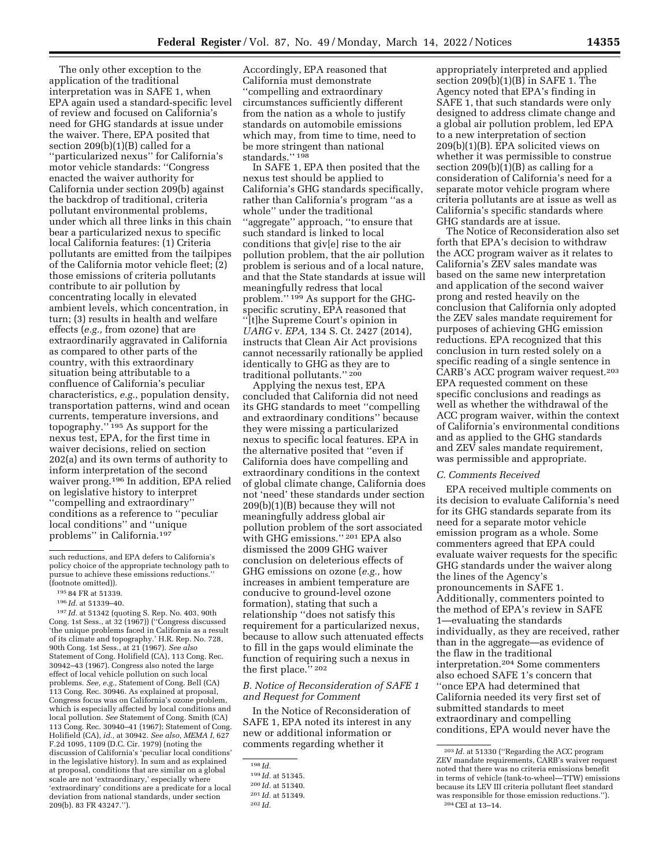The only other exception to the application of the traditional interpretation was in SAFE 1, when EPA again used a standard-specific level of review and focused on California's need for GHG standards at issue under the waiver. There, EPA posited that section 209(b)(1)(B) called for a ''particularized nexus'' for California's motor vehicle standards: ''Congress enacted the waiver authority for California under section 209(b) against the backdrop of traditional, criteria pollutant environmental problems, under which all three links in this chain bear a particularized nexus to specific local California features: (1) Criteria pollutants are emitted from the tailpipes of the California motor vehicle fleet; (2) those emissions of criteria pollutants contribute to air pollution by concentrating locally in elevated ambient levels, which concentration, in turn; (3) results in health and welfare effects (*e.g.,* from ozone) that are extraordinarily aggravated in California as compared to other parts of the country, with this extraordinary situation being attributable to a confluence of California's peculiar characteristics, *e.g.,* population density, transportation patterns, wind and ocean currents, temperature inversions, and topography.'' 195 As support for the nexus test, EPA, for the first time in waiver decisions, relied on section 202(a) and its own terms of authority to inform interpretation of the second waiver prong.196 In addition, EPA relied on legislative history to interpret ''compelling and extraordinary'' conditions as a reference to ''peculiar local conditions'' and ''unique problems'' in California.197

197 *Id.* at 51342 (quoting S. Rep. No. 403, 90th Cong. 1st Sess., at 32 (1967)) (''Congress discussed 'the unique problems faced in California as a result of its climate and topography.' H.R. Rep. No. 728, 90th Cong. 1st Sess., at 21 (1967). *See also*  Statement of Cong. Holifield (CA), 113 Cong. Rec. 30942–43 (1967). Congress also noted the large effect of local vehicle pollution on such local problems. *See, e.g.,* Statement of Cong. Bell (CA) 113 Cong. Rec. 30946. As explained at proposal, Congress focus was on California's ozone problem, which is especially affected by local conditions and local pollution. *See* Statement of Cong. Smith (CA) 113 Cong. Rec. 30940–41 (1967); Statement of Cong. Holifield (CA), *id.,* at 30942. *See also, MEMA I,* 627 F.2d 1095, 1109 (D.C. Cir. 1979) (noting the discussion of California's 'peculiar local conditions' in the legislative history). In sum and as explained at proposal, conditions that are similar on a global scale are not 'extraordinary,' especially where 'extraordinary' conditions are a predicate for a local deviation from national standards, under section 209(b). 83 FR 43247.'').

Accordingly, EPA reasoned that California must demonstrate ''compelling and extraordinary circumstances sufficiently different from the nation as a whole to justify standards on automobile emissions which may, from time to time, need to be more stringent than national standards.'' 198

In SAFE 1, EPA then posited that the nexus test should be applied to California's GHG standards specifically, rather than California's program ''as a whole'' under the traditional ''aggregate'' approach, ''to ensure that such standard is linked to local conditions that giv[e] rise to the air pollution problem, that the air pollution problem is serious and of a local nature, and that the State standards at issue will meaningfully redress that local problem.'' 199 As support for the GHGspecific scrutiny, EPA reasoned that ''[t]he Supreme Court's opinion in *UARG* v. *EPA,* 134 S. Ct. 2427 (2014), instructs that Clean Air Act provisions cannot necessarily rationally be applied identically to GHG as they are to traditional pollutants.'' 200

Applying the nexus test, EPA concluded that California did not need its GHG standards to meet ''compelling and extraordinary conditions'' because they were missing a particularized nexus to specific local features. EPA in the alternative posited that ''even if California does have compelling and extraordinary conditions in the context of global climate change, California does not 'need' these standards under section 209(b)(1)(B) because they will not meaningfully address global air pollution problem of the sort associated with GHG emissions.'' 201 EPA also dismissed the 2009 GHG waiver conclusion on deleterious effects of GHG emissions on ozone (*e.g.,* how increases in ambient temperature are conducive to ground-level ozone formation), stating that such a relationship ''does not satisfy this requirement for a particularized nexus, because to allow such attenuated effects to fill in the gaps would eliminate the function of requiring such a nexus in the first place.'' 202

## *B. Notice of Reconsideration of SAFE 1 and Request for Comment*

In the Notice of Reconsideration of SAFE 1, EPA noted its interest in any new or additional information or comments regarding whether it

appropriately interpreted and applied section 209(b)(1)(B) in SAFE 1. The Agency noted that EPA's finding in SAFE 1, that such standards were only designed to address climate change and a global air pollution problem, led EPA to a new interpretation of section 209(b)(1)(B). EPA solicited views on whether it was permissible to construe section  $209(b)(1)(B)$  as calling for a consideration of California's need for a separate motor vehicle program where criteria pollutants are at issue as well as California's specific standards where GHG standards are at issue.

The Notice of Reconsideration also set forth that EPA's decision to withdraw the ACC program waiver as it relates to California's ZEV sales mandate was based on the same new interpretation and application of the second waiver prong and rested heavily on the conclusion that California only adopted the ZEV sales mandate requirement for purposes of achieving GHG emission reductions. EPA recognized that this conclusion in turn rested solely on a specific reading of a single sentence in CARB's ACC program waiver request.203 EPA requested comment on these specific conclusions and readings as well as whether the withdrawal of the ACC program waiver, within the context of California's environmental conditions and as applied to the GHG standards and ZEV sales mandate requirement, was permissible and appropriate.

#### *C. Comments Received*

EPA received multiple comments on its decision to evaluate California's need for its GHG standards separate from its need for a separate motor vehicle emission program as a whole. Some commenters agreed that EPA could evaluate waiver requests for the specific GHG standards under the waiver along the lines of the Agency's pronouncements in SAFE 1. Additionally, commenters pointed to the method of EPA's review in SAFE 1—evaluating the standards individually, as they are received, rather than in the aggregate—as evidence of the flaw in the traditional interpretation.204 Some commenters also echoed SAFE 1's concern that ''once EPA had determined that California needed its very first set of submitted standards to meet extraordinary and compelling conditions, EPA would never have the

such reductions, and EPA defers to California's policy choice of the appropriate technology path to pursue to achieve these emissions reductions.'' (footnote omitted)).

<sup>195</sup> 84 FR at 51339.

<sup>196</sup> *Id.* at 51339–40.

<sup>198</sup> *Id.* 

<sup>199</sup> *Id.* at 51345.

<sup>200</sup> *Id.* at 51340.

<sup>201</sup> *Id.* at 51349.

<sup>202</sup> *Id.* 

<sup>203</sup> *Id.* at 51330 (''Regarding the ACC program ZEV mandate requirements, CARB's waiver request noted that there was no criteria emissions benefit in terms of vehicle (tank-to-wheel—TTW) emissions because its LEV III criteria pollutant fleet standard was responsible for those emission reductions.''). 204CEI at 13–14.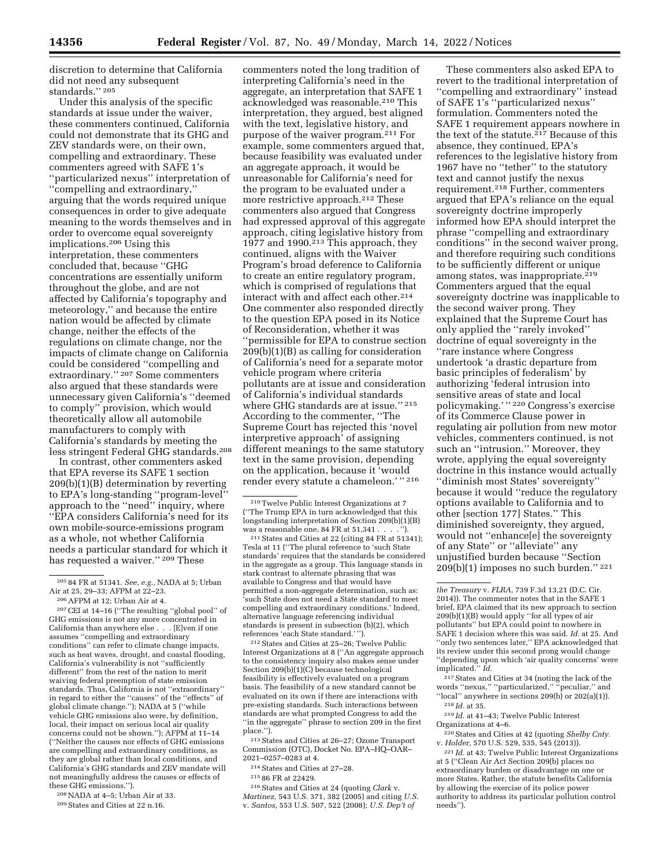discretion to determine that California did not need any subsequent standards.'' 205

Under this analysis of the specific standards at issue under the waiver, these commenters continued, California could not demonstrate that its GHG and ZEV standards were, on their own, compelling and extraordinary. These commenters agreed with SAFE 1's ''particularized nexus'' interpretation of ''compelling and extraordinary,'' arguing that the words required unique consequences in order to give adequate meaning to the words themselves and in order to overcome equal sovereignty implications.206 Using this interpretation, these commenters concluded that, because ''GHG concentrations are essentially uniform throughout the globe, and are not affected by California's topography and meteorology,'' and because the entire nation would be affected by climate change, neither the effects of the regulations on climate change, nor the impacts of climate change on California could be considered ''compelling and extraordinary.'' 207 Some commenters also argued that these standards were unnecessary given California's ''deemed to comply'' provision, which would theoretically allow all automobile manufacturers to comply with California's standards by meeting the less stringent Federal GHG standards.208

In contrast, other commenters asked that EPA reverse its SAFE 1 section 209(b)(1)(B) determination by reverting to EPA's long-standing ''program-level'' approach to the ''need'' inquiry, where ''EPA considers California's need for its own mobile-source-emissions program as a whole, not whether California needs a particular standard for which it has requested a waiver.'' 209 These

205 84 FR at 51341. *See, e.g.,* NADA at 5; Urban Air at 25, 29–33; AFPM at 22–23.

206AFPM at 12; Urban Air at 4.

207CEI at 14–16 (''The resulting ''global pool'' of GHG emissions is not any more concentrated in California than anywhere else . . . [E]ven if one assumes ''compelling and extraordinary conditions'' can refer to climate change impacts, such as heat waves, drought, and coastal flooding, California's vulnerability is not ''sufficiently different'' from the rest of the nation to merit waiving federal preemption of state emission standards. Thus, California is not ''extraordinary'' in regard to either the ''causes'' of the ''effects'' of global climate change.''); NADA at 5 (''while vehicle GHG emissions also were, by definition, local, their impact on serious local air quality concerns could not be shown.''); AFPM at 11–14 (''Neither the causes nor effects of GHG emissions are compelling and extraordinary conditions, as they are global rather than local conditions, and California's GHG standards and ZEV mandate will not meaningfully address the causes or effects of these GHG emissions.'').

208NADA at 4–5; Urban Air at 33.

209States and Cities at 22 n.16.

commenters noted the long tradition of interpreting California's need in the aggregate, an interpretation that SAFE 1 acknowledged was reasonable.210 This interpretation, they argued, best aligned with the text, legislative history, and purpose of the waiver program.211 For example, some commenters argued that, because feasibility was evaluated under an aggregate approach, it would be unreasonable for California's need for the program to be evaluated under a more restrictive approach.<sup>212</sup> These commenters also argued that Congress had expressed approval of this aggregate approach, citing legislative history from  $1977$  and  $1990<sup>213</sup>$  This approach, they continued, aligns with the Waiver Program's broad deference to California to create an entire regulatory program, which is comprised of regulations that interact with and affect each other.<sup>214</sup> One commenter also responded directly to the question EPA posed in its Notice of Reconsideration, whether it was ''permissible for EPA to construe section 209(b)(1)(B) as calling for consideration of California's need for a separate motor vehicle program where criteria pollutants are at issue and consideration of California's individual standards where GHG standards are at issue.'' 215 According to the commenter, ''The Supreme Court has rejected this 'novel interpretive approach' of assigning different meanings to the same statutory text in the same provision, depending on the application, because it 'would render every statute a chameleon.' " 216

 $^{\,210}\,\mathrm{Twelve}$  Public Interest Organizations at  $7$ (''The Trump EPA in turn acknowledged that this longstanding interpretation of Section 209(b)(1)(B) was a reasonable one, 84 FR at  $51,341$ ....

211States and Cities at 22 (citing 84 FR at 51341); Tesla at 11 (''The plural reference to 'such State standards' requires that the standards be considered in the aggregate as a group. This language stands in stark contrast to alternate phrasing that was available to Congress and that would have permitted a non-aggregate determination, such as: 'such State does not need a State standard to meet compelling and extraordinary conditions.' Indeed, alternative language referencing individual standards is present in subsection (b)(2), which references 'each State standard.' '').

212States and Cities at 25–26; Twelve Public Interest Organizations at 8 (''An aggregate approach to the consistency inquiry also makes sense under Section 209(b)(1)(C) because technological feasibility is effectively evaluated on a program basis. The feasibility of a new standard cannot be evaluated on its own if there are interactions with pre-existing standards. Such interactions between standards are what prompted Congress to add the ''in the aggregate'' phrase to section 209 in the first place.'').

213States and Cities at 26–27; Ozone Transport Commission (OTC), Docket No. EPA–HQ–OAR– 2021–0257–0283 at 4.

214States and Cities at 27–28.

216States and Cities at 24 (quoting *Clark* v. *Martinez,* 543 U.S. 371, 382 (2005) and citing *U.S.*  v. *Santos,* 553 U.S. 507, 522 (2008); *U.S. Dep't of* 

These commenters also asked EPA to revert to the traditional interpretation of ''compelling and extraordinary'' instead of SAFE 1's ''particularized nexus'' formulation. Commenters noted the SAFE 1 requirement appears nowhere in the text of the statute.<sup>217</sup> Because of this absence, they continued, EPA's references to the legislative history from 1967 have no ''tether'' to the statutory text and cannot justify the nexus requirement.218 Further, commenters argued that EPA's reliance on the equal sovereignty doctrine improperly informed how EPA should interpret the phrase ''compelling and extraordinary conditions'' in the second waiver prong, and therefore requiring such conditions to be sufficiently different or unique among states, was inappropriate.<sup>219</sup> Commenters argued that the equal sovereignty doctrine was inapplicable to the second waiver prong. They explained that the Supreme Court has only applied the ''rarely invoked'' doctrine of equal sovereignty in the ''rare instance where Congress undertook 'a drastic departure from basic principles of federalism' by authorizing 'federal intrusion into sensitive areas of state and local policymaking.' '' 220 Congress's exercise of its Commerce Clause power in regulating air pollution from new motor vehicles, commenters continued, is not such an ''intrusion.'' Moreover, they wrote, applying the equal sovereignty doctrine in this instance would actually ''diminish most States' sovereignty'' because it would ''reduce the regulatory options available to California and to other [section 177] States.'' This diminished sovereignty, they argued, would not ''enhance[e] the sovereignty of any State'' or ''alleviate'' any unjustified burden because ''Section 209(b)(1) imposes no such burden.'' 221

217States and Cities at 34 (noting the lack of the words ''nexus,'' ''particularized,'' ''peculiar,'' and "local" anywhere in sections  $209(b)$  or  $202(a)(1)$ ).

219 *Id.* at 41–43; Twelve Public Interest Organizations at 4–6.

v. *Holder,* 570 U.S. 529, 535, 545 (2013)).

221 *Id.* at 43; Twelve Public Interest Organizations at 5 (''Clean Air Act Section 209(b) places no extraordinary burden or disadvantage on one or more States. Rather, the statute benefits California by allowing the exercise of its police power authority to address its particular pollution control needs'').

<sup>215</sup> 86 FR at 22429.

*the Treasury* v. *FLRA,* 739 F.3d 13,21 (D.C. Cir. 2014)). The commenter notes that in the SAFE 1 brief, EPA claimed that its new approach to section 209(b)(1)(B) would apply ''for all types of air pollutants'' but EPA could point to nowhere in SAFE 1 decision where this was said. *Id.* at 25. And "only two sentences later," EPA acknowledged that its review under this second prong would change ''depending upon which 'air quality concerns' were implicated.'' *Id.* 

<sup>218</sup> *Id.* at 35.

<sup>220</sup>States and Cities at 42 (quoting *Shelby Cnty.*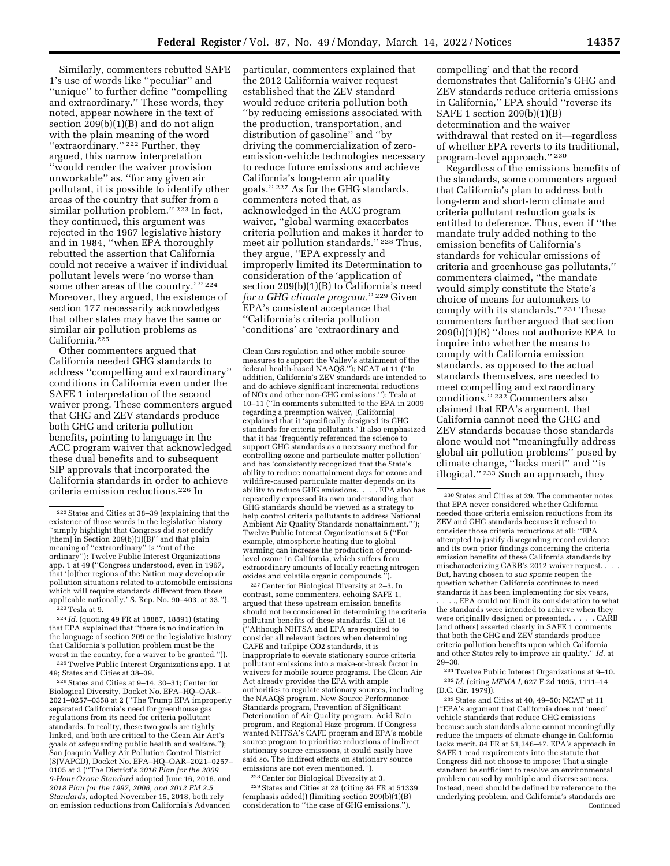Similarly, commenters rebutted SAFE 1's use of words like ''peculiar'' and ''unique'' to further define ''compelling and extraordinary.'' These words, they noted, appear nowhere in the text of section 209(b)(1)(B) and do not align with the plain meaning of the word "extraordinary."<sup>222</sup> Further, they argued, this narrow interpretation ''would render the waiver provision unworkable'' as, ''for any given air pollutant, it is possible to identify other areas of the country that suffer from a similar pollution problem."<sup>223</sup> In fact, they continued, this argument was rejected in the 1967 legislative history and in 1984, ''when EPA thoroughly rebutted the assertion that California could not receive a waiver if individual pollutant levels were 'no worse than some other areas of the country.'" 224 Moreover, they argued, the existence of section 177 necessarily acknowledges that other states may have the same or similar air pollution problems as California.225

Other commenters argued that California needed GHG standards to address ''compelling and extraordinary'' conditions in California even under the SAFE 1 interpretation of the second waiver prong. These commenters argued that GHG and ZEV standards produce both GHG and criteria pollution benefits, pointing to language in the ACC program waiver that acknowledged these dual benefits and to subsequent SIP approvals that incorporated the California standards in order to achieve criteria emission reductions.226 In

224 *Id.* (quoting 49 FR at 18887, 18891) (stating that EPA explained that ''there is no indication in the language of section 209 or the legislative history that California's pollution problem must be the worst in the country, for a waiver to be granted.'')).

225Twelve Public Interest Organizations app. 1 at 49; States and Cities at 38–39.

226States and Cities at 9–14, 30–31; Center for Biological Diversity, Docket No. EPA–HQ–OAR– 2021–0257–0358 at 2 (''The Trump EPA improperly separated California's need for greenhouse gas regulations from its need for criteria pollutant standards. In reality, these two goals are tightly linked, and both are critical to the Clean Air Act's goals of safeguarding public health and welfare.''); San Joaquin Valley Air Pollution Control District (SJVAPCD), Docket No. EPA–HQ–OAR–2021–0257– 0105 at 3 (''The District's *2016 Plan for the 2009 9-Hour Ozone Standard* adopted June 16, 2016, and *2018 Plan for the 1997, 2006, and 2012 PM 2.5 Standards,* adopted November 15, 2018, both rely on emission reductions from California's Advanced

particular, commenters explained that the 2012 California waiver request established that the ZEV standard would reduce criteria pollution both ''by reducing emissions associated with the production, transportation, and distribution of gasoline'' and ''by driving the commercialization of zeroemission-vehicle technologies necessary to reduce future emissions and achieve California's long-term air quality goals.'' 227 As for the GHG standards, commenters noted that, as acknowledged in the ACC program waiver, ''global warming exacerbates criteria pollution and makes it harder to meet air pollution standards.'' 228 Thus, they argue, ''EPA expressly and improperly limited its Determination to consideration of the 'application of section 209(b)(1)(B) to California's need *for a GHG climate program.*'' 229 Given EPA's consistent acceptance that ''California's criteria pollution 'conditions' are 'extraordinary and

Clean Cars regulation and other mobile source measures to support the Valley's attainment of the federal health-based NAAQS.''); NCAT at 11 (''In addition, California's ZEV standards are intended to and do achieve significant incremental reductions of NOx and other non-GHG emissions.''); Tesla at 10–11 (''In comments submitted to the EPA in 2009 regarding a preemption waiver, [California] explained that it 'specifically designed its GHG standards for criteria pollutants.' It also emphasized that it has 'frequently referenced the science to support GHG standards as a necessary method for controlling ozone and particulate matter pollution' and has 'consistently recognized that the State's ability to reduce nonattainment days for ozone and wildfire-caused particulate matter depends on its ability to reduce GHG emissions. . . . EPA also has repeatedly expressed its own understanding that GHG standards should be viewed as a strategy to help control criteria pollutants to address National Ambient Air Quality Standards nonattainment.'''); Twelve Public Interest Organizations at 5 (''For example, atmospheric heating due to global warming can increase the production of groundlevel ozone in California, which suffers from extraordinary amounts of locally reacting nitrogen oxides and volatile organic compounds.'').

227Center for Biological Diversity at 2–3. In contrast, some commenters, echoing SAFE 1, argued that these upstream emission benefits should not be considered in determining the criteria pollutant benefits of these standards. CEI at 16 (''Although NHTSA and EPA are required to consider all relevant factors when determining CAFE and tailpipe CO2 standards, it is inappropriate to elevate stationary source criteria pollutant emissions into a make-or-break factor in waivers for mobile source programs. The Clean Air Act already provides the EPA with ample authorities to regulate stationary sources, including the NAAQS program, New Source Performance Standards program, Prevention of Significant Deterioration of Air Quality program, Acid Rain program, and Regional Haze program. If Congress wanted NHTSA's CAFE program and EPA's mobile source program to prioritize reductions of indirect stationary source emissions, it could easily have said so. The indirect effects on stationary source emissions are not even mentioned.'').

228Center for Biological Diversity at 3. 229States and Cities at 28 (citing 84 FR at 51339 (emphasis added)) (limiting section 209(b)(1)(B) consideration to ''the case of GHG emissions.'').

compelling' and that the record demonstrates that California's GHG and ZEV standards reduce criteria emissions in California,'' EPA should ''reverse its SAFE 1 section 209(b)(1)(B) determination and the waiver withdrawal that rested on it—regardless of whether EPA reverts to its traditional, program-level approach.'' 230

Regardless of the emissions benefits of the standards, some commenters argued that California's plan to address both long-term and short-term climate and criteria pollutant reduction goals is entitled to deference. Thus, even if ''the mandate truly added nothing to the emission benefits of California's standards for vehicular emissions of criteria and greenhouse gas pollutants,'' commenters claimed, ''the mandate would simply constitute the State's choice of means for automakers to comply with its standards.'' 231 These commenters further argued that section 209(b)(1)(B) ''does not authorize EPA to inquire into whether the means to comply with California emission standards, as opposed to the actual standards themselves, are needed to meet compelling and extraordinary conditions.'' 232 Commenters also claimed that EPA's argument, that California cannot need the GHG and ZEV standards because those standards alone would not ''meaningfully address global air pollution problems'' posed by climate change, ''lacks merit'' and ''is illogical.'' 233 Such an approach, they

. . . ., EPA could not limit its consideration to what the standards were intended to achieve when they were originally designed or presented. . . . . CARB (and others) asserted clearly in SAFE 1 comments that both the GHG and ZEV standards produce criteria pollution benefits upon which California and other States rely to improve air quality.'' *Id.* at 29–30.

231Twelve Public Interest Organizations at 9–10. 232 *Id.* (citing *MEMA I,* 627 F.2d 1095, 1111–14  $(D.C. Cir. 1979).$ 

233States and Cities at 40, 49–50; NCAT at 11 (''EPA's argument that California does not 'need' vehicle standards that reduce GHG emissions because such standards alone cannot meaningfully reduce the impacts of climate change in California lacks merit. 84 FR at 51,346–47. EPA's approach in SAFE 1 read requirements into the statute that Congress did not choose to impose: That a single standard be sufficient to resolve an environmental problem caused by multiple and diverse sources. Instead, need should be defined by reference to the underlying problem, and California's standards are Continued

<sup>222</sup>States and Cities at 38–39 (explaining that the existence of those words in the legislative history ''simply highlight that Congress did *not* codify [them] in Section 209(b)(1)(B)" and that plain meaning of ''extraordinary'' is ''out of the ordinary''); Twelve Public Interest Organizations app. 1 at 49 (''Congress understood, even in 1967, that '[o]ther regions of the Nation may develop air pollution situations related to automobile emissions which will require standards different from those applicable nationally.' S. Rep. No. 90–403, at 33.'').  $223$  Tesla at 9.

<sup>230</sup>States and Cities at 29. The commenter notes that EPA never considered whether California needed those criteria emission reductions from its ZEV and GHG standards because it refused to consider those criteria reductions at all: ''EPA attempted to justify disregarding record evidence and its own prior findings concerning the criteria emission benefits of these California standards by mischaracterizing CARB's 2012 waiver request. . . . But, having chosen to *sua sponte* reopen the question whether California continues to need standards it has been implementing for six years,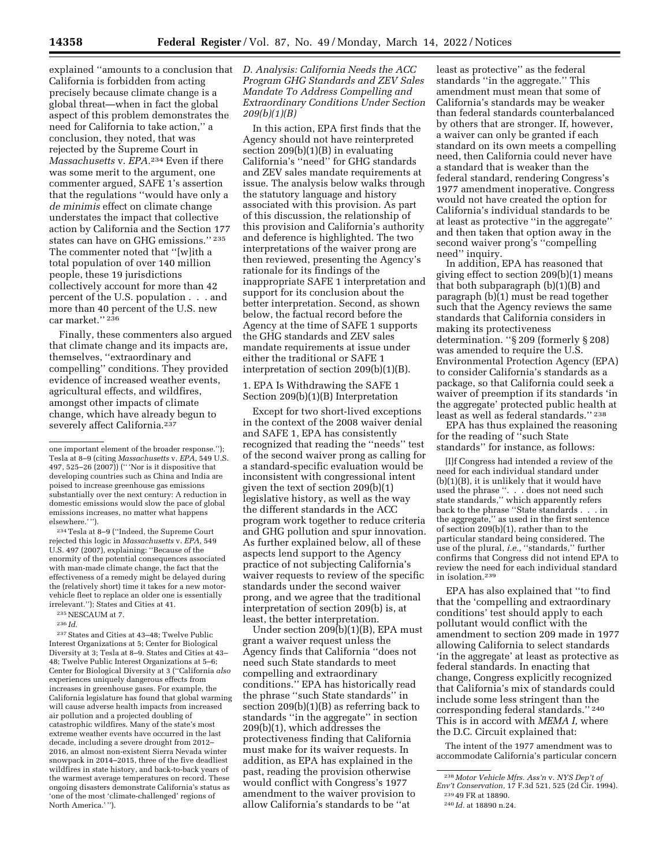explained ''amounts to a conclusion that *D. Analysis: California Needs the ACC*  California is forbidden from acting precisely because climate change is a global threat—when in fact the global aspect of this problem demonstrates the need for California to take action,'' a conclusion, they noted, that was rejected by the Supreme Court in *Massachusetts* v. *EPA.*234 Even if there was some merit to the argument, one commenter argued, SAFE 1's assertion that the regulations ''would have only a *de minimis* effect on climate change understates the impact that collective action by California and the Section 177 states can have on GHG emissions.'' 235 The commenter noted that ''[w]ith a total population of over 140 million people, these 19 jurisdictions collectively account for more than 42 percent of the U.S. population . . . and more than 40 percent of the U.S. new car market.'' 236

Finally, these commenters also argued that climate change and its impacts are, themselves, ''extraordinary and compelling'' conditions. They provided evidence of increased weather events, agricultural effects, and wildfires, amongst other impacts of climate change, which have already begun to severely affect California.237

234Tesla at 8–9 (''Indeed, the Supreme Court rejected this logic in *Massachusetts* v. *EPA,* 549 U.S. 497 (2007), explaining: ''Because of the enormity of the potential consequences associated with man-made climate change, the fact that the effectiveness of a remedy might be delayed during the (relatively short) time it takes for a new motorvehicle fleet to replace an older one is essentially irrelevant.''); States and Cities at 41.

235NESCAUM at 7.

236 *Id.* 

237States and Cities at 43–48; Twelve Public Interest Organizations at 5; Center for Biological Diversity at 3; Tesla at 8–9. States and Cities at 43– 48; Twelve Public Interest Organizations at 5–6; Center for Biological Diversity at 3 (''California *also*  experiences uniquely dangerous effects from increases in greenhouse gases. For example, the California legislature has found that global warming will cause adverse health impacts from increased air pollution and a projected doubling of catastrophic wildfires. Many of the state's most extreme weather events have occurred in the last decade, including a severe drought from 2012– 2016, an almost non-existent Sierra Nevada winter snowpack in 2014–2015, three of the five deadliest wildfires in state history, and back-to-back years of the warmest average temperatures on record. These ongoing disasters demonstrate California's status as 'one of the most 'climate-challenged' regions of North America.' '').

# *Program GHG Standards and ZEV Sales Mandate To Address Compelling and Extraordinary Conditions Under Section 209(b)(1)(B)*

In this action, EPA first finds that the Agency should not have reinterpreted section 209(b)(1)(B) in evaluating California's ''need'' for GHG standards and ZEV sales mandate requirements at issue. The analysis below walks through the statutory language and history associated with this provision. As part of this discussion, the relationship of this provision and California's authority and deference is highlighted. The two interpretations of the waiver prong are then reviewed, presenting the Agency's rationale for its findings of the inappropriate SAFE 1 interpretation and support for its conclusion about the better interpretation. Second, as shown below, the factual record before the Agency at the time of SAFE 1 supports the GHG standards and ZEV sales mandate requirements at issue under either the traditional or SAFE 1 interpretation of section 209(b)(1)(B).

1. EPA Is Withdrawing the SAFE 1 Section 209(b)(1)(B) Interpretation

Except for two short-lived exceptions in the context of the 2008 waiver denial and SAFE 1, EPA has consistently recognized that reading the ''needs'' test of the second waiver prong as calling for a standard-specific evaluation would be inconsistent with congressional intent given the text of section 209(b)(1) legislative history, as well as the way the different standards in the ACC program work together to reduce criteria and GHG pollution and spur innovation. As further explained below, all of these aspects lend support to the Agency practice of not subjecting California's waiver requests to review of the specific standards under the second waiver prong, and we agree that the traditional interpretation of section 209(b) is, at least, the better interpretation.

Under section 209(b)(1)(B), EPA must grant a waiver request unless the Agency finds that California ''does not need such State standards to meet compelling and extraordinary conditions.'' EPA has historically read the phrase ''such State standards'' in section 209(b)(1)(B) as referring back to standards ''in the aggregate'' in section 209(b)(1), which addresses the protectiveness finding that California must make for its waiver requests. In addition, as EPA has explained in the past, reading the provision otherwise would conflict with Congress's 1977 amendment to the waiver provision to allow California's standards to be ''at

least as protective'' as the federal standards ''in the aggregate.'' This amendment must mean that some of California's standards may be weaker than federal standards counterbalanced by others that are stronger. If, however, a waiver can only be granted if each standard on its own meets a compelling need, then California could never have a standard that is weaker than the federal standard, rendering Congress's 1977 amendment inoperative. Congress would not have created the option for California's individual standards to be at least as protective ''in the aggregate'' and then taken that option away in the second waiver prong's ''compelling need'' inquiry.

In addition, EPA has reasoned that giving effect to section 209(b)(1) means that both subparagraph (b)(1)(B) and paragraph (b)(1) must be read together such that the Agency reviews the same standards that California considers in making its protectiveness determination. ''§ 209 (formerly § 208) was amended to require the U.S. Environmental Protection Agency (EPA) to consider California's standards as a package, so that California could seek a waiver of preemption if its standards 'in the aggregate' protected public health at least as well as federal standards.'' 238

EPA has thus explained the reasoning for the reading of ''such State standards'' for instance, as follows:

[I]f Congress had intended a review of the need for each individual standard under (b)(1)(B), it is unlikely that it would have used the phrase ''. . . does not need such state standards,'' which apparently refers back to the phrase ''State standards . . . in the aggregate,'' as used in the first sentence of section 209(b)(1), rather than to the particular standard being considered. The use of the plural, *i.e.*, "standards," further confirms that Congress did not intend EPA to review the need for each individual standard in isolation.239

EPA has also explained that ''to find that the 'compelling and extraordinary conditions' test should apply to each pollutant would conflict with the amendment to section 209 made in 1977 allowing California to select standards 'in the aggregate' at least as protective as federal standards. In enacting that change, Congress explicitly recognized that California's mix of standards could include some less stringent than the corresponding federal standards.'' 240 This is in accord with *MEMA I,* where the D.C. Circuit explained that:

The intent of the 1977 amendment was to accommodate California's particular concern

one important element of the broader response.''); Tesla at 8–9 (citing *Massachusetts* v. *EPA,* 549 U.S. 497, 525–26 (2007)) ('' 'Nor is it dispositive that developing countries such as China and India are poised to increase greenhouse gas emissions substantially over the next century: A reduction in domestic emissions would slow the pace of global emissions increases, no matter what happens elsewhere.' '').

<sup>238</sup> *Motor Vehicle Mfrs. Ass'n* v. *NYS Dep't of* 

*Env't Conservation, 17 F.3d 521, 525 (2d Cir. 1994).*<br><sup>239</sup> 49 FR at 18890.

<sup>240</sup> *Id.* at 18890 n.24.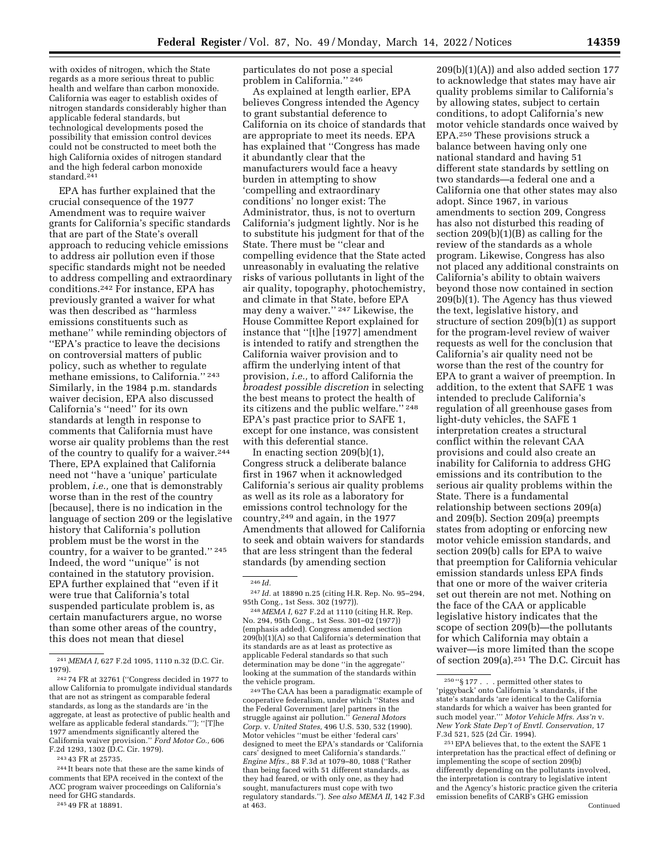with oxides of nitrogen, which the State regards as a more serious threat to public health and welfare than carbon monoxide. California was eager to establish oxides of nitrogen standards considerably higher than applicable federal standards, but technological developments posed the possibility that emission control devices could not be constructed to meet both the high California oxides of nitrogen standard and the high federal carbon monoxide standard.<sup>241</sup>

EPA has further explained that the crucial consequence of the 1977 Amendment was to require waiver grants for California's specific standards that are part of the State's overall approach to reducing vehicle emissions to address air pollution even if those specific standards might not be needed to address compelling and extraordinary conditions.242 For instance, EPA has previously granted a waiver for what was then described as ''harmless emissions constituents such as methane'' while reminding objectors of ''EPA's practice to leave the decisions on controversial matters of public policy, such as whether to regulate methane emissions, to California.'' 243 Similarly, in the 1984 p.m. standards waiver decision, EPA also discussed California's ''need'' for its own standards at length in response to comments that California must have worse air quality problems than the rest of the country to qualify for a waiver.244 There, EPA explained that California need not ''have a 'unique' particulate problem, *i.e.,* one that is demonstrably worse than in the rest of the country [because], there is no indication in the language of section 209 or the legislative history that California's pollution problem must be the worst in the country, for a waiver to be granted.'' 245 Indeed, the word ''unique'' is not contained in the statutory provision. EPA further explained that ''even if it were true that California's total suspended particulate problem is, as certain manufacturers argue, no worse than some other areas of the country, this does not mean that diesel

243 43 FR at 25735.

244 It bears note that these are the same kinds of comments that EPA received in the context of the ACC program waiver proceedings on California's need for GHG standards.

245 49 FR at 18891.

particulates do not pose a special problem in California.'' 246

As explained at length earlier, EPA believes Congress intended the Agency to grant substantial deference to California on its choice of standards that are appropriate to meet its needs. EPA has explained that ''Congress has made it abundantly clear that the manufacturers would face a heavy burden in attempting to show 'compelling and extraordinary conditions' no longer exist: The Administrator, thus, is not to overturn California's judgment lightly. Nor is he to substitute his judgment for that of the State. There must be ''clear and compelling evidence that the State acted unreasonably in evaluating the relative risks of various pollutants in light of the air quality, topography, photochemistry, and climate in that State, before EPA may deny a waiver.'' 247 Likewise, the House Committee Report explained for instance that ''[t]he [1977] amendment is intended to ratify and strengthen the California waiver provision and to affirm the underlying intent of that provision, *i.e.,* to afford California the *broadest possible discretion* in selecting the best means to protect the health of its citizens and the public welfare.'' 248 EPA's past practice prior to SAFE 1, except for one instance, was consistent with this deferential stance.

In enacting section 209(b)(1), Congress struck a deliberate balance first in 1967 when it acknowledged California's serious air quality problems as well as its role as a laboratory for emissions control technology for the country,249 and again, in the 1977 Amendments that allowed for California to seek and obtain waivers for standards that are less stringent than the federal standards (by amending section

## 246 *Id.*

247 *Id.* at 18890 n.25 (citing H.R. Rep. No. 95–294, 95th Cong., 1st Sess. 302 (1977)).

248 *MEMA I,* 627 F.2d at 1110 (citing H.R. Rep. No. 294, 95th Cong., 1st Sess. 301–02 (1977)) (emphasis added). Congress amended section 209(b)(1)(A) so that California's determination that its standards are as at least as protective as applicable Federal standards so that such determination may be done ''in the aggregate'' looking at the summation of the standards within the vehicle program.

249The CAA has been a paradigmatic example of cooperative federalism, under which ''States and the Federal Government [are] partners in the struggle against air pollution.'' *General Motors Corp.* v. *United States,* 496 U.S. 530, 532 (1990). Motor vehicles ''must be either 'federal cars' designed to meet the EPA's standards or 'California cars' designed to meet California's standards.'' *Engine Mfrs.,* 88 F.3d at 1079–80, 1088 (''Rather than being faced with 51 different standards, as they had feared, or with only one, as they had sought, manufacturers must cope with two regulatory standards.''). *See also MEMA II,* 142 F.3d at 463.

 $209(b)(1)(A)$  and also added section 177 to acknowledge that states may have air quality problems similar to California's by allowing states, subject to certain conditions, to adopt California's new motor vehicle standards once waived by EPA.250 These provisions struck a balance between having only one national standard and having 51 different state standards by settling on two standards—a federal one and a California one that other states may also adopt. Since 1967, in various amendments to section 209, Congress has also not disturbed this reading of section 209(b)(1)(B) as calling for the review of the standards as a whole program. Likewise, Congress has also not placed any additional constraints on California's ability to obtain waivers beyond those now contained in section 209(b)(1). The Agency has thus viewed the text, legislative history, and structure of section 209(b)(1) as support for the program-level review of waiver requests as well for the conclusion that California's air quality need not be worse than the rest of the country for EPA to grant a waiver of preemption. In addition, to the extent that SAFE 1 was intended to preclude California's regulation of all greenhouse gases from light-duty vehicles, the SAFE 1 interpretation creates a structural conflict within the relevant CAA provisions and could also create an inability for California to address GHG emissions and its contribution to the serious air quality problems within the State. There is a fundamental relationship between sections 209(a) and 209(b). Section 209(a) preempts states from adopting or enforcing new motor vehicle emission standards, and section 209(b) calls for EPA to waive that preemption for California vehicular emission standards unless EPA finds that one or more of the waiver criteria set out therein are not met. Nothing on the face of the CAA or applicable legislative history indicates that the scope of section 209(b)—the pollutants for which California may obtain a waiver—is more limited than the scope of section 209(a).251 The D.C. Circuit has

<sup>241</sup> *MEMA I,* 627 F.2d 1095, 1110 n.32 (D.C. Cir. 1979).

<sup>242</sup> 74 FR at 32761 (''Congress decided in 1977 to allow California to promulgate individual standards that are not as stringent as comparable federal standards, as long as the standards are 'in the aggregate, at least as protective of public health and welfare as applicable federal standards.'''); ''[T]he 1977 amendments significantly altered the California waiver provision.'' *Ford Motor Co.,* 606 F.2d 1293, 1302 (D.C. Cir. 1979).

 $^{250\;\mathrel{\textup{``}}}\!\mathrel{\S}$ 177 . . . permitted other states to 'piggyback' onto California 's standards, if the state's standards 'are identical to the California standards for which a waiver has been granted for such model year.''' *Motor Vehicle Mfrs. Ass'n* v. *New York State Dep't of Envtl. Conservation,* 17 F.3d 521, 525 (2d Cir. 1994).

 $^\mathrm{251}$  EPA believes that, to the extent the SAFE 1 interpretation has the practical effect of defining or implementing the scope of section 209(b) differently depending on the pollutants involved, the interpretation is contrary to legislative intent and the Agency's historic practice given the criteria emission benefits of CARB's GHG emission Continued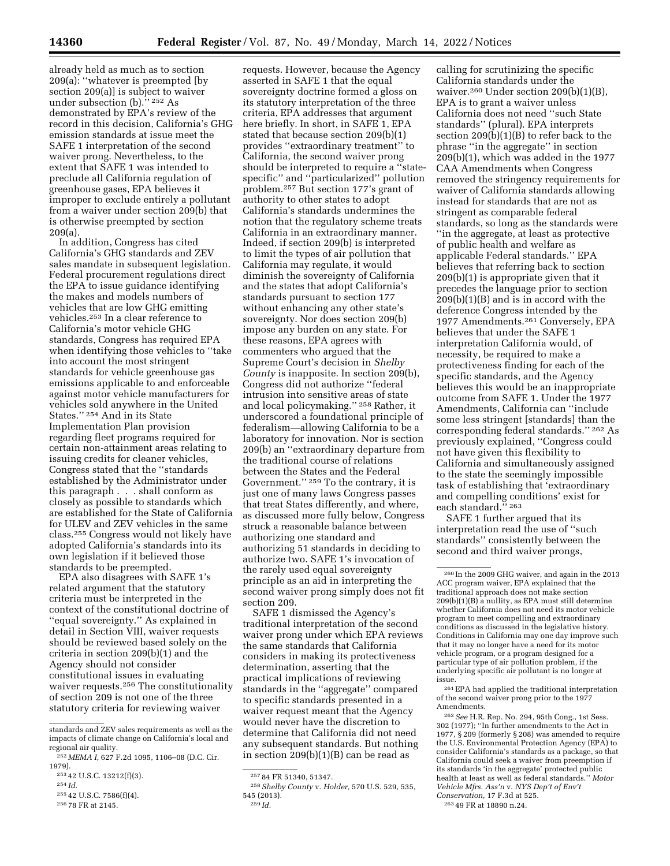already held as much as to section 209(a): ''whatever is preempted [by section 209(a)] is subject to waiver under subsection (b).'' 252 As demonstrated by EPA's review of the record in this decision, California's GHG emission standards at issue meet the SAFE 1 interpretation of the second waiver prong. Nevertheless, to the extent that SAFE 1 was intended to preclude all California regulation of greenhouse gases, EPA believes it improper to exclude entirely a pollutant from a waiver under section 209(b) that is otherwise preempted by section 209(a).

In addition, Congress has cited California's GHG standards and ZEV sales mandate in subsequent legislation. Federal procurement regulations direct the EPA to issue guidance identifying the makes and models numbers of vehicles that are low GHG emitting vehicles.253 In a clear reference to California's motor vehicle GHG standards, Congress has required EPA when identifying those vehicles to ''take into account the most stringent standards for vehicle greenhouse gas emissions applicable to and enforceable against motor vehicle manufacturers for vehicles sold anywhere in the United States.'' 254 And in its State Implementation Plan provision regarding fleet programs required for certain non-attainment areas relating to issuing credits for cleaner vehicles, Congress stated that the ''standards established by the Administrator under this paragraph . . . shall conform as closely as possible to standards which are established for the State of California for ULEV and ZEV vehicles in the same class.255 Congress would not likely have adopted California's standards into its own legislation if it believed those standards to be preempted.

EPA also disagrees with SAFE 1's related argument that the statutory criteria must be interpreted in the context of the constitutional doctrine of ''equal sovereignty.'' As explained in detail in Section VIII, waiver requests should be reviewed based solely on the criteria in section 209(b)(1) and the Agency should not consider constitutional issues in evaluating waiver requests.<sup>256</sup> The constitutionality of section 209 is not one of the three statutory criteria for reviewing waiver

253 42 U.S.C. 13212(f)(3).

255 42 U.S.C. 7586(f)(4).

requests. However, because the Agency asserted in SAFE 1 that the equal sovereignty doctrine formed a gloss on its statutory interpretation of the three criteria, EPA addresses that argument here briefly. In short, in SAFE 1, EPA stated that because section 209(b)(1) provides ''extraordinary treatment'' to California, the second waiver prong should be interpreted to require a ''statespecific'' and ''particularized'' pollution problem.257 But section 177's grant of authority to other states to adopt California's standards undermines the notion that the regulatory scheme treats California in an extraordinary manner. Indeed, if section 209(b) is interpreted to limit the types of air pollution that California may regulate, it would diminish the sovereignty of California and the states that adopt California's standards pursuant to section 177 without enhancing any other state's sovereignty. Nor does section 209(b) impose any burden on any state. For these reasons, EPA agrees with commenters who argued that the Supreme Court's decision in *Shelby County* is inapposite. In section 209(b), Congress did not authorize ''federal intrusion into sensitive areas of state and local policymaking.'' 258 Rather, it underscored a foundational principle of federalism—allowing California to be a laboratory for innovation. Nor is section 209(b) an ''extraordinary departure from the traditional course of relations between the States and the Federal Government.'' 259 To the contrary, it is just one of many laws Congress passes that treat States differently, and where, as discussed more fully below, Congress struck a reasonable balance between authorizing one standard and authorizing 51 standards in deciding to authorize two. SAFE 1's invocation of the rarely used equal sovereignty principle as an aid in interpreting the second waiver prong simply does not fit section 209.

SAFE 1 dismissed the Agency's traditional interpretation of the second waiver prong under which EPA reviews the same standards that California considers in making its protectiveness determination, asserting that the practical implications of reviewing standards in the ''aggregate'' compared to specific standards presented in a waiver request meant that the Agency would never have the discretion to determine that California did not need any subsequent standards. But nothing in section 209(b)(1)(B) can be read as

calling for scrutinizing the specific California standards under the waiver.260 Under section 209(b)(1)(B), EPA is to grant a waiver unless California does not need ''such State standards'' (plural). EPA interprets section 209(b)(1)(B) to refer back to the phrase ''in the aggregate'' in section 209(b)(1), which was added in the 1977 CAA Amendments when Congress removed the stringency requirements for waiver of California standards allowing instead for standards that are not as stringent as comparable federal standards, so long as the standards were ''in the aggregate, at least as protective of public health and welfare as applicable Federal standards.'' EPA believes that referring back to section 209(b)(1) is appropriate given that it precedes the language prior to section 209(b)(1)(B) and is in accord with the deference Congress intended by the 1977 Amendments.261 Conversely, EPA believes that under the SAFE 1 interpretation California would, of necessity, be required to make a protectiveness finding for each of the specific standards, and the Agency believes this would be an inappropriate outcome from SAFE 1. Under the 1977 Amendments, California can ''include some less stringent [standards] than the corresponding federal standards.'' 262 As previously explained, ''Congress could not have given this flexibility to California and simultaneously assigned to the state the seemingly impossible task of establishing that 'extraordinary and compelling conditions' exist for each standard." 263

SAFE 1 further argued that its interpretation read the use of ''such standards'' consistently between the second and third waiver prongs,

261EPA had applied the traditional interpretation of the second waiver prong prior to the 1977 Amendments.

262*See* H.R. Rep. No. 294, 95th Cong., 1st Sess. 302 (1977); ''In further amendments to the Act in 1977, § 209 (formerly § 208) was amended to require the U.S. Environmental Protection Agency (EPA) to consider California's standards as a package, so that California could seek a waiver from preemption if its standards 'in the aggregate' protected public health at least as well as federal standards.'' *Motor Vehicle Mfrs. Ass'n* v. *NYS Dep't of Env't Conservation,* 17 F.3d at 525.

standards and ZEV sales requirements as well as the impacts of climate change on California's local and regional air quality.

<sup>252</sup> *MEMA I,* 627 F.2d 1095, 1106–08 (D.C. Cir. 1979).

<sup>254</sup> *Id.* 

<sup>256</sup> 78 FR at 2145.

<sup>257</sup> 84 FR 51340, 51347.

<sup>258</sup>*Shelby County* v. *Holder,* 570 U.S. 529, 535, 545 (2013). 259 *Id.* 

<sup>260</sup> In the 2009 GHG waiver, and again in the 2013 ACC program waiver, EPA explained that the traditional approach does not make section  $209(b)(1)(B)$  a nullity, as EPA must still determine whether California does not need its motor vehicle program to meet compelling and extraordinary conditions as discussed in the legislative history. Conditions in California may one day improve such that it may no longer have a need for its motor vehicle program, or a program designed for a particular type of air pollution problem, if the underlying specific air pollutant is no longer at issue.

<sup>263</sup> 49 FR at 18890 n.24.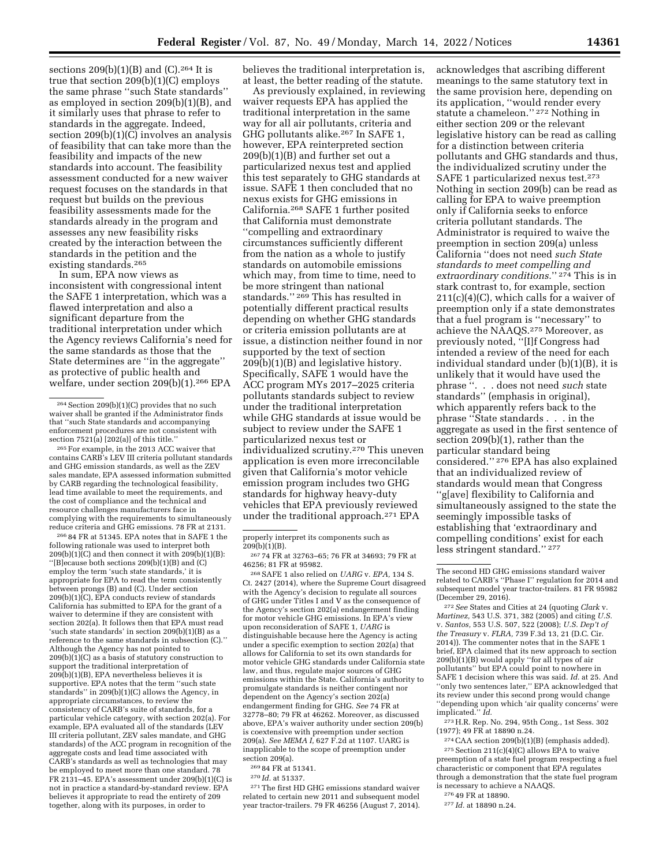sections  $209(b)(1)(B)$  and  $(C).^{264}$  It is true that section 209(b)(1)(C) employs the same phrase ''such State standards'' as employed in section 209(b)(1)(B), and it similarly uses that phrase to refer to standards in the aggregate. Indeed, section 209(b)(1)(C) involves an analysis of feasibility that can take more than the feasibility and impacts of the new standards into account. The feasibility assessment conducted for a new waiver request focuses on the standards in that request but builds on the previous feasibility assessments made for the standards already in the program and assesses any new feasibility risks created by the interaction between the standards in the petition and the existing standards.265

In sum, EPA now views as inconsistent with congressional intent the SAFE 1 interpretation, which was a flawed interpretation and also a significant departure from the traditional interpretation under which the Agency reviews California's need for the same standards as those that the State determines are ''in the aggregate'' as protective of public health and welfare, under section 209(b)(1).266 EPA

265For example, in the 2013 ACC waiver that contains CARB's LEV III criteria pollutant standards and GHG emission standards, as well as the ZEV sales mandate, EPA assessed information submitted by CARB regarding the technological feasibility, lead time available to meet the requirements, and the cost of compliance and the technical and resource challenges manufacturers face in complying with the requirements to simultaneously reduce criteria and GHG emissions. 78 FR at 2131.

266 84 FR at 51345. EPA notes that in SAFE 1 the following rationale was used to interpret both  $209(b)(1)(C)$  and then connect it with  $209(b)(1)(B)$ : ''[B]ecause both sections 209(b)(1)(B) and (C) employ the term 'such state standards,' it is appropriate for EPA to read the term consistently between prongs (B) and (C). Under section  $209(b)(1)(C)$ , EPA conducts review of standards California has submitted to EPA for the grant of a waiver to determine if they are consistent with section 202(a). It follows then that EPA must read 'such state standards' in section 209(b)(1)(B) as a reference to the same standards in subsection (C).'' Although the Agency has not pointed to  $209(b)(1)(C)$  as a basis of statutory construction to support the traditional interpretation of 209(b)(1)(B), EPA nevertheless believes it is supportive. EPA notes that the term ''such state standards'' in 209(b)(1)(C) allows the Agency, in appropriate circumstances, to review the consistency of CARB's suite of standards, for a particular vehicle category, with section 202(a). For example, EPA evaluated all of the standards (LEV III criteria pollutant, ZEV sales mandate, and GHG standards) of the ACC program in recognition of the aggregate costs and lead time associated with CARB's standards as well as technologies that may be employed to meet more than one standard. 78 FR 2131–45. EPA's assessment under  $209(b)(1)(C)$  is not in practice a standard-by-standard review. EPA believes it appropriate to read the entirety of 209 together, along with its purposes, in order to

believes the traditional interpretation is, at least, the better reading of the statute.

As previously explained, in reviewing waiver requests EPA has applied the traditional interpretation in the same way for all air pollutants, criteria and GHG pollutants alike.267 In SAFE 1, however, EPA reinterpreted section 209(b)(1)(B) and further set out a particularized nexus test and applied this test separately to GHG standards at issue. SAFE 1 then concluded that no nexus exists for GHG emissions in California.268 SAFE 1 further posited that California must demonstrate ''compelling and extraordinary circumstances sufficiently different from the nation as a whole to justify standards on automobile emissions which may, from time to time, need to be more stringent than national standards.'' 269 This has resulted in potentially different practical results depending on whether GHG standards or criteria emission pollutants are at issue, a distinction neither found in nor supported by the text of section 209(b)(1)(B) and legislative history. Specifically, SAFE 1 would have the ACC program MYs 2017–2025 criteria pollutants standards subject to review under the traditional interpretation while GHG standards at issue would be subject to review under the SAFE 1 particularized nexus test or individualized scrutiny.270 This uneven application is even more irreconcilable given that California's motor vehicle emission program includes two GHG standards for highway heavy-duty vehicles that EPA previously reviewed under the traditional approach.271 EPA

268SAFE 1 also relied on *UARG* v. *EPA,* 134 S. Ct. 2427 (2014), where the Supreme Court disagreed with the Agency's decision to regulate all sources of GHG under Titles I and V as the consequence of the Agency's section 202(a) endangerment finding for motor vehicle GHG emissions. In EPA's view upon reconsideration of SAFE 1, *UARG* is distinguishable because here the Agency is acting under a specific exemption to section 202(a) that allows for California to set its own standards for motor vehicle GHG standards under California state law, and thus, regulate major sources of GHG emissions within the State. California's authority to promulgate standards is neither contingent nor dependent on the Agency's section 202(a) endangerment finding for GHG. *See* 74 FR at 32778–80; 79 FR at 46262. Moreover, as discussed above, EPA's waiver authority under section 209(b) is coextensive with preemption under section 209(a). *See MEMA I,* 627 F.2d at 1107. UARG is inapplicable to the scope of preemption under section 209(a).

269 84 FR at 51341.

270 *Id.* at 51337.

271The first HD GHG emissions standard waiver related to certain new 2011 and subsequent model year tractor-trailers. 79 FR 46256 (August 7, 2014). acknowledges that ascribing different meanings to the same statutory text in the same provision here, depending on its application, ''would render every statute a chameleon."<sup>272</sup> Nothing in either section 209 or the relevant legislative history can be read as calling for a distinction between criteria pollutants and GHG standards and thus, the individualized scrutiny under the SAFE 1 particularized nexus test.273 Nothing in section 209(b) can be read as calling for EPA to waive preemption only if California seeks to enforce criteria pollutant standards. The Administrator is required to waive the preemption in section 209(a) unless California ''does not need *such State standards to meet compelling and extraordinary conditions.*'' 274 This is in stark contrast to, for example, section 211(c)(4)(C), which calls for a waiver of preemption only if a state demonstrates that a fuel program is ''necessary'' to achieve the NAAQS.275 Moreover, as previously noted, ''[I]f Congress had intended a review of the need for each individual standard under (b)(1)(B), it is unlikely that it would have used the phrase ''. . . does not need *such* state standards'' (emphasis in original), which apparently refers back to the phrase ''State standards . . . in the aggregate as used in the first sentence of section 209(b)(1), rather than the particular standard being considered.'' 276 EPA has also explained that an individualized review of standards would mean that Congress ''g[ave] flexibility to California and simultaneously assigned to the state the seemingly impossible tasks of establishing that 'extraordinary and compelling conditions' exist for each less stringent standard.'' 277

272*See* States and Cities at 24 (quoting *Clark* v. *Martinez,* 543 U.S. 371, 382 (2005) and citing *U.S.*  v. *Santos,* 553 U.S. 507, 522 (2008); *U.S. Dep't of the Treasury* v. *FLRA,* 739 F.3d 13, 21 (D.C. Cir. 2014)). The commenter notes that in the SAFE 1 brief, EPA claimed that its new approach to section 209(b)(1)(B) would apply ''for all types of air pollutants'' but EPA could point to nowhere in SAFE 1 decision where this was said. *Id.* at 25. And ''only two sentences later,'' EPA acknowledged that its review under this second prong would change ''depending upon which 'air quality concerns' were implicated.'' *Id.* 

273H.R. Rep. No. 294, 95th Cong., 1st Sess. 302 (1977); 49 FR at 18890 n.24.

274CAA section 209(b)(1)(B) (emphasis added).  $275$  Section  $211(c)(4)(C)$  allows EPA to waive preemption of a state fuel program respecting a fuel characteristic or component that EPA regulates through a demonstration that the state fuel program is necessary to achieve a NAAQS.

276 49 FR at 18890.

<sup>264</sup>Section 209(b)(1)(C) provides that no such waiver shall be granted if the Administrator finds that ''such State standards and accompanying enforcement procedures are not consistent with section  $7521(a)$  [202(a)] of this title.

properly interpret its components such as 209(b)(1)(B).

<sup>267</sup> 74 FR at 32763–65; 76 FR at 34693; 79 FR at 46256; 81 FR at 95982.

The second HD GHG emissions standard waiver related to CARB's ''Phase I'' regulation for 2014 and subsequent model year tractor-trailers. 81 FR 95982 (December 29, 2016).

<sup>277</sup> *Id.* at 18890 n.24.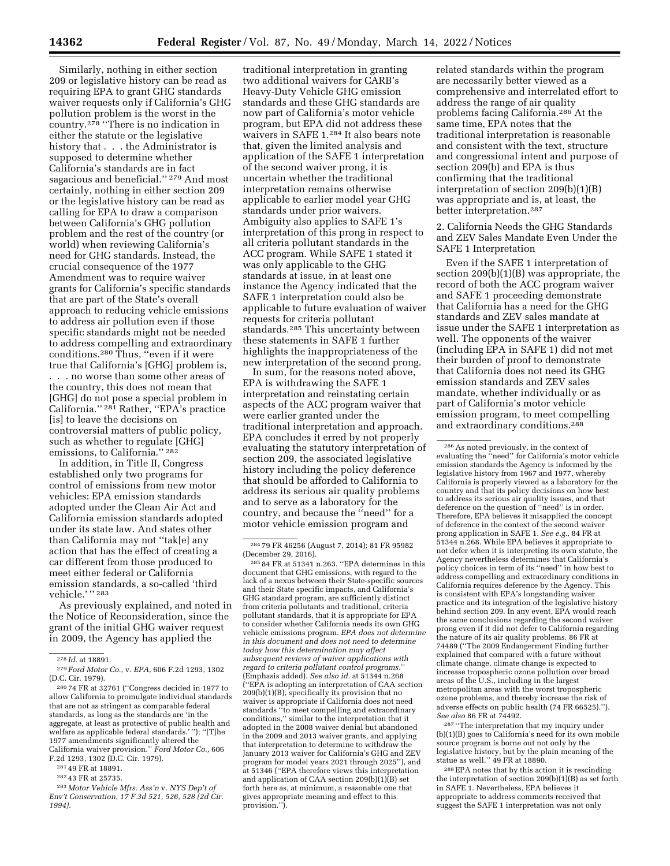Similarly, nothing in either section 209 or legislative history can be read as requiring EPA to grant GHG standards waiver requests only if California's GHG pollution problem is the worst in the country.278 ''There is no indication in either the statute or the legislative history that . . . the Administrator is supposed to determine whether California's standards are in fact sagacious and beneficial.'' 279 And most certainly, nothing in either section 209 or the legislative history can be read as calling for EPA to draw a comparison between California's GHG pollution problem and the rest of the country (or world) when reviewing California's need for GHG standards. Instead, the crucial consequence of the 1977 Amendment was to require waiver grants for California's specific standards that are part of the State's overall approach to reducing vehicle emissions to address air pollution even if those specific standards might not be needed to address compelling and extraordinary conditions.280 Thus, ''even if it were true that California's [GHG] problem is, . . . no worse than some other areas of the country, this does not mean that [GHG] do not pose a special problem in California.'' 281 Rather, ''EPA's practice [is] to leave the decisions on controversial matters of public policy, such as whether to regulate [GHG] emissions, to California.'' 282

In addition, in Title II, Congress established only two programs for control of emissions from new motor vehicles: EPA emission standards adopted under the Clean Air Act and California emission standards adopted under its state law. And states other than California may not ''tak[e] any action that has the effect of creating a car different from those produced to meet either federal or California emission standards, a so-called 'third vehicle.'" <sup>283</sup>

As previously explained, and noted in the Notice of Reconsideration, since the grant of the initial GHG waiver request in 2009, the Agency has applied the

283 *Motor Vehicle Mfrs. Ass'n* v. *NYS Dep't of Env't Conservation, 17 F.3d 521, 526, 528 (2d Cir. 1994).* 

traditional interpretation in granting two additional waivers for CARB's Heavy-Duty Vehicle GHG emission standards and these GHG standards are now part of California's motor vehicle program, but EPA did not address these waivers in SAFE 1.284 It also bears note that, given the limited analysis and application of the SAFE 1 interpretation of the second waiver prong, it is uncertain whether the traditional interpretation remains otherwise applicable to earlier model year GHG standards under prior waivers. Ambiguity also applies to SAFE 1's interpretation of this prong in respect to all criteria pollutant standards in the ACC program. While SAFE 1 stated it was only applicable to the GHG standards at issue, in at least one instance the Agency indicated that the SAFE 1 interpretation could also be applicable to future evaluation of waiver requests for criteria pollutant standards.285 This uncertainty between these statements in SAFE 1 further highlights the inappropriateness of the new interpretation of the second prong.

In sum, for the reasons noted above, EPA is withdrawing the SAFE 1 interpretation and reinstating certain aspects of the ACC program waiver that were earlier granted under the traditional interpretation and approach. EPA concludes it erred by not properly evaluating the statutory interpretation of section 209, the associated legislative history including the policy deference that should be afforded to California to address its serious air quality problems and to serve as a laboratory for the country, and because the ''need'' for a motor vehicle emission program and

 $28584$  FR at 51341 n.263. "EPA determines in this document that GHG emissions, with regard to the lack of a nexus between their State-specific sources and their State specific impacts, and California's GHG standard program, are sufficiently distinct from criteria pollutants and traditional, criteria pollutant standards, that it is appropriate for EPA to consider whether California needs its own GHG vehicle emissions program. *EPA does not determine in this document and does not need to determine today how this determination may affect subsequent reviews of waiver applications with regard to criteria pollutant control programs.*'' (Emphasis added). *See also id.* at 51344 n.268 (''EPA is adopting an interpretation of CAA section 209(b)(1)(B), specifically its provision that no waiver is appropriate if California does not need standards ''to meet compelling and extraordinary conditions,'' similar to the interpretation that it adopted in the 2008 waiver denial but abandoned in the 2009 and 2013 waiver grants, and applying that interpretation to determine to withdraw the January 2013 waiver for California's GHG and ZEV program for model years 2021 through 2025''), and at 51346 (''EPA therefore views this interpretation and application of CAA section  $209(b)(1)(B)$  set forth here as, at minimum, a reasonable one that gives appropriate meaning and effect to this provision.'').

related standards within the program are necessarily better viewed as a comprehensive and interrelated effort to address the range of air quality problems facing California.286 At the same time, EPA notes that the traditional interpretation is reasonable and consistent with the text, structure and congressional intent and purpose of section 209(b) and EPA is thus confirming that the traditional interpretation of section 209(b)(1)(B) was appropriate and is, at least, the better interpretation.287

2. California Needs the GHG Standards and ZEV Sales Mandate Even Under the SAFE 1 Interpretation

Even if the SAFE 1 interpretation of section 209(b)(1)(B) was appropriate, the record of both the ACC program waiver and SAFE 1 proceeding demonstrate that California has a need for the GHG standards and ZEV sales mandate at issue under the SAFE 1 interpretation as well. The opponents of the waiver (including EPA in SAFE 1) did not met their burden of proof to demonstrate that California does not need its GHG emission standards and ZEV sales mandate, whether individually or as part of California's motor vehicle emission program, to meet compelling and extraordinary conditions.288

287 ''The interpretation that my inquiry under (b)(1)(B) goes to California's need for its own mobile source program is borne out not only by the legislative history, but by the plain meaning of the statue as well.'' 49 FR at 18890.

288EPA notes that by this action it is rescinding the interpretation of section 209(b)(1)(B) as set forth in SAFE 1. Nevertheless, EPA believes it appropriate to address comments received that suggest the SAFE 1 interpretation was not only

<sup>278</sup> *Id.* at 18891.

<sup>279</sup> *Ford Motor Co.,* v. *EPA,* 606 F.2d 1293, 1302 (D.C. Cir. 1979).

<sup>280</sup> 74 FR at 32761 (''Congress decided in 1977 to allow California to promulgate individual standards that are not as stringent as comparable federal standards, as long as the standards are 'in the aggregate, at least as protective of public health and welfare as applicable federal standards.' ''); ''[T]he 1977 amendments significantly altered the California waiver provision.'' *Ford Motor Co.,* 606 F.2d 1293, 1302 (D.C. Cir. 1979).

<sup>281</sup> 49 FR at 18891.

<sup>282</sup> 43 FR at 25735.

<sup>284</sup> 79 FR 46256 (August 7, 2014); 81 FR 95982

<sup>286</sup>As noted previously, in the context of evaluating the ''need'' for California's motor vehicle emission standards the Agency is informed by the legislative history from 1967 and 1977, whereby California is properly viewed as a laboratory for the country and that its policy decisions on how best to address its serious air quality issues, and that deference on the question of ''need'' is in order. Therefore, EPA believes it misapplied the concept of deference in the context of the second waiver prong application in SAFE 1. *See e.g.,* 84 FR at 51344 n.268. While EPA believes it appropriate to not defer when it is interpreting its own statute, the Agency nevertheless determines that California's policy choices in term of its ''need'' in how best to address compelling and extraordinary conditions in California requires deference by the Agency. This is consistent with EPA's longstanding waiver practice and its integration of the legislative history behind section 209. In any event, EPA would reach the same conclusions regarding the second waiver prong even if it did not defer to California regarding the nature of its air quality problems. 86 FR at 74489 (''The 2009 Endangerment Finding further explained that compared with a future without climate change, climate change is expected to increase tropospheric ozone pollution over broad areas of the U.S., including in the largest metropolitan areas with the worst tropospheric ozone problems, and thereby increase the risk of adverse effects on public health (74 FR 66525).''). *See also* 86 FR at 74492.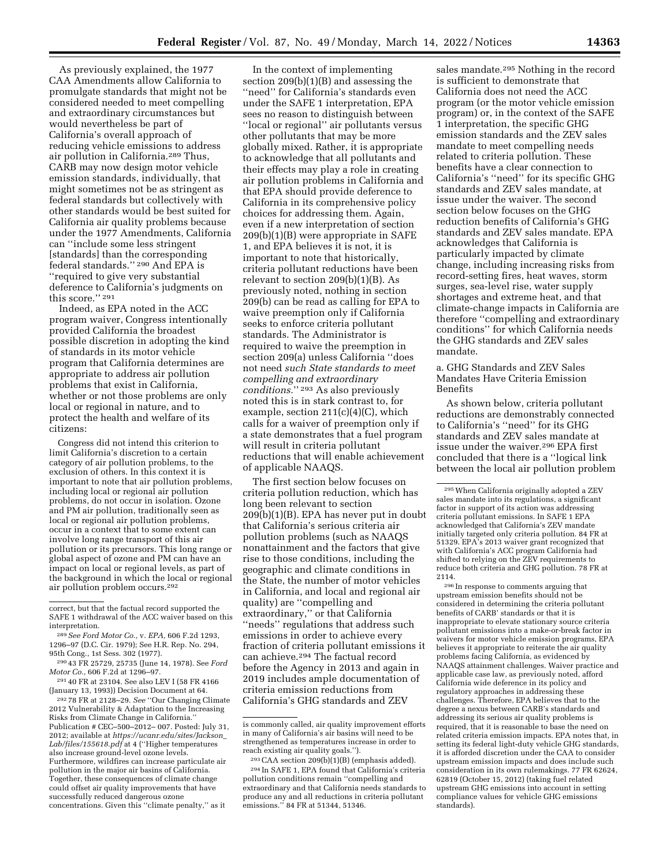As previously explained, the 1977 CAA Amendments allow California to promulgate standards that might not be considered needed to meet compelling and extraordinary circumstances but would nevertheless be part of California's overall approach of reducing vehicle emissions to address air pollution in California.289 Thus, CARB may now design motor vehicle emission standards, individually, that might sometimes not be as stringent as federal standards but collectively with other standards would be best suited for California air quality problems because under the 1977 Amendments, California can ''include some less stringent [standards] than the corresponding federal standards.'' 290 And EPA is ''required to give very substantial deference to California's judgments on this score.'' 291

Indeed, as EPA noted in the ACC program waiver, Congress intentionally provided California the broadest possible discretion in adopting the kind of standards in its motor vehicle program that California determines are appropriate to address air pollution problems that exist in California, whether or not those problems are only local or regional in nature, and to protect the health and welfare of its citizens:

Congress did not intend this criterion to limit California's discretion to a certain category of air pollution problems, to the exclusion of others. In this context it is important to note that air pollution problems, including local or regional air pollution problems, do not occur in isolation. Ozone and PM air pollution, traditionally seen as local or regional air pollution problems, occur in a context that to some extent can involve long range transport of this air pollution or its precursors. This long range or global aspect of ozone and PM can have an impact on local or regional levels, as part of the background in which the local or regional air pollution problem occurs.292

292 78 FR at 2128–29. *See* ''Our Changing Climate 2012 Vulnerability & Adaptation to the Increasing Risks from Climate Change in California.'' Publication # CEC–500–2012– 007. Posted: July 31, 2012; available at *[https://ucanr.edu/sites/Jackson](https://ucanr.edu/sites/Jackson_Lab/files/155618.pdf)*\_ *[Lab/files/155618.pdf](https://ucanr.edu/sites/Jackson_Lab/files/155618.pdf)* at 4 (''Higher temperatures also increase ground-level ozone levels. Furthermore, wildfires can increase particulate air pollution in the major air basins of California. Together, these consequences of climate change could offset air quality improvements that have successfully reduced dangerous ozone concentrations. Given this ''climate penalty,'' as it

In the context of implementing section 209(b)(1)(B) and assessing the ''need'' for California's standards even under the SAFE 1 interpretation, EPA sees no reason to distinguish between ''local or regional'' air pollutants versus other pollutants that may be more globally mixed. Rather, it is appropriate to acknowledge that all pollutants and their effects may play a role in creating air pollution problems in California and that EPA should provide deference to California in its comprehensive policy choices for addressing them. Again, even if a new interpretation of section 209(b)(1)(B) were appropriate in SAFE 1, and EPA believes it is not, it is important to note that historically, criteria pollutant reductions have been relevant to section 209(b)(1)(B). As previously noted, nothing in section 209(b) can be read as calling for EPA to waive preemption only if California seeks to enforce criteria pollutant standards. The Administrator is required to waive the preemption in section 209(a) unless California ''does not need *such State standards to meet compelling and extraordinary conditions.*'' 293 As also previously noted this is in stark contrast to, for example, section  $211(c)(4)(C)$ , which calls for a waiver of preemption only if a state demonstrates that a fuel program will result in criteria pollutant reductions that will enable achievement of applicable NAAQS.

The first section below focuses on criteria pollution reduction, which has long been relevant to section 209(b)(1)(B). EPA has never put in doubt that California's serious criteria air pollution problems (such as NAAQS nonattainment and the factors that give rise to those conditions, including the geographic and climate conditions in the State, the number of motor vehicles in California, and local and regional air quality) are ''compelling and extraordinary,'' or that California ''needs'' regulations that address such emissions in order to achieve every fraction of criteria pollutant emissions it can achieve.294 The factual record before the Agency in 2013 and again in 2019 includes ample documentation of criteria emission reductions from California's GHG standards and ZEV

sales mandate.295 Nothing in the record is sufficient to demonstrate that California does not need the ACC program (or the motor vehicle emission program) or, in the context of the SAFE 1 interpretation, the specific GHG emission standards and the ZEV sales mandate to meet compelling needs related to criteria pollution. These benefits have a clear connection to California's ''need'' for its specific GHG standards and ZEV sales mandate, at issue under the waiver. The second section below focuses on the GHG reduction benefits of California's GHG standards and ZEV sales mandate. EPA acknowledges that California is particularly impacted by climate change, including increasing risks from record-setting fires, heat waves, storm surges, sea-level rise, water supply shortages and extreme heat, and that climate-change impacts in California are therefore ''compelling and extraordinary conditions'' for which California needs the GHG standards and ZEV sales mandate.

a. GHG Standards and ZEV Sales Mandates Have Criteria Emission Benefits

As shown below, criteria pollutant reductions are demonstrably connected to California's ''need'' for its GHG standards and ZEV sales mandate at issue under the waiver.296 EPA first concluded that there is a ''logical link between the local air pollution problem

296 In response to comments arguing that upstream emission benefits should not be considered in determining the criteria pollutant benefits of CARB' standards or that it is inappropriate to elevate stationary source criteria pollutant emissions into a make-or-break factor in waivers for motor vehicle emission programs, EPA believes it appropriate to reiterate the air quality problems facing California, as evidenced by NAAQS attainment challenges. Waiver practice and applicable case law, as previously noted, afford California wide deference in its policy and regulatory approaches in addressing these challenges. Therefore, EPA believes that to the degree a nexus between CARB's standards and addressing its serious air quality problems is required, that it is reasonable to base the need on related criteria emission impacts. EPA notes that, in setting its federal light-duty vehicle GHG standards, it is afforded discretion under the CAA to consider upstream emission impacts and does include such consideration in its own rulemakings. 77 FR 62624, 62819 (October 15, 2012) (taking fuel related upstream GHG emissions into account in setting compliance values for vehicle GHG emissions standards).

correct, but that the factual record supported the SAFE 1 withdrawal of the ACC waiver based on this interpretation.

<sup>289</sup>*See Ford Motor Co.,* v. *EPA,* 606 F.2d 1293, 1296–97 (D.C. Cir. 1979); See H.R. Rep. No. 294, 95th Cong., 1st Sess. 302 (1977).

<sup>290</sup> 43 FR 25729, 25735 (June 14, 1978). See *Ford Motor Co.,* 606 F.2d at 1296–97.

<sup>291</sup> 40 FR at 23104. See also LEV I (58 FR 4166 (January 13, 1993)) Decision Document at 64.

is commonly called, air quality improvement efforts in many of California's air basins will need to be strengthened as temperatures increase in order to reach existing air quality goals.'').

<sup>293</sup>CAA section 209(b)(1)(B) (emphasis added). 294 In SAFE 1, EPA found that California's criteria pollution conditions remain ''compelling and extraordinary and that California needs standards to produce any and all reductions in criteria pollutant emissions.'' 84 FR at 51344, 51346.

<sup>295</sup>When California originally adopted a ZEV sales mandate into its regulations, a significant factor in support of its action was addressing criteria pollutant emissions. In SAFE 1 EPA acknowledged that California's ZEV mandate initially targeted only criteria pollution. 84 FR at 51329. EPA's 2013 waiver grant recognized that with California's ACC program California had shifted to relying on the ZEV requirements to reduce both criteria and GHG pollution. 78 FR at 2114.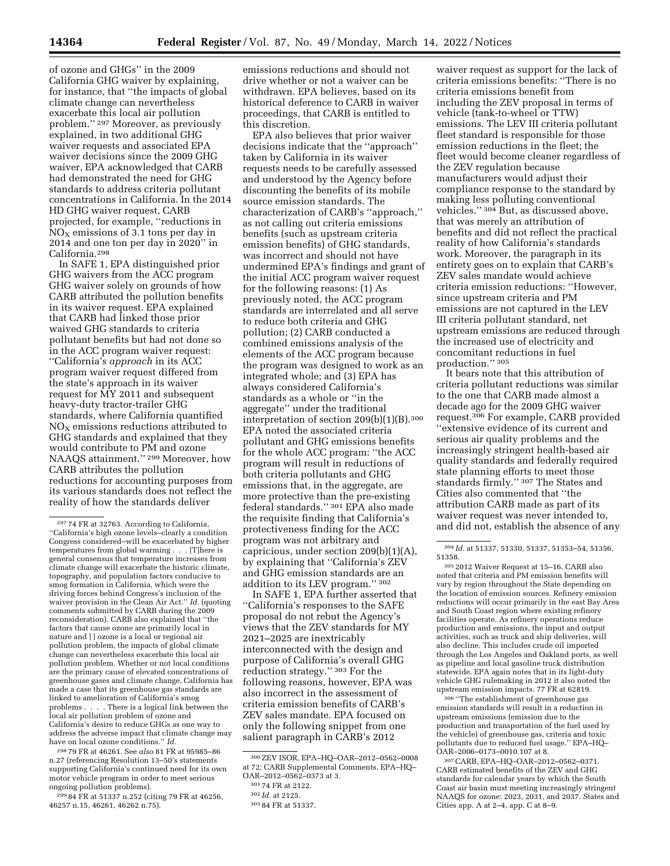of ozone and GHGs'' in the 2009 California GHG waiver by explaining, for instance, that ''the impacts of global climate change can nevertheless exacerbate this local air pollution problem.'' 297 Moreover, as previously explained, in two additional GHG waiver requests and associated EPA waiver decisions since the 2009 GHG waiver, EPA acknowledged that CARB had demonstrated the need for GHG standards to address criteria pollutant concentrations in California. In the 2014 HD GHG waiver request, CARB projected, for example, ''reductions in  $NO<sub>X</sub>$  emissions of 3.1 tons per day in 2014 and one ton per day in 2020'' in California.298

In SAFE 1, EPA distinguished prior GHG waivers from the ACC program GHG waiver solely on grounds of how CARB attributed the pollution benefits in its waiver request. EPA explained that CARB had linked those prior waived GHG standards to criteria pollutant benefits but had not done so in the ACC program waiver request: ''California's *approach* in its ACC program waiver request differed from the state's approach in its waiver request for MY 2011 and subsequent heavy-duty tractor-trailer GHG standards, where California quantified  $NO<sub>x</sub>$  emissions reductions attributed to GHG standards and explained that they would contribute to PM and ozone NAAQS attainment.'' 299 Moreover, how CARB attributes the pollution reductions for accounting purposes from its various standards does not reflect the reality of how the standards deliver

298 79 FR at 46261. See *also* 81 FR at 95985–86 n.27 (referencing Resolution 13–50's statements supporting California's continued need for its own motor vehicle program in order to meet serious ongoing pollution problems).

299 84 FR at 51337 n.252 (citing 79 FR at 46256, 46257 n.15, 46261, 46262 n.75).

emissions reductions and should not drive whether or not a waiver can be withdrawn. EPA believes, based on its historical deference to CARB in waiver proceedings, that CARB is entitled to this discretion.

EPA also believes that prior waiver decisions indicate that the ''approach'' taken by California in its waiver requests needs to be carefully assessed and understood by the Agency before discounting the benefits of its mobile source emission standards. The characterization of CARB's ''approach,'' as not calling out criteria emissions benefits (such as upstream criteria emission benefits) of GHG standards, was incorrect and should not have undermined EPA's findings and grant of the initial ACC program waiver request for the following reasons: (1) As previously noted, the ACC program standards are interrelated and all serve to reduce both criteria and GHG pollution; (2) CARB conducted a combined emissions analysis of the elements of the ACC program because the program was designed to work as an integrated whole; and (3) EPA has always considered California's standards as a whole or ''in the aggregate'' under the traditional interpretation of section 209(b)(1)(B).300 EPA noted the associated criteria pollutant and GHG emissions benefits for the whole ACC program: ''the ACC program will result in reductions of both criteria pollutants and GHG emissions that, in the aggregate, are more protective than the pre-existing federal standards.'' 301 EPA also made the requisite finding that California's protectiveness finding for the ACC program was not arbitrary and capricious, under section 209(b)(1)(A), by explaining that ''California's ZEV and GHG emission standards are an addition to its LEV program.'' 302

In SAFE 1, EPA further asserted that ''California's responses to the SAFE proposal do not rebut the Agency's views that the ZEV standards for MY 2021–2025 are inextricably interconnected with the design and purpose of California's overall GHG reduction strategy.'' 303 For the following reasons, however, EPA was also incorrect in the assessment of criteria emission benefits of CARB's ZEV sales mandate. EPA focused on only the following snippet from one salient paragraph in CARB's 2012

waiver request as support for the lack of criteria emissions benefits: ''There is no criteria emissions benefit from including the ZEV proposal in terms of vehicle (tank-to-wheel or TTW) emissions. The LEV III criteria pollutant fleet standard is responsible for those emission reductions in the fleet; the fleet would become cleaner regardless of the ZEV regulation because manufacturers would adjust their compliance response to the standard by making less polluting conventional vehicles.'' 304 But, as discussed above, that was merely an attribution of benefits and did not reflect the practical reality of how California's standards work. Moreover, the paragraph in its entirety goes on to explain that CARB's ZEV sales mandate would achieve criteria emission reductions: ''However, since upstream criteria and PM emissions are not captured in the LEV III criteria pollutant standard, net upstream emissions are reduced through the increased use of electricity and concomitant reductions in fuel production.'' 305

It bears note that this attribution of criteria pollutant reductions was similar to the one that CARB made almost a decade ago for the 2009 GHG waiver request.306 For example, CARB provided ''extensive evidence of its current and serious air quality problems and the increasingly stringent health-based air quality standards and federally required state planning efforts to meet those standards firmly.'' 307 The States and Cities also commented that ''the attribution CARB made as part of its waiver request was never intended to, and did not, establish the absence of any

305 2012 Waiver Request at 15–16. CARB also noted that criteria and PM emission benefits will vary by region throughout the State depending on the location of emission sources. Refinery emission reductions will occur primarily in the east Bay Area and South Coast region where existing refinery facilities operate. As refinery operations reduce production and emissions, the input and output activities, such as truck and ship deliveries, will also decline. This includes crude oil imported through the Los Angeles and Oakland ports, as well as pipeline and local gasoline truck distribution statewide. EPA again notes that in its light-duty vehicle GHG rulemaking in 2012 it also noted the upstream emission impacts. 77 FR at 62819.

306 ''The establishment of greenhouse gas emission standards will result in a reduction in upstream emissions (emission due to the production and transportation of the fuel used by the vehicle) of greenhouse gas, criteria and toxic pollutants due to reduced fuel usage.'' EPA–HQ– OAR–2006–0173–0010.107 at 8.

307CARB, EPA–HQ–OAR–2012–0562–0371. CARB estimated benefits of the ZEV and GHG standards for calendar years by which the South Coast air basin must meeting increasingly stringent NAAQS for ozone: 2023, 2031, and 2037. States and Cities app. A at 2–4, app. C at 8–9.

<sup>297</sup> 74 FR at 32763. According to California, ''California's high ozone levels–clearly a condition Congress considered–will be exacerbated by higher temperatures from global warming . . . [T]here is general consensus that temperature increases from climate change will exacerbate the historic climate, topography, and population factors conducive to smog formation in California, which were the driving forces behind Congress's inclusion of the waiver provision in the Clean Air Act.'' *Id.* (quoting comments submitted by CARB during the 2009 reconsideration). CARB also explained that ''the factors that cause ozone are primarily local in nature and [ ] ozone is a local or regional air pollution problem, the impacts of global climate change can nevertheless exacerbate this local air pollution problem. Whether or not local conditions are the primary cause of elevated concentrations of greenhouse gases and climate change, California has made a case that its greenhouse gas standards are linked to amelioration of California's smog problems . . . . There is a logical link between the local air pollution problem of ozone and California's desire to reduce GHGs as one way to address the adverse impact that climate change may have on local ozone conditions.'' *Id.* 

<sup>300</sup>ZEV ISOR, EPA–HQ–OAR–2012–0562–0008 at 72; CARB Supplemental Comments, EPA–HQ– OAR–2012–0562–0373 at 3.

<sup>301</sup> 74 FR at 2122.

<sup>302</sup> *Id.* at 2125.

<sup>303</sup> 84 FR at 51337.

<sup>304</sup> *Id.* at 51337, 51330, 51337, 51353–54, 51356, 51358.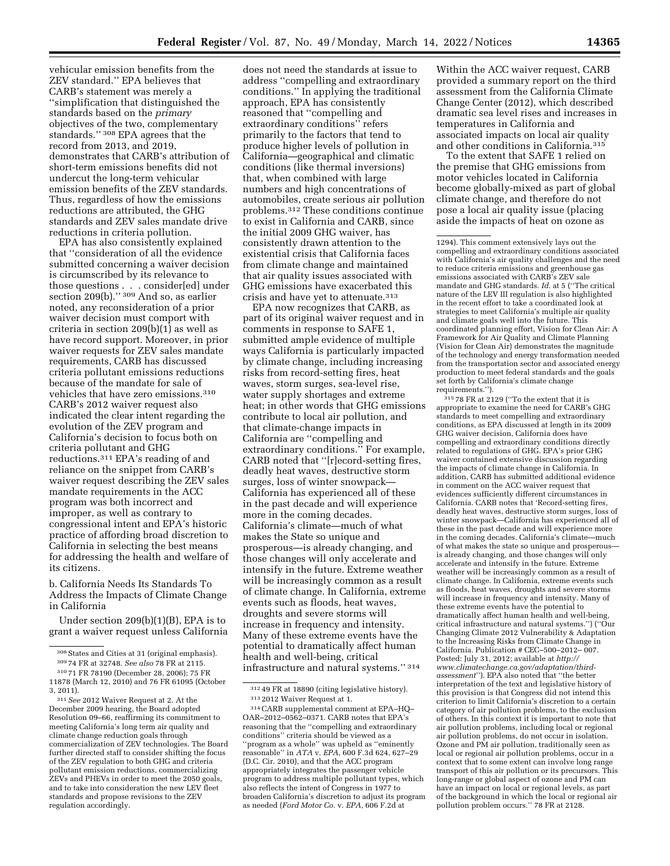vehicular emission benefits from the ZEV standard.'' EPA believes that CARB's statement was merely a ''simplification that distinguished the standards based on the *primary*  objectives of the two, complementary standards.'' 308 EPA agrees that the record from 2013, and 2019, demonstrates that CARB's attribution of short-term emissions benefits did not undercut the long-term vehicular emission benefits of the ZEV standards. Thus, regardless of how the emissions reductions are attributed, the GHG standards and ZEV sales mandate drive reductions in criteria pollution.

EPA has also consistently explained that ''consideration of all the evidence submitted concerning a waiver decision is circumscribed by its relevance to those questions . . . consider[ed] under section 209(b)." 309 And so, as earlier noted, any reconsideration of a prior waiver decision must comport with criteria in section 209(b)(1) as well as have record support. Moreover, in prior waiver requests for ZEV sales mandate requirements, CARB has discussed criteria pollutant emissions reductions because of the mandate for sale of vehicles that have zero emissions.310 CARB's 2012 waiver request also indicated the clear intent regarding the evolution of the ZEV program and California's decision to focus both on criteria pollutant and GHG reductions.311 EPA's reading of and reliance on the snippet from CARB's waiver request describing the ZEV sales mandate requirements in the ACC program was both incorrect and improper, as well as contrary to congressional intent and EPA's historic practice of affording broad discretion to California in selecting the best means for addressing the health and welfare of its citizens.

b. California Needs Its Standards To Address the Impacts of Climate Change in California

Under section 209(b)(1)(B), EPA is to grant a waiver request unless California

does not need the standards at issue to address ''compelling and extraordinary conditions.'' In applying the traditional approach, EPA has consistently reasoned that ''compelling and extraordinary conditions'' refers primarily to the factors that tend to produce higher levels of pollution in California—geographical and climatic conditions (like thermal inversions) that, when combined with large numbers and high concentrations of automobiles, create serious air pollution problems.312 These conditions continue to exist in California and CARB, since the initial 2009 GHG waiver, has consistently drawn attention to the existential crisis that California faces from climate change and maintained that air quality issues associated with GHG emissions have exacerbated this crisis and have yet to attenuate.313

EPA now recognizes that CARB, as part of its original waiver request and in comments in response to SAFE 1, submitted ample evidence of multiple ways California is particularly impacted by climate change, including increasing risks from record-setting fires, heat waves, storm surges, sea-level rise, water supply shortages and extreme heat; in other words that GHG emissions contribute to local air pollution, and that climate-change impacts in California are ''compelling and extraordinary conditions.'' For example, CARB noted that ''[r]ecord-setting fires, deadly heat waves, destructive storm surges, loss of winter snowpack— California has experienced all of these in the past decade and will experience more in the coming decades. California's climate—much of what makes the State so unique and prosperous—is already changing, and those changes will only accelerate and intensify in the future. Extreme weather will be increasingly common as a result of climate change. In California, extreme events such as floods, heat waves, droughts and severe storms will increase in frequency and intensity. Many of these extreme events have the potential to dramatically affect human health and well-being, critical infrastructure and natural systems.'' 314

Within the ACC waiver request, CARB provided a summary report on the third assessment from the California Climate Change Center (2012), which described dramatic sea level rises and increases in temperatures in California and associated impacts on local air quality and other conditions in California.315

To the extent that SAFE 1 relied on the premise that GHG emissions from motor vehicles located in California become globally-mixed as part of global climate change, and therefore do not pose a local air quality issue (placing aside the impacts of heat on ozone as

315 78 FR at 2129 (''To the extent that it is appropriate to examine the need for CARB's GHG standards to meet compelling and extraordinary conditions, as EPA discussed at length in its 2009 GHG waiver decision, California does have compelling and extraordinary conditions directly related to regulations of GHG. EPA's prior GHG waiver contained extensive discussion regarding the impacts of climate change in California. In addition, CARB has submitted additional evidence in comment on the ACC waiver request that evidences sufficiently different circumstances in California. CARB notes that 'Record-setting fires, deadly heat waves, destructive storm surges, loss of winter snowpack—California has experienced all of these in the past decade and will experience more in the coming decades. California's climate—much of what makes the state so unique and prosperous is already changing, and those changes will only accelerate and intensify in the future. Extreme weather will be increasingly common as a result of climate change. In California, extreme events such as floods, heat waves, droughts and severe storms will increase in frequency and intensity. Many of these extreme events have the potential to dramatically affect human health and well-being, critical infrastructure and natural systems.'') (''Our Changing Climate 2012 Vulnerability & Adaptation to the Increasing Risks from Climate Change in California. Publication # CEC-500-2012-007. Posted: July 31, 2012; available at *[http://](http://www.climatechange.ca.gov/adaptation/third-assessment) [www.climatechange.ca.gov/adaptation/third](http://www.climatechange.ca.gov/adaptation/third-assessment)[assessment](http://www.climatechange.ca.gov/adaptation/third-assessment)*''). EPA also noted that ''the better interpretation of the text and legislative history of this provision is that Congress did not intend this criterion to limit California's discretion to a certain category of air pollution problems, to the exclusion of others. In this context it is important to note that air pollution problems, including local or regional air pollution problems, do not occur in isolation. Ozone and PM air pollution, traditionally seen as local or regional air pollution problems, occur in a context that to some extent can involve long range transport of this air pollution or its precursors. This long-range or global aspect of ozone and PM can have an impact on local or regional levels, as part of the background in which the local or regional air pollution problem occurs.'' 78 FR at 2128.

<sup>308</sup>States and Cities at 31 (original emphasis). 309 74 FR at 32748. *See also* 78 FR at 2115.

<sup>310</sup> 71 FR 78190 (December 28, 2006); 75 FR 11878 (March 12, 2010) and 76 FR 61095 (October 3, 2011).

<sup>311</sup>*See* 2012 Waiver Request at 2. At the December 2009 hearing, the Board adopted Resolution 09–66, reaffirming its commitment to meeting California's long term air quality and climate change reduction goals through commercialization of ZEV technologies. The Board further directed staff to consider shifting the focus of the ZEV regulation to both GHG and criteria pollutant emission reductions, commercializing ZEVs and PHEVs in order to meet the 2050 goals, and to take into consideration the new LEV fleet standards and propose revisions to the ZEV regulation accordingly.

<sup>312</sup> 49 FR at 18890 (citing legislative history). 313 2012 Waiver Request at 1.

<sup>314</sup>CARB supplemental comment at EPA–HQ– OAR–2012–0562–0371. CARB notes that EPA's reasoning that the ''compelling and extraordinary conditions'' criteria should be viewed as a ''program as a whole'' was upheld as ''eminently reasonable'' in *ATA* v. *EPA,* 600 F.3d 624, 627–29 (D.C. Cir. 2010), and that the ACC program appropriately integrates the passenger vehicle program to address multiple pollutant types, which also reflects the intent of Congress in 1977 to broaden California's discretion to adjust its program as needed (*Ford Motor Co.* v. *EPA,* 606 F.2d at

<sup>1294).</sup> This comment extensively lays out the compelling and extraordinary conditions associated with California's air quality challenges and the need to reduce criteria emissions and greenhouse gas emissions associated with CARB's ZEV sale mandate and GHG standards. *Id.* at 5 (''The critical nature of the LEV III regulation is also highlighted in the recent effort to take a coordinated look at strategies to meet California's multiple air quality and climate goals well into the future. This coordinated planning effort, Vision for Clean Air: A Framework for Air Quality and Climate Planning (Vision for Clean Air) demonstrates the magnitude of the technology and energy transformation needed from the transportation sector and associated energy production to meet federal standards and the goals set forth by California's climate change requirements.'').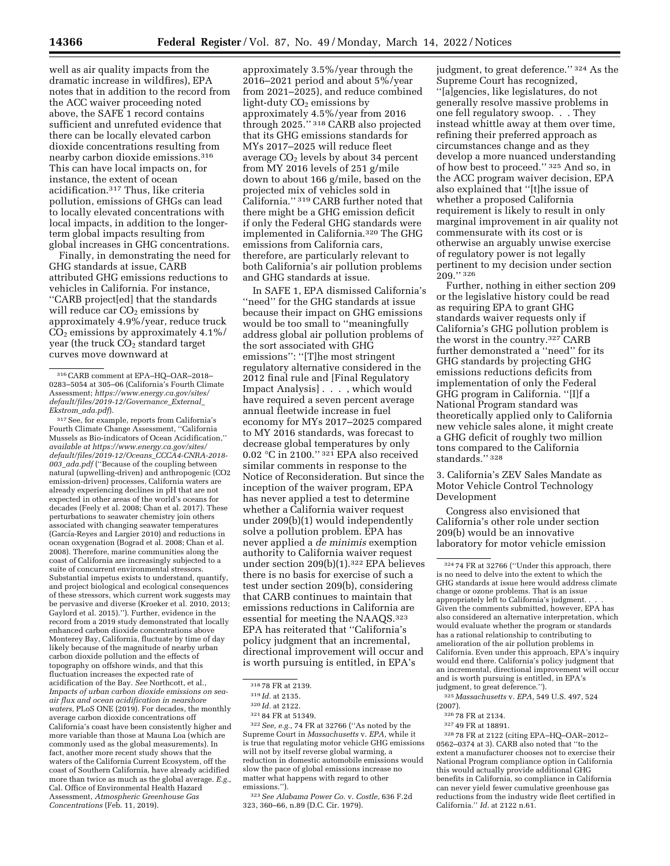well as air quality impacts from the dramatic increase in wildfires), EPA notes that in addition to the record from the ACC waiver proceeding noted above, the SAFE 1 record contains sufficient and unrefuted evidence that there can be locally elevated carbon dioxide concentrations resulting from nearby carbon dioxide emissions.316 This can have local impacts on, for instance, the extent of ocean acidification.317 Thus, like criteria pollution, emissions of GHGs can lead to locally elevated concentrations with local impacts, in addition to the longerterm global impacts resulting from global increases in GHG concentrations.

Finally, in demonstrating the need for GHG standards at issue, CARB attributed GHG emissions reductions to vehicles in California. For instance, ''CARB project[ed] that the standards will reduce car  $CO<sub>2</sub>$  emissions by approximately 4.9%/year, reduce truck  $CO<sub>2</sub>$  emissions by approximately 4.1%/ year (the truck  $CO<sub>2</sub>$  standard target curves move downward at

317See, for example, reports from California's Fourth Climate Change Assessment, ''California Mussels as Bio-indicators of Ocean Acidification,'' *available at [https://www.energy.ca.gov/sites/](https://www.energy.ca.gov/sites/default/files/2019-12/Oceans_CCCA4-CNRA-2018-003_ada.pdf) [default/files/2019-12/Oceans](https://www.energy.ca.gov/sites/default/files/2019-12/Oceans_CCCA4-CNRA-2018-003_ada.pdf)*\_*CCCA4-CNRA-2018- 003*\_*[ada.pdf](https://www.energy.ca.gov/sites/default/files/2019-12/Oceans_CCCA4-CNRA-2018-003_ada.pdf)* (''Because of the coupling between natural (upwelling-driven) and anthropogenic (CO2 emission-driven) processes, California waters are already experiencing declines in pH that are not expected in other areas of the world's oceans for decades (Feely et al. 2008; Chan et al. 2017). These perturbations to seawater chemistry join others associated with changing seawater temperatures (García-Reyes and Largier 2010) and reductions in ocean oxygenation (Bograd et al. 2008; Chan et al. 2008). Therefore, marine communities along the coast of California are increasingly subjected to a suite of concurrent environmental stressors. Substantial impetus exists to understand, quantify, and project biological and ecological consequences of these stressors, which current work suggests may be pervasive and diverse (Kroeker et al. 2010, 2013; Gaylord et al. 2015).''). Further, evidence in the record from a 2019 study demonstrated that locally enhanced carbon dioxide concentrations above Monterey Bay, California, fluctuate by time of day likely because of the magnitude of nearby urban carbon dioxide pollution and the effects of topography on offshore winds, and that this fluctuation increases the expected rate of acidification of the Bay. *See* Northcott, et al., *Impacts of urban carbon dioxide emissions on seaair flux and ocean acidification in nearshore waters,* PLoS ONE (2019). For decades, the monthly average carbon dioxide concentrations off California's coast have been consistently higher and more variable than those at Mauna Loa (which are commonly used as the global measurements). In fact, another more recent study shows that the waters of the California Current Ecosystem, off the coast of Southern California, have already acidified more than twice as much as the global average. *E.g.,*  Cal. Office of Environmental Health Hazard Assessment, *Atmospheric Greenhouse Gas Concentrations* (Feb. 11, 2019).

approximately 3.5%/year through the 2016–2021 period and about 5%/year from 2021–2025), and reduce combined light-duty  $CO<sub>2</sub>$  emissions by approximately 4.5%/year from 2016 through 2025.'' 318 CARB also projected that its GHG emissions standards for MYs 2017–2025 will reduce fleet average  $CO<sub>2</sub>$  levels by about 34 percent from MY 2016 levels of 251 g/mile down to about 166 g/mile, based on the projected mix of vehicles sold in California.'' 319 CARB further noted that there might be a GHG emission deficit if only the Federal GHG standards were implemented in California.320 The GHG emissions from California cars, therefore, are particularly relevant to both California's air pollution problems and GHG standards at issue.

In SAFE 1, EPA dismissed California's "need" for the GHG standards at issue because their impact on GHG emissions would be too small to ''meaningfully address global air pollution problems of the sort associated with GHG emissions'': ''[T]he most stringent regulatory alternative considered in the 2012 final rule and [Final Regulatory Impact Analysis] . . . , which would have required a seven percent average annual fleetwide increase in fuel economy for MYs 2017–2025 compared to MY 2016 standards, was forecast to decrease global temperatures by only 0.02 °C in 2100.'' 321 EPA also received similar comments in response to the Notice of Reconsideration. But since the inception of the waiver program, EPA has never applied a test to determine whether a California waiver request under 209(b)(1) would independently solve a pollution problem. EPA has never applied a *de minimis* exemption authority to California waiver request under section 209(b)(1).322 EPA believes there is no basis for exercise of such a test under section 209(b), considering that CARB continues to maintain that emissions reductions in California are essential for meeting the NAAQS.323 EPA has reiterated that ''California's policy judgment that an incremental, directional improvement will occur and is worth pursuing is entitled, in EPA's

322*See, e.g.,* 74 FR at 32766 (''As noted by the Supreme Court in *Massachusetts* v. *EPA,* while it is true that regulating motor vehicle GHG emissions will not by itself reverse global warming, a reduction in domestic automobile emissions would slow the pace of global emissions increase no matter what happens with regard to other emissions.'').

323*See Alabama Power Co.* v. *Costle,* 636 F.2d 323, 360–66, n.89 (D.C. Cir. 1979).

judgment, to great deference.'' 324 As the Supreme Court has recognized, ''[a]gencies, like legislatures, do not generally resolve massive problems in one fell regulatory swoop. . . They instead whittle away at them over time, refining their preferred approach as circumstances change and as they develop a more nuanced understanding of how best to proceed.'' 325 And so, in the ACC program waiver decision, EPA also explained that ''[t]he issue of whether a proposed California requirement is likely to result in only marginal improvement in air quality not commensurate with its cost or is otherwise an arguably unwise exercise of regulatory power is not legally pertinent to my decision under section 209.'' 326

Further, nothing in either section 209 or the legislative history could be read as requiring EPA to grant GHG standards waiver requests only if California's GHG pollution problem is the worst in the country.327 CARB further demonstrated a ''need'' for its GHG standards by projecting GHG emissions reductions deficits from implementation of only the Federal GHG program in California. ''[I]f a National Program standard was theoretically applied only to California new vehicle sales alone, it might create a GHG deficit of roughly two million tons compared to the California standards.'' 328

3. California's ZEV Sales Mandate as Motor Vehicle Control Technology Development

Congress also envisioned that California's other role under section 209(b) would be an innovative laboratory for motor vehicle emission

325 *Massachusetts* v. *EPA,* 549 U.S. 497, 524

- 326 78 FR at 2134.
- 327 49 FR at 18891.

328 78 FR at 2122 (citing EPA–HQ–OAR–2012– 0562–0374 at 3). CARB also noted that ''to the extent a manufacturer chooses not to exercise their National Program compliance option in California this would actually provide additional GHG benefits in California, so compliance in California can never yield fewer cumulative greenhouse gas reductions from the industry wide fleet certified in California.'' *Id.* at 2122 n.61.

<sup>316</sup>CARB comment at EPA–HQ–OAR–2018– 0283–5054 at 305–06 (California's Fourth Climate Assessment; *[https://www.energy.ca.gov/sites/](https://www.energy.ca.gov/sites/default/files/2019-12/Governance_External_Ekstrom_ada.pdf) [default/files/2019-12/Governance](https://www.energy.ca.gov/sites/default/files/2019-12/Governance_External_Ekstrom_ada.pdf)*\_*External*\_ *[Ekstrom](https://www.energy.ca.gov/sites/default/files/2019-12/Governance_External_Ekstrom_ada.pdf)*\_*ada.pdf*).

<sup>318</sup> 78 FR at 2139.

<sup>319</sup> *Id.* at 2135.

<sup>320</sup> *Id.* at 2122.

<sup>321</sup> 84 FR at 51349.

<sup>324</sup> 74 FR at 32766 (''Under this approach, there is no need to delve into the extent to which the GHG standards at issue here would address climate change or ozone problems. That is an issue appropriately left to California's judgment. Given the comments submitted, however, EPA has also considered an alternative interpretation, which would evaluate whether the program or standards has a rational relationship to contributing to amelioration of the air pollution problems in California. Even under this approach, EPA's inquiry would end there. California's policy judgment that an incremental, directional improvement will occur and is worth pursuing is entitled, in EPA's judgment, to great deference.'').

<sup>(2007).</sup>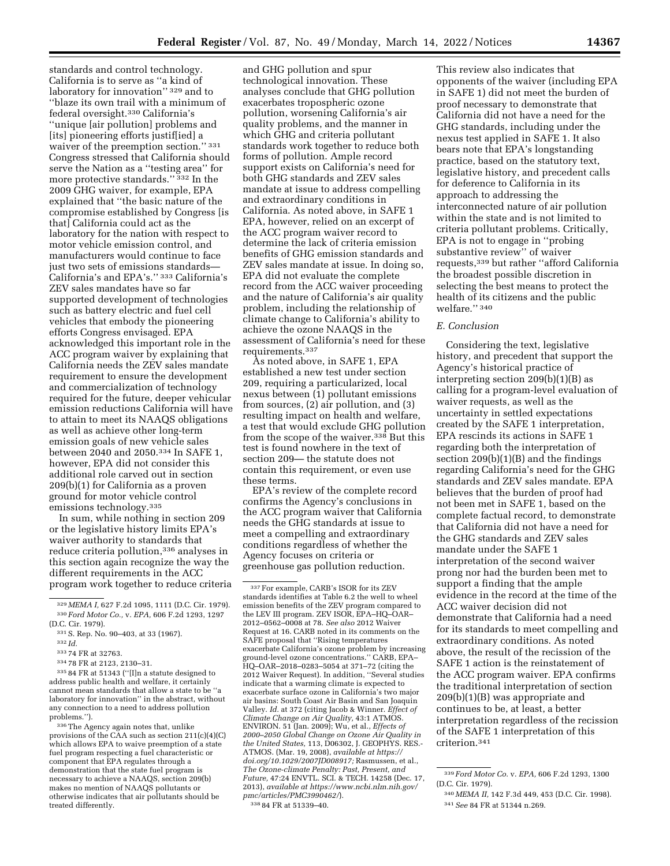standards and control technology. California is to serve as ''a kind of laboratory for innovation'' 329 and to ''blaze its own trail with a minimum of federal oversight.330 California's ''unique [air pollution] problems and [its] pioneering efforts justif[ied] a waiver of the preemption section." 331 Congress stressed that California should serve the Nation as a ''testing area'' for more protective standards."<sup>332</sup> In the 2009 GHG waiver, for example, EPA explained that ''the basic nature of the compromise established by Congress [is that] California could act as the laboratory for the nation with respect to motor vehicle emission control, and manufacturers would continue to face just two sets of emissions standards— California's and EPA's.'' 333 California's ZEV sales mandates have so far supported development of technologies such as battery electric and fuel cell vehicles that embody the pioneering efforts Congress envisaged. EPA acknowledged this important role in the ACC program waiver by explaining that California needs the ZEV sales mandate requirement to ensure the development and commercialization of technology required for the future, deeper vehicular emission reductions California will have to attain to meet its NAAQS obligations as well as achieve other long-term emission goals of new vehicle sales between 2040 and 2050.334 In SAFE 1, however, EPA did not consider this additional role carved out in section 209(b)(1) for California as a proven ground for motor vehicle control emissions technology.335

In sum, while nothing in section 209 or the legislative history limits EPA's waiver authority to standards that reduce criteria pollution,<sup>336</sup> analyses in this section again recognize the way the different requirements in the ACC program work together to reduce criteria

333 74 FR at 32763.

and GHG pollution and spur technological innovation. These analyses conclude that GHG pollution exacerbates tropospheric ozone pollution, worsening California's air quality problems, and the manner in which GHG and criteria pollutant standards work together to reduce both forms of pollution. Ample record support exists on California's need for both GHG standards and ZEV sales mandate at issue to address compelling and extraordinary conditions in California. As noted above, in SAFE 1 EPA, however, relied on an excerpt of the ACC program waiver record to determine the lack of criteria emission benefits of GHG emission standards and ZEV sales mandate at issue. In doing so, EPA did not evaluate the complete record from the ACC waiver proceeding and the nature of California's air quality problem, including the relationship of climate change to California's ability to achieve the ozone NAAQS in the assessment of California's need for these requirements.337

As noted above, in SAFE 1, EPA established a new test under section 209, requiring a particularized, local nexus between (1) pollutant emissions from sources, (2) air pollution, and (3) resulting impact on health and welfare, a test that would exclude GHG pollution from the scope of the waiver.<sup>338</sup> But this test is found nowhere in the text of section 209— the statute does not contain this requirement, or even use these terms.

EPA's review of the complete record confirms the Agency's conclusions in the ACC program waiver that California needs the GHG standards at issue to meet a compelling and extraordinary conditions regardless of whether the Agency focuses on criteria or greenhouse gas pollution reduction.

This review also indicates that opponents of the waiver (including EPA in SAFE 1) did not meet the burden of proof necessary to demonstrate that California did not have a need for the GHG standards, including under the nexus test applied in SAFE 1. It also bears note that EPA's longstanding practice, based on the statutory text, legislative history, and precedent calls for deference to California in its approach to addressing the interconnected nature of air pollution within the state and is not limited to criteria pollutant problems. Critically, EPA is not to engage in ''probing substantive review'' of waiver requests,339 but rather ''afford California the broadest possible discretion in selecting the best means to protect the health of its citizens and the public welfare.'' 340

### *E. Conclusion*

Considering the text, legislative history, and precedent that support the Agency's historical practice of interpreting section 209(b)(1)(B) as calling for a program-level evaluation of waiver requests, as well as the uncertainty in settled expectations created by the SAFE 1 interpretation, EPA rescinds its actions in SAFE 1 regarding both the interpretation of section 209(b)(1)(B) and the findings regarding California's need for the GHG standards and ZEV sales mandate. EPA believes that the burden of proof had not been met in SAFE 1, based on the complete factual record, to demonstrate that California did not have a need for the GHG standards and ZEV sales mandate under the SAFE 1 interpretation of the second waiver prong nor had the burden been met to support a finding that the ample evidence in the record at the time of the ACC waiver decision did not demonstrate that California had a need for its standards to meet compelling and extraordinary conditions. As noted above, the result of the recission of the SAFE 1 action is the reinstatement of the ACC program waiver. EPA confirms the traditional interpretation of section 209(b)(1)(B) was appropriate and continues to be, at least, a better interpretation regardless of the recission of the SAFE 1 interpretation of this criterion.341

<sup>329</sup> *MEMA I,* 627 F.2d 1095, 1111 (D.C. Cir. 1979). 330 *Ford Motor Co.,* v. *EPA,* 606 F.2d 1293, 1297 (D.C. Cir. 1979).

<sup>331</sup>S. Rep. No. 90–403, at 33 (1967).

<sup>332</sup> *Id.* 

<sup>334</sup> 78 FR at 2123, 2130–31.

<sup>335</sup> 84 FR at 51343 (''[I]n a statute designed to address public health and welfare, it certainly cannot mean standards that allow a state to be ''a laboratory for innovation'' in the abstract, without any connection to a need to address pollution problems.'').

<sup>336</sup>The Agency again notes that, unlike provisions of the CAA such as section 211(c)(4)(C) which allows EPA to waive preemption of a state fuel program respecting a fuel characteristic or component that EPA regulates through a demonstration that the state fuel program is necessary to achieve a NAAQS, section 209(b) makes no mention of NAAQS pollutants or otherwise indicates that air pollutants should be treated differently.

<sup>337</sup>For example, CARB's ISOR for its ZEV standards identifies at Table 6.2 the well to wheel emission benefits of the ZEV program compared to the LEV III program. ZEV ISOR, EPA–HQ–OAR– 2012–0562–0008 at 78. *See also* 2012 Waiver Request at 16. CARB noted in its comments on the SAFE proposal that ''Rising temperatures exacerbate California's ozone problem by increasing ground-level ozone concentrations.'' CARB, EPA– HQ–OAR–2018–0283–5054 at 371–72 (citing the 2012 Waiver Request). In addition, ''Several studies indicate that a warming climate is expected to exacerbate surface ozone in California's two major air basins: South Coast Air Basin and San Joaquin Valley. *Id.* at 372 (citing Jacob & Winner. *Effect of Climate Change on Air Quality,* 43:1 ATMOS. ENVIRON. 51 (Jan. 2009); Wu, et al., *Effects of 2000–2050 Global Change on Ozone Air Quality in the United States,* 113, D06302, J. GEOPHYS. RES.- ATMOS. (Mar. 19, 2008), *available at [https://](https://doi.org/10.1029/2007JD008917) [doi.org/10.1029/2007JD008917;](https://doi.org/10.1029/2007JD008917)* Rasmussen, et al., *The Ozone-climate Penalty: Past, Present, and Future,* 47:24 ENVTL. SCI. & TECH. 14258 (Dec. 17, 2013), *available at [https://www.ncbi.nlm.nih.gov/](https://www.ncbi.nlm.nih.gov/pmc/articles/PMC3990462/)  [pmc/articles/PMC3990462/](https://www.ncbi.nlm.nih.gov/pmc/articles/PMC3990462/)*). 338 84 FR at 51339–40.

<sup>339</sup> *Ford Motor Co.* v. *EPA,* 606 F.2d 1293, 1300 (D.C. Cir. 1979).

<sup>340</sup> *MEMA II,* 142 F.3d 449, 453 (D.C. Cir. 1998). 341*See* 84 FR at 51344 n.269.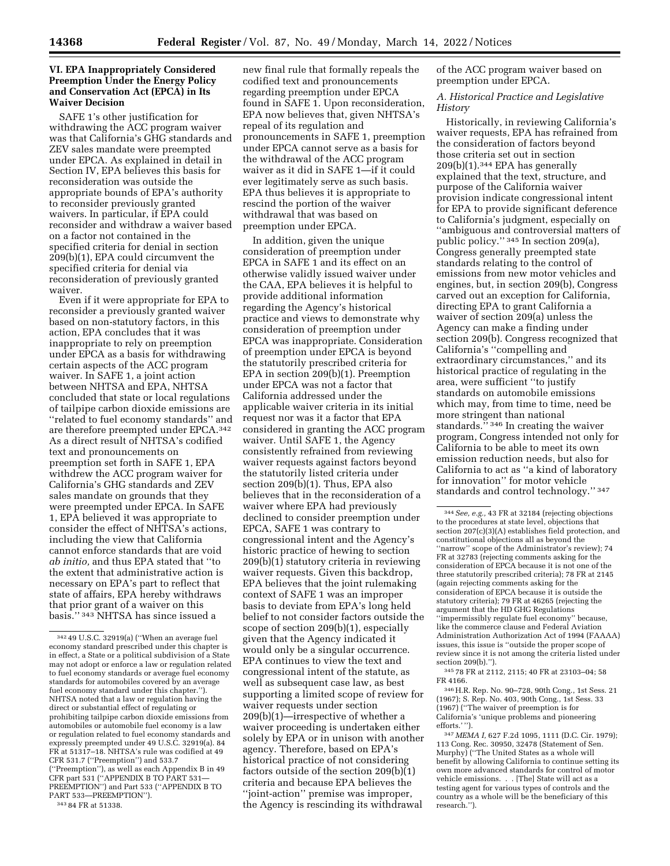## **VI. EPA Inappropriately Considered Preemption Under the Energy Policy and Conservation Act (EPCA) in Its Waiver Decision**

SAFE 1's other justification for withdrawing the ACC program waiver was that California's GHG standards and ZEV sales mandate were preempted under EPCA. As explained in detail in Section IV, EPA believes this basis for reconsideration was outside the appropriate bounds of EPA's authority to reconsider previously granted waivers. In particular, if EPA could reconsider and withdraw a waiver based on a factor not contained in the specified criteria for denial in section 209(b)(1), EPA could circumvent the specified criteria for denial via reconsideration of previously granted waiver.

Even if it were appropriate for EPA to reconsider a previously granted waiver based on non-statutory factors, in this action, EPA concludes that it was inappropriate to rely on preemption under EPCA as a basis for withdrawing certain aspects of the ACC program waiver. In SAFE 1, a joint action between NHTSA and EPA, NHTSA concluded that state or local regulations of tailpipe carbon dioxide emissions are ''related to fuel economy standards'' and are therefore preempted under EPCA.342 As a direct result of NHTSA's codified text and pronouncements on preemption set forth in SAFE 1, EPA withdrew the ACC program waiver for California's GHG standards and ZEV sales mandate on grounds that they were preempted under EPCA. In SAFE 1, EPA believed it was appropriate to consider the effect of NHTSA's actions, including the view that California cannot enforce standards that are void *ab initio,* and thus EPA stated that ''to the extent that administrative action is necessary on EPA's part to reflect that state of affairs, EPA hereby withdraws that prior grant of a waiver on this basis.'' 343 NHTSA has since issued a

343 84 FR at 51338.

new final rule that formally repeals the codified text and pronouncements regarding preemption under EPCA found in SAFE 1. Upon reconsideration, EPA now believes that, given NHTSA's repeal of its regulation and pronouncements in SAFE 1, preemption under EPCA cannot serve as a basis for the withdrawal of the ACC program waiver as it did in SAFE 1—if it could ever legitimately serve as such basis. EPA thus believes it is appropriate to rescind the portion of the waiver withdrawal that was based on preemption under EPCA.

In addition, given the unique consideration of preemption under EPCA in SAFE 1 and its effect on an otherwise validly issued waiver under the CAA, EPA believes it is helpful to provide additional information regarding the Agency's historical practice and views to demonstrate why consideration of preemption under EPCA was inappropriate. Consideration of preemption under EPCA is beyond the statutorily prescribed criteria for EPA in section 209(b)(1). Preemption under EPCA was not a factor that California addressed under the applicable waiver criteria in its initial request nor was it a factor that EPA considered in granting the ACC program waiver. Until SAFE 1, the Agency consistently refrained from reviewing waiver requests against factors beyond the statutorily listed criteria under section 209(b)(1). Thus, EPA also believes that in the reconsideration of a waiver where EPA had previously declined to consider preemption under EPCA, SAFE 1 was contrary to congressional intent and the Agency's historic practice of hewing to section 209(b)(1) statutory criteria in reviewing waiver requests. Given this backdrop, EPA believes that the joint rulemaking context of SAFE 1 was an improper basis to deviate from EPA's long held belief to not consider factors outside the scope of section 209(b)(1), especially given that the Agency indicated it would only be a singular occurrence. EPA continues to view the text and congressional intent of the statute, as well as subsequent case law, as best supporting a limited scope of review for waiver requests under section 209(b)(1)—irrespective of whether a waiver proceeding is undertaken either solely by EPA or in unison with another agency. Therefore, based on EPA's historical practice of not considering factors outside of the section 209(b)(1) criteria and because EPA believes the ''joint-action'' premise was improper, the Agency is rescinding its withdrawal

of the ACC program waiver based on preemption under EPCA.

*A. Historical Practice and Legislative History* 

Historically, in reviewing California's waiver requests, EPA has refrained from the consideration of factors beyond those criteria set out in section 209(b)(1).344 EPA has generally explained that the text, structure, and purpose of the California waiver provision indicate congressional intent for EPA to provide significant deference to California's judgment, especially on ''ambiguous and controversial matters of public policy.'' 345 In section 209(a), Congress generally preempted state standards relating to the control of emissions from new motor vehicles and engines, but, in section 209(b), Congress carved out an exception for California, directing EPA to grant California a waiver of section 209(a) unless the Agency can make a finding under section 209(b). Congress recognized that California's ''compelling and extraordinary circumstances,'' and its historical practice of regulating in the area, were sufficient ''to justify standards on automobile emissions which may, from time to time, need be more stringent than national standards."<sup>346</sup> In creating the waiver program, Congress intended not only for California to be able to meet its own emission reduction needs, but also for California to act as ''a kind of laboratory for innovation'' for motor vehicle standards and control technology.'' 347

345 78 FR at 2112, 2115; 40 FR at 23103–04; 58 FR 4166.

346H.R. Rep. No. 90–728, 90th Cong., 1st Sess. 21 (1967); S. Rep. No. 403, 90th Cong., 1st Sess. 33 (1967) (''The waiver of preemption is for California's 'unique problems and pioneering efforts.' '').

347 *MEMA I,* 627 F.2d 1095, 1111 (D.C. Cir. 1979); 113 Cong. Rec. 30950, 32478 (Statement of Sen. Murphy) (''The United States as a whole will benefit by allowing California to continue setting its own more advanced standards for control of motor vehicle emissions. . . [The] State will act as a testing agent for various types of controls and the country as a whole will be the beneficiary of this research.'').

<sup>342</sup> 49 U.S.C. 32919(a) (''When an average fuel economy standard prescribed under this chapter is in effect, a State or a political subdivision of a State may not adopt or enforce a law or regulation related to fuel economy standards or average fuel economy standards for automobiles covered by an average fuel economy standard under this chapter.''). NHTSA noted that a law or regulation having the direct or substantial effect of regulating or prohibiting tailpipe carbon dioxide emissions from automobiles or automobile fuel economy is a law or regulation related to fuel economy standards and expressly preempted under 49 U.S.C. 32919(a). 84 FR at 51317–18. NHTSA's rule was codified at 49 CFR 531.7 (''Preemption'') and 533.7 (''Preemption''), as well as each Appendix B in 49 CFR part 531 (''APPENDIX B TO PART 531— PREEMPTION'') and Part 533 (''APPENDIX B TO PART 533—PREEMPTION'').

<sup>344</sup>*See, e.g.,* 43 FR at 32184 (rejecting objections to the procedures at state level, objections that section 207(c)(3)(A) establishes field protection, and constitutional objections all as beyond the ''narrow'' scope of the Administrator's review); 74 FR at 32783 (rejecting comments asking for the consideration of EPCA because it is not one of the three statutorily prescribed criteria); 78 FR at 2145 (again rejecting comments asking for the consideration of EPCA because it is outside the statutory criteria); 79 FR at 46265 (rejecting the argument that the HD GHG Regulations ''impermissibly regulate fuel economy'' because, like the commerce clause and Federal Aviation Administration Authorization Act of 1994 (FAAAA) issues, this issue is ''outside the proper scope of review since it is not among the criteria listed under section 209(b).'').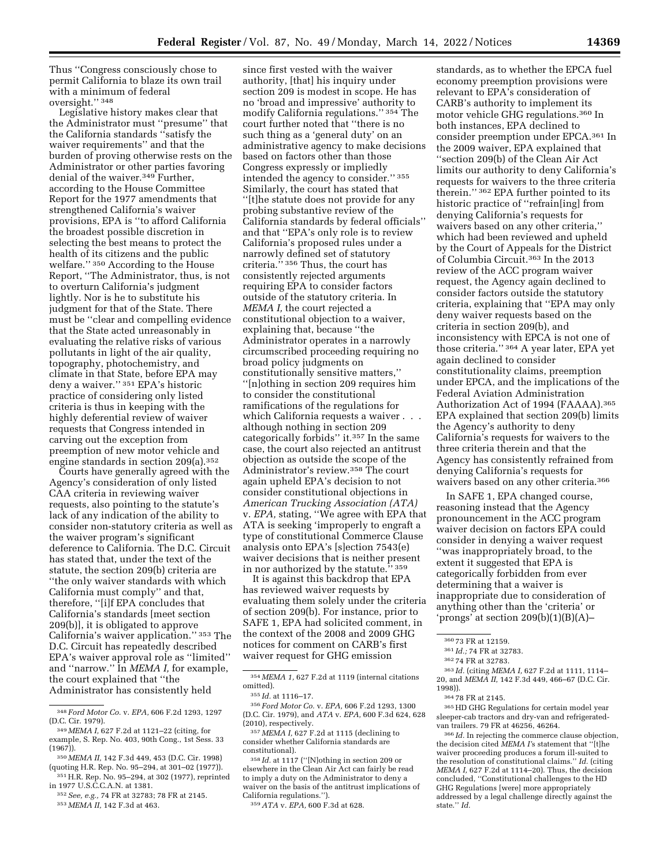Thus ''Congress consciously chose to permit California to blaze its own trail with a minimum of federal oversight.'' 348

Legislative history makes clear that the Administrator must ''presume'' that the California standards ''satisfy the waiver requirements'' and that the burden of proving otherwise rests on the Administrator or other parties favoring denial of the waiver.349 Further, according to the House Committee Report for the 1977 amendments that strengthened California's waiver provisions, EPA is ''to afford California the broadest possible discretion in selecting the best means to protect the health of its citizens and the public welfare.'' 350 According to the House Report, ''The Administrator, thus, is not to overturn California's judgment lightly. Nor is he to substitute his judgment for that of the State. There must be ''clear and compelling evidence that the State acted unreasonably in evaluating the relative risks of various pollutants in light of the air quality, topography, photochemistry, and climate in that State, before EPA may deny a waiver.'' 351 EPA's historic practice of considering only listed criteria is thus in keeping with the highly deferential review of waiver requests that Congress intended in carving out the exception from preemption of new motor vehicle and engine standards in section 209(a).352

Courts have generally agreed with the Agency's consideration of only listed CAA criteria in reviewing waiver requests, also pointing to the statute's lack of any indication of the ability to consider non-statutory criteria as well as the waiver program's significant deference to California. The D.C. Circuit has stated that, under the text of the statute, the section 209(b) criteria are ''the only waiver standards with which California must comply'' and that, therefore, ''[i]f EPA concludes that California's standards [meet section 209(b)], it is obligated to approve California's waiver application.'' 353 The D.C. Circuit has repeatedly described EPA's waiver approval role as ''limited'' and ''narrow.'' In *MEMA I,* for example, the court explained that ''the Administrator has consistently held

350 *MEMA II,* 142 F.3d 449, 453 (D.C. Cir. 1998) (quoting H.R. Rep. No. 95–294, at 301–02 (1977)). 351H.R. Rep. No. 95–294, at 302 (1977), reprinted

in 1977 U.S.C.C.A.N. at 1381.

352*See, e.g.,* 74 FR at 32783; 78 FR at 2145. 353 *MEMA II,* 142 F.3d at 463.

since first vested with the waiver authority, [that] his inquiry under section 209 is modest in scope. He has no 'broad and impressive' authority to modify California regulations.'' 354 The court further noted that ''there is no such thing as a 'general duty' on an administrative agency to make decisions based on factors other than those Congress expressly or impliedly intended the agency to consider.'' 355 Similarly, the court has stated that ''[t]he statute does not provide for any probing substantive review of the California standards by federal officials'' and that ''EPA's only role is to review California's proposed rules under a narrowly defined set of statutory criteria.'' 356 Thus, the court has consistently rejected arguments requiring EPA to consider factors outside of the statutory criteria. In *MEMA I,* the court rejected a constitutional objection to a waiver, explaining that, because ''the Administrator operates in a narrowly circumscribed proceeding requiring no broad policy judgments on constitutionally sensitive matters,'' ''[n]othing in section 209 requires him to consider the constitutional ramifications of the regulations for which California requests a waiver . . . although nothing in section 209 categorically forbids'' it.357 In the same case, the court also rejected an antitrust objection as outside the scope of the Administrator's review.358 The court again upheld EPA's decision to not consider constitutional objections in *American Trucking Association (ATA)*  v. *EPA,* stating, ''We agree with EPA that ATA is seeking 'improperly to engraft a type of constitutional Commerce Clause analysis onto EPA's [s]ection 7543(e) waiver decisions that is neither present in nor authorized by the statute.'' 359

It is against this backdrop that EPA has reviewed waiver requests by evaluating them solely under the criteria of section 209(b). For instance, prior to SAFE 1, EPA had solicited comment, in the context of the 2008 and 2009 GHG notices for comment on CARB's first waiver request for GHG emission

356 *Ford Motor Co.* v. *EPA,* 606 F.2d 1293, 1300 (D.C. Cir. 1979), and *ATA* v. *EPA,* 600 F.3d 624, 628 (2010), respectively.

357 *MEMA I,* 627 F.2d at 1115 (declining to consider whether California standards are constitutional).

358 *Id.* at 1117 (''[N]othing in section 209 or elsewhere in the Clean Air Act can fairly be read to imply a duty on the Administrator to deny a waiver on the basis of the antitrust implications of California regulations.'').

359*ATA* v. *EPA,* 600 F.3d at 628.

standards, as to whether the EPCA fuel economy preemption provisions were relevant to EPA's consideration of CARB's authority to implement its motor vehicle GHG regulations.360 In both instances, EPA declined to consider preemption under EPCA.361 In the 2009 waiver, EPA explained that ''section 209(b) of the Clean Air Act limits our authority to deny California's requests for waivers to the three criteria therein.'' 362 EPA further pointed to its historic practice of ''refrain[ing] from denying California's requests for waivers based on any other criteria,'' which had been reviewed and upheld by the Court of Appeals for the District of Columbia Circuit.363 In the 2013 review of the ACC program waiver request, the Agency again declined to consider factors outside the statutory criteria, explaining that ''EPA may only deny waiver requests based on the criteria in section 209(b), and inconsistency with EPCA is not one of those criteria.'' 364 A year later, EPA yet again declined to consider constitutionality claims, preemption under EPCA, and the implications of the Federal Aviation Administration Authorization Act of 1994 (FAAAA).365 EPA explained that section 209(b) limits the Agency's authority to deny California's requests for waivers to the three criteria therein and that the Agency has consistently refrained from denying California's requests for waivers based on any other criteria.366

In SAFE 1, EPA changed course, reasoning instead that the Agency pronouncement in the ACC program waiver decision on factors EPA could consider in denying a waiver request ''was inappropriately broad, to the extent it suggested that EPA is categorically forbidden from ever determining that a waiver is inappropriate due to consideration of anything other than the 'criteria' or 'prongs' at section  $209(b)(1)(B)(A)$ –

365HD GHG Regulations for certain model year sleeper-cab tractors and dry-van and refrigeratedvan trailers. 79 FR at 46256, 46264.

366 *Id.* In rejecting the commerce clause objection, the decision cited *MEMA I'*s statement that ''[t]he waiver proceeding produces a forum ill-suited to the resolution of constitutional claims.'' *Id.* (citing *MEMA I,* 627 F.2d at 1114–20). Thus, the decision concluded, ''Constitutional challenges to the HD GHG Regulations [were] more appropriately addressed by a legal challenge directly against the state.'' *Id.* 

<sup>348</sup> *Ford Motor Co.* v. *EPA,* 606 F.2d 1293, 1297 (D.C. Cir. 1979).

<sup>349</sup> *MEMA I,* 627 F.2d at 1121–22 (citing, for example, S. Rep. No. 403, 90th Cong., 1st Sess. 33 (1967)).

<sup>354</sup> *MEMA 1,* 627 F.2d at 1119 (internal citations omitted).

<sup>355</sup> *Id.* at 1116–17.

<sup>360</sup> 73 FR at 12159.

<sup>361</sup> *Id.;* 74 FR at 32783.

<sup>362</sup> 74 FR at 32783.

<sup>363</sup> *Id.* (citing *MEMA I,* 627 F.2d at 1111, 1114– 20, and *MEMA II,* 142 F.3d 449, 466–67 (D.C. Cir. 1998)).

<sup>364</sup> 78 FR at 2145.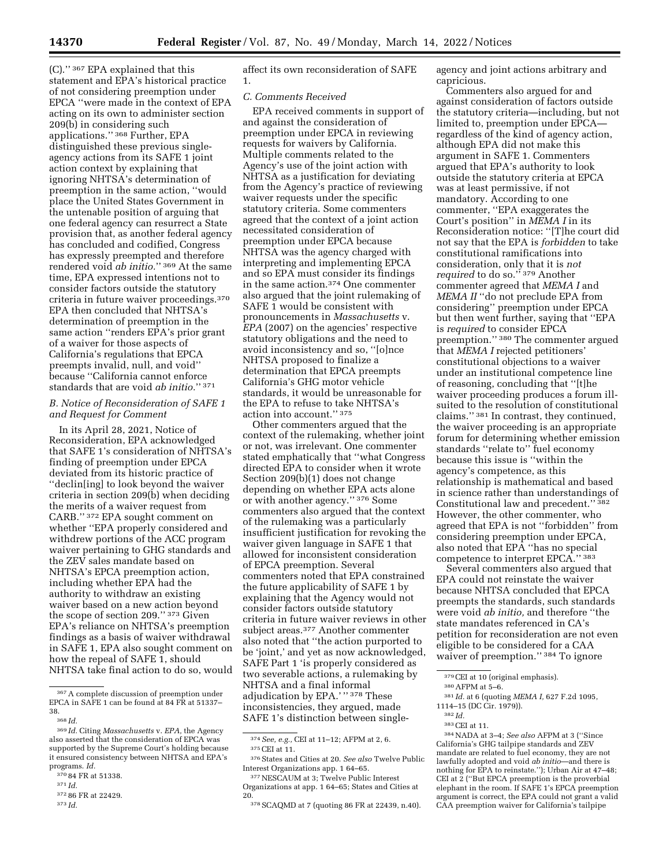(C).'' 367 EPA explained that this statement and EPA's historical practice of not considering preemption under EPCA ''were made in the context of EPA acting on its own to administer section 209(b) in considering such applications.'' 368 Further, EPA distinguished these previous singleagency actions from its SAFE 1 joint action context by explaining that ignoring NHTSA's determination of preemption in the same action, ''would place the United States Government in the untenable position of arguing that one federal agency can resurrect a State provision that, as another federal agency has concluded and codified, Congress has expressly preempted and therefore rendered void *ab initio.*'' 369 At the same time, EPA expressed intentions not to consider factors outside the statutory criteria in future waiver proceedings.370 EPA then concluded that NHTSA's determination of preemption in the same action ''renders EPA's prior grant of a waiver for those aspects of California's regulations that EPCA preempts invalid, null, and void'' because ''California cannot enforce standards that are void *ab initio.*'' 371

### *B. Notice of Reconsideration of SAFE 1 and Request for Comment*

In its April 28, 2021, Notice of Reconsideration, EPA acknowledged that SAFE 1's consideration of NHTSA's finding of preemption under EPCA deviated from its historic practice of ''declin[ing] to look beyond the waiver criteria in section 209(b) when deciding the merits of a waiver request from CARB.'' 372 EPA sought comment on whether ''EPA properly considered and withdrew portions of the ACC program waiver pertaining to GHG standards and the ZEV sales mandate based on NHTSA's EPCA preemption action, including whether EPA had the authority to withdraw an existing waiver based on a new action beyond the scope of section 209.'' 373 Given EPA's reliance on NHTSA's preemption findings as a basis of waiver withdrawal in SAFE 1, EPA also sought comment on how the repeal of SAFE 1, should NHTSA take final action to do so, would

372 86 FR at 22429.

373 *Id.* 

affect its own reconsideration of SAFE 1.

#### *C. Comments Received*

EPA received comments in support of and against the consideration of preemption under EPCA in reviewing requests for waivers by California. Multiple comments related to the Agency's use of the joint action with NHTSA as a justification for deviating from the Agency's practice of reviewing waiver requests under the specific statutory criteria. Some commenters agreed that the context of a joint action necessitated consideration of preemption under EPCA because NHTSA was the agency charged with interpreting and implementing EPCA and so EPA must consider its findings in the same action.374 One commenter also argued that the joint rulemaking of SAFE 1 would be consistent with pronouncements in *Massachusetts* v. *EPA* (2007) on the agencies' respective statutory obligations and the need to avoid inconsistency and so, ''[o]nce NHTSA proposed to finalize a determination that EPCA preempts California's GHG motor vehicle standards, it would be unreasonable for the EPA to refuse to take NHTSA's action into account.'' 375

Other commenters argued that the context of the rulemaking, whether joint or not, was irrelevant. One commenter stated emphatically that ''what Congress directed EPA to consider when it wrote Section 209(b)(1) does not change depending on whether EPA acts alone or with another agency.'' 376 Some commenters also argued that the context of the rulemaking was a particularly insufficient justification for revoking the waiver given language in SAFE 1 that allowed for inconsistent consideration of EPCA preemption. Several commenters noted that EPA constrained the future applicability of SAFE 1 by explaining that the Agency would not consider factors outside statutory criteria in future waiver reviews in other subject areas.377 Another commenter also noted that ''the action purported to be 'joint,' and yet as now acknowledged, SAFE Part 1 'is properly considered as two severable actions, a rulemaking by NHTSA and a final informal adjudication by EPA.' '' 378 These inconsistencies, they argued, made SAFE 1's distinction between singleagency and joint actions arbitrary and capricious.

Commenters also argued for and against consideration of factors outside the statutory criteria—including, but not limited to, preemption under EPCA regardless of the kind of agency action, although EPA did not make this argument in SAFE 1. Commenters argued that EPA's authority to look outside the statutory criteria at EPCA was at least permissive, if not mandatory. According to one commenter, ''EPA exaggerates the Court's position'' in *MEMA I* in its Reconsideration notice: ''[T]he court did not say that the EPA is *forbidden* to take constitutional ramifications into consideration, only that it is *not required* to do so.'' 379 Another commenter agreed that *MEMA I* and *MEMA II* ''do not preclude EPA from considering'' preemption under EPCA but then went further, saying that ''EPA is *required* to consider EPCA preemption.'' 380 The commenter argued that *MEMA I* rejected petitioners' constitutional objections to a waiver under an institutional competence line of reasoning, concluding that ''[t]he waiver proceeding produces a forum illsuited to the resolution of constitutional claims.'' 381 In contrast, they continued, the waiver proceeding is an appropriate forum for determining whether emission standards ''relate to'' fuel economy because this issue is ''within the agency's competence, as this relationship is mathematical and based in science rather than understandings of Constitutional law and precedent.'' 382 However, the other commenter, who agreed that EPA is not ''forbidden'' from considering preemption under EPCA, also noted that EPA ''has no special competence to interpret EPCA.'' 383

Several commenters also argued that EPA could not reinstate the waiver because NHTSA concluded that EPCA preempts the standards, such standards were void *ab initio,* and therefore ''the state mandates referenced in CA's petition for reconsideration are not even eligible to be considered for a CAA waiver of preemption.'' 384 To ignore

<sup>367</sup>A complete discussion of preemption under EPCA in SAFE 1 can be found at 84 FR at 51337– 38.

<sup>368</sup> *Id.* 

<sup>369</sup> *Id.* Citing *Massachusetts* v. *EPA,* the Agency also asserted that the consideration of EPCA was supported by the Supreme Court's holding because it ensured consistency between NHTSA and EPA's programs. *Id.* 

<sup>370</sup> 84 FR at 51338.

<sup>371</sup> *Id.* 

<sup>374</sup>*See, e.g.,* CEI at 11–12; AFPM at 2, 6.

<sup>375</sup>CEI at 11.

<sup>376</sup>States and Cities at 20. *See also* Twelve Public Interest Organizations app. 1 64–65.

<sup>377</sup>NESCAUM at 3; Twelve Public Interest Organizations at app. 1 64–65; States and Cities at 20.

<sup>378</sup>SCAQMD at 7 (quoting 86 FR at 22439, n.40).

<sup>379</sup>CEI at 10 (original emphasis).

<sup>380</sup>AFPM at 5–6.

<sup>381</sup> *Id.* at 6 (quoting *MEMA I,* 627 F.2d 1095,

<sup>1114–15 (</sup>DC Cir. 1979)).

<sup>382</sup> *Id.* 

<sup>383</sup>CEI at 11.

<sup>384</sup>NADA at 3–4; *See also* AFPM at 3 (''Since California's GHG tailpipe standards and ZEV mandate are related to fuel economy, they are not lawfully adopted and void *ab initio*—and there is nothing for EPA to reinstate.''); Urban Air at 47–48; CEI at 2 (''But EPCA preemption is the proverbial elephant in the room. If SAFE 1's EPCA preemption argument is correct, the EPA could not grant a valid CAA preemption waiver for California's tailpipe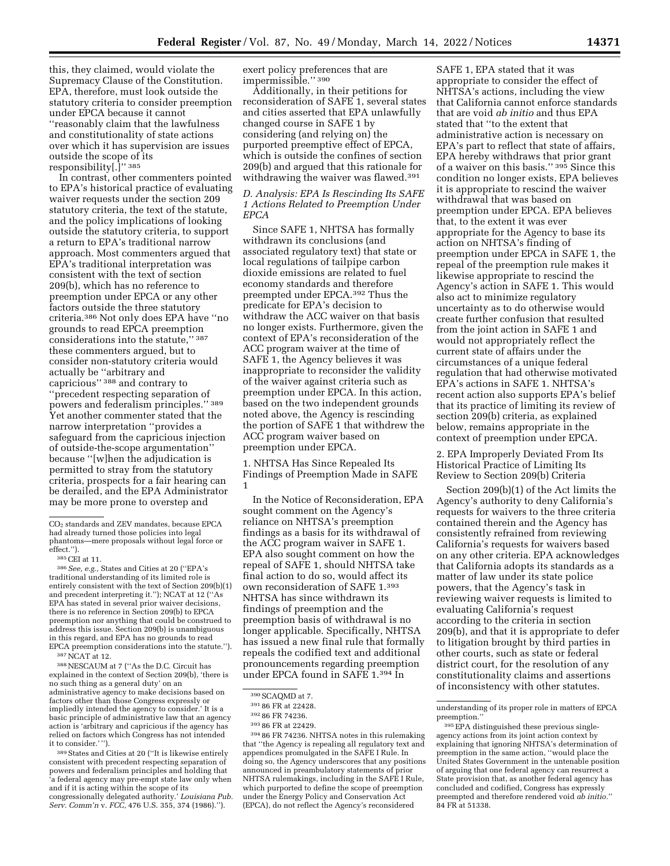this, they claimed, would violate the Supremacy Clause of the Constitution. EPA, therefore, must look outside the statutory criteria to consider preemption under EPCA because it cannot ''reasonably claim that the lawfulness and constitutionality of state actions over which it has supervision are issues outside the scope of its responsibility[.]'' 385

In contrast, other commenters pointed to EPA's historical practice of evaluating waiver requests under the section 209 statutory criteria, the text of the statute, and the policy implications of looking outside the statutory criteria, to support a return to EPA's traditional narrow approach. Most commenters argued that EPA's traditional interpretation was consistent with the text of section 209(b), which has no reference to preemption under EPCA or any other factors outside the three statutory criteria.386 Not only does EPA have ''no grounds to read EPCA preemption considerations into the statute,'' 387 these commenters argued, but to consider non-statutory criteria would actually be ''arbitrary and capricious'' 388 and contrary to ''precedent respecting separation of powers and federalism principles.'' 389 Yet another commenter stated that the narrow interpretation ''provides a safeguard from the capricious injection of outside-the-scope argumentation'' because ''[w]hen the adjudication is permitted to stray from the statutory criteria, prospects for a fair hearing can be derailed, and the EPA Administrator may be more prone to overstep and

traditional understanding of its limited role is entirely consistent with the text of Section 209(b)(1) and precedent interpreting it.''); NCAT at 12 (''As EPA has stated in several prior waiver decisions, there is no reference in Section 209(b) to EPCA preemption nor anything that could be construed to address this issue. Section 209(b) is unambiguous in this regard, and EPA has no grounds to read EPCA preemption considerations into the statute.''). 387NCAT at 12.

388NESCAUM at 7 (''As the D.C. Circuit has explained in the context of Section 209(b), 'there is no such thing as a general duty' on an administrative agency to make decisions based on factors other than those Congress expressly or impliedly intended the agency to consider.' It is a basic principle of administrative law that an agency action is 'arbitrary and capricious if the agency has relied on factors which Congress has not intended it to consider.' '').

389States and Cities at 20 (''It is likewise entirely consistent with precedent respecting separation of powers and federalism principles and holding that 'a federal agency may pre-empt state law only when and if it is acting within the scope of its congressionally delegated authority.' *Louisiana Pub. Serv. Comm'n* v. *FCC,* 476 U.S. 355, 374 (1986).'').

exert policy preferences that are impermissible.'' 390

Additionally, in their petitions for reconsideration of SAFE 1, several states and cities asserted that EPA unlawfully changed course in SAFE 1 by considering (and relying on) the purported preemptive effect of EPCA, which is outside the confines of section 209(b) and argued that this rationale for withdrawing the waiver was flawed.<sup>391</sup>

### *D. Analysis: EPA Is Rescinding Its SAFE 1 Actions Related to Preemption Under EPCA*

Since SAFE 1, NHTSA has formally withdrawn its conclusions (and associated regulatory text) that state or local regulations of tailpipe carbon dioxide emissions are related to fuel economy standards and therefore preempted under EPCA.392 Thus the predicate for EPA's decision to withdraw the ACC waiver on that basis no longer exists. Furthermore, given the context of EPA's reconsideration of the ACC program waiver at the time of SAFE 1, the Agency believes it was inappropriate to reconsider the validity of the waiver against criteria such as preemption under EPCA. In this action, based on the two independent grounds noted above, the Agency is rescinding the portion of SAFE 1 that withdrew the ACC program waiver based on preemption under EPCA.

1. NHTSA Has Since Repealed Its Findings of Preemption Made in SAFE 1

In the Notice of Reconsideration, EPA sought comment on the Agency's reliance on NHTSA's preemption findings as a basis for its withdrawal of the ACC program waiver in SAFE 1. EPA also sought comment on how the repeal of SAFE 1, should NHTSA take final action to do so, would affect its own reconsideration of SAFE 1.393 NHTSA has since withdrawn its findings of preemption and the preemption basis of withdrawal is no longer applicable. Specifically, NHTSA has issued a new final rule that formally repeals the codified text and additional pronouncements regarding preemption under EPCA found in SAFE 1.394 In

394 86 FR 74236. NHTSA notes in this rulemaking that ''the Agency is repealing all regulatory text and appendices promulgated in the SAFE I Rule. In doing so, the Agency underscores that any positions announced in preambulatory statements of prior NHTSA rulemakings, including in the SAFE I Rule, which purported to define the scope of preemption under the Energy Policy and Conservation Act (EPCA), do not reflect the Agency's reconsidered

SAFE 1, EPA stated that it was appropriate to consider the effect of NHTSA's actions, including the view that California cannot enforce standards that are void *ab initio* and thus EPA stated that ''to the extent that administrative action is necessary on EPA's part to reflect that state of affairs, EPA hereby withdraws that prior grant of a waiver on this basis.'' 395 Since this condition no longer exists, EPA believes it is appropriate to rescind the waiver withdrawal that was based on preemption under EPCA. EPA believes that, to the extent it was ever appropriate for the Agency to base its action on NHTSA's finding of preemption under EPCA in SAFE 1, the repeal of the preemption rule makes it likewise appropriate to rescind the Agency's action in SAFE 1. This would also act to minimize regulatory uncertainty as to do otherwise would create further confusion that resulted from the joint action in SAFE 1 and would not appropriately reflect the current state of affairs under the circumstances of a unique federal regulation that had otherwise motivated EPA's actions in SAFE 1. NHTSA's recent action also supports EPA's belief that its practice of limiting its review of section 209(b) criteria, as explained below, remains appropriate in the context of preemption under EPCA.

2. EPA Improperly Deviated From Its Historical Practice of Limiting Its Review to Section 209(b) Criteria

Section 209(b)(1) of the Act limits the Agency's authority to deny California's requests for waivers to the three criteria contained therein and the Agency has consistently refrained from reviewing California's requests for waivers based on any other criteria. EPA acknowledges that California adopts its standards as a matter of law under its state police powers, that the Agency's task in reviewing waiver requests is limited to evaluating California's request according to the criteria in section 209(b), and that it is appropriate to defer to litigation brought by third parties in other courts, such as state or federal district court, for the resolution of any constitutionality claims and assertions of inconsistency with other statutes.

CO2 standards and ZEV mandates, because EPCA had already turned those policies into legal phantoms—mere proposals without legal force or effect.''). 385CEI at 11. 386*See, e.g.,* States and Cities at 20 (''EPA's

<sup>390</sup>SCAQMD at 7.

<sup>391</sup> 86 FR at 22428.

<sup>392</sup> 86 FR 74236.

<sup>393</sup> 86 FR at 22429.

understanding of its proper role in matters of EPCA preemption.

<sup>395</sup>EPA distinguished these previous singleagency actions from its joint action context by explaining that ignoring NHTSA's determination of preemption in the same action, ''would place the United States Government in the untenable position of arguing that one federal agency can resurrect a State provision that, as another federal agency has concluded and codified, Congress has expressly preempted and therefore rendered void *ab initio.*'' 84 FR at 51338.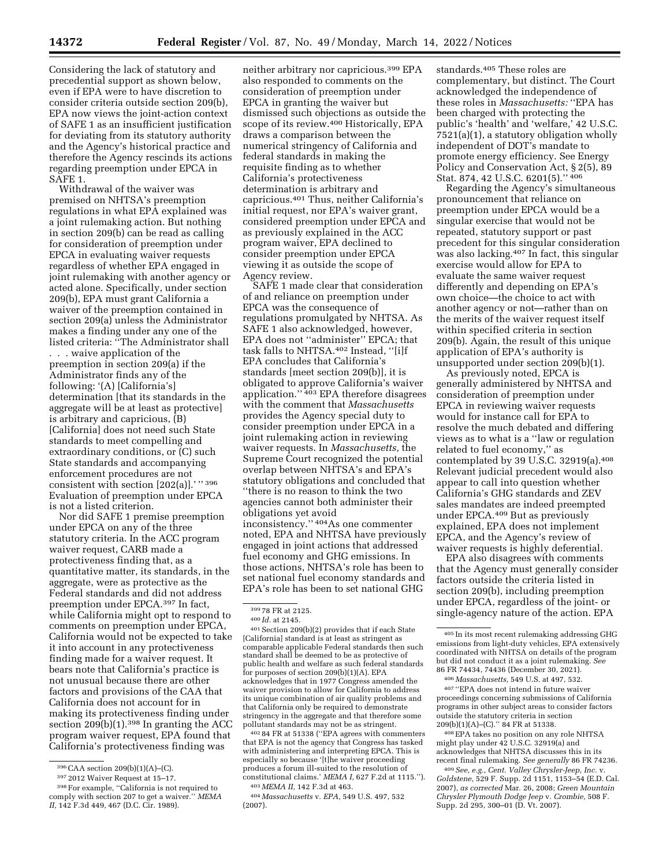Considering the lack of statutory and precedential support as shown below, even if EPA were to have discretion to consider criteria outside section 209(b), EPA now views the joint-action context of SAFE 1 as an insufficient justification for deviating from its statutory authority and the Agency's historical practice and therefore the Agency rescinds its actions regarding preemption under EPCA in SAFE 1.

Withdrawal of the waiver was premised on NHTSA's preemption regulations in what EPA explained was a joint rulemaking action. But nothing in section 209(b) can be read as calling for consideration of preemption under EPCA in evaluating waiver requests regardless of whether EPA engaged in joint rulemaking with another agency or acted alone. Specifically, under section 209(b), EPA must grant California a waiver of the preemption contained in section 209(a) unless the Administrator makes a finding under any one of the listed criteria: ''The Administrator shall . . . waive application of the preemption in section 209(a) if the Administrator finds any of the following: '(A) [California's] determination [that its standards in the aggregate will be at least as protective] is arbitrary and capricious, (B) [California] does not need such State standards to meet compelling and extraordinary conditions, or (C) such State standards and accompanying enforcement procedures are not consistent with section [202(a)].'" 396 Evaluation of preemption under EPCA is not a listed criterion.

Nor did SAFE 1 premise preemption under EPCA on any of the three statutory criteria. In the ACC program waiver request, CARB made a protectiveness finding that, as a quantitative matter, its standards, in the aggregate, were as protective as the Federal standards and did not address preemption under EPCA.397 In fact, while California might opt to respond to comments on preemption under EPCA, California would not be expected to take it into account in any protectiveness finding made for a waiver request. It bears note that California's practice is not unusual because there are other factors and provisions of the CAA that California does not account for in making its protectiveness finding under section  $209(b)(1).$ <sup>398</sup> In granting the ACC program waiver request, EPA found that California's protectiveness finding was

neither arbitrary nor capricious.399 EPA also responded to comments on the consideration of preemption under EPCA in granting the waiver but dismissed such objections as outside the scope of its review.400 Historically, EPA draws a comparison between the numerical stringency of California and federal standards in making the requisite finding as to whether California's protectiveness determination is arbitrary and capricious.401 Thus, neither California's initial request, nor EPA's waiver grant, considered preemption under EPCA and as previously explained in the ACC program waiver, EPA declined to consider preemption under EPCA viewing it as outside the scope of Agency review.

SAFE 1 made clear that consideration of and reliance on preemption under EPCA was the consequence of regulations promulgated by NHTSA. As SAFE 1 also acknowledged, however, EPA does not ''administer'' EPCA; that task falls to NHTSA.402 Instead, ''[i]f EPA concludes that California's standards [meet section 209(b)], it is obligated to approve California's waiver application.'' 403 EPA therefore disagrees with the comment that *Massachusetts*  provides the Agency special duty to consider preemption under EPCA in a joint rulemaking action in reviewing waiver requests. In *Massachusetts,* the Supreme Court recognized the potential overlap between NHTSA's and EPA's statutory obligations and concluded that ''there is no reason to think the two agencies cannot both administer their obligations yet avoid inconsistency.'' 404As one commenter noted, EPA and NHTSA have previously engaged in joint actions that addressed fuel economy and GHG emissions. In those actions, NHTSA's role has been to set national fuel economy standards and EPA's role has been to set national GHG

<sup>399</sup> 78 FR at 2125.<br><sup>400</sup> *Id.* at 2145.<br><sup>401</sup> Section 209(b)(2) provides that if each State [California] standard is at least as stringent as comparable applicable Federal standards then such standard shall be deemed to be as protective of public health and welfare as such federal standards for purposes of section 209(b)(1)(A). EPA acknowledges that in 1977 Congress amended the waiver provision to allow for California to address its unique combination of air quality problems and that California only be required to demonstrate stringency in the aggregate and that therefore some pollutant standards may not be as stringent.

402 84 FR at 51338 (''EPA agrees with commenters that EPA is not the agency that Congress has tasked with administering and interpreting EPCA. This is especially so because '[t]he waiver proceeding produces a forum ill-suited to the resolution of constitutional claims.' *MEMA I,* 627 F.2d at 1115.'').

403 *MEMA II,* 142 F.3d at 463.

complementary, but distinct. The Court acknowledged the independence of these roles in *Massachusetts:* ''EPA has been charged with protecting the public's 'health' and 'welfare,' 42 U.S.C. 7521(a)(1), a statutory obligation wholly independent of DOT's mandate to promote energy efficiency. See Energy Policy and Conservation Act, § 2(5), 89 Stat. 874, 42 U.S.C. 6201(5).'' 406

standards.405 These roles are

Regarding the Agency's simultaneous pronouncement that reliance on preemption under EPCA would be a singular exercise that would not be repeated, statutory support or past precedent for this singular consideration was also lacking.407 In fact, this singular exercise would allow for EPA to evaluate the same waiver request differently and depending on EPA's own choice—the choice to act with another agency or not—rather than on the merits of the waiver request itself within specified criteria in section 209(b). Again, the result of this unique application of EPA's authority is unsupported under section 209(b)(1).

As previously noted, EPCA is generally administered by NHTSA and consideration of preemption under EPCA in reviewing waiver requests would for instance call for EPA to resolve the much debated and differing views as to what is a ''law or regulation related to fuel economy,'' as contemplated by 39 U.S.C. 32919(a).408 Relevant judicial precedent would also appear to call into question whether California's GHG standards and ZEV sales mandates are indeed preempted under EPCA.409 But as previously explained, EPA does not implement EPCA, and the Agency's review of waiver requests is highly deferential.

EPA also disagrees with comments that the Agency must generally consider factors outside the criteria listed in section 209(b), including preemption under EPCA, regardless of the joint- or single-agency nature of the action. EPA

407 ''EPA does not intend in future waiver proceedings concerning submissions of California programs in other subject areas to consider factors outside the statutory criteria in section 209(b)(1)(A)–(C).'' 84 FR at 51338.

408EPA takes no position on any role NHTSA might play under 42 U.S.C. 32919(a) and acknowledges that NHTSA discusses this in its recent final rulemaking. *See generally* 86 FR 74236.

409*See, e.g., Cent. Valley Chrysler-Jeep, Inc.* v. *Goldstene,* 529 F. Supp. 2d 1151, 1153–54 (E.D. Cal. 2007), *as corrected* Mar. 26, 2008; *Green Mountain Chrysler Plymouth Dodge Jeep* v. *Crombie,* 508 F. Supp. 2d 295, 300–01 (D. Vt. 2007).

<sup>396</sup>CAA section 209(b)(1)(A)–(C).

<sup>397</sup> 2012 Waiver Request at 15–17.

<sup>398</sup>For example, ''California is not required to comply with section 207 to get a waiver.'' *MEMA II,* 142 F.3d 449, 467 (D.C. Cir. 1989).

<sup>405</sup> In its most recent rulemaking addressing GHG emissions from light-duty vehicles, EPA extensively coordinated with NHTSA on details of the program but did not conduct it as a joint rulemaking. *See*  86 FR 74434, 74436 (December 30, 2021).

<sup>406</sup> *Massachusetts,* 549 U.S. at 497, 532.

<sup>404</sup> *Massachusetts* v. *EPA,* 549 U.S. 497, 532 (2007).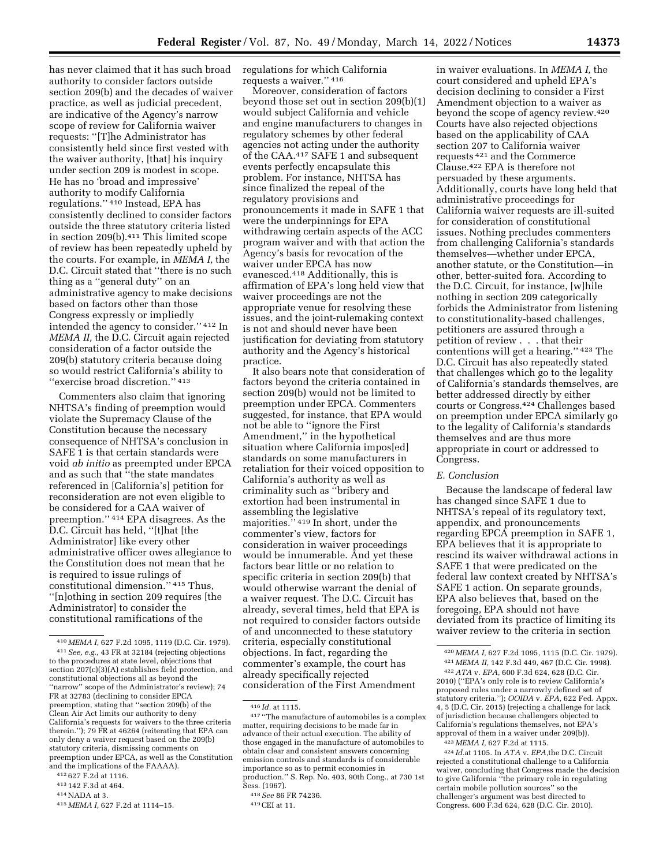has never claimed that it has such broad authority to consider factors outside section 209(b) and the decades of waiver practice, as well as judicial precedent, are indicative of the Agency's narrow scope of review for California waiver requests: ''[T]he Administrator has consistently held since first vested with the waiver authority, [that] his inquiry under section 209 is modest in scope. He has no 'broad and impressive' authority to modify California regulations.'' 410 Instead, EPA has consistently declined to consider factors outside the three statutory criteria listed in section 209(b).411 This limited scope of review has been repeatedly upheld by the courts. For example, in *MEMA I,* the D.C. Circuit stated that ''there is no such thing as a ''general duty'' on an administrative agency to make decisions based on factors other than those Congress expressly or impliedly intended the agency to consider.'' 412 In *MEMA II,* the D.C. Circuit again rejected consideration of a factor outside the 209(b) statutory criteria because doing so would restrict California's ability to ''exercise broad discretion.'' 413

Commenters also claim that ignoring NHTSA's finding of preemption would violate the Supremacy Clause of the Constitution because the necessary consequence of NHTSA's conclusion in SAFE 1 is that certain standards were void *ab initio* as preempted under EPCA and as such that ''the state mandates referenced in [California's] petition for reconsideration are not even eligible to be considered for a CAA waiver of preemption.'' 414 EPA disagrees. As the D.C. Circuit has held, ''[t]hat [the Administrator] like every other administrative officer owes allegiance to the Constitution does not mean that he is required to issue rulings of constitutional dimension.'' 415 Thus, ''[n]othing in section 209 requires [the Administrator] to consider the constitutional ramifications of the

regulations for which California requests a waiver.'' 416

Moreover, consideration of factors beyond those set out in section 209(b)(1) would subject California and vehicle and engine manufacturers to changes in regulatory schemes by other federal agencies not acting under the authority of the CAA.417 SAFE 1 and subsequent events perfectly encapsulate this problem. For instance, NHTSA has since finalized the repeal of the regulatory provisions and pronouncements it made in SAFE 1 that were the underpinnings for EPA withdrawing certain aspects of the ACC program waiver and with that action the Agency's basis for revocation of the waiver under EPCA has now evanesced.418 Additionally, this is affirmation of EPA's long held view that waiver proceedings are not the appropriate venue for resolving these issues, and the joint-rulemaking context is not and should never have been justification for deviating from statutory authority and the Agency's historical practice.

It also bears note that consideration of factors beyond the criteria contained in section 209(b) would not be limited to preemption under EPCA. Commenters suggested, for instance, that EPA would not be able to ''ignore the First Amendment," in the hypothetical situation where California impos[ed] standards on some manufacturers in retaliation for their voiced opposition to California's authority as well as criminality such as ''bribery and extortion had been instrumental in assembling the legislative majorities.'' 419 In short, under the commenter's view, factors for consideration in waiver proceedings would be innumerable. And yet these factors bear little or no relation to specific criteria in section 209(b) that would otherwise warrant the denial of a waiver request. The D.C. Circuit has already, several times, held that EPA is not required to consider factors outside of and unconnected to these statutory criteria, especially constitutional objections. In fact, regarding the commenter's example, the court has already specifically rejected consideration of the First Amendment

in waiver evaluations. In *MEMA I,* the court considered and upheld EPA's decision declining to consider a First Amendment objection to a waiver as beyond the scope of agency review.420 Courts have also rejected objections based on the applicability of CAA section 207 to California waiver requests 421 and the Commerce Clause.422 EPA is therefore not persuaded by these arguments. Additionally, courts have long held that administrative proceedings for California waiver requests are ill-suited for consideration of constitutional issues. Nothing precludes commenters from challenging California's standards themselves—whether under EPCA, another statute, or the Constitution—in other, better-suited fora. According to the D.C. Circuit, for instance, [w]hile nothing in section 209 categorically forbids the Administrator from listening to constitutionality-based challenges, petitioners are assured through a petition of review . . . that their contentions will get a hearing.'' 423 The D.C. Circuit has also repeatedly stated that challenges which go to the legality of California's standards themselves, are better addressed directly by either courts or Congress.424 Challenges based on preemption under EPCA similarly go to the legality of California's standards themselves and are thus more appropriate in court or addressed to Congress.

#### *E. Conclusion*

Because the landscape of federal law has changed since SAFE 1 due to NHTSA's repeal of its regulatory text, appendix, and pronouncements regarding EPCA preemption in SAFE 1, EPA believes that it is appropriate to rescind its waiver withdrawal actions in SAFE 1 that were predicated on the federal law context created by NHTSA's SAFE 1 action. On separate grounds, EPA also believes that, based on the foregoing, EPA should not have deviated from its practice of limiting its waiver review to the criteria in section

<sup>410</sup> *MEMA I,* 627 F.2d 1095, 1119 (D.C. Cir. 1979). 411*See, e.g.,* 43 FR at 32184 (rejecting objections to the procedures at state level, objections that section 207(c)(3)(A) establishes field protection, and constitutional objections all as beyond the 'narrow" scope of the Administrator's review); 74 FR at 32783 (declining to consider EPCA preemption, stating that ''section 209(b) of the Clean Air Act limits our authority to deny California's requests for waivers to the three criteria therein.''); 79 FR at 46264 (reiterating that EPA can only deny a waiver request based on the 209(b) statutory criteria, dismissing comments on preemption under EPCA, as well as the Constitution and the implications of the FAAAA).

<sup>412</sup> 627 F.2d at 1116.

<sup>413</sup> 142 F.3d at 464.

<sup>414</sup>NADA at 3.

<sup>415</sup> *MEMA I,* 627 F.2d at 1114–15.

<sup>416</sup> *Id.* at 1115. 417 ''The manufacture of automobiles is a complex matter, requiring decisions to be made far in advance of their actual execution. The ability of those engaged in the manufacture of automobiles to obtain clear and consistent answers concerning emission controls and standards is of considerable importance so as to permit economies in production.'' S. Rep. No. 403, 90th Cong., at 730 1st Sess. (1967).

<sup>418</sup>*See* 86 FR 74236.

<sup>419</sup>CEI at 11.

<sup>420</sup> *MEMA I,* 627 F.2d 1095, 1115 (D.C. Cir. 1979). 421 *MEMA II,* 142 F.3d 449, 467 (D.C. Cir. 1998).

<sup>422</sup>*ATA* v. *EPA,* 600 F.3d 624, 628 (D.C. Cir. 2010) (''EPA's only role is to review California's proposed rules under a narrowly defined set of statutory criteria.''); *OOIDA* v. *EPA,* 622 Fed. Appx. 4, 5 (D.C. Cir. 2015) (rejecting a challenge for lack of jurisdiction because challengers objected to California's regulations themselves, not EPA's approval of them in a waiver under 209(b)). 423 *MEMA I,* 627 F.2d at 1115.

<sup>424</sup> *Id.*at 1105. In *ATA* v. *EPA,*the D.C. Circuit rejected a constitutional challenge to a California waiver, concluding that Congress made the decision to give California ''the primary role in regulating certain mobile pollution sources'' so the challenger's argument was best directed to Congress. 600 F.3d 624, 628 (D.C. Cir. 2010).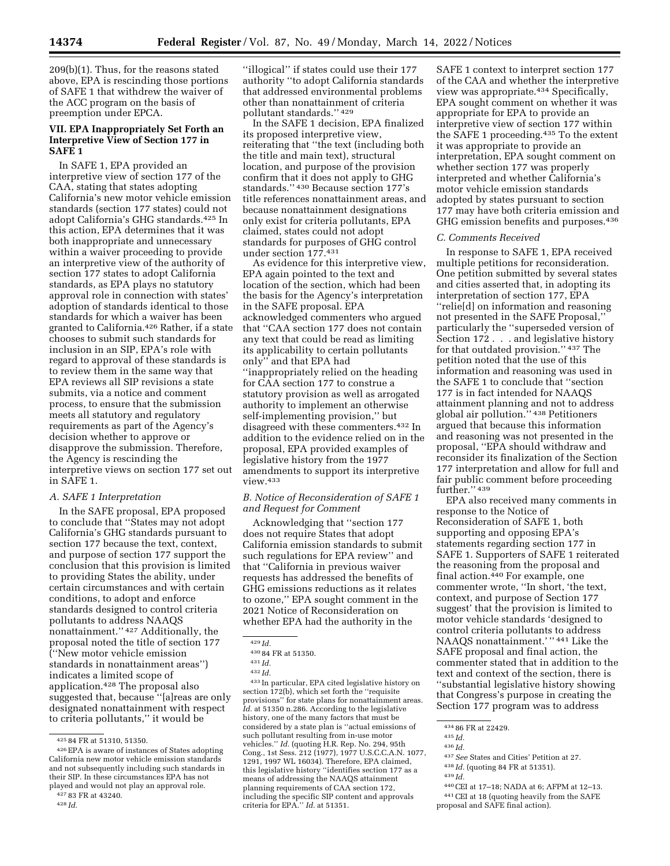209(b)(1). Thus, for the reasons stated above, EPA is rescinding those portions of SAFE 1 that withdrew the waiver of the ACC program on the basis of preemption under EPCA.

### **VII. EPA Inappropriately Set Forth an Interpretive View of Section 177 in SAFE 1**

In SAFE 1, EPA provided an interpretive view of section 177 of the CAA, stating that states adopting California's new motor vehicle emission standards (section 177 states) could not adopt California's GHG standards.425 In this action, EPA determines that it was both inappropriate and unnecessary within a waiver proceeding to provide an interpretive view of the authority of section 177 states to adopt California standards, as EPA plays no statutory approval role in connection with states' adoption of standards identical to those standards for which a waiver has been granted to California.426 Rather, if a state chooses to submit such standards for inclusion in an SIP, EPA's role with regard to approval of these standards is to review them in the same way that EPA reviews all SIP revisions a state submits, via a notice and comment process, to ensure that the submission meets all statutory and regulatory requirements as part of the Agency's decision whether to approve or disapprove the submission. Therefore, the Agency is rescinding the interpretive views on section 177 set out in SAFE 1.

### *A. SAFE 1 Interpretation*

In the SAFE proposal, EPA proposed to conclude that ''States may not adopt California's GHG standards pursuant to section 177 because the text, context, and purpose of section 177 support the conclusion that this provision is limited to providing States the ability, under certain circumstances and with certain conditions, to adopt and enforce standards designed to control criteria pollutants to address NAAQS nonattainment.'' 427 Additionally, the proposal noted the title of section 177 (''New motor vehicle emission standards in nonattainment areas'') indicates a limited scope of application.428 The proposal also suggested that, because ''[a]reas are only designated nonattainment with respect to criteria pollutants,'' it would be

''illogical'' if states could use their 177 authority ''to adopt California standards that addressed environmental problems other than nonattainment of criteria pollutant standards.'' 429

In the SAFE 1 decision, EPA finalized its proposed interpretive view, reiterating that ''the text (including both the title and main text), structural location, and purpose of the provision confirm that it does not apply to GHG standards.'' 430 Because section 177's title references nonattainment areas, and because nonattainment designations only exist for criteria pollutants, EPA claimed, states could not adopt standards for purposes of GHG control under section 177.431

As evidence for this interpretive view, EPA again pointed to the text and location of the section, which had been the basis for the Agency's interpretation in the SAFE proposal. EPA acknowledged commenters who argued that ''CAA section 177 does not contain any text that could be read as limiting its applicability to certain pollutants only'' and that EPA had ''inappropriately relied on the heading for CAA section 177 to construe a statutory provision as well as arrogated authority to implement an otherwise self-implementing provision,'' but disagreed with these commenters.432 In addition to the evidence relied on in the proposal, EPA provided examples of legislative history from the 1977 amendments to support its interpretive view.433

### *B. Notice of Reconsideration of SAFE 1 and Request for Comment*

Acknowledging that ''section 177 does not require States that adopt California emission standards to submit such regulations for EPA review'' and that ''California in previous waiver requests has addressed the benefits of GHG emissions reductions as it relates to ozone,'' EPA sought comment in the 2021 Notice of Reconsideration on whether EPA had the authority in the

433 In particular, EPA cited legislative history on section 172(b), which set forth the ''requisite provisions'' for state plans for nonattainment areas. *Id.* at 51350 n.286. According to the legislative history, one of the many factors that must be considered by a state plan is ''actual emissions of such pollutant resulting from in-use motor vehicles.'' *Id.* (quoting H.R. Rep. No. 294, 95th Cong., 1st Sess. 212 (1977), 1977 U.S.C.C.A.N. 1077, 1291, 1997 WL 16034). Therefore, EPA claimed, this legislative history ''identifies section 177 as a means of addressing the NAAQS attainment planning requirements of CAA section 172, including the specific SIP content and approvals criteria for EPA.'' *Id.* at 51351.

SAFE 1 context to interpret section 177 of the CAA and whether the interpretive view was appropriate.434 Specifically, EPA sought comment on whether it was appropriate for EPA to provide an interpretive view of section 177 within the SAFE 1 proceeding.435 To the extent it was appropriate to provide an interpretation, EPA sought comment on whether section 177 was properly interpreted and whether California's motor vehicle emission standards adopted by states pursuant to section 177 may have both criteria emission and GHG emission benefits and purposes.436

#### *C. Comments Received*

In response to SAFE 1, EPA received multiple petitions for reconsideration. One petition submitted by several states and cities asserted that, in adopting its interpretation of section 177, EPA ''relie[d] on information and reasoning not presented in the SAFE Proposal,'' particularly the ''superseded version of Section 172 . . . and legislative history for that outdated provision.'' 437 The petition noted that the use of this information and reasoning was used in the SAFE 1 to conclude that ''section 177 is in fact intended for NAAQS attainment planning and not to address global air pollution.'' 438 Petitioners argued that because this information and reasoning was not presented in the proposal, ''EPA should withdraw and reconsider its finalization of the Section 177 interpretation and allow for full and fair public comment before proceeding further." 439

EPA also received many comments in response to the Notice of Reconsideration of SAFE 1, both supporting and opposing EPA's statements regarding section 177 in SAFE 1. Supporters of SAFE 1 reiterated the reasoning from the proposal and final action.<sup>440</sup> For example, one commenter wrote, ''In short, 'the text, context, and purpose of Section 177 suggest' that the provision is limited to motor vehicle standards 'designed to control criteria pollutants to address NAAQS nonattainment.' '' 441 Like the SAFE proposal and final action, the commenter stated that in addition to the text and context of the section, there is ''substantial legislative history showing that Congress's purpose in creating the Section 177 program was to address

438 *Id.* (quoting 84 FR at 51351).

440CEI at 17–18; NADA at 6; AFPM at 12–13. 441CEI at 18 (quoting heavily from the SAFE

<sup>425</sup> 84 FR at 51310, 51350.

<sup>426</sup>EPA is aware of instances of States adopting California new motor vehicle emission standards and not subsequently including such standards in their SIP. In these circumstances EPA has not played and would not play an approval role.

<sup>427</sup> 83 FR at 43240. 428 *Id.* 

<sup>429</sup> *Id.* 

<sup>430</sup> 84 FR at 51350.

<sup>431</sup> *Id.* 

<sup>432</sup> *Id.* 

<sup>434</sup> 86 FR at 22429.

<sup>435</sup> *Id.* 

<sup>436</sup> *Id.* 

<sup>437</sup>*See* States and Cities' Petition at 27.

<sup>439</sup> *Id.* 

proposal and SAFE final action).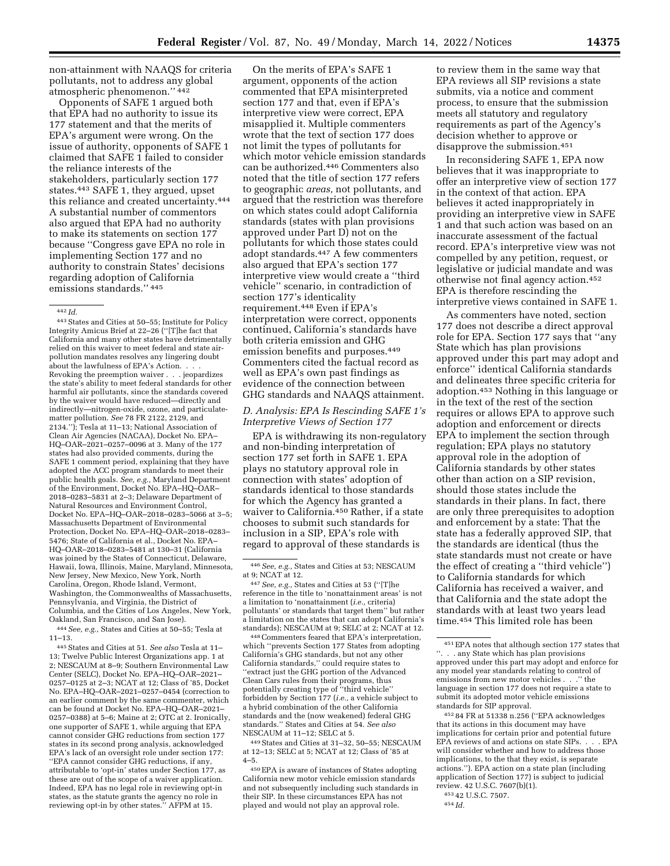non-attainment with NAAQS for criteria pollutants, not to address any global atmospheric phenomenon.'' 442

Opponents of SAFE 1 argued both that EPA had no authority to issue its 177 statement and that the merits of EPA's argument were wrong. On the issue of authority, opponents of SAFE 1 claimed that SAFE 1 failed to consider the reliance interests of the stakeholders, particularly section 177 states.443 SAFE 1, they argued, upset this reliance and created uncertainty.444 A substantial number of commentors also argued that EPA had no authority to make its statements on section 177 because ''Congress gave EPA no role in implementing Section 177 and no authority to constrain States' decisions regarding adoption of California emissions standards.'' 445

443States and Cities at 50–55; Institute for Policy Integrity Amicus Brief at 22–26 (''[T]he fact that California and many other states have detrimentally relied on this waiver to meet federal and state airpollution mandates resolves any lingering doubt about the lawfulness of EPA's Action. . . . Revoking the preemption waiver . . . jeopardizes the state's ability to meet federal standards for other harmful air pollutants, since the standards covered by the waiver would have reduced—directly and indirectly—nitrogen-oxide, ozone, and particulatematter pollution. *See* 78 FR 2122, 2129, and 2134.''); Tesla at 11–13; National Association of Clean Air Agencies (NACAA), Docket No. EPA– HQ–OAR–2021–0257–0096 at 3. Many of the 177 states had also provided comments, during the SAFE 1 comment period, explaining that they have adopted the ACC program standards to meet their public health goals. *See, e.g.,* Maryland Department of the Environment, Docket No. EPA–HQ–OAR– 2018–0283–5831 at 2–3; Delaware Department of Natural Resources and Environment Control, Docket No. EPA–HQ–OAR–2018–0283–5066 at 3–5; Massachusetts Department of Environmental Protection, Docket No. EPA–HQ–OAR–2018–0283– 5476; State of California et al., Docket No. EPA– HQ–OAR–2018–0283–5481 at 130–31 (California was joined by the States of Connecticut, Delaware, Hawaii, Iowa, Illinois, Maine, Maryland, Minnesota, New Jersey, New Mexico, New York, North Carolina, Oregon, Rhode Island, Vermont, Washington, the Commonwealths of Massachusetts, Pennsylvania, and Virginia, the District of Columbia, and the Cities of Los Angeles, New York, Oakland, San Francisco, and San Jose).

444*See, e.g.,* States and Cities at 50–55; Tesla at 11–13.

445States and Cities at 51. *See also* Tesla at 11– 13; Twelve Public Interest Organizations app. 1 at 2; NESCAUM at 8–9; Southern Environmental Law Center (SELC), Docket No. EPA–HQ–OAR–2021– 0257–0125 at 2–3; NCAT at 12; Class of '85, Docket No. EPA–HQ–OAR–2021–0257–0454 (correction to an earlier comment by the same commenter, which can be found at Docket No. EPA–HQ–OAR–2021– 0257–0388) at 5–6; Maine at 2; OTC at 2. Ironically, one supporter of SAFE 1, while arguing that EPA cannot consider GHG reductions from section 177 states in its second prong analysis, acknowledged EPA's lack of an oversight role under section 177: ''EPA cannot consider GHG reductions, if any, attributable to 'opt-in' states under Section 177, as these are out of the scope of a waiver application. Indeed, EPA has no legal role in reviewing opt-in states, as the statute grants the agency no role in reviewing opt-in by other states.'' AFPM at 15.

On the merits of EPA's SAFE 1 argument, opponents of the action commented that EPA misinterpreted section 177 and that, even if EPA's interpretive view were correct, EPA misapplied it. Multiple commenters wrote that the text of section 177 does not limit the types of pollutants for which motor vehicle emission standards can be authorized.446 Commenters also noted that the title of section 177 refers to geographic *areas,* not pollutants, and argued that the restriction was therefore on which states could adopt California standards (states with plan provisions approved under Part D) not on the pollutants for which those states could adopt standards.447 A few commenters also argued that EPA's section 177 interpretive view would create a ''third vehicle'' scenario, in contradiction of section 177's identicality requirement.448 Even if EPA's interpretation were correct, opponents continued, California's standards have both criteria emission and GHG emission benefits and purposes.449 Commenters cited the factual record as well as EPA's own past findings as evidence of the connection between GHG standards and NAAQS attainment.

### *D. Analysis: EPA Is Rescinding SAFE 1's Interpretive Views of Section 177*

EPA is withdrawing its non-regulatory and non-binding interpretation of section 177 set forth in SAFE 1. EPA plays no statutory approval role in connection with states' adoption of standards identical to those standards for which the Agency has granted a waiver to California.<sup>450</sup> Rather, if a state chooses to submit such standards for inclusion in a SIP, EPA's role with regard to approval of these standards is

448Commenters feared that EPA's interpretation, which ''prevents Section 177 States from adopting California's GHG standards, but not any other California standards,'' could require states to ''extract just the GHG portion of the Advanced Clean Cars rules from their programs, thus potentially creating type of ''third vehicle'' forbidden by Section 177 (*i.e.,* a vehicle subject to a hybrid combination of the other California standards and the (now weakened) federal GHG standards.'' States and Cities at 54. *See also*  NESCAUM at 11–12; SELC at 5.

449States and Cities at 31–32, 50–55; NESCAUM at 12–13; SELC at 5; NCAT at 12; Class of '85 at 4–5.

450EPA is aware of instances of States adopting California new motor vehicle emission standards and not subsequently including such standards in their SIP. In these circumstances EPA has not played and would not play an approval role.

to review them in the same way that EPA reviews all SIP revisions a state submits, via a notice and comment process, to ensure that the submission meets all statutory and regulatory requirements as part of the Agency's decision whether to approve or disapprove the submission.451

In reconsidering SAFE 1, EPA now believes that it was inappropriate to offer an interpretive view of section 177 in the context of that action. EPA believes it acted inappropriately in providing an interpretive view in SAFE 1 and that such action was based on an inaccurate assessment of the factual record. EPA's interpretive view was not compelled by any petition, request, or legislative or judicial mandate and was otherwise not final agency action.452 EPA is therefore rescinding the interpretive views contained in SAFE 1.

As commenters have noted, section 177 does not describe a direct approval role for EPA. Section 177 says that ''any State which has plan provisions approved under this part may adopt and enforce'' identical California standards and delineates three specific criteria for adoption.453 Nothing in this language or in the text of the rest of the section requires or allows EPA to approve such adoption and enforcement or directs EPA to implement the section through regulation; EPA plays no statutory approval role in the adoption of California standards by other states other than action on a SIP revision, should those states include the standards in their plans. In fact, there are only three prerequisites to adoption and enforcement by a state: That the state has a federally approved SIP, that the standards are identical (thus the state standards must not create or have the effect of creating a ''third vehicle'') to California standards for which California has received a waiver, and that California and the state adopt the standards with at least two years lead time.454 This limited role has been

452 84 FR at 51338 n.256 (''EPA acknowledges that its actions in this document may have implications for certain prior and potential future EPA reviews of and actions on state SIPs. . . . EPA will consider whether and how to address those implications, to the that they exist, is separate actions.''). EPA action on a state plan (including application of Section 177) is subject to judicial review. 42 U.S.C. 7607(b)(1).

<sup>442</sup> *Id.* 

<sup>446</sup>*See, e.g.,* States and Cities at 53; NESCAUM at 9; NCAT at 12.

<sup>447</sup>*See, e.g.,* States and Cities at 53 (''[T]he reference in the title to 'nonattainment areas' is not a limitation to 'nonattainment (*i.e.,* criteria) pollutants' or standards that target them'' but rather a limitation on the states that can adopt California's standards); NESCAUM at 9; SELC at 2; NCAT at 12.

<sup>451</sup>EPA notes that although section 177 states that ''. . . any State which has plan provisions approved under this part may adopt and enforce for any model year standards relating to control of emissions from new motor vehicles . . .'' the language in section 177 does not require a state to submit its adopted motor vehicle emissions standards for SIP approval.

<sup>453</sup> 42 U.S.C. 7507. 454 *Id.*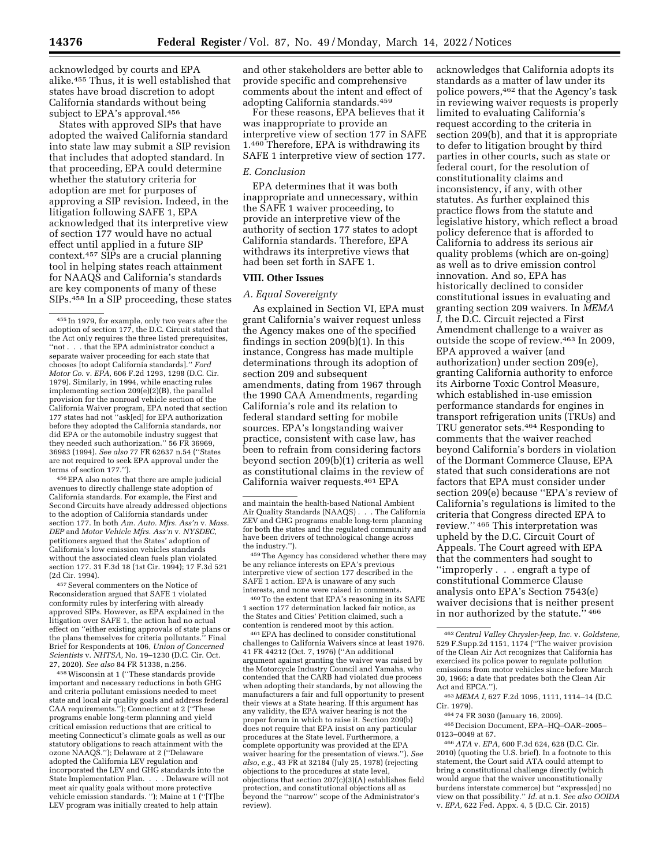acknowledged by courts and EPA alike.455 Thus, it is well established that states have broad discretion to adopt California standards without being subject to EPA's approval.456

States with approved SIPs that have adopted the waived California standard into state law may submit a SIP revision that includes that adopted standard. In that proceeding, EPA could determine whether the statutory criteria for adoption are met for purposes of approving a SIP revision. Indeed, in the litigation following SAFE 1, EPA acknowledged that its interpretive view of section 177 would have no actual effect until applied in a future SIP context.457 SIPs are a crucial planning tool in helping states reach attainment for NAAQS and California's standards are key components of many of these SIPs.458 In a SIP proceeding, these states

456EPA also notes that there are ample judicial avenues to directly challenge state adoption of California standards. For example, the First and Second Circuits have already addressed objections to the adoption of California standards under section 177. In both *Am. Auto. Mfrs. Ass'n* v. *Mass. DEP* and *Motor Vehicle Mfrs. Ass'n* v. *NYSDEC,*  petitioners argued that the States' adoption of California's low emission vehicles standards without the associated clean fuels plan violated section 177. 31 F.3d 18 (1st Cir. 1994); 17 F.3d 521 (2d Cir. 1994).

457Several commenters on the Notice of Reconsideration argued that SAFE 1 violated conformity rules by interfering with already approved SIPs. However, as EPA explained in the litigation over SAFE 1, the action had no actual effect on ''either existing approvals of state plans or the plans themselves for criteria pollutants.'' Final Brief for Respondents at 106, *Union of Concerned Scientists* v. *NHTSA,* No. 19–1230 (D.C. Cir. Oct. 27, 2020). *See also* 84 FR 51338, n.256.

458Wisconsin at 1 (''These standards provide important and necessary reductions in both GHG and criteria pollutant emissions needed to meet state and local air quality goals and address federal CAA requirements.''); Connecticut at 2 (''These programs enable long-term planning and yield critical emission reductions that are critical to meeting Connecticut's climate goals as well as our statutory obligations to reach attainment with the ozone NAAQS.''); Delaware at 2 (''Delaware adopted the California LEV regulation and incorporated the LEV and GHG standards into the State Implementation Plan. . . . Delaware will not meet air quality goals without more protective vehicle emission standards. ''); Maine at 1 (''[T]he LEV program was initially created to help attain

and other stakeholders are better able to provide specific and comprehensive comments about the intent and effect of adopting California standards.459

For these reasons, EPA believes that it was inappropriate to provide an interpretive view of section 177 in SAFE 1.460 Therefore, EPA is withdrawing its SAFE 1 interpretive view of section 177.

### *E. Conclusion*

EPA determines that it was both inappropriate and unnecessary, within the SAFE 1 waiver proceeding, to provide an interpretive view of the authority of section 177 states to adopt California standards. Therefore, EPA withdraws its interpretive views that had been set forth in SAFE 1.

### **VIII. Other Issues**

### *A. Equal Sovereignty*

As explained in Section VI, EPA must grant California's waiver request unless the Agency makes one of the specified findings in section 209(b)(1). In this instance, Congress has made multiple determinations through its adoption of section 209 and subsequent amendments, dating from 1967 through the 1990 CAA Amendments, regarding California's role and its relation to federal standard setting for mobile sources. EPA's longstanding waiver practice, consistent with case law, has been to refrain from considering factors beyond section 209(b)(1) criteria as well as constitutional claims in the review of California waiver requests.461 EPA

459 The Agency has considered whether there may be any reliance interests on EPA's previous interpretive view of section 177 described in the SAFE 1 action. EPA is unaware of any such interests, and none were raised in comments. 460To the extent that EPA's reasoning in its SAFE

1 section 177 determination lacked fair notice, as the States and Cities' Petition claimed, such a

461 EPA has declined to consider constitutional challenges to California Waivers since at least 1976. 41 FR 44212 (Oct. 7, 1976) (''An additional argument against granting the waiver was raised by the Motorcycle Industry Council and Yamaha, who contended that the CARB had violated due process when adopting their standards, by not allowing the manufacturers a fair and full opportunity to present their views at a State hearing. If this argument has any validity, the EPA waiver hearing is not the proper forum in which to raise it. Section 209(b) does not require that EPA insist on any particular procedures at the State level. Furthermore, a complete opportunity was provided at the EPA waiver hearing for the presentation of views.''). *See also, e.g.,* 43 FR at 32184 (July 25, 1978) (rejecting objections to the procedures at state level, objections that section 207(c)(3)(A) establishes field protection, and constitutional objections all as beyond the ''narrow'' scope of the Administrator's review).

acknowledges that California adopts its standards as a matter of law under its police powers,462 that the Agency's task in reviewing waiver requests is properly limited to evaluating California's request according to the criteria in section 209(b), and that it is appropriate to defer to litigation brought by third parties in other courts, such as state or federal court, for the resolution of constitutionality claims and inconsistency, if any, with other statutes. As further explained this practice flows from the statute and legislative history, which reflect a broad policy deference that is afforded to California to address its serious air quality problems (which are on-going) as well as to drive emission control innovation. And so, EPA has historically declined to consider constitutional issues in evaluating and granting section 209 waivers. In *MEMA I,* the D.C. Circuit rejected a First Amendment challenge to a waiver as outside the scope of review.463 In 2009, EPA approved a waiver (and authorization) under section 209(e), granting California authority to enforce its Airborne Toxic Control Measure, which established in-use emission performance standards for engines in transport refrigeration units (TRUs) and TRU generator sets.464 Responding to comments that the waiver reached beyond California's borders in violation of the Dormant Commerce Clause, EPA stated that such considerations are not factors that EPA must consider under section 209(e) because ''EPA's review of California's regulations is limited to the criteria that Congress directed EPA to review.'' 465 This interpretation was upheld by the D.C. Circuit Court of Appeals. The Court agreed with EPA that the commenters had sought to ''improperly . . . engraft a type of constitutional Commerce Clause analysis onto EPA's Section 7543(e) waiver decisions that is neither present in nor authorized by the statute." 466

463 *MEMA I,* 627 F.2d 1095, 1111, 1114–14 (D.C. Cir. 1979).

464 74 FR 3030 (January 16, 2009).

465 Decision Document, EPA–HQ–OAR–2005– 0123–0049 at 67.

466*ATA* v. *EPA,* 600 F.3d 624, 628 (D.C. Cir. 2010) (quoting the U.S. brief). In a footnote to this statement, the Court said ATA could attempt to bring a constitutional challenge directly (which would argue that the waiver unconstitutionally burdens interstate commerce) but ''express[ed] no view on that possibility.'' *Id.* at n.1. *See also OOIDA*  v. *EPA,* 622 Fed. Appx. 4, 5 (D.C. Cir. 2015)

<sup>455</sup> In 1979, for example, only two years after the adoption of section 177, the D.C. Circuit stated that the Act only requires the three listed prerequisites. ''not . . . that the EPA administrator conduct a separate waiver proceeding for each state that chooses [to adopt California standards].'' *Ford Motor Co.* v. *EPA,* 606 F.2d 1293, 1298 (D.C. Cir. 1979). Similarly, in 1994, while enacting rules implementing section 209(e)(2)(B), the parallel provision for the nonroad vehicle section of the California Waiver program, EPA noted that section 177 states had not ''ask[ed] for EPA authorization before they adopted the California standards, nor did EPA or the automobile industry suggest that they needed such authorization." 56 FR 36969, 36983 (1994). *See also* 77 FR 62637 n.54 (''States are not required to seek EPA approval under the terms of section 177.'').

and maintain the health-based National Ambient Air Quality Standards (NAAQS) . . . The California ZEV and GHG programs enable long-term planning for both the states and the regulated community and have been drivers of technological change across<br>the industry.").

<sup>462</sup>*Central Valley Chrysler-Jeep, Inc.* v. *Goldstene,*  529 F.Supp.2d 1151, 1174 (''The waiver provision of the Clean Air Act recognizes that California has exercised its police power to regulate pollution emissions from motor vehicles since before March 30, 1966; a date that predates both the Clean Air Act and EPCA.'').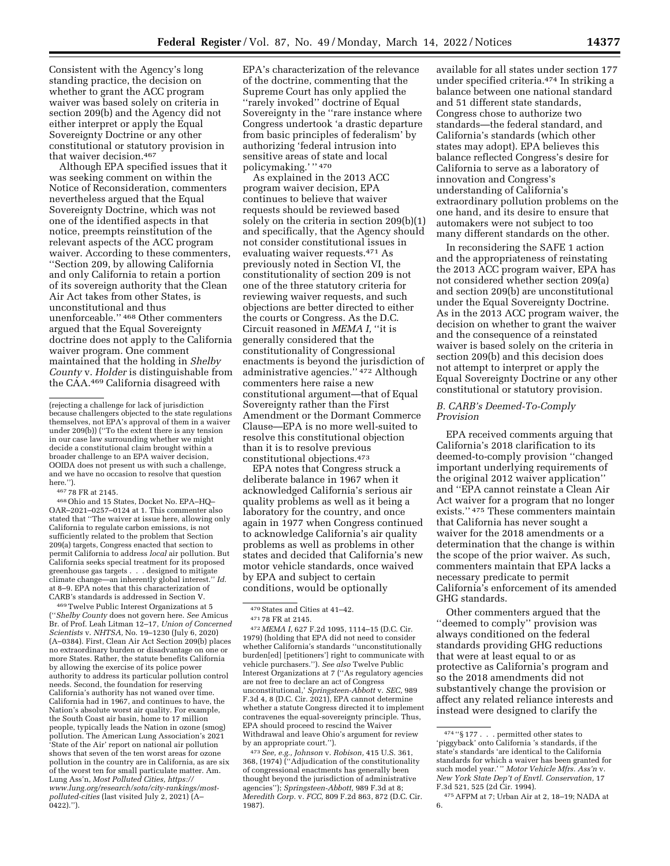Consistent with the Agency's long standing practice, the decision on whether to grant the ACC program waiver was based solely on criteria in section 209(b) and the Agency did not either interpret or apply the Equal Sovereignty Doctrine or any other constitutional or statutory provision in that waiver decision.467

Although EPA specified issues that it was seeking comment on within the Notice of Reconsideration, commenters nevertheless argued that the Equal Sovereignty Doctrine, which was not one of the identified aspects in that notice, preempts reinstitution of the relevant aspects of the ACC program waiver. According to these commenters, ''Section 209, by allowing California and only California to retain a portion of its sovereign authority that the Clean Air Act takes from other States, is unconstitutional and thus unenforceable.'' 468 Other commenters argued that the Equal Sovereignty doctrine does not apply to the California waiver program. One comment maintained that the holding in *Shelby County* v. *Holder* is distinguishable from the CAA.469 California disagreed with

467 78 FR at 2145.

468Ohio and 15 States, Docket No. EPA–HQ– OAR–2021–0257–0124 at 1. This commenter also stated that ''The waiver at issue here, allowing only California to regulate carbon emissions, is not sufficiently related to the problem that Section 209(a) targets, Congress enacted that section to permit California to address *local* air pollution. But California seeks special treatment for its proposed greenhouse gas targets . . . designed to mitigate climate change—an inherently global interest.'' *Id.*  at 8–9. EPA notes that this characterization of CARB's standards is addressed in Section V.

469Twelve Public Interest Organizations at 5 (''*Shelby County* does not govern here. *See* Amicus Br. of Prof. Leah Litman 12–17, *Union of Concerned Scientists* v. *NHTSA,* No. 19–1230 (July 6, 2020) (A–0384). First, Clean Air Act Section 209(b) places no extraordinary burden or disadvantage on one or more States. Rather, the statute benefits California by allowing the exercise of its police power authority to address its particular pollution control needs. Second, the foundation for reserving California's authority has not waned over time. California had in 1967, and continues to have, the Nation's absolute worst air quality. For example, the South Coast air basin, home to 17 million people, typically leads the Nation in ozone (smog) pollution. The American Lung Association's 2021 'State of the Air' report on national air pollution shows that seven of the ten worst areas for ozone pollution in the country are in California, as are six of the worst ten for small particulate matter. Am. Lung Ass'n, *Most Polluted Cities, [https://](https://www.lung.org/research/sota/city-rankings/most-polluted-cities) [www.lung.org/research/sota/city-rankings/most](https://www.lung.org/research/sota/city-rankings/most-polluted-cities)[polluted-cities](https://www.lung.org/research/sota/city-rankings/most-polluted-cities)* (last visited July 2, 2021) (A–  $0422$ ).'').

EPA's characterization of the relevance of the doctrine, commenting that the Supreme Court has only applied the ''rarely invoked'' doctrine of Equal Sovereignty in the ''rare instance where Congress undertook 'a drastic departure from basic principles of federalism' by authorizing 'federal intrusion into sensitive areas of state and local policymaking.' '' 470

As explained in the 2013 ACC program waiver decision, EPA continues to believe that waiver requests should be reviewed based solely on the criteria in section 209(b)(1) and specifically, that the Agency should not consider constitutional issues in evaluating waiver requests.471 As previously noted in Section VI, the constitutionality of section 209 is not one of the three statutory criteria for reviewing waiver requests, and such objections are better directed to either the courts or Congress. As the D.C. Circuit reasoned in *MEMA I,* ''it is generally considered that the constitutionality of Congressional enactments is beyond the jurisdiction of administrative agencies.'' 472 Although commenters here raise a new constitutional argument—that of Equal Sovereignty rather than the First Amendment or the Dormant Commerce Clause—EPA is no more well-suited to resolve this constitutional objection than it is to resolve previous constitutional objections.473

EPA notes that Congress struck a deliberate balance in 1967 when it acknowledged California's serious air quality problems as well as it being a laboratory for the country, and once again in 1977 when Congress continued to acknowledge California's air quality problems as well as problems in other states and decided that California's new motor vehicle standards, once waived by EPA and subject to certain conditions, would be optionally

472 *MEMA I,* 627 F.2d 1095, 1114–15 (D.C. Cir. 1979) (holding that EPA did not need to consider whether California's standards ''unconstitutionally burden[ed] [petitioners'] right to communicate with vehicle purchasers.''). *See also* Twelve Public Interest Organizations at 7 (''As regulatory agencies are not free to declare an act of Congress unconstitutional,' *Springsteen-Abbott* v. *SEC,* 989 F.3d 4, 8 (D.C. Cir. 2021), EPA cannot determine whether a statute Congress directed it to implement contravenes the equal-sovereignty principle. Thus, EPA should proceed to rescind the Waiver Withdrawal and leave Ohio's argument for review by an appropriate court.'').

473*See, e.g., Johnson* v. *Robison,* 415 U.S. 361, 368, (1974) (''Adjudication of the constitutionality of congressional enactments has generally been thought beyond the jurisdiction of administrative agencies''); *Springsteen-Abbott,* 989 F.3d at 8; *Meredith Corp.* v. *FCC,* 809 F.2d 863, 872 (D.C. Cir. 1987).

available for all states under section 177 under specified criteria.474 In striking a balance between one national standard and 51 different state standards, Congress chose to authorize two standards—the federal standard, and California's standards (which other states may adopt). EPA believes this balance reflected Congress's desire for California to serve as a laboratory of innovation and Congress's understanding of California's extraordinary pollution problems on the one hand, and its desire to ensure that automakers were not subject to too many different standards on the other.

In reconsidering the SAFE 1 action and the appropriateness of reinstating the 2013 ACC program waiver, EPA has not considered whether section 209(a) and section 209(b) are unconstitutional under the Equal Sovereignty Doctrine. As in the 2013 ACC program waiver, the decision on whether to grant the waiver and the consequence of a reinstated waiver is based solely on the criteria in section 209(b) and this decision does not attempt to interpret or apply the Equal Sovereignty Doctrine or any other constitutional or statutory provision.

### *B. CARB's Deemed-To-Comply Provision*

EPA received comments arguing that California's 2018 clarification to its deemed-to-comply provision ''changed important underlying requirements of the original 2012 waiver application'' and ''EPA cannot reinstate a Clean Air Act waiver for a program that no longer exists.'' 475 These commenters maintain that California has never sought a waiver for the 2018 amendments or a determination that the change is within the scope of the prior waiver. As such, commenters maintain that EPA lacks a necessary predicate to permit California's enforcement of its amended GHG standards.

Other commenters argued that the ''deemed to comply'' provision was always conditioned on the federal standards providing GHG reductions that were at least equal to or as protective as California's program and so the 2018 amendments did not substantively change the provision or affect any related reliance interests and instead were designed to clarify the

<sup>(</sup>rejecting a challenge for lack of jurisdiction because challengers objected to the state regulations themselves, not EPA's approval of them in a waiver under 209(b)) (''To the extent there is any tension in our case law surrounding whether we might decide a constitutional claim brought within a broader challenge to an EPA waiver decision, OOIDA does not present us with such a challenge, and we have no occasion to resolve that question here.").

<sup>470</sup>States and Cities at 41–42.

<sup>471</sup> 78 FR at 2145.

<sup>474</sup> ''§ 177 . . . permitted other states to 'piggyback' onto California 's standards, if the state's standards 'are identical to the California standards for which a waiver has been granted for such model year.' '' *Motor Vehicle Mfrs. Ass'n* v. *New York State Dep't of Envtl. Conservation,* 17 F.3d 521, 525 (2d Cir. 1994).

<sup>475</sup>AFPM at 7; Urban Air at 2, 18–19; NADA at 6.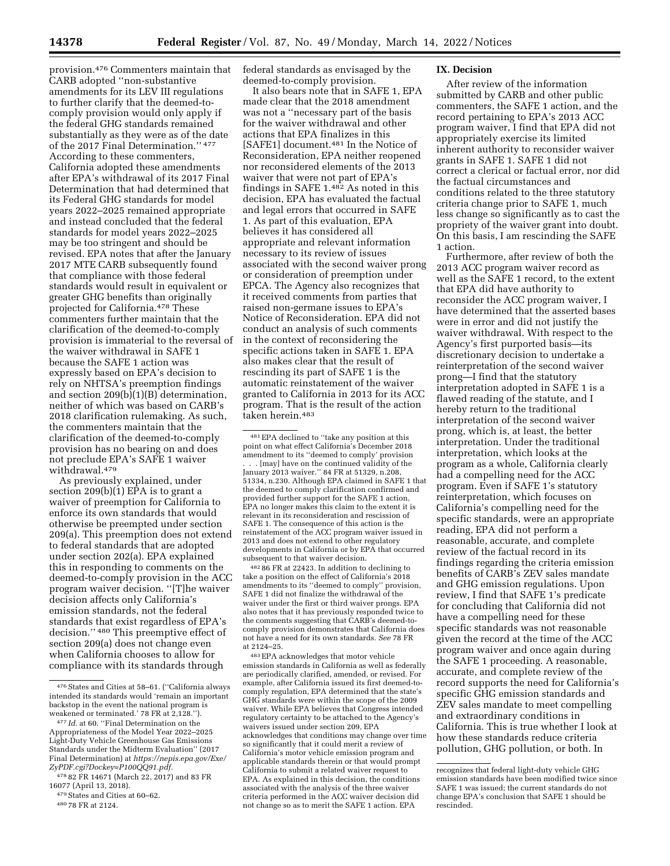provision.476 Commenters maintain that CARB adopted ''non-substantive amendments for its LEV III regulations to further clarify that the deemed-tocomply provision would only apply if the federal GHG standards remained substantially as they were as of the date of the 2017 Final Determination.'' 477 According to these commenters, California adopted these amendments after EPA's withdrawal of its 2017 Final Determination that had determined that its Federal GHG standards for model years 2022–2025 remained appropriate and instead concluded that the federal standards for model years 2022–2025 may be too stringent and should be revised. EPA notes that after the January 2017 MTE CARB subsequently found that compliance with those federal standards would result in equivalent or greater GHG benefits than originally projected for California.478 These commenters further maintain that the clarification of the deemed-to-comply provision is immaterial to the reversal of the waiver withdrawal in SAFE 1 because the SAFE 1 action was expressly based on EPA's decision to rely on NHTSA's preemption findings and section 209(b)(1)(B) determination, neither of which was based on CARB's 2018 clarification rulemaking. As such, the commenters maintain that the clarification of the deemed-to-comply provision has no bearing on and does not preclude EPA's SAFE 1 waiver withdrawal.479

As previously explained, under section 209(b)(1) EPA is to grant a waiver of preemption for California to enforce its own standards that would otherwise be preempted under section 209(a). This preemption does not extend to federal standards that are adopted under section 202(a). EPA explained this in responding to comments on the deemed-to-comply provision in the ACC program waiver decision. ''[T]he waiver decision affects only California's emission standards, not the federal standards that exist regardless of EPA's decision.'' 480 This preemptive effect of section 209(a) does not change even when California chooses to allow for compliance with its standards through

federal standards as envisaged by the deemed-to-comply provision.

It also bears note that in SAFE 1, EPA made clear that the 2018 amendment was not a ''necessary part of the basis for the waiver withdrawal and other actions that EPA finalizes in this [SAFE1] document.481 In the Notice of Reconsideration, EPA neither reopened nor reconsidered elements of the 2013 waiver that were not part of EPA's findings in SAFE 1.482 As noted in this decision, EPA has evaluated the factual and legal errors that occurred in SAFE 1. As part of this evaluation, EPA believes it has considered all appropriate and relevant information necessary to its review of issues associated with the second waiver prong or consideration of preemption under EPCA. The Agency also recognizes that it received comments from parties that raised non-germane issues to EPA's Notice of Reconsideration. EPA did not conduct an analysis of such comments in the context of reconsidering the specific actions taken in SAFE 1. EPA also makes clear that the result of rescinding its part of SAFE 1 is the automatic reinstatement of the waiver granted to California in 2013 for its ACC program. That is the result of the action taken herein.483

482 86 FR at 22423. In addition to declining to take a position on the effect of California's 2018 amendments to its ''deemed to comply'' provision, SAFE 1 did not finalize the withdrawal of the waiver under the first or third waiver prongs. EPA also notes that it has previously responded twice to the comments suggesting that CARB's deemed-tocomply provision demonstrates that California does not have a need for its own standards. *See* 78 FR at 2124–25.

483EPA acknowledges that motor vehicle emission standards in California as well as federally are periodically clarified, amended, or revised. For example, after California issued its first deemed-tocomply regulation, EPA determined that the state's GHG standards were within the scope of the 2009 waiver. While EPA believes that Congress intended regulatory certainty to be attached to the Agency's waivers issued under section 209, EPA acknowledges that conditions may change over time so significantly that it could merit a review of California's motor vehicle emission program and applicable standards therein or that would prompt California to submit a related waiver request to EPA. As explained in this decision, the conditions associated with the analysis of the three waiver criteria performed in the ACC waiver decision did not change so as to merit the SAFE 1 action. EPA

#### **IX. Decision**

After review of the information submitted by CARB and other public commenters, the SAFE 1 action, and the record pertaining to EPA's 2013 ACC program waiver, I find that EPA did not appropriately exercise its limited inherent authority to reconsider waiver grants in SAFE 1. SAFE 1 did not correct a clerical or factual error, nor did the factual circumstances and conditions related to the three statutory criteria change prior to SAFE 1, much less change so significantly as to cast the propriety of the waiver grant into doubt. On this basis, I am rescinding the SAFE 1 action.

Furthermore, after review of both the 2013 ACC program waiver record as well as the SAFE 1 record, to the extent that EPA did have authority to reconsider the ACC program waiver, I have determined that the asserted bases were in error and did not justify the waiver withdrawal. With respect to the Agency's first purported basis—its discretionary decision to undertake a reinterpretation of the second waiver prong—I find that the statutory interpretation adopted in SAFE 1 is a flawed reading of the statute, and I hereby return to the traditional interpretation of the second waiver prong, which is, at least, the better interpretation. Under the traditional interpretation, which looks at the program as a whole, California clearly had a compelling need for the ACC program. Even if SAFE 1's statutory reinterpretation, which focuses on California's compelling need for the specific standards, were an appropriate reading, EPA did not perform a reasonable, accurate, and complete review of the factual record in its findings regarding the criteria emission benefits of CARB's ZEV sales mandate and GHG emission regulations. Upon review, I find that SAFE 1's predicate for concluding that California did not have a compelling need for these specific standards was not reasonable given the record at the time of the ACC program waiver and once again during the SAFE 1 proceeding. A reasonable, accurate, and complete review of the record supports the need for California's specific GHG emission standards and ZEV sales mandate to meet compelling and extraordinary conditions in California. This is true whether I look at how these standards reduce criteria pollution, GHG pollution, or both. In

<sup>476</sup>States and Cities at 58–61. (''California always intended its standards would 'remain an important backstop in the event the national program is weakened or terminated.' 78 FR at 2,128.'').

<sup>477</sup> *Id.* at 60. ''Final Determination on the Appropriateness of the Model Year 2022–2025 Light-Duty Vehicle Greenhouse Gas Emissions Standards under the Midterm Evaluation'' (2017 Final Determination) at *[https://nepis.epa.gov/Exe/](https://nepis.epa.gov/Exe/ZyPDF.cgi?Dockey=P100QQ91.pdf)  [ZyPDF.cgi?Dockey=P100QQ91.pdf.](https://nepis.epa.gov/Exe/ZyPDF.cgi?Dockey=P100QQ91.pdf)* 

<sup>478</sup> 82 FR 14671 (March 22, 2017) and 83 FR 16077 (April 13, 2018).

<sup>479</sup>States and Cities at 60–62.

<sup>480</sup> 78 FR at 2124.

<sup>481</sup>EPA declined to ''take any position at this point on what effect California's December 2018 amendment to its ''deemed to comply' provision . . . [may] have on the continued validity of the January 2013 waiver.'' 84 FR at 51329, n.208, 51334, n.230. Although EPA claimed in SAFE 1 that the deemed to comply clarification confirmed and provided further support for the SAFE 1 action, EPA no longer makes this claim to the extent it is relevant in its reconsideration and rescission of SAFE 1. The consequence of this action is the reinstatement of the ACC program waiver issued in 2013 and does not extend to other regulatory developments in California or by EPA that occurred subsequent to that waiver decision.

recognizes that federal light-duty vehicle GHG emission standards have been modified twice since SAFE 1 was issued; the current standards do not change EPA's conclusion that SAFE 1 should be rescinded.